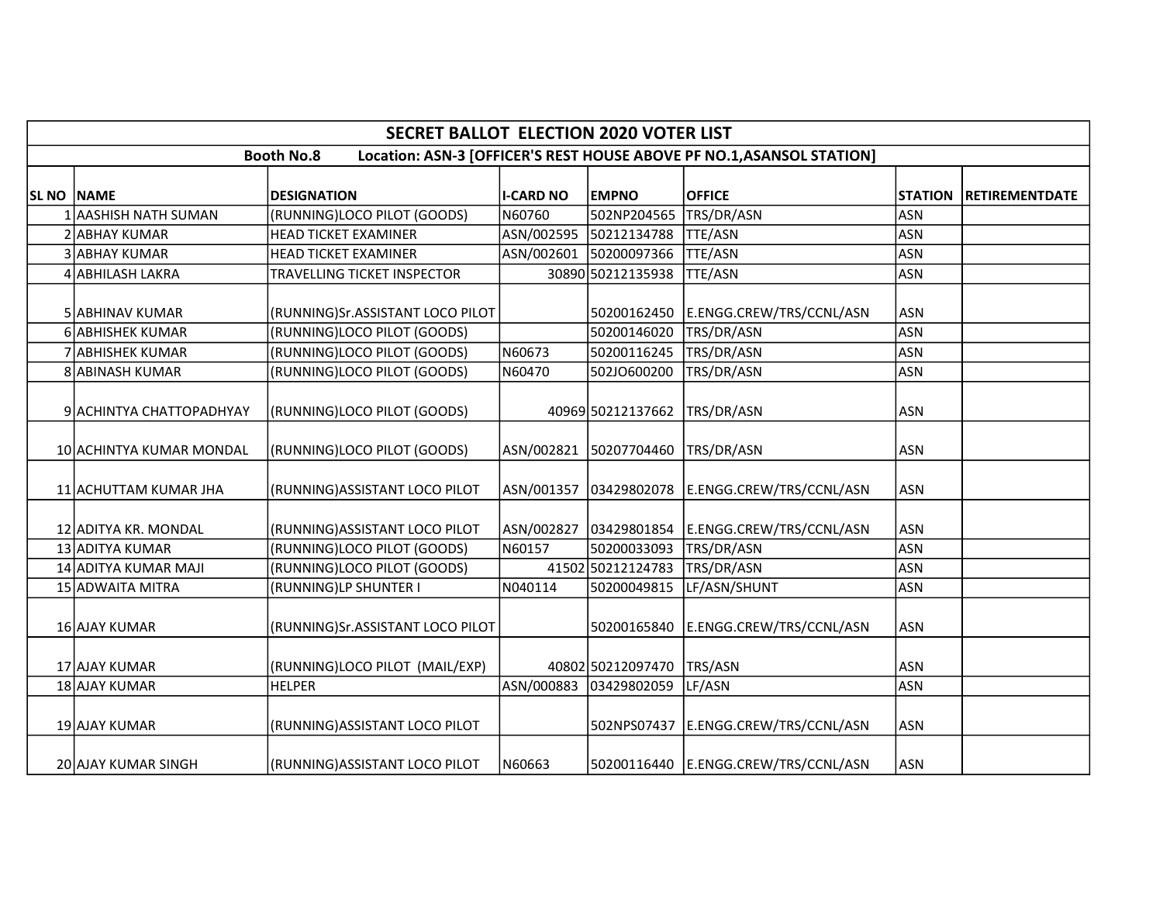|            | <b>SECRET BALLOT ELECTION 2020 VOTER LIST</b>                                              |                                  |                  |                        |                                        |                |                       |  |  |  |  |  |
|------------|--------------------------------------------------------------------------------------------|----------------------------------|------------------|------------------------|----------------------------------------|----------------|-----------------------|--|--|--|--|--|
|            | Location: ASN-3 [OFFICER'S REST HOUSE ABOVE PF NO.1, ASANSOL STATION]<br><b>Booth No.8</b> |                                  |                  |                        |                                        |                |                       |  |  |  |  |  |
| SL NO NAME |                                                                                            | <b>DESIGNATION</b>               | <b>I-CARD NO</b> | <b>EMPNO</b>           | <b>OFFICE</b>                          | <b>STATION</b> | <b>RETIREMENTDATE</b> |  |  |  |  |  |
|            | AASHISH NATH SUMAN                                                                         | (RUNNING)LOCO PILOT (GOODS)      | N60760           | 502NP204565            | TRS/DR/ASN                             | <b>ASN</b>     |                       |  |  |  |  |  |
|            | 2 ABHAY KUMAR                                                                              | <b>HEAD TICKET EXAMINER</b>      | ASN/002595       | 50212134788            | <b>TTE/ASN</b>                         | <b>ASN</b>     |                       |  |  |  |  |  |
|            | 3 ABHAY KUMAR                                                                              | <b>HEAD TICKET EXAMINER</b>      |                  | ASN/002601 50200097366 | <b>TTE/ASN</b>                         | <b>ASN</b>     |                       |  |  |  |  |  |
|            | 4 ABHILASH LAKRA                                                                           | TRAVELLING TICKET INSPECTOR      |                  | 30890 50212135938      | <b>TTE/ASN</b>                         | <b>ASN</b>     |                       |  |  |  |  |  |
|            | 5 ABHINAV KUMAR                                                                            | (RUNNING)Sr.ASSISTANT LOCO PILOT |                  | 50200162450            | E.ENGG.CREW/TRS/CCNL/ASN               | <b>ASN</b>     |                       |  |  |  |  |  |
|            | 6 ABHISHEK KUMAR                                                                           | (RUNNING)LOCO PILOT (GOODS)      |                  | 50200146020            | TRS/DR/ASN                             | <b>ASN</b>     |                       |  |  |  |  |  |
|            | 7 ABHISHEK KUMAR                                                                           | (RUNNING)LOCO PILOT (GOODS)      | N60673           | 50200116245            | TRS/DR/ASN                             | <b>ASN</b>     |                       |  |  |  |  |  |
|            | 8 ABINASH KUMAR                                                                            | (RUNNING)LOCO PILOT (GOODS)      | N60470           | 502JO600200            | TRS/DR/ASN                             | <b>ASN</b>     |                       |  |  |  |  |  |
|            | 9 ACHINTYA CHATTOPADHYAY                                                                   | (RUNNING)LOCO PILOT (GOODS)      |                  | 40969 50212137662      | TRS/DR/ASN                             | <b>ASN</b>     |                       |  |  |  |  |  |
|            | 10 ACHINTYA KUMAR MONDAL                                                                   | (RUNNING)LOCO PILOT (GOODS)      |                  | ASN/002821 50207704460 | TRS/DR/ASN                             | <b>ASN</b>     |                       |  |  |  |  |  |
|            | 11 ACHUTTAM KUMAR JHA                                                                      | (RUNNING)ASSISTANT LOCO PILOT    |                  |                        |                                        | ASN            |                       |  |  |  |  |  |
|            | 12 ADITYA KR. MONDAL                                                                       | (RUNNING) ASSISTANT LOCO PILOT   |                  | ASN/002827 03429801854 | E.ENGG.CREW/TRS/CCNL/ASN               | <b>ASN</b>     |                       |  |  |  |  |  |
|            | 13 ADITYA KUMAR                                                                            | (RUNNING)LOCO PILOT (GOODS)      | N60157           | 50200033093            | TRS/DR/ASN                             | <b>ASN</b>     |                       |  |  |  |  |  |
|            | 14 ADITYA KUMAR MAJI                                                                       | (RUNNING)LOCO PILOT (GOODS)      |                  | 41502 50212124783      | TRS/DR/ASN                             | <b>ASN</b>     |                       |  |  |  |  |  |
|            | 15 ADWAITA MITRA                                                                           | (RUNNING)LP SHUNTER I            | N040114          | 50200049815            | LF/ASN/SHUNT                           | <b>ASN</b>     |                       |  |  |  |  |  |
|            | 16 AJAY KUMAR                                                                              | (RUNNING)Sr.ASSISTANT LOCO PILOT |                  | 50200165840            | E.ENGG.CREW/TRS/CCNL/ASN               | <b>ASN</b>     |                       |  |  |  |  |  |
|            | 17 AJAY KUMAR                                                                              | (RUNNING)LOCO PILOT (MAIL/EXP)   |                  | 40802 50212097470      | TRS/ASN                                | <b>ASN</b>     |                       |  |  |  |  |  |
|            | 18 AJAY KUMAR                                                                              | <b>HELPER</b>                    |                  | ASN/000883 03429802059 | LF/ASN                                 | <b>ASN</b>     |                       |  |  |  |  |  |
|            | 19 AJAY KUMAR                                                                              | (RUNNING) ASSISTANT LOCO PILOT   |                  |                        | 502NPS07437   E.ENGG.CREW/TRS/CCNL/ASN | <b>ASN</b>     |                       |  |  |  |  |  |
|            | 20 AJAY KUMAR SINGH                                                                        | (RUNNING)ASSISTANT LOCO PILOT    | N60663           |                        | 50200116440 E.ENGG.CREW/TRS/CCNL/ASN   | <b>ASN</b>     |                       |  |  |  |  |  |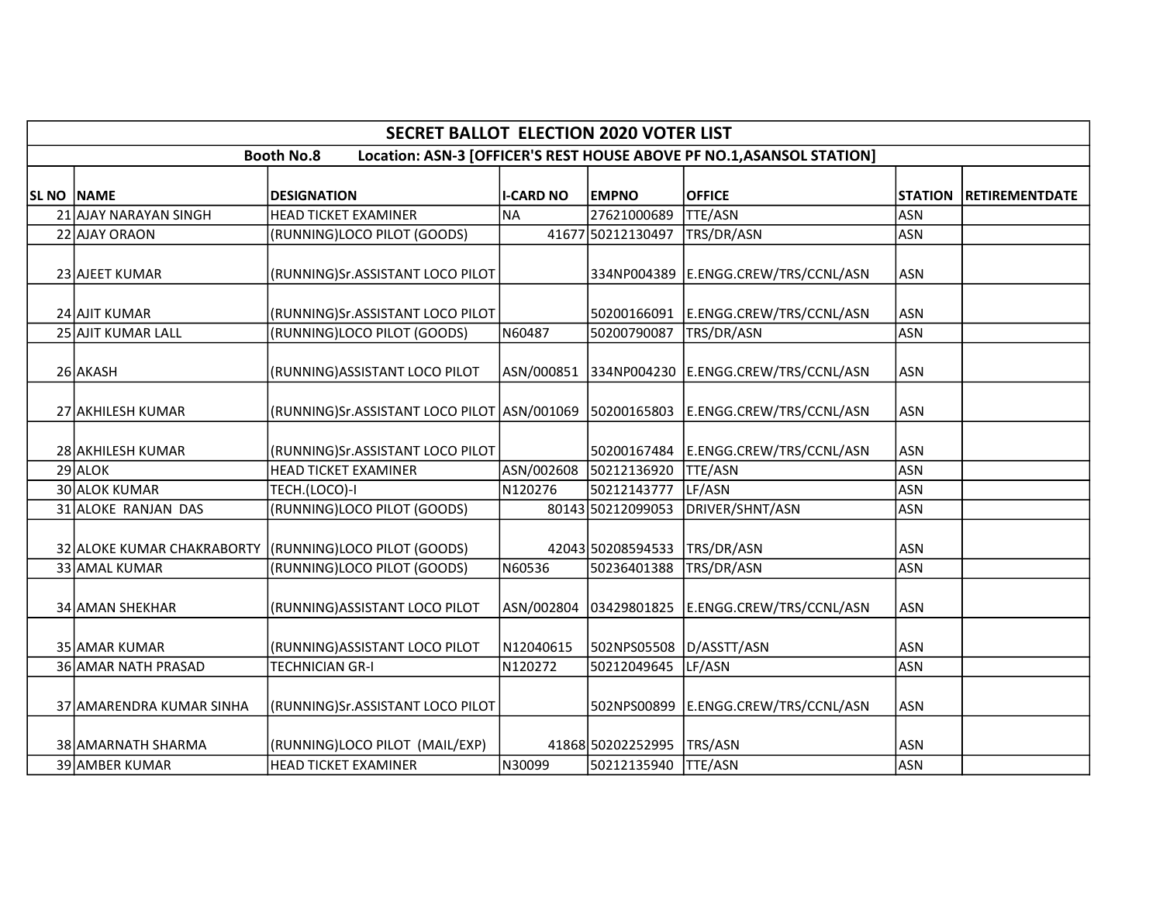|                   | <b>SECRET BALLOT ELECTION 2020 VOTER LIST</b>                                              |                                                                                      |                  |                        |                                      |                |                       |  |  |  |  |  |
|-------------------|--------------------------------------------------------------------------------------------|--------------------------------------------------------------------------------------|------------------|------------------------|--------------------------------------|----------------|-----------------------|--|--|--|--|--|
|                   | Location: ASN-3 [OFFICER'S REST HOUSE ABOVE PF NO.1, ASANSOL STATION]<br><b>Booth No.8</b> |                                                                                      |                  |                        |                                      |                |                       |  |  |  |  |  |
| <b>SL NO NAME</b> |                                                                                            | <b>DESIGNATION</b>                                                                   | <b>I-CARD NO</b> | <b>EMPNO</b>           | <b>OFFICE</b>                        | <b>STATION</b> | <b>RETIREMENTDATE</b> |  |  |  |  |  |
|                   | 21 AJAY NARAYAN SINGH                                                                      | <b>HEAD TICKET EXAMINER</b>                                                          | <b>NA</b>        | 27621000689            | <b>TTE/ASN</b>                       | <b>ASN</b>     |                       |  |  |  |  |  |
|                   | 22 AJAY ORAON                                                                              | (RUNNING)LOCO PILOT (GOODS)                                                          |                  | 41677 50212130497      | TRS/DR/ASN                           | <b>ASN</b>     |                       |  |  |  |  |  |
|                   | 23 AJEET KUMAR                                                                             | (RUNNING)Sr.ASSISTANT LOCO PILOT                                                     |                  |                        | 334NP004389 E.ENGG.CREW/TRS/CCNL/ASN | <b>ASN</b>     |                       |  |  |  |  |  |
|                   | 24 AJIT KUMAR                                                                              | (RUNNING)Sr.ASSISTANT LOCO PILOT                                                     |                  | 50200166091            | E.ENGG.CREW/TRS/CCNL/ASN             | <b>ASN</b>     |                       |  |  |  |  |  |
|                   | 25 AJIT KUMAR LALL                                                                         | (RUNNING)LOCO PILOT (GOODS)                                                          | N60487           | 50200790087            | TRS/DR/ASN                           | <b>ASN</b>     |                       |  |  |  |  |  |
|                   | 26 AKASH                                                                                   | (RUNNING) ASSISTANT LOCO PILOT                                                       |                  |                        |                                      | <b>ASN</b>     |                       |  |  |  |  |  |
|                   | 27 AKHILESH KUMAR                                                                          | (RUNNING)Sr.ASSISTANT LOCO PILOT ASN/001069   50200165803   E.ENGG.CREW/TRS/CCNL/ASN |                  |                        |                                      | ASN            |                       |  |  |  |  |  |
|                   | 28 AKHILESH KUMAR                                                                          | (RUNNING)Sr.ASSISTANT LOCO PILOT                                                     |                  | 50200167484            | E.ENGG.CREW/TRS/CCNL/ASN             | <b>ASN</b>     |                       |  |  |  |  |  |
|                   | 29 ALOK                                                                                    | <b>HEAD TICKET EXAMINER</b>                                                          |                  | ASN/002608 50212136920 | <b>TTE/ASN</b>                       | <b>ASN</b>     |                       |  |  |  |  |  |
|                   | 30 ALOK KUMAR                                                                              | TECH.(LOCO)-I                                                                        | N120276          | 50212143777            | LF/ASN                               | <b>ASN</b>     |                       |  |  |  |  |  |
|                   | 31 ALOKE RANJAN DAS                                                                        | (RUNNING)LOCO PILOT (GOODS)                                                          |                  | 80143 50212099053      | DRIVER/SHNT/ASN                      | <b>ASN</b>     |                       |  |  |  |  |  |
|                   |                                                                                            | 32 ALOKE KUMAR CHAKRABORTY (RUNNING)LOCO PILOT (GOODS)                               |                  | 42043 50208594533      | TRS/DR/ASN                           | ASN            |                       |  |  |  |  |  |
|                   | 33 AMAL KUMAR                                                                              | (RUNNING)LOCO PILOT (GOODS)                                                          | N60536           | 50236401388            | TRS/DR/ASN                           | <b>ASN</b>     |                       |  |  |  |  |  |
|                   | 34 AMAN SHEKHAR                                                                            | (RUNNING) ASSISTANT LOCO PILOT                                                       |                  | ASN/002804 03429801825 | E.ENGG.CREW/TRS/CCNL/ASN             | <b>ASN</b>     |                       |  |  |  |  |  |
|                   | 35 AMAR KUMAR                                                                              | (RUNNING) ASSISTANT LOCO PILOT                                                       | N12040615        | 502NPS05508            | D/ASSTT/ASN                          | <b>ASN</b>     |                       |  |  |  |  |  |
|                   | 36 AMAR NATH PRASAD                                                                        | <b>TECHNICIAN GR-I</b>                                                               | N120272          | 50212049645            | LF/ASN                               | <b>ASN</b>     |                       |  |  |  |  |  |
|                   | 37 AMARENDRA KUMAR SINHA                                                                   | (RUNNING)Sr.ASSISTANT LOCO PILOT                                                     |                  | 502NPS00899            | E.ENGG.CREW/TRS/CCNL/ASN             | <b>ASN</b>     |                       |  |  |  |  |  |
|                   | 38 AMARNATH SHARMA                                                                         | (RUNNING)LOCO PILOT (MAIL/EXP)                                                       |                  | 41868 50202252995      | TRS/ASN                              | <b>ASN</b>     |                       |  |  |  |  |  |
|                   | 39 AMBER KUMAR                                                                             | <b>HEAD TICKET EXAMINER</b>                                                          | N30099           | 50212135940            | TTE/ASN                              | <b>ASN</b>     |                       |  |  |  |  |  |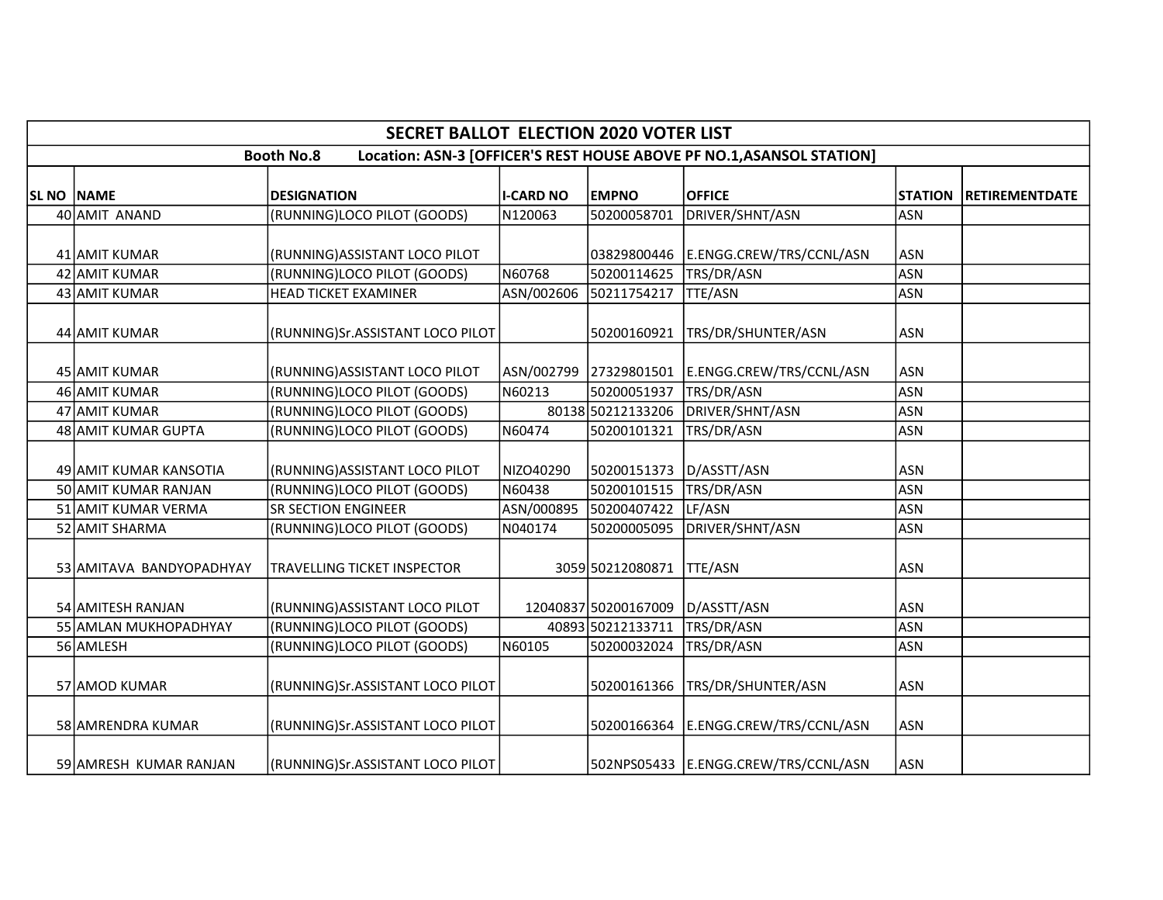|                   | <b>SECRET BALLOT ELECTION 2020 VOTER LIST</b>                                              |                                    |                  |                      |                                                 |                |                       |  |  |  |  |  |
|-------------------|--------------------------------------------------------------------------------------------|------------------------------------|------------------|----------------------|-------------------------------------------------|----------------|-----------------------|--|--|--|--|--|
|                   | Location: ASN-3 [OFFICER'S REST HOUSE ABOVE PF NO.1, ASANSOL STATION]<br><b>Booth No.8</b> |                                    |                  |                      |                                                 |                |                       |  |  |  |  |  |
| <b>SL NO NAME</b> |                                                                                            | <b>DESIGNATION</b>                 | <b>I-CARD NO</b> | <b>EMPNO</b>         | <b>OFFICE</b>                                   | <b>STATION</b> | <b>RETIREMENTDATE</b> |  |  |  |  |  |
|                   | 40 AMIT ANAND                                                                              | (RUNNING)LOCO PILOT (GOODS)        | N120063          | 50200058701          | DRIVER/SHNT/ASN                                 | <b>ASN</b>     |                       |  |  |  |  |  |
|                   | 41 AMIT KUMAR                                                                              | (RUNNING) ASSISTANT LOCO PILOT     |                  | 03829800446          | E.ENGG.CREW/TRS/CCNL/ASN                        | <b>ASN</b>     |                       |  |  |  |  |  |
|                   | 42 AMIT KUMAR                                                                              | (RUNNING)LOCO PILOT (GOODS)        | N60768           | 50200114625          | TRS/DR/ASN                                      | <b>ASN</b>     |                       |  |  |  |  |  |
|                   | 43 AMIT KUMAR                                                                              | <b>HEAD TICKET EXAMINER</b>        | ASN/002606       | 50211754217          | <b>TTE/ASN</b>                                  | <b>ASN</b>     |                       |  |  |  |  |  |
|                   | 44 AMIT KUMAR                                                                              | (RUNNING)Sr.ASSISTANT LOCO PILOT   |                  | 50200160921          | TRS/DR/SHUNTER/ASN                              | <b>ASN</b>     |                       |  |  |  |  |  |
|                   | 45 AMIT KUMAR                                                                              | (RUNNING) ASSISTANT LOCO PILOT     |                  |                      | ASN/002799 27329801501 E.ENGG.CREW/TRS/CCNL/ASN | <b>ASN</b>     |                       |  |  |  |  |  |
|                   | 46 AMIT KUMAR                                                                              | (RUNNING)LOCO PILOT (GOODS)        | N60213           | 50200051937          | TRS/DR/ASN                                      | <b>ASN</b>     |                       |  |  |  |  |  |
|                   | 47 AMIT KUMAR                                                                              | (RUNNING)LOCO PILOT (GOODS)        |                  | 80138 50212133206    | DRIVER/SHNT/ASN                                 | <b>ASN</b>     |                       |  |  |  |  |  |
|                   | 48 AMIT KUMAR GUPTA                                                                        | (RUNNING)LOCO PILOT (GOODS)        | N60474           | 50200101321          | TRS/DR/ASN                                      | <b>ASN</b>     |                       |  |  |  |  |  |
|                   | 49 AMIT KUMAR KANSOTIA                                                                     | (RUNNING) ASSISTANT LOCO PILOT     | NIZO40290        | 50200151373          | D/ASSTT/ASN                                     | <b>ASN</b>     |                       |  |  |  |  |  |
|                   | 50 AMIT KUMAR RANJAN                                                                       | (RUNNING)LOCO PILOT (GOODS)        | N60438           | 50200101515          | TRS/DR/ASN                                      | <b>ASN</b>     |                       |  |  |  |  |  |
|                   | 51 AMIT KUMAR VERMA                                                                        | <b>SR SECTION ENGINEER</b>         | ASN/000895       | 50200407422          | LF/ASN                                          | <b>ASN</b>     |                       |  |  |  |  |  |
|                   | 52 AMIT SHARMA                                                                             | (RUNNING)LOCO PILOT (GOODS)        | N040174          | 50200005095          | DRIVER/SHNT/ASN                                 | <b>ASN</b>     |                       |  |  |  |  |  |
|                   | 53 AMITAVA BANDYOPADHYAY                                                                   | <b>TRAVELLING TICKET INSPECTOR</b> |                  | 3059 50212080871     | <b>TTE/ASN</b>                                  | <b>ASN</b>     |                       |  |  |  |  |  |
|                   | 54 AMITESH RANJAN                                                                          | (RUNNING) ASSISTANT LOCO PILOT     |                  | 12040837 50200167009 | D/ASSTT/ASN                                     | <b>ASN</b>     |                       |  |  |  |  |  |
|                   | 55 AMLAN MUKHOPADHYAY                                                                      | (RUNNING)LOCO PILOT (GOODS)        |                  | 40893 50212133711    | TRS/DR/ASN                                      | <b>ASN</b>     |                       |  |  |  |  |  |
|                   | 56 AMLESH                                                                                  | (RUNNING)LOCO PILOT (GOODS)        | N60105           | 50200032024          | TRS/DR/ASN                                      | <b>ASN</b>     |                       |  |  |  |  |  |
|                   | 57 AMOD KUMAR                                                                              | (RUNNING)Sr.ASSISTANT LOCO PILOT   |                  | 50200161366          | TRS/DR/SHUNTER/ASN                              | <b>ASN</b>     |                       |  |  |  |  |  |
|                   | 58 AMRENDRA KUMAR                                                                          | (RUNNING)Sr.ASSISTANT LOCO PILOT   |                  | 50200166364          | E.ENGG.CREW/TRS/CCNL/ASN                        | <b>ASN</b>     |                       |  |  |  |  |  |
|                   | 59 AMRESH KUMAR RANJAN                                                                     | (RUNNING)Sr.ASSISTANT LOCO PILOT   |                  |                      | 502NPS05433 E.ENGG.CREW/TRS/CCNL/ASN            | <b>ASN</b>     |                       |  |  |  |  |  |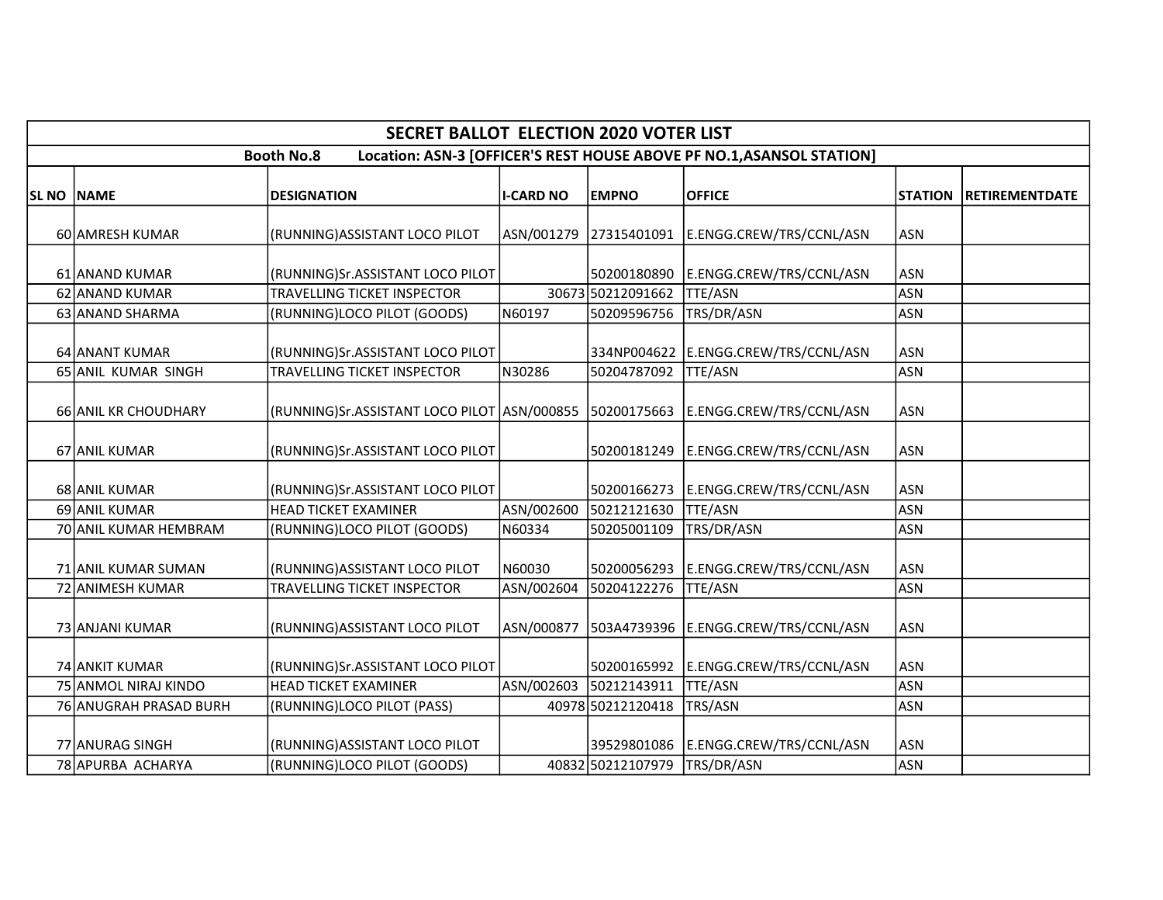|                   | <b>SECRET BALLOT ELECTION 2020 VOTER LIST</b>                                              |                                                                                    |                  |                                  |                                                 |                          |                       |  |  |  |  |
|-------------------|--------------------------------------------------------------------------------------------|------------------------------------------------------------------------------------|------------------|----------------------------------|-------------------------------------------------|--------------------------|-----------------------|--|--|--|--|
|                   | Location: ASN-3 [OFFICER'S REST HOUSE ABOVE PF NO.1, ASANSOL STATION]<br><b>Booth No.8</b> |                                                                                    |                  |                                  |                                                 |                          |                       |  |  |  |  |
| <b>SL NO NAME</b> |                                                                                            | <b>DESIGNATION</b>                                                                 | <b>I-CARD NO</b> | <b>EMPNO</b>                     | <b>OFFICE</b>                                   | <b>STATION</b>           | <b>RETIREMENTDATE</b> |  |  |  |  |
|                   | 60 AMRESH KUMAR                                                                            | (RUNNING) ASSISTANT LOCO PILOT                                                     |                  |                                  | ASN/001279 27315401091 E.ENGG.CREW/TRS/CCNL/ASN | <b>ASN</b>               |                       |  |  |  |  |
|                   | 61 ANAND KUMAR                                                                             | (RUNNING)Sr.ASSISTANT LOCO PILOT                                                   |                  |                                  | 50200180890 E.ENGG.CREW/TRS/CCNL/ASN            | <b>ASN</b>               |                       |  |  |  |  |
|                   | 62 ANAND KUMAR<br>63 ANAND SHARMA                                                          | TRAVELLING TICKET INSPECTOR<br>(RUNNING)LOCO PILOT (GOODS)                         | N60197           | 30673 50212091662<br>50209596756 | <b>TTE/ASN</b><br>TRS/DR/ASN                    | <b>ASN</b><br><b>ASN</b> |                       |  |  |  |  |
|                   | 64 ANANT KUMAR                                                                             | (RUNNING)Sr.ASSISTANT LOCO PILOT                                                   |                  |                                  | 334NP004622 E.ENGG.CREW/TRS/CCNL/ASN            | <b>ASN</b>               |                       |  |  |  |  |
|                   | 65 ANIL KUMAR SINGH                                                                        | <b>TRAVELLING TICKET INSPECTOR</b>                                                 | N30286           | 50204787092                      | <b>TTE/ASN</b>                                  | <b>ASN</b>               |                       |  |  |  |  |
|                   | 66 ANIL KR CHOUDHARY                                                                       | RUNNING)Sr.ASSISTANT LOCO PILOT  ASN/000855  50200175663  E.ENGG.CREW/TRS/CCNL/ASN |                  |                                  |                                                 | <b>ASN</b>               |                       |  |  |  |  |
|                   | 67 ANIL KUMAR                                                                              | (RUNNING)Sr.ASSISTANT LOCO PILOT                                                   |                  |                                  | 50200181249 E.ENGG.CREW/TRS/CCNL/ASN            | <b>ASN</b>               |                       |  |  |  |  |
|                   | 68 ANIL KUMAR                                                                              | (RUNNING)Sr.ASSISTANT LOCO PILOT                                                   |                  | 50200166273                      | E.ENGG.CREW/TRS/CCNL/ASN                        | <b>ASN</b>               |                       |  |  |  |  |
|                   | 69 ANIL KUMAR                                                                              | <b>HEAD TICKET EXAMINER</b>                                                        | ASN/002600       | 50212121630                      | <b>TTE/ASN</b>                                  | <b>ASN</b>               |                       |  |  |  |  |
|                   | 70 ANIL KUMAR HEMBRAM                                                                      | (RUNNING)LOCO PILOT (GOODS)                                                        | N60334           | 50205001109                      | TRS/DR/ASN                                      | <b>ASN</b>               |                       |  |  |  |  |
|                   | 71 ANIL KUMAR SUMAN                                                                        | (RUNNING) ASSISTANT LOCO PILOT                                                     | N60030           |                                  | 50200056293 E.ENGG.CREW/TRS/CCNL/ASN            | <b>ASN</b>               |                       |  |  |  |  |
|                   | 72 ANIMESH KUMAR                                                                           | TRAVELLING TICKET INSPECTOR                                                        | ASN/002604       | 50204122276                      | <b>TTE/ASN</b>                                  | <b>ASN</b>               |                       |  |  |  |  |
|                   | 73 ANJANI KUMAR                                                                            | (RUNNING) ASSISTANT LOCO PILOT                                                     | ASN/000877       |                                  | 503A4739396 E.ENGG.CREW/TRS/CCNL/ASN            | <b>ASN</b>               |                       |  |  |  |  |
|                   | 74 ANKIT KUMAR                                                                             | (RUNNING)Sr.ASSISTANT LOCO PILOT                                                   |                  |                                  | 50200165992 E.ENGG.CREW/TRS/CCNL/ASN            | <b>ASN</b>               |                       |  |  |  |  |
|                   | 75 ANMOL NIRAJ KINDO                                                                       | <b>HEAD TICKET EXAMINER</b>                                                        | ASN/002603       | 50212143911                      | <b>TTE/ASN</b>                                  | <b>ASN</b>               |                       |  |  |  |  |
|                   | 76 ANUGRAH PRASAD BURH                                                                     | (RUNNING)LOCO PILOT (PASS)                                                         |                  | 40978 50212120418                | TRS/ASN                                         | <b>ASN</b>               |                       |  |  |  |  |
|                   | 77 ANURAG SINGH                                                                            | (RUNNING) ASSISTANT LOCO PILOT                                                     |                  |                                  | 39529801086   E.ENGG.CREW/TRS/CCNL/ASN          | <b>ASN</b>               |                       |  |  |  |  |
|                   | 78 APURBA ACHARYA                                                                          | (RUNNING)LOCO PILOT (GOODS)                                                        |                  | 40832 50212107979                | TRS/DR/ASN                                      | <b>ASN</b>               |                       |  |  |  |  |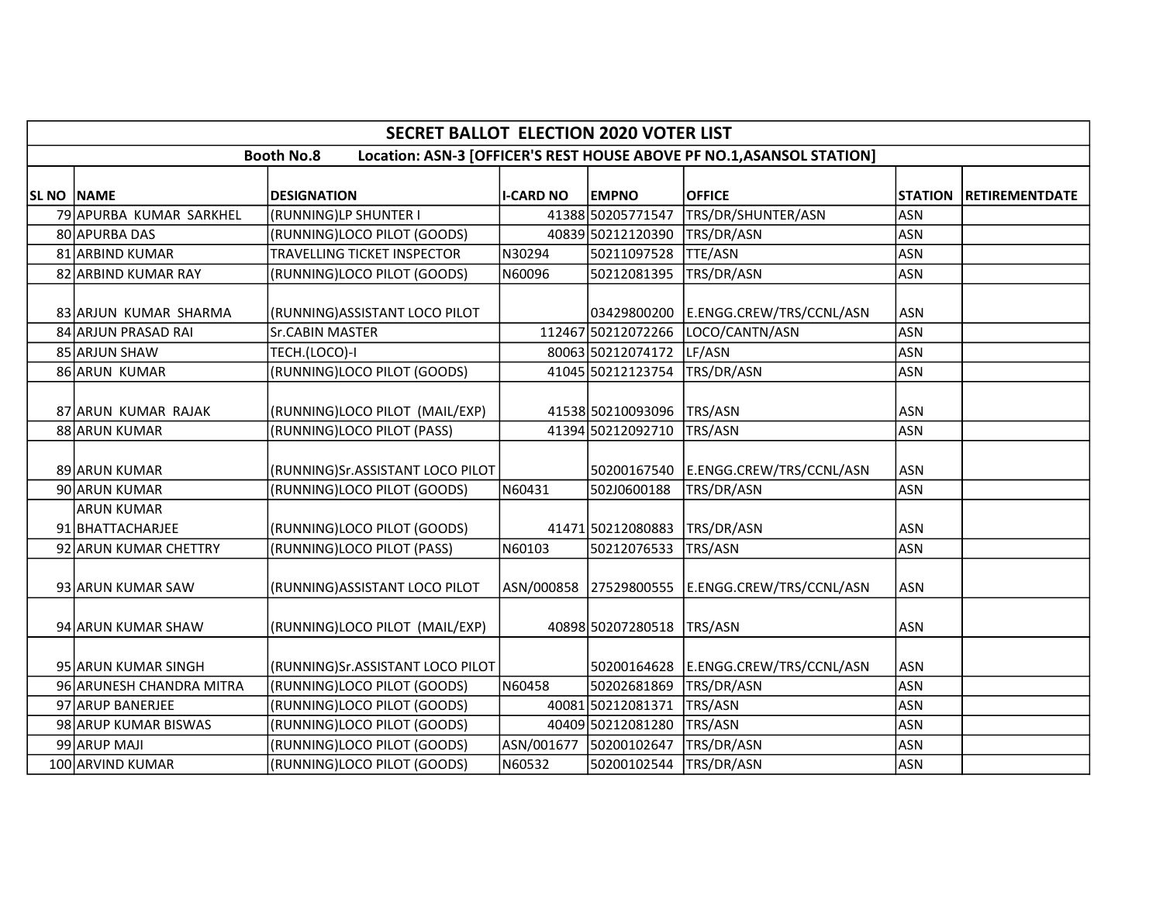|            | <b>SECRET BALLOT ELECTION 2020 VOTER LIST</b>                                              |                                    |                  |                    |                                                 |                |                |  |  |  |  |
|------------|--------------------------------------------------------------------------------------------|------------------------------------|------------------|--------------------|-------------------------------------------------|----------------|----------------|--|--|--|--|
|            | Location: ASN-3 [OFFICER'S REST HOUSE ABOVE PF NO.1, ASANSOL STATION]<br><b>Booth No.8</b> |                                    |                  |                    |                                                 |                |                |  |  |  |  |
|            |                                                                                            |                                    |                  |                    |                                                 |                |                |  |  |  |  |
| SL NO NAME |                                                                                            | <b>DESIGNATION</b>                 | <b>I-CARD NO</b> | <b>EMPNO</b>       | <b>OFFICE</b>                                   | <b>STATION</b> | RETIREMENTDATE |  |  |  |  |
|            | 79 APURBA KUMAR SARKHEL                                                                    | (RUNNING)LP SHUNTER I              |                  | 41388 50205771547  | TRS/DR/SHUNTER/ASN                              | <b>ASN</b>     |                |  |  |  |  |
|            | 80 APURBA DAS                                                                              | (RUNNING)LOCO PILOT (GOODS)        |                  | 40839 50212120390  | TRS/DR/ASN                                      | <b>ASN</b>     |                |  |  |  |  |
|            | 81 ARBIND KUMAR                                                                            | <b>TRAVELLING TICKET INSPECTOR</b> | N30294           | 50211097528        | <b>TTE/ASN</b>                                  | <b>ASN</b>     |                |  |  |  |  |
|            | 82 ARBIND KUMAR RAY                                                                        | (RUNNING)LOCO PILOT (GOODS)        | N60096           | 50212081395        | TRS/DR/ASN                                      | <b>ASN</b>     |                |  |  |  |  |
|            |                                                                                            |                                    |                  |                    |                                                 |                |                |  |  |  |  |
|            | 83 ARJUN KUMAR SHARMA                                                                      | (RUNNING) ASSISTANT LOCO PILOT     |                  | 03429800200        | E.ENGG.CREW/TRS/CCNL/ASN                        | <b>ASN</b>     |                |  |  |  |  |
|            | 84 ARJUN PRASAD RAI                                                                        | <b>Sr.CABIN MASTER</b>             |                  | 112467 50212072266 | LOCO/CANTN/ASN                                  | <b>ASN</b>     |                |  |  |  |  |
|            | 85 ARJUN SHAW                                                                              | TECH.(LOCO)-I                      |                  | 80063 50212074172  | LF/ASN                                          | <b>ASN</b>     |                |  |  |  |  |
|            | 86 ARUN KUMAR                                                                              | (RUNNING)LOCO PILOT (GOODS)        |                  | 41045 50212123754  | TRS/DR/ASN                                      | <b>ASN</b>     |                |  |  |  |  |
|            |                                                                                            |                                    |                  |                    |                                                 |                |                |  |  |  |  |
|            | 87 ARUN KUMAR RAJAK                                                                        | (RUNNING)LOCO PILOT (MAIL/EXP)     |                  | 41538 50210093096  | TRS/ASN                                         | <b>ASN</b>     |                |  |  |  |  |
|            | 88 ARUN KUMAR                                                                              | (RUNNING)LOCO PILOT (PASS)         |                  | 41394 50212092710  | TRS/ASN                                         | <b>ASN</b>     |                |  |  |  |  |
|            |                                                                                            |                                    |                  |                    |                                                 |                |                |  |  |  |  |
|            | 89 ARUN KUMAR                                                                              | (RUNNING)Sr.ASSISTANT LOCO PILOT   |                  | 50200167540        | E.ENGG.CREW/TRS/CCNL/ASN                        | <b>ASN</b>     |                |  |  |  |  |
|            | 90 ARUN KUMAR                                                                              | (RUNNING)LOCO PILOT (GOODS)        | N60431           | 502J0600188        | TRS/DR/ASN                                      | <b>ASN</b>     |                |  |  |  |  |
|            | <b>ARUN KUMAR</b>                                                                          |                                    |                  |                    |                                                 |                |                |  |  |  |  |
|            | 91 BHATTACHARJEE                                                                           | (RUNNING)LOCO PILOT (GOODS)        |                  | 41471 50212080883  | TRS/DR/ASN                                      | <b>ASN</b>     |                |  |  |  |  |
|            | 92 ARUN KUMAR CHETTRY                                                                      | (RUNNING)LOCO PILOT (PASS)         | N60103           | 50212076533        | TRS/ASN                                         | <b>ASN</b>     |                |  |  |  |  |
|            |                                                                                            |                                    |                  |                    |                                                 |                |                |  |  |  |  |
|            | 93 ARUN KUMAR SAW                                                                          | (RUNNING) ASSISTANT LOCO PILOT     |                  |                    | ASN/000858 27529800555 E.ENGG.CREW/TRS/CCNL/ASN | <b>ASN</b>     |                |  |  |  |  |
|            |                                                                                            |                                    |                  |                    |                                                 |                |                |  |  |  |  |
|            | 94 ARUN KUMAR SHAW                                                                         | (RUNNING)LOCO PILOT (MAIL/EXP)     |                  | 40898 50207280518  | TRS/ASN                                         | <b>ASN</b>     |                |  |  |  |  |
|            |                                                                                            |                                    |                  |                    |                                                 |                |                |  |  |  |  |
|            | 95 ARUN KUMAR SINGH                                                                        | (RUNNING)Sr.ASSISTANT LOCO PILOT   |                  |                    | 50200164628 E.ENGG.CREW/TRS/CCNL/ASN            | <b>ASN</b>     |                |  |  |  |  |
|            | 96 ARUNESH CHANDRA MITRA                                                                   | (RUNNING)LOCO PILOT (GOODS)        | N60458           | 50202681869        | TRS/DR/ASN                                      | <b>ASN</b>     |                |  |  |  |  |
|            | 97 ARUP BANERJEE                                                                           | (RUNNING)LOCO PILOT (GOODS)        |                  | 40081 50212081371  | TRS/ASN                                         | <b>ASN</b>     |                |  |  |  |  |
|            | 98 ARUP KUMAR BISWAS                                                                       | (RUNNING)LOCO PILOT (GOODS)        |                  | 40409 50212081280  | TRS/ASN                                         | <b>ASN</b>     |                |  |  |  |  |
|            | 99 ARUP MAJI                                                                               | (RUNNING)LOCO PILOT (GOODS)        | ASN/001677       | 50200102647        | TRS/DR/ASN                                      | <b>ASN</b>     |                |  |  |  |  |
|            | 100 ARVIND KUMAR                                                                           | (RUNNING)LOCO PILOT (GOODS)        | N60532           | 50200102544        | TRS/DR/ASN                                      | <b>ASN</b>     |                |  |  |  |  |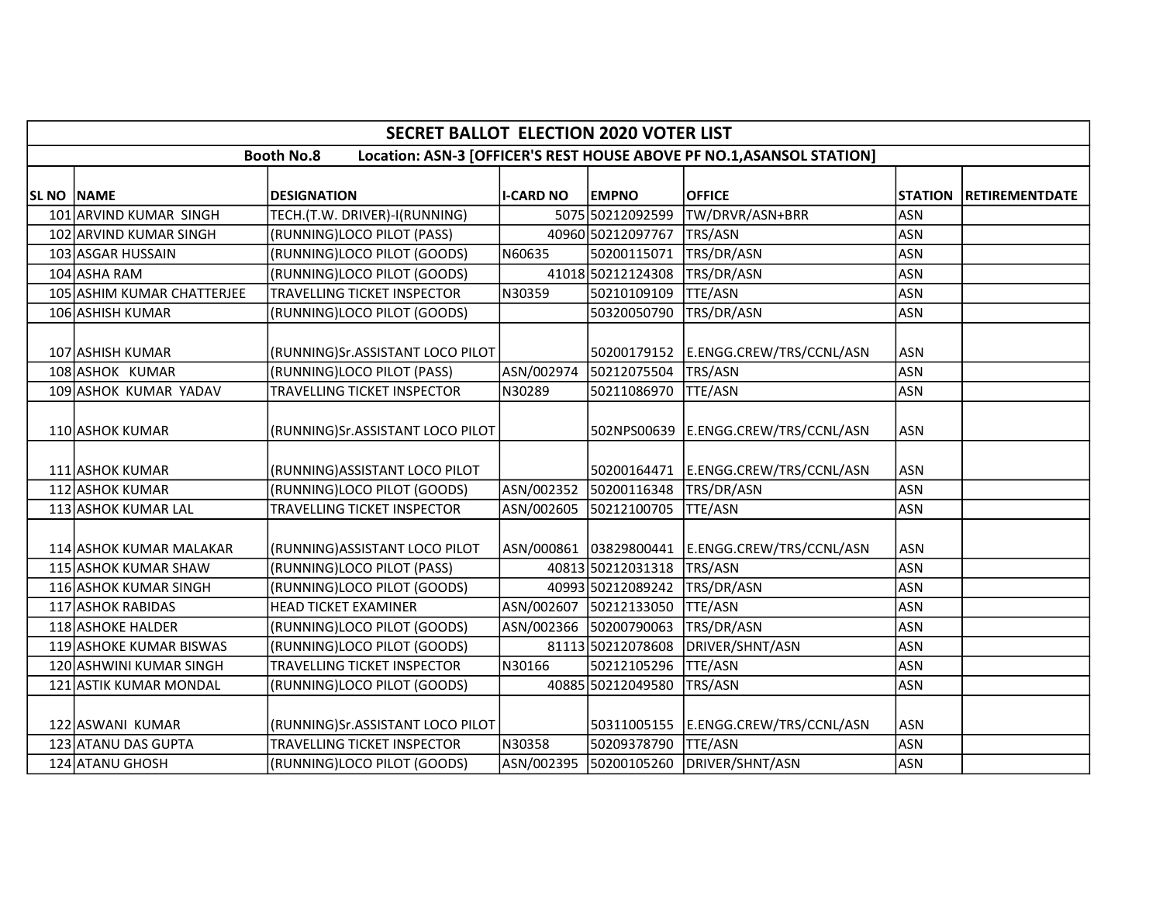|                   | <b>SECRET BALLOT ELECTION 2020 VOTER LIST</b>                                              |                                    |                  |                        |                                        |                |                       |  |  |  |  |
|-------------------|--------------------------------------------------------------------------------------------|------------------------------------|------------------|------------------------|----------------------------------------|----------------|-----------------------|--|--|--|--|
|                   | Location: ASN-3 [OFFICER'S REST HOUSE ABOVE PF NO.1, ASANSOL STATION]<br><b>Booth No.8</b> |                                    |                  |                        |                                        |                |                       |  |  |  |  |
| <b>SL NO NAME</b> |                                                                                            | <b>DESIGNATION</b>                 | <b>I-CARD NO</b> | <b>EMPNO</b>           | <b>OFFICE</b>                          | <b>STATION</b> | <b>RETIREMENTDATE</b> |  |  |  |  |
|                   | 101 ARVIND KUMAR SINGH                                                                     | TECH.(T.W. DRIVER)-I(RUNNING)      |                  | 5075 50212092599       | TW/DRVR/ASN+BRR                        | <b>ASN</b>     |                       |  |  |  |  |
|                   | 102 ARVIND KUMAR SINGH                                                                     | (RUNNING)LOCO PILOT (PASS)         |                  | 40960 50212097767      | TRS/ASN                                | <b>ASN</b>     |                       |  |  |  |  |
|                   | 103 ASGAR HUSSAIN                                                                          | (RUNNING)LOCO PILOT (GOODS)        | N60635           | 50200115071            | TRS/DR/ASN                             | <b>ASN</b>     |                       |  |  |  |  |
|                   | 104 ASHA RAM                                                                               | (RUNNING)LOCO PILOT (GOODS)        |                  | 41018 50212124308      | TRS/DR/ASN                             | <b>ASN</b>     |                       |  |  |  |  |
|                   | 105 ASHIM KUMAR CHATTERJEE                                                                 | TRAVELLING TICKET INSPECTOR        | N30359           | 50210109109            | <b>TTE/ASN</b>                         | <b>ASN</b>     |                       |  |  |  |  |
|                   | 106 ASHISH KUMAR                                                                           | (RUNNING)LOCO PILOT (GOODS)        |                  | 50320050790            | TRS/DR/ASN                             | <b>ASN</b>     |                       |  |  |  |  |
|                   |                                                                                            |                                    |                  |                        |                                        |                |                       |  |  |  |  |
|                   | 107 ASHISH KUMAR                                                                           | (RUNNING)Sr.ASSISTANT LOCO PILOT   |                  |                        | 50200179152 E.ENGG.CREW/TRS/CCNL/ASN   | <b>ASN</b>     |                       |  |  |  |  |
|                   | 108 ASHOK KUMAR                                                                            | (RUNNING)LOCO PILOT (PASS)         | ASN/002974       | 50212075504            | TRS/ASN                                | <b>ASN</b>     |                       |  |  |  |  |
|                   | 109 ASHOK KUMAR YADAV                                                                      | TRAVELLING TICKET INSPECTOR        | N30289           | 50211086970            | TTE/ASN                                | <b>ASN</b>     |                       |  |  |  |  |
|                   | 110 ASHOK KUMAR                                                                            | (RUNNING)Sr.ASSISTANT LOCO PILOT   |                  |                        | 502NPS00639 E.ENGG.CREW/TRS/CCNL/ASN   | <b>ASN</b>     |                       |  |  |  |  |
|                   | 111 ASHOK KUMAR                                                                            | (RUNNING) ASSISTANT LOCO PILOT     |                  |                        | 50200164471 E.ENGG.CREW/TRS/CCNL/ASN   | <b>ASN</b>     |                       |  |  |  |  |
|                   | 112 ASHOK KUMAR                                                                            | (RUNNING)LOCO PILOT (GOODS)        | ASN/002352       | 50200116348            | TRS/DR/ASN                             | <b>ASN</b>     |                       |  |  |  |  |
|                   | 113 ASHOK KUMAR LAL                                                                        | <b>TRAVELLING TICKET INSPECTOR</b> | ASN/002605       | 50212100705            | <b>TTE/ASN</b>                         | <b>ASN</b>     |                       |  |  |  |  |
|                   | 114 ASHOK KUMAR MALAKAR                                                                    | (RUNNING) ASSISTANT LOCO PILOT     |                  | ASN/000861 03829800441 | E.ENGG.CREW/TRS/CCNL/ASN               | <b>ASN</b>     |                       |  |  |  |  |
|                   | 115 ASHOK KUMAR SHAW                                                                       | (RUNNING)LOCO PILOT (PASS)         |                  | 40813 50212031318      | TRS/ASN                                | <b>ASN</b>     |                       |  |  |  |  |
|                   | 116 ASHOK KUMAR SINGH                                                                      | (RUNNING)LOCO PILOT (GOODS)        |                  | 40993 50212089242      | TRS/DR/ASN                             | <b>ASN</b>     |                       |  |  |  |  |
|                   | 117 ASHOK RABIDAS                                                                          | <b>HEAD TICKET EXAMINER</b>        |                  | ASN/002607 50212133050 | <b>TTE/ASN</b>                         | <b>ASN</b>     |                       |  |  |  |  |
|                   | 118 ASHOKE HALDER                                                                          | (RUNNING)LOCO PILOT (GOODS)        |                  | ASN/002366 50200790063 | TRS/DR/ASN                             | <b>ASN</b>     |                       |  |  |  |  |
|                   | 119 ASHOKE KUMAR BISWAS                                                                    | (RUNNING)LOCO PILOT (GOODS)        |                  | 81113 50212078608      | DRIVER/SHNT/ASN                        | <b>ASN</b>     |                       |  |  |  |  |
|                   | 120 ASHWINI KUMAR SINGH                                                                    | <b>TRAVELLING TICKET INSPECTOR</b> | N30166           | 50212105296            | TTE/ASN                                | <b>ASN</b>     |                       |  |  |  |  |
|                   | 121 ASTIK KUMAR MONDAL                                                                     | (RUNNING)LOCO PILOT (GOODS)        |                  | 40885 50212049580      | TRS/ASN                                | <b>ASN</b>     |                       |  |  |  |  |
|                   | 122 ASWANI KUMAR                                                                           | (RUNNING)Sr.ASSISTANT LOCO PILOT   |                  | 50311005155            | E.ENGG.CREW/TRS/CCNL/ASN               | <b>ASN</b>     |                       |  |  |  |  |
|                   | 123 ATANU DAS GUPTA                                                                        | TRAVELLING TICKET INSPECTOR        | N30358           | 50209378790            | <b>TTE/ASN</b>                         | <b>ASN</b>     |                       |  |  |  |  |
|                   | 124 ATANU GHOSH                                                                            | (RUNNING)LOCO PILOT (GOODS)        |                  |                        | ASN/002395 50200105260 DRIVER/SHNT/ASN | <b>ASN</b>     |                       |  |  |  |  |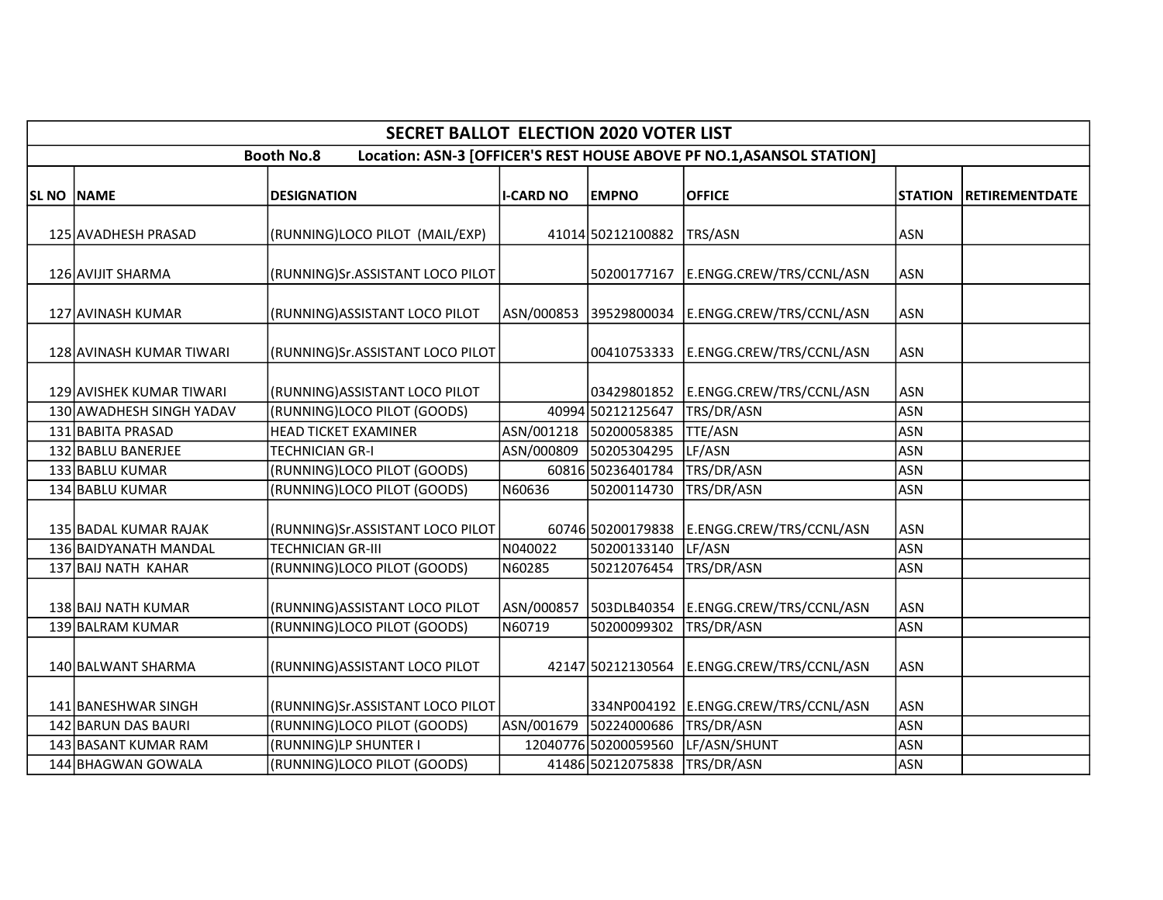|                   |                                                                                            | <b>SECRET BALLOT ELECTION 2020 VOTER LIST</b> |                  |                              |                                      |                |                       |  |  |  |  |
|-------------------|--------------------------------------------------------------------------------------------|-----------------------------------------------|------------------|------------------------------|--------------------------------------|----------------|-----------------------|--|--|--|--|
|                   | Location: ASN-3 [OFFICER'S REST HOUSE ABOVE PF NO.1, ASANSOL STATION]<br><b>Booth No.8</b> |                                               |                  |                              |                                      |                |                       |  |  |  |  |
| <b>SL NO NAME</b> |                                                                                            | <b>DESIGNATION</b>                            | <b>I-CARD NO</b> | <b>EMPNO</b>                 | <b>OFFICE</b>                        | <b>STATION</b> | <b>RETIREMENTDATE</b> |  |  |  |  |
|                   | 125 AVADHESH PRASAD                                                                        | (RUNNING)LOCO PILOT (MAIL/EXP)                |                  | 41014 50212100882            | TRS/ASN                              | <b>ASN</b>     |                       |  |  |  |  |
|                   | 126 AVIJIT SHARMA                                                                          | (RUNNING)Sr.ASSISTANT LOCO PILOT              |                  | 50200177167                  | E.ENGG.CREW/TRS/CCNL/ASN             | <b>ASN</b>     |                       |  |  |  |  |
|                   | 127 AVINASH KUMAR                                                                          | (RUNNING) ASSISTANT LOCO PILOT                |                  | ASN/000853 39529800034       | E.ENGG.CREW/TRS/CCNL/ASN             | <b>ASN</b>     |                       |  |  |  |  |
|                   | 128 AVINASH KUMAR TIWARI                                                                   | (RUNNING)Sr.ASSISTANT LOCO PILOT              |                  | 00410753333                  | E.ENGG.CREW/TRS/CCNL/ASN             | <b>ASN</b>     |                       |  |  |  |  |
|                   | 129 AVISHEK KUMAR TIWARI                                                                   | (RUNNING) ASSISTANT LOCO PILOT                |                  | 03429801852                  | E.ENGG.CREW/TRS/CCNL/ASN             | <b>ASN</b>     |                       |  |  |  |  |
|                   | 130 AWADHESH SINGH YADAV                                                                   | (RUNNING)LOCO PILOT (GOODS)                   |                  | 40994 50212125647            | TRS/DR/ASN                           | ASN            |                       |  |  |  |  |
|                   | 131 BABITA PRASAD                                                                          | <b>HEAD TICKET EXAMINER</b>                   |                  | ASN/001218 50200058385       | <b>TTE/ASN</b>                       | <b>ASN</b>     |                       |  |  |  |  |
|                   | 132 BABLU BANERJEE                                                                         | TECHNICIAN GR-I                               |                  | ASN/000809 50205304295       | LF/ASN                               | <b>ASN</b>     |                       |  |  |  |  |
|                   | 133 BABLU KUMAR                                                                            | (RUNNING)LOCO PILOT (GOODS)                   |                  | 60816 50236401784            | TRS/DR/ASN                           | <b>ASN</b>     |                       |  |  |  |  |
|                   | 134 BABLU KUMAR                                                                            | (RUNNING)LOCO PILOT (GOODS)                   | N60636           | 50200114730                  | TRS/DR/ASN                           | <b>ASN</b>     |                       |  |  |  |  |
|                   | 135 BADAL KUMAR RAJAK                                                                      | (RUNNING)Sr.ASSISTANT LOCO PILOT              |                  | 60746 50200179838            | E.ENGG.CREW/TRS/CCNL/ASN             | <b>ASN</b>     |                       |  |  |  |  |
|                   | 136 BAIDYANATH MANDAL                                                                      | TECHNICIAN GR-III                             | N040022          | 50200133140                  | LF/ASN                               | <b>ASN</b>     |                       |  |  |  |  |
|                   | 137 BAIJ NATH KAHAR                                                                        | (RUNNING)LOCO PILOT (GOODS)                   | N60285           | 50212076454                  | TRS/DR/ASN                           | <b>ASN</b>     |                       |  |  |  |  |
|                   | 138 BAIJ NATH KUMAR                                                                        | (RUNNING) ASSISTANT LOCO PILOT                | ASN/000857       | 503DLB40354                  | E.ENGG.CREW/TRS/CCNL/ASN             | <b>ASN</b>     |                       |  |  |  |  |
|                   | 139 BALRAM KUMAR                                                                           | (RUNNING)LOCO PILOT (GOODS)                   | N60719           | 50200099302                  | TRS/DR/ASN                           | <b>ASN</b>     |                       |  |  |  |  |
|                   | 140 BALWANT SHARMA                                                                         | (RUNNING) ASSISTANT LOCO PILOT                |                  | 42147 50212130564            | E.ENGG.CREW/TRS/CCNL/ASN             | <b>ASN</b>     |                       |  |  |  |  |
|                   | 141 BANESHWAR SINGH                                                                        | (RUNNING)Sr.ASSISTANT LOCO PILOT              |                  |                              | 334NP004192 E.ENGG.CREW/TRS/CCNL/ASN | <b>ASN</b>     |                       |  |  |  |  |
|                   | 142 BARUN DAS BAURI                                                                        | (RUNNING)LOCO PILOT (GOODS)                   | ASN/001679       | 50224000686                  | TRS/DR/ASN                           | <b>ASN</b>     |                       |  |  |  |  |
|                   | 143 BASANT KUMAR RAM                                                                       | (RUNNING)LP SHUNTER I                         |                  | 12040776 50200059560         | LF/ASN/SHUNT                         | <b>ASN</b>     |                       |  |  |  |  |
|                   | 144 BHAGWAN GOWALA                                                                         | (RUNNING)LOCO PILOT (GOODS)                   |                  | 41486 50212075838 TRS/DR/ASN |                                      | <b>ASN</b>     |                       |  |  |  |  |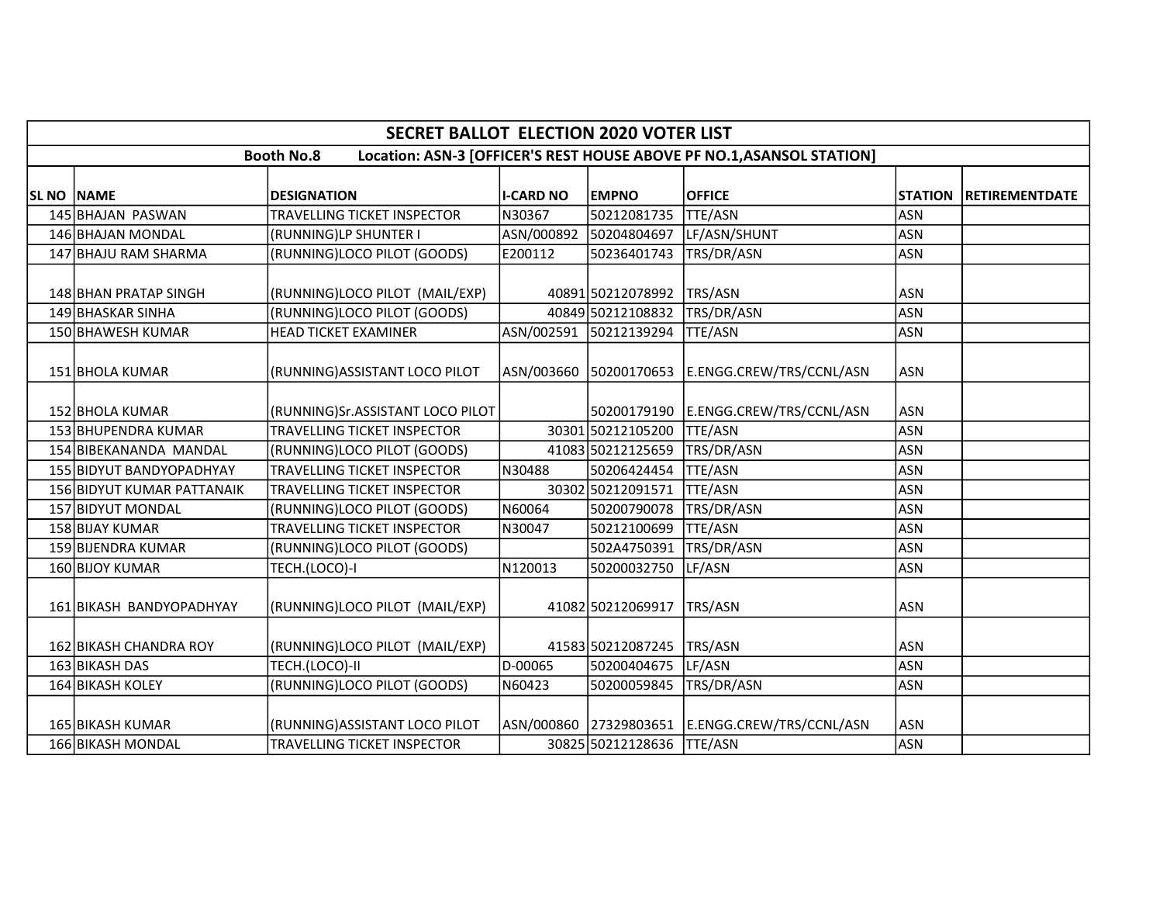|            | <b>SECRET BALLOT ELECTION 2020 VOTER LIST</b>                                              |                                  |                  |                        |                          |            |                               |  |  |  |  |
|------------|--------------------------------------------------------------------------------------------|----------------------------------|------------------|------------------------|--------------------------|------------|-------------------------------|--|--|--|--|
|            | Location: ASN-3 [OFFICER'S REST HOUSE ABOVE PF NO.1, ASANSOL STATION]<br><b>Booth No.8</b> |                                  |                  |                        |                          |            |                               |  |  |  |  |
| SL NO NAME |                                                                                            | <b>DESIGNATION</b>               | <b>I-CARD NO</b> | <b>EMPNO</b>           | <b>OFFICE</b>            |            | <b>STATION RETIREMENTDATE</b> |  |  |  |  |
|            | 145 BHAJAN PASWAN                                                                          | TRAVELLING TICKET INSPECTOR      | N30367           | 50212081735            | <b>TTE/ASN</b>           | ASN        |                               |  |  |  |  |
|            | 146 BHAJAN MONDAL                                                                          | (RUNNING)LP SHUNTER I            | ASN/000892       | 50204804697            | LF/ASN/SHUNT             | <b>ASN</b> |                               |  |  |  |  |
|            | 147 BHAJU RAM SHARMA                                                                       | (RUNNING)LOCO PILOT (GOODS)      | E200112          | 50236401743            | TRS/DR/ASN               | <b>ASN</b> |                               |  |  |  |  |
|            | 148 BHAN PRATAP SINGH                                                                      | (RUNNING)LOCO PILOT (MAIL/EXP)   |                  | 40891 50212078992      | TRS/ASN                  | ASN        |                               |  |  |  |  |
|            | 149 BHASKAR SINHA                                                                          | (RUNNING)LOCO PILOT (GOODS)      |                  | 40849 50212108832      | TRS/DR/ASN               | <b>ASN</b> |                               |  |  |  |  |
|            | 150 BHAWESH KUMAR                                                                          | <b>HEAD TICKET EXAMINER</b>      |                  | ASN/002591 50212139294 | TTE/ASN                  | <b>ASN</b> |                               |  |  |  |  |
|            | 151 BHOLA KUMAR                                                                            | (RUNNING) ASSISTANT LOCO PILOT   |                  | ASN/003660 50200170653 | E.ENGG.CREW/TRS/CCNL/ASN | <b>ASN</b> |                               |  |  |  |  |
|            | 152 BHOLA KUMAR                                                                            | (RUNNING)Sr.ASSISTANT LOCO PILOT |                  | 50200179190            | E.ENGG.CREW/TRS/CCNL/ASN | <b>ASN</b> |                               |  |  |  |  |
|            | 153 BHUPENDRA KUMAR                                                                        | TRAVELLING TICKET INSPECTOR      |                  | 30301 50212105200      | <b>TTE/ASN</b>           | <b>ASN</b> |                               |  |  |  |  |
|            | 154 BIBEKANANDA MANDAL                                                                     | (RUNNING)LOCO PILOT (GOODS)      |                  | 41083 50212125659      | TRS/DR/ASN               | <b>ASN</b> |                               |  |  |  |  |
|            | 155 BIDYUT BANDYOPADHYAY                                                                   | TRAVELLING TICKET INSPECTOR      | N30488           | 50206424454            | TTE/ASN                  | <b>ASN</b> |                               |  |  |  |  |
|            | 156 BIDYUT KUMAR PATTANAIK                                                                 | TRAVELLING TICKET INSPECTOR      |                  | 30302 50212091571      | <b>TTE/ASN</b>           | <b>ASN</b> |                               |  |  |  |  |
|            | 157 BIDYUT MONDAL                                                                          | (RUNNING)LOCO PILOT (GOODS)      | N60064           | 50200790078            | TRS/DR/ASN               | <b>ASN</b> |                               |  |  |  |  |
|            | 158 BIJAY KUMAR                                                                            | TRAVELLING TICKET INSPECTOR      | N30047           | 50212100699            | TTE/ASN                  | <b>ASN</b> |                               |  |  |  |  |
|            | 159 BIJENDRA KUMAR                                                                         | (RUNNING)LOCO PILOT (GOODS)      |                  | 502A4750391            | TRS/DR/ASN               | <b>ASN</b> |                               |  |  |  |  |
|            | 160 BIJOY KUMAR                                                                            | TECH.(LOCO)-I                    | N120013          | 50200032750            | LF/ASN                   | <b>ASN</b> |                               |  |  |  |  |
|            | 161 BIKASH BANDYOPADHYAY                                                                   | (RUNNING)LOCO PILOT (MAIL/EXP)   |                  | 41082 50212069917      | TRS/ASN                  | ASN        |                               |  |  |  |  |
|            | 162 BIKASH CHANDRA ROY                                                                     | (RUNNING)LOCO PILOT (MAIL/EXP)   |                  | 41583 50212087245      | TRS/ASN                  | ASN        |                               |  |  |  |  |
|            | 163 BIKASH DAS                                                                             | TECH.(LOCO)-II                   | D-00065          | 50200404675            | LF/ASN                   | <b>ASN</b> |                               |  |  |  |  |
|            | 164 BIKASH KOLEY                                                                           | (RUNNING)LOCO PILOT (GOODS)      | N60423           | 50200059845            | TRS/DR/ASN               | <b>ASN</b> |                               |  |  |  |  |
|            | 165 BIKASH KUMAR                                                                           | (RUNNING)ASSISTANT LOCO PILOT    |                  | ASN/000860 27329803651 | E.ENGG.CREW/TRS/CCNL/ASN | <b>ASN</b> |                               |  |  |  |  |
|            | 166 BIKASH MONDAL                                                                          | TRAVELLING TICKET INSPECTOR      |                  | 30825 50212128636      | <b>TTE/ASN</b>           | <b>ASN</b> |                               |  |  |  |  |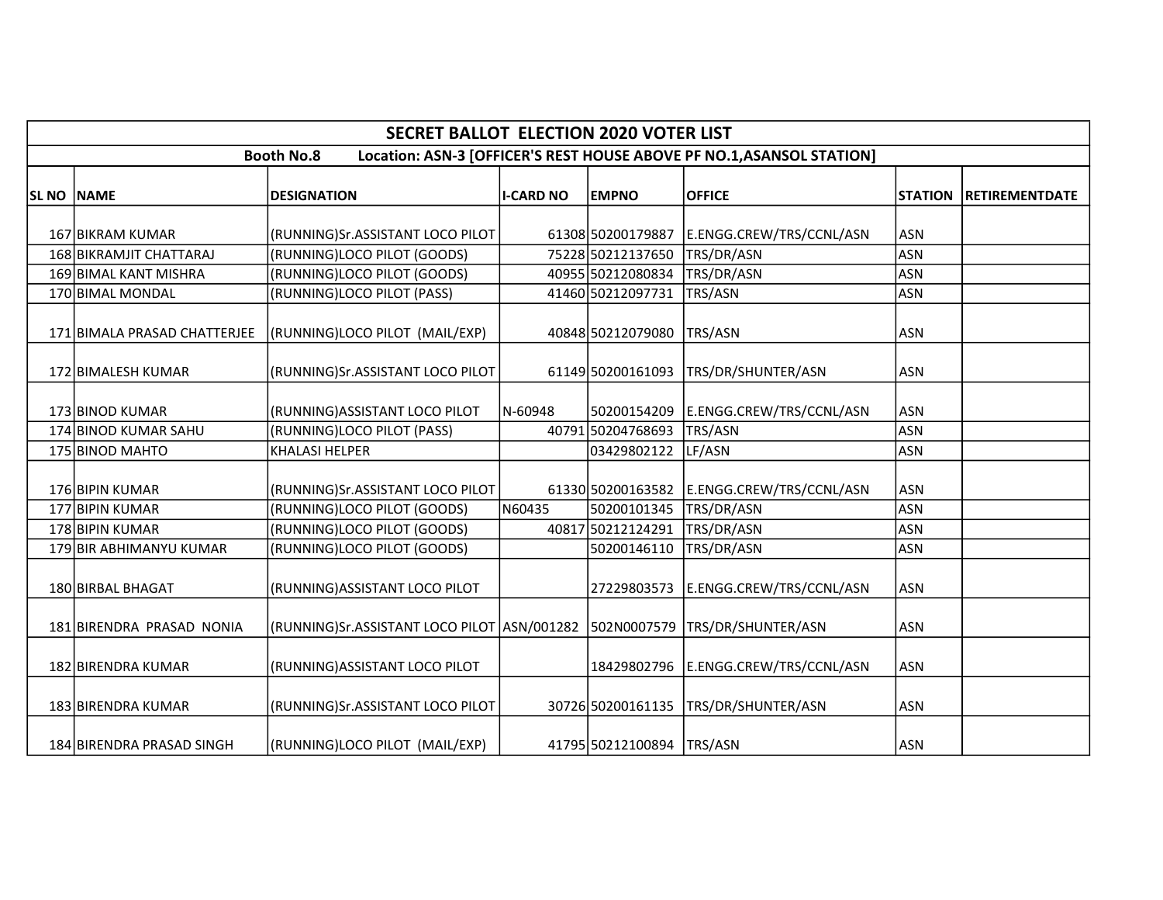|            | <b>SECRET BALLOT ELECTION 2020 VOTER LIST</b>                                              |                                  |                  |                   |                          |                |                       |  |  |  |  |  |
|------------|--------------------------------------------------------------------------------------------|----------------------------------|------------------|-------------------|--------------------------|----------------|-----------------------|--|--|--|--|--|
|            | Location: ASN-3 [OFFICER'S REST HOUSE ABOVE PF NO.1, ASANSOL STATION]<br><b>Booth No.8</b> |                                  |                  |                   |                          |                |                       |  |  |  |  |  |
| SL NO NAME |                                                                                            | <b>DESIGNATION</b>               | <b>I-CARD NO</b> | <b>EMPNO</b>      | <b>OFFICE</b>            | <b>STATION</b> | <b>RETIREMENTDATE</b> |  |  |  |  |  |
|            | 167 BIKRAM KUMAR                                                                           | (RUNNING)Sr.ASSISTANT LOCO PILOT |                  | 61308 50200179887 | E.ENGG.CREW/TRS/CCNL/ASN | ASN            |                       |  |  |  |  |  |
|            | 168 BIKRAMJIT CHATTARAJ                                                                    | (RUNNING)LOCO PILOT (GOODS)      |                  | 75228 50212137650 | TRS/DR/ASN               | <b>ASN</b>     |                       |  |  |  |  |  |
|            | 169 BIMAL KANT MISHRA                                                                      | (RUNNING)LOCO PILOT (GOODS)      |                  | 40955 50212080834 | TRS/DR/ASN               | <b>ASN</b>     |                       |  |  |  |  |  |
|            | 170 BIMAL MONDAL                                                                           | (RUNNING)LOCO PILOT (PASS)       |                  | 41460 50212097731 | <b>TRS/ASN</b>           | <b>ASN</b>     |                       |  |  |  |  |  |
|            | 171 BIMALA PRASAD CHATTERJEE                                                               | (RUNNING)LOCO PILOT (MAIL/EXP)   |                  | 40848 50212079080 | TRS/ASN                  | ASN            |                       |  |  |  |  |  |
|            | 172 BIMALESH KUMAR                                                                         | (RUNNING)Sr.ASSISTANT LOCO PILOT |                  | 61149 50200161093 | TRS/DR/SHUNTER/ASN       | <b>ASN</b>     |                       |  |  |  |  |  |
|            | 173 BINOD KUMAR                                                                            | (RUNNING) ASSISTANT LOCO PILOT   | N-60948          | 50200154209       | E.ENGG.CREW/TRS/CCNL/ASN | <b>ASN</b>     |                       |  |  |  |  |  |
|            | 174 BINOD KUMAR SAHU                                                                       | (RUNNING)LOCO PILOT (PASS)       |                  | 40791 50204768693 | TRS/ASN                  | <b>ASN</b>     |                       |  |  |  |  |  |
|            | 175 BINOD MAHTO                                                                            | <b>KHALASI HELPER</b>            |                  | 03429802122       | LF/ASN                   | <b>ASN</b>     |                       |  |  |  |  |  |
|            | 176 BIPIN KUMAR                                                                            | (RUNNING)Sr.ASSISTANT LOCO PILOT |                  | 61330 50200163582 | E.ENGG.CREW/TRS/CCNL/ASN | <b>ASN</b>     |                       |  |  |  |  |  |
|            | 177 BIPIN KUMAR                                                                            | (RUNNING)LOCO PILOT (GOODS)      | N60435           | 50200101345       | TRS/DR/ASN               | <b>ASN</b>     |                       |  |  |  |  |  |
|            | 178 BIPIN KUMAR                                                                            | (RUNNING)LOCO PILOT (GOODS)      |                  | 40817 50212124291 | TRS/DR/ASN               | <b>ASN</b>     |                       |  |  |  |  |  |
|            | 179 BIR ABHIMANYU KUMAR                                                                    | (RUNNING)LOCO PILOT (GOODS)      |                  | 50200146110       | TRS/DR/ASN               | <b>ASN</b>     |                       |  |  |  |  |  |
|            | 180 BIRBAL BHAGAT                                                                          | (RUNNING) ASSISTANT LOCO PILOT   |                  | 27229803573       | E.ENGG.CREW/TRS/CCNL/ASN | <b>ASN</b>     |                       |  |  |  |  |  |
|            | 181 BIRENDRA PRASAD NONIA                                                                  |                                  |                  |                   | TRS/DR/SHUNTER/ASN       | <b>ASN</b>     |                       |  |  |  |  |  |
|            | 182 BIRENDRA KUMAR                                                                         | (RUNNING)ASSISTANT LOCO PILOT    |                  | 18429802796       | E.ENGG.CREW/TRS/CCNL/ASN | <b>ASN</b>     |                       |  |  |  |  |  |
|            | 183 BIRENDRA KUMAR                                                                         | (RUNNING)Sr.ASSISTANT LOCO PILOT |                  | 30726 50200161135 | TRS/DR/SHUNTER/ASN       | <b>ASN</b>     |                       |  |  |  |  |  |
|            | 184 BIRENDRA PRASAD SINGH                                                                  | (RUNNING)LOCO PILOT (MAIL/EXP)   |                  | 41795 50212100894 | TRS/ASN                  | <b>ASN</b>     |                       |  |  |  |  |  |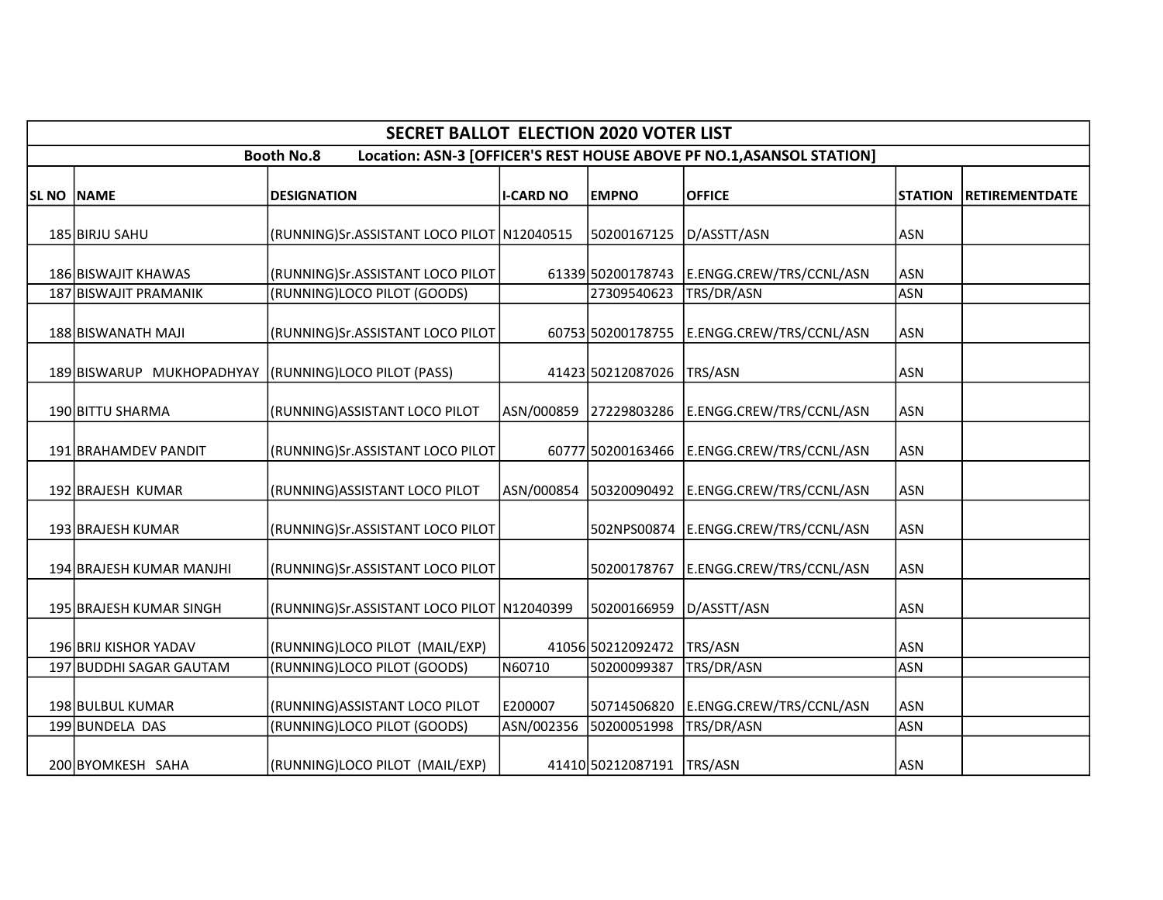|                                                                                            |                                                       | <b>SECRET BALLOT ELECTION 2020 VOTER LIST</b> |                  |                             |                                                 |                |                       |  |  |  |  |
|--------------------------------------------------------------------------------------------|-------------------------------------------------------|-----------------------------------------------|------------------|-----------------------------|-------------------------------------------------|----------------|-----------------------|--|--|--|--|
| <b>Booth No.8</b><br>Location: ASN-3 [OFFICER'S REST HOUSE ABOVE PF NO.1, ASANSOL STATION] |                                                       |                                               |                  |                             |                                                 |                |                       |  |  |  |  |
| <b>SL NO NAME</b>                                                                          |                                                       | <b>DESIGNATION</b>                            | <b>I-CARD NO</b> | <b>EMPNO</b>                | <b>OFFICE</b>                                   | <b>STATION</b> | <b>RETIREMENTDATE</b> |  |  |  |  |
|                                                                                            | 185 BIRJU SAHU                                        | (RUNNING)Sr.ASSISTANT LOCO PILOT N12040515    |                  | 50200167125 D/ASSTT/ASN     |                                                 | <b>ASN</b>     |                       |  |  |  |  |
|                                                                                            | 186 BISWAJIT KHAWAS                                   | (RUNNING)Sr.ASSISTANT LOCO PILOT              |                  |                             | 61339 50200178743 E.ENGG.CREW/TRS/CCNL/ASN      | lASN           |                       |  |  |  |  |
|                                                                                            | 187 BISWAJIT PRAMANIK                                 | (RUNNING)LOCO PILOT (GOODS)                   |                  | 27309540623                 | TRS/DR/ASN                                      | ASN            |                       |  |  |  |  |
|                                                                                            | 188 BISWANATH MAJI                                    | (RUNNING)Sr.ASSISTANT LOCO PILOT              |                  |                             | 60753 50200178755 E.ENGG.CREW/TRS/CCNL/ASN      | lasn           |                       |  |  |  |  |
|                                                                                            | 189 BISWARUP MUKHOPADHYAY (RUNNING) LOCO PILOT (PASS) |                                               |                  | 41423 50212087026 TRS/ASN   |                                                 | <b>ASN</b>     |                       |  |  |  |  |
|                                                                                            | 190 BITTU SHARMA                                      | (RUNNING) ASSISTANT LOCO PILOT                |                  |                             | ASN/000859 27229803286 E.ENGG.CREW/TRS/CCNL/ASN | ASN            |                       |  |  |  |  |
|                                                                                            | 191 BRAHAMDEV PANDIT                                  | (RUNNING)Sr.ASSISTANT LOCO PILOT              |                  |                             | 60777 50200163466 E.ENGG.CREW/TRS/CCNL/ASN      | ASN            |                       |  |  |  |  |
|                                                                                            | 192 BRAJESH KUMAR                                     | (RUNNING) ASSISTANT LOCO PILOT                | ASN/000854       |                             | 50320090492 E.ENGG.CREW/TRS/CCNL/ASN            | ASN            |                       |  |  |  |  |
|                                                                                            | 193 BRAJESH KUMAR                                     | (RUNNING)Sr.ASSISTANT LOCO PILOT              |                  |                             | 502NPS00874 E.ENGG.CREW/TRS/CCNL/ASN            | ASN            |                       |  |  |  |  |
|                                                                                            | 194 BRAJESH KUMAR MANJHI                              | (RUNNING)Sr.ASSISTANT LOCO PILOT              |                  |                             | 50200178767 E.ENGG.CREW/TRS/CCNL/ASN            | ASN            |                       |  |  |  |  |
|                                                                                            | 195 BRAJESH KUMAR SINGH                               | (RUNNING)Sr.ASSISTANT LOCO PILOT N12040399    |                  | 50200166959 D/ASSTT/ASN     |                                                 | <b>ASN</b>     |                       |  |  |  |  |
|                                                                                            | 196 BRIJ KISHOR YADAV                                 | (RUNNING)LOCO PILOT (MAIL/EXP)                |                  | 41056 50212092472           | TRS/ASN                                         | lasn           |                       |  |  |  |  |
|                                                                                            | 197 BUDDHI SAGAR GAUTAM                               | (RUNNING)LOCO PILOT (GOODS)                   | N60710           | 50200099387                 | TRS/DR/ASN                                      | ASN            |                       |  |  |  |  |
|                                                                                            | 198 BULBUL KUMAR                                      | (RUNNING) ASSISTANT LOCO PILOT                | E200007          |                             | 50714506820 E.ENGG.CREW/TRS/CCNL/ASN            | ASN            |                       |  |  |  |  |
|                                                                                            | 199 BUNDELA DAS                                       | (RUNNING)LOCO PILOT (GOODS)                   | ASN/002356       | 50200051998                 | TRS/DR/ASN                                      | ASN            |                       |  |  |  |  |
|                                                                                            | 200 BYOMKESH SAHA                                     | (RUNNING)LOCO PILOT (MAIL/EXP)                |                  | 41410 50212087191   TRS/ASN |                                                 | <b>ASN</b>     |                       |  |  |  |  |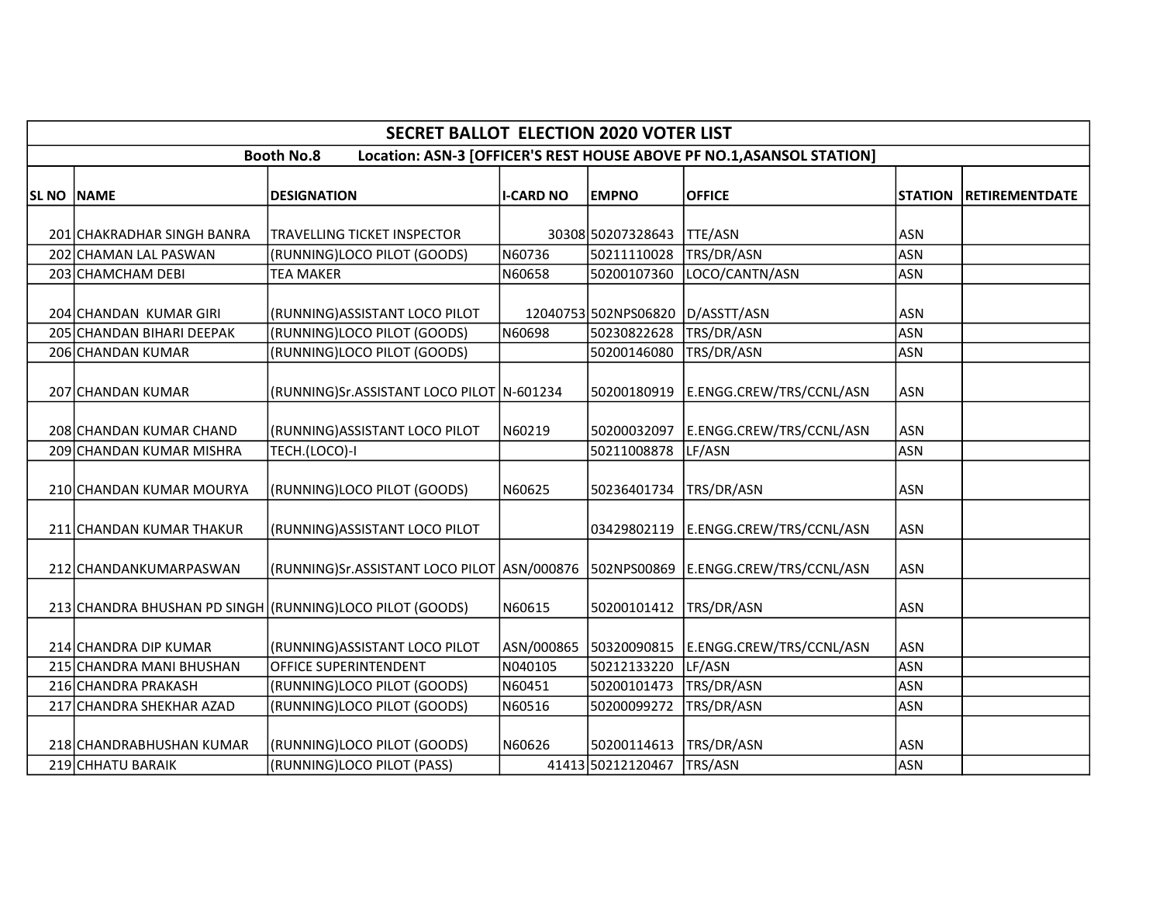|                   | <b>SECRET BALLOT ELECTION 2020 VOTER LIST</b> |                                                                                      |                  |                      |                                                                       |                |                       |  |  |  |  |
|-------------------|-----------------------------------------------|--------------------------------------------------------------------------------------|------------------|----------------------|-----------------------------------------------------------------------|----------------|-----------------------|--|--|--|--|
|                   |                                               | <b>Booth No.8</b>                                                                    |                  |                      | Location: ASN-3 [OFFICER'S REST HOUSE ABOVE PF NO.1, ASANSOL STATION] |                |                       |  |  |  |  |
| <b>SL NO NAME</b> |                                               | <b>DESIGNATION</b>                                                                   | <b>I-CARD NO</b> | <b>EMPNO</b>         | <b>OFFICE</b>                                                         | <b>STATION</b> | <b>RETIREMENTDATE</b> |  |  |  |  |
|                   | 201 CHAKRADHAR SINGH BANRA                    | TRAVELLING TICKET INSPECTOR                                                          |                  | 30308 50207328643    | <b>TTE/ASN</b>                                                        | <b>ASN</b>     |                       |  |  |  |  |
|                   | 202 CHAMAN LAL PASWAN                         | (RUNNING)LOCO PILOT (GOODS)                                                          | N60736           | 50211110028          | TRS/DR/ASN                                                            | <b>ASN</b>     |                       |  |  |  |  |
|                   | 203 CHAMCHAM DEBI                             | TEA MAKER                                                                            | N60658           | 50200107360          | LOCO/CANTN/ASN                                                        | <b>ASN</b>     |                       |  |  |  |  |
|                   | 204 CHANDAN KUMAR GIRI                        | (RUNNING) ASSISTANT LOCO PILOT                                                       |                  | 12040753 502NPS06820 | D/ASSTT/ASN                                                           | <b>ASN</b>     |                       |  |  |  |  |
|                   | 205 CHANDAN BIHARI DEEPAK                     | (RUNNING)LOCO PILOT (GOODS)                                                          | N60698           | 50230822628          | TRS/DR/ASN                                                            | <b>ASN</b>     |                       |  |  |  |  |
|                   | 206 CHANDAN KUMAR                             | (RUNNING)LOCO PILOT (GOODS)                                                          |                  | 50200146080          | TRS/DR/ASN                                                            | <b>ASN</b>     |                       |  |  |  |  |
|                   | 207 CHANDAN KUMAR                             | (RUNNING)Sr.ASSISTANT LOCO PILOT   N-601234                                          |                  | 50200180919          | E.ENGG.CREW/TRS/CCNL/ASN                                              | <b>ASN</b>     |                       |  |  |  |  |
|                   | 208 CHANDAN KUMAR CHAND                       | (RUNNING) ASSISTANT LOCO PILOT                                                       | N60219           | 50200032097          | E.ENGG.CREW/TRS/CCNL/ASN                                              | <b>ASN</b>     |                       |  |  |  |  |
|                   | 209 CHANDAN KUMAR MISHRA                      | TECH.(LOCO)-I                                                                        |                  | 50211008878          | LF/ASN                                                                | <b>ASN</b>     |                       |  |  |  |  |
|                   | 210 CHANDAN KUMAR MOURYA                      | (RUNNING)LOCO PILOT (GOODS)                                                          | N60625           | 50236401734          | TRS/DR/ASN                                                            | <b>ASN</b>     |                       |  |  |  |  |
|                   | 211 CHANDAN KUMAR THAKUR                      | (RUNNING) ASSISTANT LOCO PILOT                                                       |                  | 03429802119          | E.ENGG.CREW/TRS/CCNL/ASN                                              | <b>ASN</b>     |                       |  |  |  |  |
|                   | 212 CHANDANKUMARPASWAN                        | (RUNNING)Sr.ASSISTANT LOCO PILOT ASN/000876   502NPS00869   E.ENGG.CREW/TRS/CCNL/ASN |                  |                      |                                                                       | <b>ASN</b>     |                       |  |  |  |  |
|                   |                                               | 213 CHANDRA BHUSHAN PD SINGH (RUNNING)LOCO PILOT (GOODS)                             | N60615           | 50200101412          | TRS/DR/ASN                                                            | <b>ASN</b>     |                       |  |  |  |  |
|                   | 214 CHANDRA DIP KUMAR                         | (RUNNING) ASSISTANT LOCO PILOT                                                       | ASN/000865       | 50320090815          | E.ENGG.CREW/TRS/CCNL/ASN                                              | <b>ASN</b>     |                       |  |  |  |  |
|                   | 215 CHANDRA MANI BHUSHAN                      | OFFICE SUPERINTENDENT                                                                | N040105          | 50212133220          | LF/ASN                                                                | <b>ASN</b>     |                       |  |  |  |  |
|                   | 216 CHANDRA PRAKASH                           | (RUNNING)LOCO PILOT (GOODS)                                                          | N60451           | 50200101473          | TRS/DR/ASN                                                            | <b>ASN</b>     |                       |  |  |  |  |
|                   | 217 CHANDRA SHEKHAR AZAD                      | (RUNNING)LOCO PILOT (GOODS)                                                          | N60516           | 50200099272          | TRS/DR/ASN                                                            | <b>ASN</b>     |                       |  |  |  |  |
|                   | 218 CHANDRABHUSHAN KUMAR                      | (RUNNING)LOCO PILOT (GOODS)                                                          | N60626           | 50200114613          | TRS/DR/ASN                                                            | <b>ASN</b>     |                       |  |  |  |  |
|                   | 219 CHHATU BARAIK                             | (RUNNING)LOCO PILOT (PASS)                                                           |                  | 41413 50212120467    | TRS/ASN                                                               | <b>ASN</b>     |                       |  |  |  |  |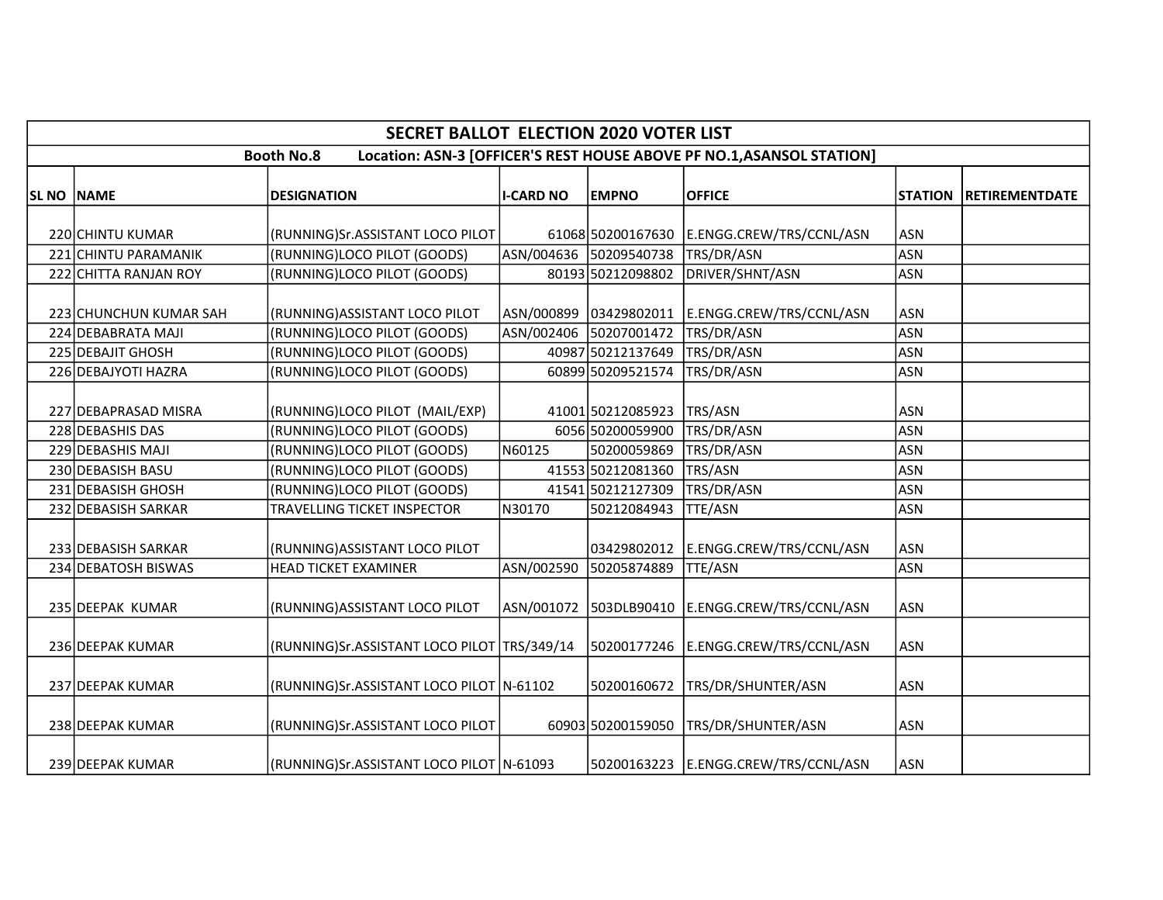|                   | <b>SECRET BALLOT ELECTION 2020 VOTER LIST</b>                                              |                                               |                  |                        |                                            |                |                       |  |  |  |  |
|-------------------|--------------------------------------------------------------------------------------------|-----------------------------------------------|------------------|------------------------|--------------------------------------------|----------------|-----------------------|--|--|--|--|
|                   | Location: ASN-3 [OFFICER'S REST HOUSE ABOVE PF NO.1, ASANSOL STATION]<br><b>Booth No.8</b> |                                               |                  |                        |                                            |                |                       |  |  |  |  |
| <b>SL NO NAME</b> |                                                                                            | <b>DESIGNATION</b>                            | <b>I-CARD NO</b> | <b>EMPNO</b>           | <b>OFFICE</b>                              | <b>STATION</b> | <b>RETIREMENTDATE</b> |  |  |  |  |
|                   |                                                                                            |                                               |                  |                        |                                            |                |                       |  |  |  |  |
|                   | 220 CHINTU KUMAR                                                                           | (RUNNING)Sr.ASSISTANT LOCO PILOT              |                  |                        | 61068 50200167630 E.ENGG.CREW/TRS/CCNL/ASN | <b>ASN</b>     |                       |  |  |  |  |
|                   | 221 CHINTU PARAMANIK                                                                       | (RUNNING)LOCO PILOT (GOODS)                   |                  | ASN/004636 50209540738 | TRS/DR/ASN                                 | <b>ASN</b>     |                       |  |  |  |  |
|                   | 222 CHITTA RANJAN ROY                                                                      | (RUNNING)LOCO PILOT (GOODS)                   |                  | 80193 50212098802      | DRIVER/SHNT/ASN                            | <b>ASN</b>     |                       |  |  |  |  |
|                   | 223 CHUNCHUN KUMAR SAH                                                                     | (RUNNING) ASSISTANT LOCO PILOT                |                  | ASN/000899 03429802011 | E.ENGG.CREW/TRS/CCNL/ASN                   | <b>ASN</b>     |                       |  |  |  |  |
|                   | 224 DEBABRATA MAJI                                                                         | (RUNNING)LOCO PILOT (GOODS)                   |                  | ASN/002406 50207001472 | TRS/DR/ASN                                 | <b>ASN</b>     |                       |  |  |  |  |
|                   | 225 DEBAJIT GHOSH                                                                          | (RUNNING)LOCO PILOT (GOODS)                   |                  | 40987 50212137649      | TRS/DR/ASN                                 | <b>ASN</b>     |                       |  |  |  |  |
|                   | 226 DEBAJYOTI HAZRA                                                                        | (RUNNING)LOCO PILOT (GOODS)                   |                  | 60899 50209521574      | TRS/DR/ASN                                 | <b>ASN</b>     |                       |  |  |  |  |
|                   | 227 DEBAPRASAD MISRA                                                                       | (RUNNING)LOCO PILOT (MAIL/EXP)                |                  | 41001 50212085923      | TRS/ASN                                    | <b>ASN</b>     |                       |  |  |  |  |
|                   | 228 DEBASHIS DAS                                                                           | (RUNNING)LOCO PILOT (GOODS)                   |                  | 6056 50200059900       | TRS/DR/ASN                                 | <b>ASN</b>     |                       |  |  |  |  |
|                   | 229 DEBASHIS MAJI                                                                          | (RUNNING)LOCO PILOT (GOODS)                   | N60125           | 50200059869            | TRS/DR/ASN                                 | <b>ASN</b>     |                       |  |  |  |  |
|                   | 230 DEBASISH BASU                                                                          | (RUNNING)LOCO PILOT (GOODS)                   |                  | 41553 50212081360      | <b>TRS/ASN</b>                             | <b>ASN</b>     |                       |  |  |  |  |
|                   | 231 DEBASISH GHOSH                                                                         | (RUNNING)LOCO PILOT (GOODS)                   |                  | 41541 50212127309      | TRS/DR/ASN                                 | <b>ASN</b>     |                       |  |  |  |  |
|                   | 232 DEBASISH SARKAR                                                                        | TRAVELLING TICKET INSPECTOR                   | N30170           | 50212084943            | TTE/ASN                                    | <b>ASN</b>     |                       |  |  |  |  |
|                   | 233 DEBASISH SARKAR                                                                        | (RUNNING) ASSISTANT LOCO PILOT                |                  | 03429802012            | E.ENGG.CREW/TRS/CCNL/ASN                   | ASN            |                       |  |  |  |  |
|                   | 234 DEBATOSH BISWAS                                                                        | <b>HEAD TICKET EXAMINER</b>                   | ASN/002590       | 50205874889            | <b>TTE/ASN</b>                             | <b>ASN</b>     |                       |  |  |  |  |
|                   | 235 DEEPAK KUMAR                                                                           | (RUNNING) ASSISTANT LOCO PILOT                |                  | ASN/001072 503DLB90410 | E.ENGG.CREW/TRS/CCNL/ASN                   | <b>ASN</b>     |                       |  |  |  |  |
|                   | 236 DEEPAK KUMAR                                                                           | (RUNNING)Sr.ASSISTANT LOCO PILOT   TRS/349/14 |                  | 50200177246            | E.ENGG.CREW/TRS/CCNL/ASN                   | ASN            |                       |  |  |  |  |
|                   | 237 DEEPAK KUMAR                                                                           | (RUNNING)Sr.ASSISTANT LOCO PILOT N-61102      |                  | 50200160672            | TRS/DR/SHUNTER/ASN                         | <b>ASN</b>     |                       |  |  |  |  |
|                   | 238 DEEPAK KUMAR                                                                           | (RUNNING)Sr.ASSISTANT LOCO PILOT              |                  | 60903 50200159050      | TRS/DR/SHUNTER/ASN                         | ASN            |                       |  |  |  |  |
|                   | 239 DEEPAK KUMAR                                                                           | (RUNNING)Sr.ASSISTANT LOCO PILOT   N-61093    |                  |                        | 50200163223 E.ENGG.CREW/TRS/CCNL/ASN       | <b>ASN</b>     |                       |  |  |  |  |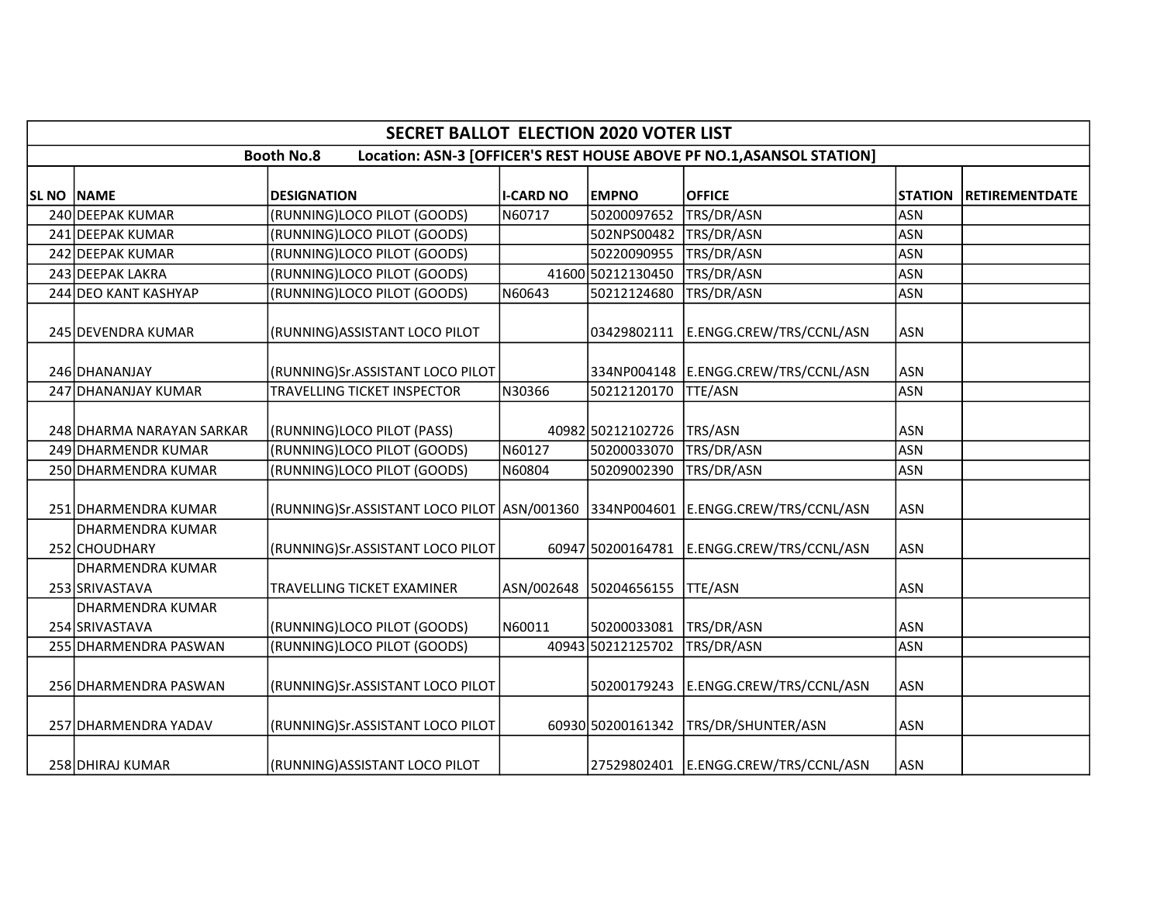|                   |                                           | <b>SECRET BALLOT ELECTION 2020 VOTER LIST</b>                                    |                  |                        |                                                                       |                |                       |
|-------------------|-------------------------------------------|----------------------------------------------------------------------------------|------------------|------------------------|-----------------------------------------------------------------------|----------------|-----------------------|
|                   |                                           | <b>Booth No.8</b>                                                                |                  |                        | Location: ASN-3 [OFFICER'S REST HOUSE ABOVE PF NO.1, ASANSOL STATION] |                |                       |
|                   |                                           |                                                                                  |                  |                        |                                                                       |                |                       |
| <b>SL NO NAME</b> |                                           | <b>DESIGNATION</b>                                                               | <b>I-CARD NO</b> | <b>EMPNO</b>           | <b>OFFICE</b>                                                         | <b>STATION</b> | <b>RETIREMENTDATE</b> |
|                   | 240 DEEPAK KUMAR                          | (RUNNING)LOCO PILOT (GOODS)                                                      | N60717           | 50200097652            | TRS/DR/ASN                                                            | <b>ASN</b>     |                       |
|                   | 241 DEEPAK KUMAR                          | (RUNNING)LOCO PILOT (GOODS)                                                      |                  | 502NPS00482            | TRS/DR/ASN                                                            | <b>ASN</b>     |                       |
|                   | 242 DEEPAK KUMAR                          | (RUNNING)LOCO PILOT (GOODS)                                                      |                  | 50220090955            | TRS/DR/ASN                                                            | <b>ASN</b>     |                       |
|                   | 243 DEEPAK LAKRA                          | (RUNNING)LOCO PILOT (GOODS)                                                      |                  | 41600 50212130450      | TRS/DR/ASN                                                            | <b>ASN</b>     |                       |
|                   | 244 DEO KANT KASHYAP                      | (RUNNING)LOCO PILOT (GOODS)                                                      | N60643           | 50212124680            | TRS/DR/ASN                                                            | <b>ASN</b>     |                       |
|                   | 245 DEVENDRA KUMAR                        | (RUNNING) ASSISTANT LOCO PILOT                                                   |                  | 03429802111            | E.ENGG.CREW/TRS/CCNL/ASN                                              | <b>ASN</b>     |                       |
|                   | 246 DHANANJAY                             | (RUNNING)Sr.ASSISTANT LOCO PILOT                                                 |                  |                        | 334NP004148 E.ENGG.CREW/TRS/CCNL/ASN                                  | <b>ASN</b>     |                       |
|                   | 247 DHANANJAY KUMAR                       | TRAVELLING TICKET INSPECTOR                                                      | N30366           | 50212120170            | TTE/ASN                                                               | <b>ASN</b>     |                       |
|                   | 248 DHARMA NARAYAN SARKAR                 | (RUNNING)LOCO PILOT (PASS)                                                       |                  | 40982 50212102726      | TRS/ASN                                                               | <b>ASN</b>     |                       |
|                   | 249 DHARMENDR KUMAR                       | (RUNNING)LOCO PILOT (GOODS)                                                      | N60127           | 50200033070            | TRS/DR/ASN                                                            | <b>ASN</b>     |                       |
|                   | 250 DHARMENDRA KUMAR                      | (RUNNING)LOCO PILOT (GOODS)                                                      | N60804           | 50209002390            | TRS/DR/ASN                                                            | <b>ASN</b>     |                       |
|                   | 251 DHARMENDRA KUMAR                      | (RUNNING)Sr.ASSISTANT LOCO PILOT ASN/001360 334NP004601 E.ENGG.CREW/TRS/CCNL/ASN |                  |                        |                                                                       | <b>ASN</b>     |                       |
|                   | DHARMENDRA KUMAR<br>252 CHOUDHARY         | (RUNNING)Sr.ASSISTANT LOCO PILOT                                                 |                  | 60947 50200164781      | E.ENGG.CREW/TRS/CCNL/ASN                                              | <b>ASN</b>     |                       |
|                   | <b>DHARMENDRA KUMAR</b><br>253 SRIVASTAVA | TRAVELLING TICKET EXAMINER                                                       |                  | ASN/002648 50204656155 | <b>TTE/ASN</b>                                                        | <b>ASN</b>     |                       |
|                   | DHARMENDRA KUMAR<br>254 SRIVASTAVA        | (RUNNING)LOCO PILOT (GOODS)                                                      | N60011           | 50200033081            | TRS/DR/ASN                                                            | <b>ASN</b>     |                       |
|                   | 255 DHARMENDRA PASWAN                     | (RUNNING)LOCO PILOT (GOODS)                                                      |                  | 40943 50212125702      | TRS/DR/ASN                                                            | <b>ASN</b>     |                       |
|                   | 256 DHARMENDRA PASWAN                     | (RUNNING)Sr.ASSISTANT LOCO PILOT                                                 |                  | 50200179243            | E.ENGG.CREW/TRS/CCNL/ASN                                              | <b>ASN</b>     |                       |
|                   | 257 DHARMENDRA YADAV                      | (RUNNING)Sr.ASSISTANT LOCO PILOT                                                 |                  | 60930 50200161342      | TRS/DR/SHUNTER/ASN                                                    | <b>ASN</b>     |                       |
|                   | 258 DHIRAJ KUMAR                          | (RUNNING) ASSISTANT LOCO PILOT                                                   |                  |                        | 27529802401 E.ENGG.CREW/TRS/CCNL/ASN                                  | <b>ASN</b>     |                       |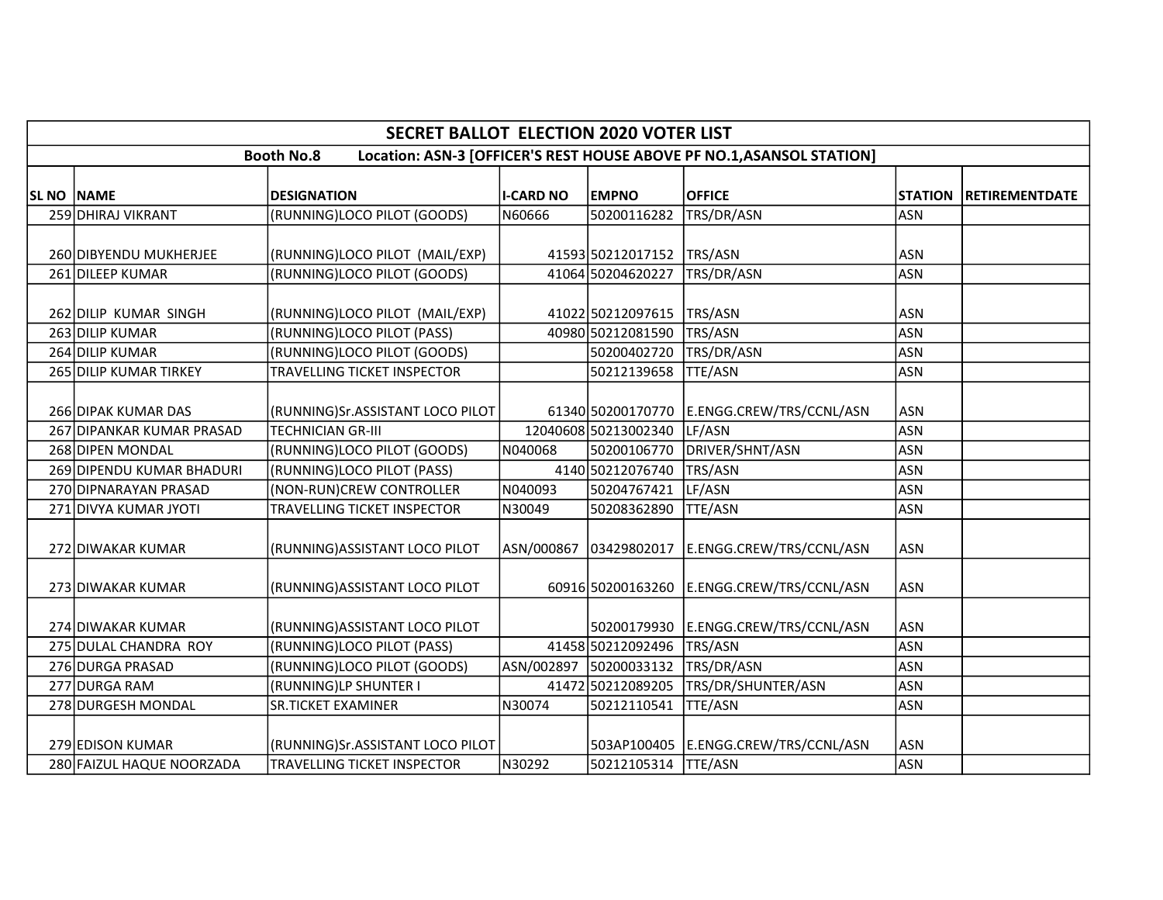|                           | <b>SECRET BALLOT ELECTION 2020 VOTER LIST</b> |                  |                        |                                                                       |                |                       |
|---------------------------|-----------------------------------------------|------------------|------------------------|-----------------------------------------------------------------------|----------------|-----------------------|
|                           | <b>Booth No.8</b>                             |                  |                        | Location: ASN-3 [OFFICER'S REST HOUSE ABOVE PF NO.1, ASANSOL STATION] |                |                       |
|                           |                                               |                  |                        |                                                                       |                |                       |
| SL NO NAME                | <b>DESIGNATION</b>                            | <b>I-CARD NO</b> | <b>EMPNO</b>           | <b>OFFICE</b>                                                         | <b>STATION</b> | <b>RETIREMENTDATE</b> |
| 259 DHIRAJ VIKRANT        | (RUNNING)LOCO PILOT (GOODS)                   | N60666           | 50200116282            | TRS/DR/ASN                                                            | <b>ASN</b>     |                       |
| 260 DIBYENDU MUKHERJEE    | (RUNNING)LOCO PILOT (MAIL/EXP)                |                  | 41593 50212017152      | TRS/ASN                                                               | <b>ASN</b>     |                       |
| 261 DILEEP KUMAR          | (RUNNING)LOCO PILOT (GOODS)                   |                  | 41064 50204620227      | TRS/DR/ASN                                                            | <b>ASN</b>     |                       |
| 262 DILIP KUMAR SINGH     | (RUNNING)LOCO PILOT (MAIL/EXP)                |                  | 41022 50212097615      | TRS/ASN                                                               | <b>ASN</b>     |                       |
| 263 DILIP KUMAR           | (RUNNING)LOCO PILOT (PASS)                    |                  | 40980 50212081590      | TRS/ASN                                                               | <b>ASN</b>     |                       |
| 264 DILIP KUMAR           | (RUNNING)LOCO PILOT (GOODS)                   |                  | 50200402720            | TRS/DR/ASN                                                            | <b>ASN</b>     |                       |
| 265 DILIP KUMAR TIRKEY    | TRAVELLING TICKET INSPECTOR                   |                  | 50212139658            | <b>TTE/ASN</b>                                                        | <b>ASN</b>     |                       |
|                           |                                               |                  |                        |                                                                       |                |                       |
| 266 DIPAK KUMAR DAS       | (RUNNING)Sr.ASSISTANT LOCO PILOT              |                  | 61340 50200170770      | E.ENGG.CREW/TRS/CCNL/ASN                                              | <b>ASN</b>     |                       |
| 267 DIPANKAR KUMAR PRASAD | <b>TECHNICIAN GR-III</b>                      |                  | 12040608 50213002340   | LF/ASN                                                                | <b>ASN</b>     |                       |
| 268 DIPEN MONDAL          | (RUNNING)LOCO PILOT (GOODS)                   | N040068          | 50200106770            | DRIVER/SHNT/ASN                                                       | <b>ASN</b>     |                       |
| 269 DIPENDU KUMAR BHADURI | (RUNNING)LOCO PILOT (PASS)                    |                  | 4140 50212076740       | TRS/ASN                                                               | <b>ASN</b>     |                       |
| 270 DIPNARAYAN PRASAD     | (NON-RUN)CREW CONTROLLER                      | N040093          | 50204767421            | LF/ASN                                                                | <b>ASN</b>     |                       |
| 271 DIVYA KUMAR JYOTI     | TRAVELLING TICKET INSPECTOR                   | N30049           | 50208362890            | <b>TTE/ASN</b>                                                        | <b>ASN</b>     |                       |
| 272 DIWAKAR KUMAR         | (RUNNING) ASSISTANT LOCO PILOT                |                  |                        | ASN/000867 03429802017 E.ENGG.CREW/TRS/CCNL/ASN                       | <b>ASN</b>     |                       |
| 273 DIWAKAR KUMAR         | (RUNNING) ASSISTANT LOCO PILOT                |                  |                        | 60916 50200163260 E.ENGG.CREW/TRS/CCNL/ASN                            | <b>ASN</b>     |                       |
| 274 DIWAKAR KUMAR         | (RUNNING) ASSISTANT LOCO PILOT                |                  | 50200179930            | E.ENGG.CREW/TRS/CCNL/ASN                                              | <b>ASN</b>     |                       |
| 275 DULAL CHANDRA ROY     | (RUNNING)LOCO PILOT (PASS)                    |                  | 41458 50212092496      | TRS/ASN                                                               | <b>ASN</b>     |                       |
| 276 DURGA PRASAD          | (RUNNING)LOCO PILOT (GOODS)                   |                  | ASN/002897 50200033132 | TRS/DR/ASN                                                            | <b>ASN</b>     |                       |
| 277 DURGA RAM             | (RUNNING)LP SHUNTER I                         |                  | 41472 50212089205      | TRS/DR/SHUNTER/ASN                                                    | <b>ASN</b>     |                       |
| 278 DURGESH MONDAL        | <b>SR.TICKET EXAMINER</b>                     | N30074           | 50212110541            | <b>TTE/ASN</b>                                                        | <b>ASN</b>     |                       |
| 279 EDISON KUMAR          | (RUNNING)Sr.ASSISTANT LOCO PILOT              |                  |                        | 503AP100405 E.ENGG.CREW/TRS/CCNL/ASN                                  | <b>ASN</b>     |                       |
| 280 FAIZUL HAQUE NOORZADA | TRAVELLING TICKET INSPECTOR                   | N30292           | 50212105314            | TTE/ASN                                                               | <b>ASN</b>     |                       |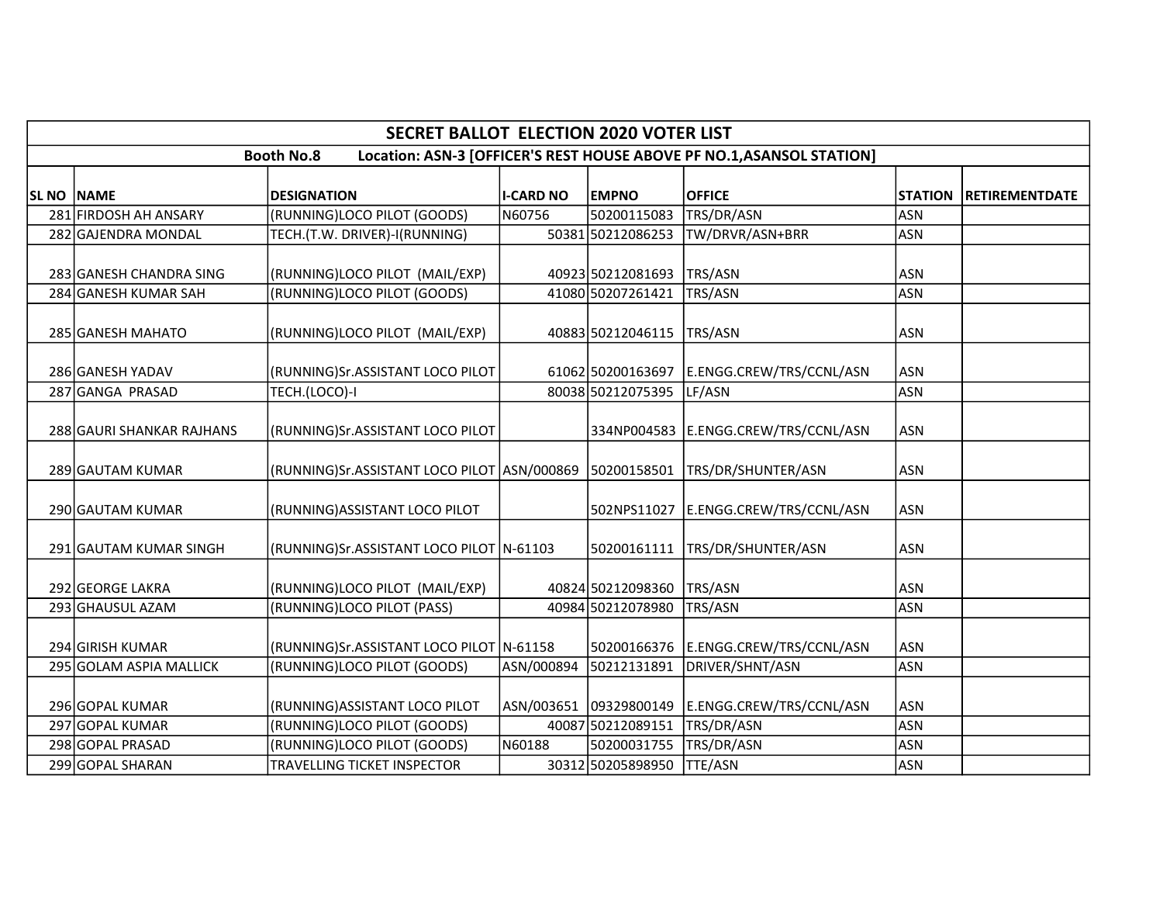| <b>SECRET BALLOT ELECTION 2020 VOTER LIST</b><br>Location: ASN-3 [OFFICER'S REST HOUSE ABOVE PF NO.1, ASANSOL STATION]<br><b>Booth No.8</b><br><b>OFFICE</b><br><b>SL NO NAME</b><br><b>I-CARD NO</b><br><b>EMPNO</b><br><b>DESIGNATION</b><br><b>STATION</b><br><b>RETIREMENTDATE</b> |                                               |            |                        |                          |            |  |  |  |
|----------------------------------------------------------------------------------------------------------------------------------------------------------------------------------------------------------------------------------------------------------------------------------------|-----------------------------------------------|------------|------------------------|--------------------------|------------|--|--|--|
|                                                                                                                                                                                                                                                                                        |                                               |            |                        |                          |            |  |  |  |
|                                                                                                                                                                                                                                                                                        |                                               |            |                        |                          |            |  |  |  |
| 281 FIRDOSH AH ANSARY                                                                                                                                                                                                                                                                  | (RUNNING)LOCO PILOT (GOODS)                   | N60756     | 50200115083            | TRS/DR/ASN               | <b>ASN</b> |  |  |  |
| 282 GAJENDRA MONDAL                                                                                                                                                                                                                                                                    | TECH.(T.W. DRIVER)-I(RUNNING)                 |            | 50381 50212086253      | TW/DRVR/ASN+BRR          | <b>ASN</b> |  |  |  |
| 283 GANESH CHANDRA SING                                                                                                                                                                                                                                                                | (RUNNING)LOCO PILOT (MAIL/EXP)                |            | 40923 50212081693      | TRS/ASN                  | ASN        |  |  |  |
| 284 GANESH KUMAR SAH                                                                                                                                                                                                                                                                   | (RUNNING)LOCO PILOT (GOODS)                   |            | 41080 50207261421      | TRS/ASN                  | <b>ASN</b> |  |  |  |
| 285 GANESH MAHATO                                                                                                                                                                                                                                                                      | (RUNNING)LOCO PILOT (MAIL/EXP)                |            | 40883 50212046115      | TRS/ASN                  | <b>ASN</b> |  |  |  |
| 286 GANESH YADAV                                                                                                                                                                                                                                                                       | (RUNNING)Sr.ASSISTANT LOCO PILOT              |            | 61062 50200163697      | E.ENGG.CREW/TRS/CCNL/ASN | <b>ASN</b> |  |  |  |
| 287 GANGA PRASAD                                                                                                                                                                                                                                                                       | TECH.(LOCO)-I                                 |            | 80038 50212075395      | LF/ASN                   | <b>ASN</b> |  |  |  |
| 288 GAURI SHANKAR RAJHANS                                                                                                                                                                                                                                                              | (RUNNING)Sr.ASSISTANT LOCO PILOT              |            | 334NP004583            | E.ENGG.CREW/TRS/CCNL/ASN | ASN        |  |  |  |
| 289 GAUTAM KUMAR                                                                                                                                                                                                                                                                       | (RUNNING)Sr.ASSISTANT LOCO PILOT   ASN/000869 |            | 50200158501            | TRS/DR/SHUNTER/ASN       | <b>ASN</b> |  |  |  |
| 290 GAUTAM KUMAR                                                                                                                                                                                                                                                                       | (RUNNING) ASSISTANT LOCO PILOT                |            | 502NPS11027            | E.ENGG.CREW/TRS/CCNL/ASN | <b>ASN</b> |  |  |  |
| 291 GAUTAM KUMAR SINGH                                                                                                                                                                                                                                                                 | (RUNNING)Sr.ASSISTANT LOCO PILOT N-61103      |            | 50200161111            | TRS/DR/SHUNTER/ASN       | ASN        |  |  |  |
| 292 GEORGE LAKRA                                                                                                                                                                                                                                                                       | (RUNNING)LOCO PILOT (MAIL/EXP)                |            | 40824 50212098360      | TRS/ASN                  | ASN        |  |  |  |
| 293 GHAUSUL AZAM                                                                                                                                                                                                                                                                       | (RUNNING)LOCO PILOT (PASS)                    |            | 40984 50212078980      | TRS/ASN                  | <b>ASN</b> |  |  |  |
| 294 GIRISH KUMAR                                                                                                                                                                                                                                                                       | (RUNNING)Sr.ASSISTANT LOCO PILOT N-61158      |            | 50200166376            | E.ENGG.CREW/TRS/CCNL/ASN | <b>ASN</b> |  |  |  |
| 295 GOLAM ASPIA MALLICK                                                                                                                                                                                                                                                                | (RUNNING)LOCO PILOT (GOODS)                   | ASN/000894 | 50212131891            | DRIVER/SHNT/ASN          | <b>ASN</b> |  |  |  |
| 296 GOPAL KUMAR                                                                                                                                                                                                                                                                        | (RUNNING) ASSISTANT LOCO PILOT                |            | ASN/003651 09329800149 | E.ENGG.CREW/TRS/CCNL/ASN | <b>ASN</b> |  |  |  |
| 297 GOPAL KUMAR                                                                                                                                                                                                                                                                        | (RUNNING)LOCO PILOT (GOODS)                   |            | 40087 50212089151      | TRS/DR/ASN               | <b>ASN</b> |  |  |  |
| 298 GOPAL PRASAD                                                                                                                                                                                                                                                                       | (RUNNING)LOCO PILOT (GOODS)                   | N60188     | 50200031755            | TRS/DR/ASN               | <b>ASN</b> |  |  |  |
| 299 GOPAL SHARAN                                                                                                                                                                                                                                                                       | TRAVELLING TICKET INSPECTOR                   |            | 30312 50205898950      | <b>TTE/ASN</b>           | <b>ASN</b> |  |  |  |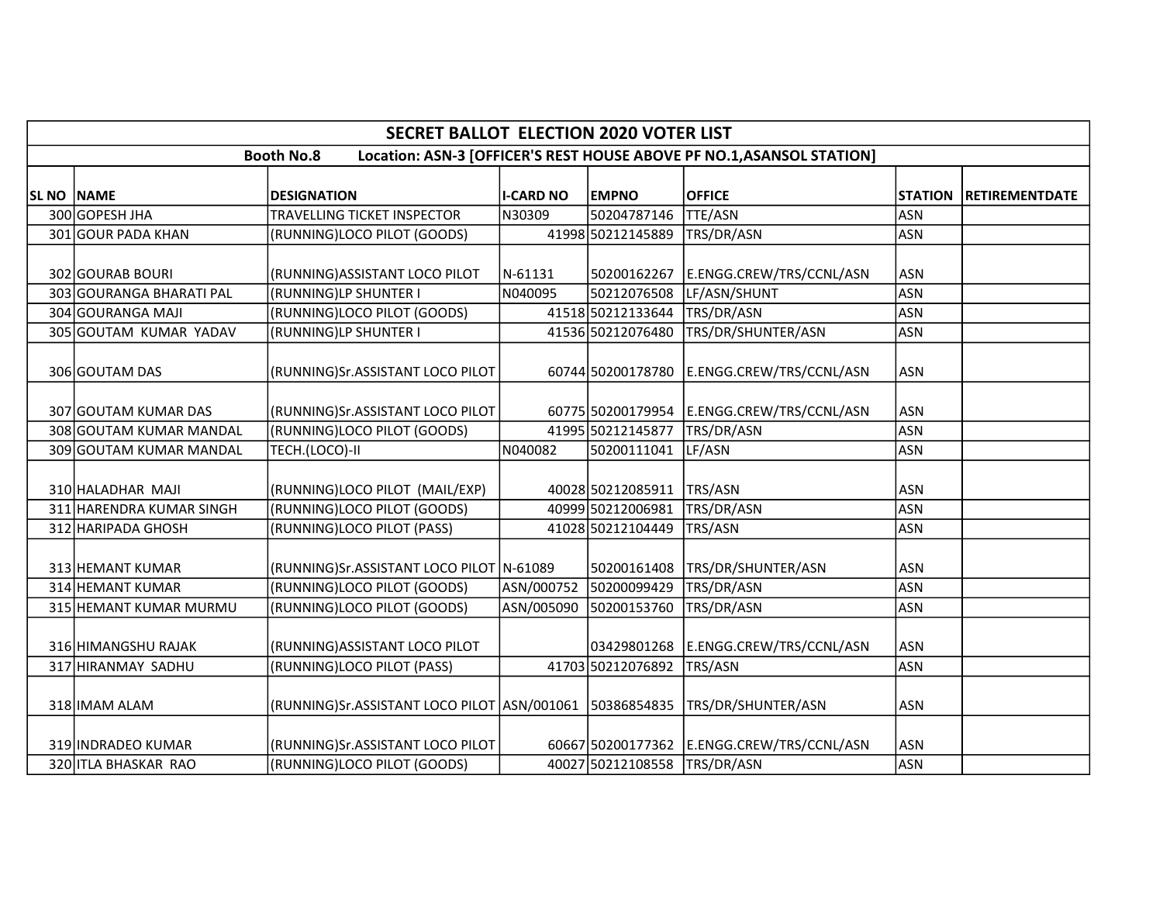|            |                          | <b>SECRET BALLOT ELECTION 2020 VOTER LIST</b>           |                  |                   |                                                                       |                |                       |
|------------|--------------------------|---------------------------------------------------------|------------------|-------------------|-----------------------------------------------------------------------|----------------|-----------------------|
|            |                          | <b>Booth No.8</b>                                       |                  |                   | Location: ASN-3 [OFFICER'S REST HOUSE ABOVE PF NO.1, ASANSOL STATION] |                |                       |
| SL NO NAME |                          | <b>DESIGNATION</b>                                      | <b>I-CARD NO</b> | <b>EMPNO</b>      | <b>OFFICE</b>                                                         | <b>STATION</b> | <b>RETIREMENTDATE</b> |
|            | 300 GOPESH JHA           | TRAVELLING TICKET INSPECTOR                             | N30309           | 50204787146       | <b>TTE/ASN</b>                                                        | <b>ASN</b>     |                       |
|            | 301 GOUR PADA KHAN       | (RUNNING)LOCO PILOT (GOODS)                             |                  | 41998 50212145889 | TRS/DR/ASN                                                            | <b>ASN</b>     |                       |
|            | 302 GOURAB BOURI         | (RUNNING) ASSISTANT LOCO PILOT                          | N-61131          | 50200162267       | E.ENGG.CREW/TRS/CCNL/ASN                                              | <b>ASN</b>     |                       |
|            | 303 GOURANGA BHARATI PAL | (RUNNING)LP SHUNTER I                                   | N040095          | 50212076508       | LF/ASN/SHUNT                                                          | <b>ASN</b>     |                       |
|            | 304 GOURANGA MAJI        | (RUNNING)LOCO PILOT (GOODS)                             |                  | 41518 50212133644 | TRS/DR/ASN                                                            | <b>ASN</b>     |                       |
|            | 305 GOUTAM KUMAR YADAV   | (RUNNING)LP SHUNTER I                                   |                  | 41536 50212076480 | TRS/DR/SHUNTER/ASN                                                    | <b>ASN</b>     |                       |
|            | 306 GOUTAM DAS           | (RUNNING)Sr.ASSISTANT LOCO PILOT                        |                  | 60744 50200178780 | E.ENGG.CREW/TRS/CCNL/ASN                                              | <b>ASN</b>     |                       |
|            | 307 GOUTAM KUMAR DAS     | (RUNNING)Sr.ASSISTANT LOCO PILOT                        |                  |                   | 60775 50200179954 E.ENGG.CREW/TRS/CCNL/ASN                            | <b>ASN</b>     |                       |
|            | 308 GOUTAM KUMAR MANDAL  | (RUNNING)LOCO PILOT (GOODS)                             |                  | 41995 50212145877 | TRS/DR/ASN                                                            | <b>ASN</b>     |                       |
|            | 309 GOUTAM KUMAR MANDAL  | TECH.(LOCO)-II                                          | N040082          | 50200111041       | LF/ASN                                                                | <b>ASN</b>     |                       |
|            | 310 HALADHAR MAJI        | (RUNNING)LOCO PILOT (MAIL/EXP)                          |                  | 40028 50212085911 | TRS/ASN                                                               | ASN            |                       |
|            | 311 HARENDRA KUMAR SINGH | (RUNNING)LOCO PILOT (GOODS)                             |                  | 40999 50212006981 | TRS/DR/ASN                                                            | <b>ASN</b>     |                       |
|            | 312 HARIPADA GHOSH       | (RUNNING)LOCO PILOT (PASS)                              |                  | 41028 50212104449 | TRS/ASN                                                               | <b>ASN</b>     |                       |
|            | 313 HEMANT KUMAR         | (RUNNING)Sr.ASSISTANT LOCO PILOT N-61089                |                  | 50200161408       | TRS/DR/SHUNTER/ASN                                                    | <b>ASN</b>     |                       |
|            | 314 HEMANT KUMAR         | (RUNNING)LOCO PILOT (GOODS)                             | ASN/000752       | 50200099429       | TRS/DR/ASN                                                            | <b>ASN</b>     |                       |
|            | 315 HEMANT KUMAR MURMU   | (RUNNING)LOCO PILOT (GOODS)                             | ASN/005090       | 50200153760       | TRS/DR/ASN                                                            | <b>ASN</b>     |                       |
|            | 316 HIMANGSHU RAJAK      | (RUNNING) ASSISTANT LOCO PILOT                          |                  | 03429801268       | E.ENGG.CREW/TRS/CCNL/ASN                                              | <b>ASN</b>     |                       |
|            | 317 HIRANMAY SADHU       | (RUNNING)LOCO PILOT (PASS)                              |                  | 41703 50212076892 | TRS/ASN                                                               | <b>ASN</b>     |                       |
|            | 318 IMAM ALAM            | (RUNNING)Sr.ASSISTANT LOCO PILOT ASN/001061 50386854835 |                  |                   | TRS/DR/SHUNTER/ASN                                                    | <b>ASN</b>     |                       |
|            | 319 INDRADEO KUMAR       | (RUNNING)Sr.ASSISTANT LOCO PILOT                        |                  | 60667 50200177362 | E.ENGG.CREW/TRS/CCNL/ASN                                              | <b>ASN</b>     |                       |
|            | 320 ITLA BHASKAR RAO     | (RUNNING)LOCO PILOT (GOODS)                             |                  | 40027 50212108558 | TRS/DR/ASN                                                            | <b>ASN</b>     |                       |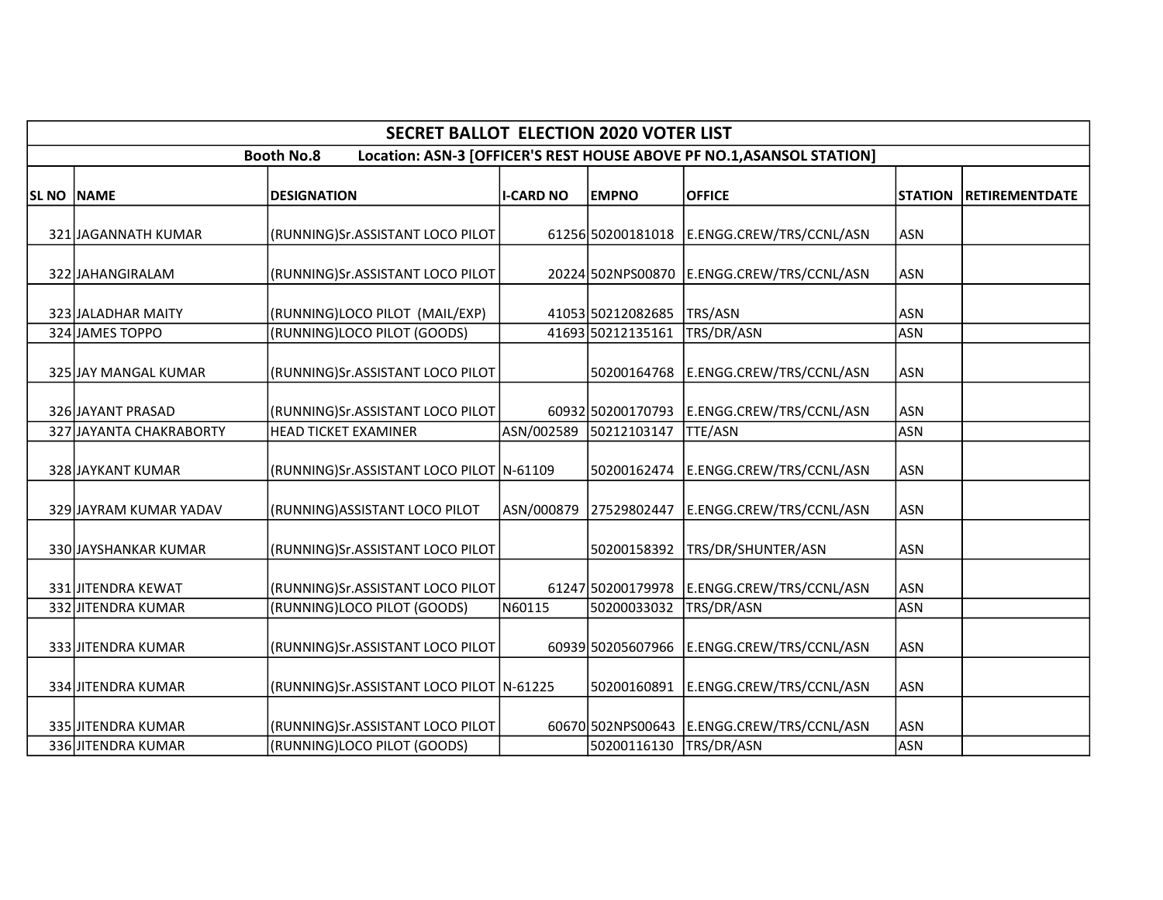|            | <b>SECRET BALLOT ELECTION 2020 VOTER LIST</b> |                                          |                  |                   |                                                                       |                |                       |  |  |
|------------|-----------------------------------------------|------------------------------------------|------------------|-------------------|-----------------------------------------------------------------------|----------------|-----------------------|--|--|
|            |                                               | <b>Booth No.8</b>                        |                  |                   | Location: ASN-3 [OFFICER'S REST HOUSE ABOVE PF NO.1, ASANSOL STATION] |                |                       |  |  |
| SL NO NAME |                                               | <b>DESIGNATION</b>                       | <b>I-CARD NO</b> | <b>EMPNO</b>      | <b>OFFICE</b>                                                         | <b>STATION</b> | <b>RETIREMENTDATE</b> |  |  |
|            | 321 JAGANNATH KUMAR                           | (RUNNING)Sr.ASSISTANT LOCO PILOT         |                  |                   | 61256 50200181018   E.ENGG.CREW/TRS/CCNL/ASN                          | <b>ASN</b>     |                       |  |  |
|            | 322 JAHANGIRALAM                              | (RUNNING)Sr.ASSISTANT LOCO PILOT         |                  |                   | 20224 502NPS00870 E.ENGG.CREW/TRS/CCNL/ASN                            | <b>ASN</b>     |                       |  |  |
|            | 323 JALADHAR MAITY                            | (RUNNING)LOCO PILOT (MAIL/EXP)           |                  | 41053 50212082685 | TRS/ASN                                                               | <b>ASN</b>     |                       |  |  |
|            | 324 JAMES TOPPO                               | (RUNNING)LOCO PILOT (GOODS)              |                  | 41693 50212135161 | TRS/DR/ASN                                                            | <b>ASN</b>     |                       |  |  |
|            | 325 JAY MANGAL KUMAR                          | (RUNNING)Sr.ASSISTANT LOCO PILOT         |                  | 50200164768       | E.ENGG.CREW/TRS/CCNL/ASN                                              | <b>ASN</b>     |                       |  |  |
|            | 326 JAYANT PRASAD                             | (RUNNING)Sr.ASSISTANT LOCO PILOT         |                  | 60932 50200170793 | E.ENGG.CREW/TRS/CCNL/ASN                                              | <b>ASN</b>     |                       |  |  |
|            | 327 JAYANTA CHAKRABORTY                       | <b>HEAD TICKET EXAMINER</b>              | ASN/002589       | 50212103147       | <b>TTE/ASN</b>                                                        | <b>ASN</b>     |                       |  |  |
|            | 328 JAYKANT KUMAR                             | (RUNNING)Sr.ASSISTANT LOCO PILOT N-61109 |                  |                   | 50200162474 E.ENGG.CREW/TRS/CCNL/ASN                                  | <b>ASN</b>     |                       |  |  |
|            | 329 JAYRAM KUMAR YADAV                        | (RUNNING) ASSISTANT LOCO PILOT           | ASN/000879       | 27529802447       | E.ENGG.CREW/TRS/CCNL/ASN                                              | <b>ASN</b>     |                       |  |  |
|            | 330 JAYSHANKAR KUMAR                          | (RUNNING)Sr.ASSISTANT LOCO PILOT         |                  | 50200158392       | TRS/DR/SHUNTER/ASN                                                    | <b>ASN</b>     |                       |  |  |
|            | 331 JJJTENDRA KEWAT                           | (RUNNING)Sr.ASSISTANT LOCO PILOT         |                  |                   | 61247 50200179978   E.ENGG.CREW/TRS/CCNL/ASN                          | <b>ASN</b>     |                       |  |  |
|            | 332 JITENDRA KUMAR                            | (RUNNING)LOCO PILOT (GOODS)              | N60115           | 50200033032       | TRS/DR/ASN                                                            | <b>ASN</b>     |                       |  |  |
|            | 333 JITENDRA KUMAR                            | (RUNNING)Sr.ASSISTANT LOCO PILOT         |                  | 60939 50205607966 | E.ENGG.CREW/TRS/CCNL/ASN                                              | <b>ASN</b>     |                       |  |  |
|            | 334 JITENDRA KUMAR                            | (RUNNING)Sr.ASSISTANT LOCO PILOT N-61225 |                  | 50200160891       | E.ENGG.CREW/TRS/CCNL/ASN                                              | <b>ASN</b>     |                       |  |  |
|            | 335 JJITENDRA KUMAR                           | (RUNNING)Sr.ASSISTANT LOCO PILOT         |                  |                   | 60670 502NPS00643  E.ENGG.CREW/TRS/CCNL/ASN                           | ASN            |                       |  |  |
|            | 336 JITENDRA KUMAR                            | (RUNNING)LOCO PILOT (GOODS)              |                  | 50200116130       | TRS/DR/ASN                                                            | ASN            |                       |  |  |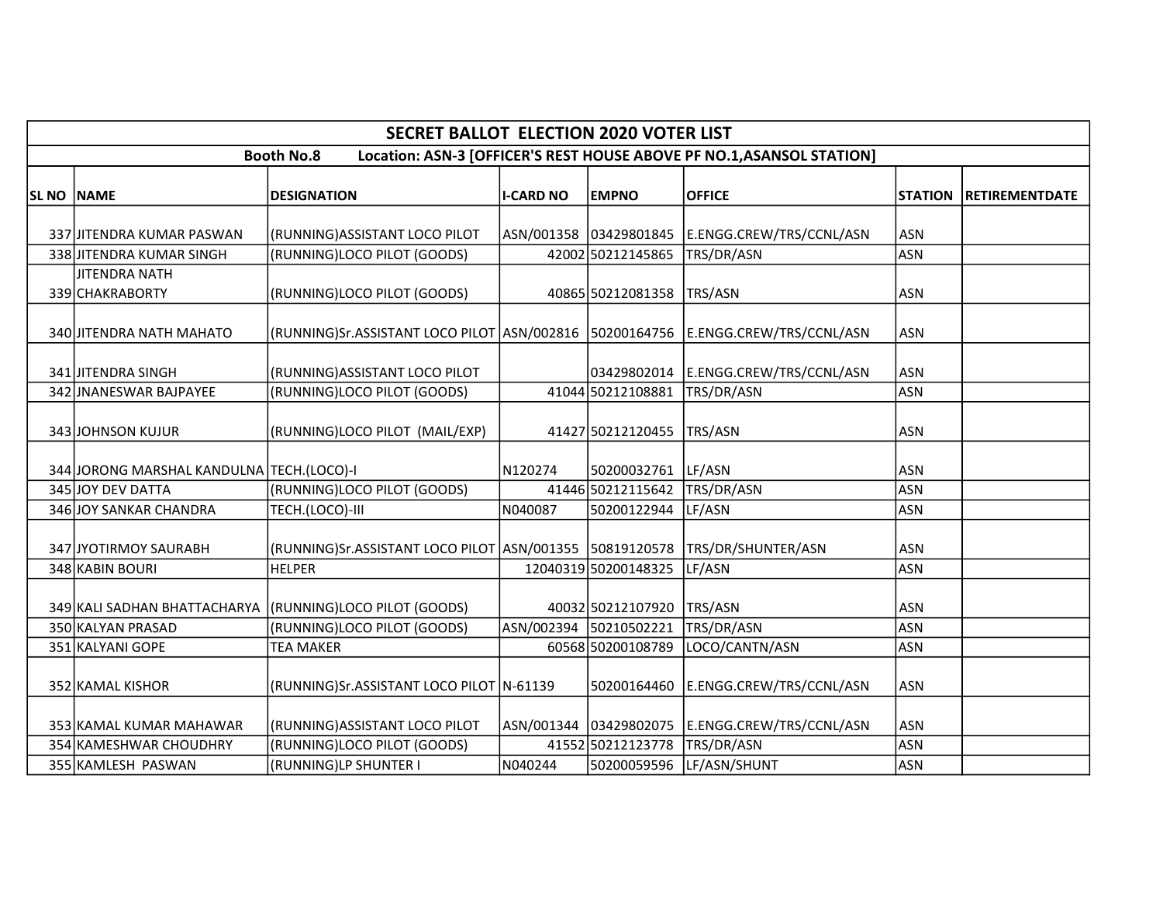|                   |                                            | <b>SECRET BALLOT ELECTION 2020 VOTER LIST</b>                                        |                  |                        |                                                                       |                |                       |
|-------------------|--------------------------------------------|--------------------------------------------------------------------------------------|------------------|------------------------|-----------------------------------------------------------------------|----------------|-----------------------|
|                   |                                            | <b>Booth No.8</b>                                                                    |                  |                        | Location: ASN-3 [OFFICER'S REST HOUSE ABOVE PF NO.1, ASANSOL STATION] |                |                       |
| <b>SL NO NAME</b> |                                            | <b>DESIGNATION</b>                                                                   | <b>I-CARD NO</b> | <b>EMPNO</b>           | <b>OFFICE</b>                                                         | <b>STATION</b> | <b>RETIREMENTDATE</b> |
|                   | 337 JJITENDRA KUMAR PASWAN                 | (RUNNING) ASSISTANT LOCO PILOT                                                       |                  | ASN/001358 03429801845 | E.ENGG.CREW/TRS/CCNL/ASN                                              | <b>ASN</b>     |                       |
|                   | 338 JITENDRA KUMAR SINGH                   | (RUNNING)LOCO PILOT (GOODS)                                                          |                  | 42002 50212145865      | TRS/DR/ASN                                                            | <b>ASN</b>     |                       |
|                   | JITENDRA NATH<br>339 CHAKRABORTY           | (RUNNING)LOCO PILOT (GOODS)                                                          |                  | 40865 50212081358      | TRS/ASN                                                               | <b>ASN</b>     |                       |
|                   | 340 JITENDRA NATH MAHATO                   | (RUNNING)Sr.ASSISTANT LOCO PILOT ASN/002816   50200164756   E.ENGG.CREW/TRS/CCNL/ASN |                  |                        |                                                                       | <b>ASN</b>     |                       |
|                   | 341 JITENDRA SINGH                         | (RUNNING) ASSISTANT LOCO PILOT                                                       |                  |                        | 03429802014   E.ENGG.CREW/TRS/CCNL/ASN                                | <b>ASN</b>     |                       |
|                   | 342 JNANESWAR BAJPAYEE                     | (RUNNING)LOCO PILOT (GOODS)                                                          |                  | 41044 50212108881      | TRS/DR/ASN                                                            | <b>ASN</b>     |                       |
|                   | 343 JOHNSON KUJUR                          | (RUNNING)LOCO PILOT (MAIL/EXP)                                                       |                  | 41427 50212120455      | TRS/ASN                                                               | <b>ASN</b>     |                       |
|                   | 344 JORONG MARSHAL KANDULNA TECH. (LOCO)-I |                                                                                      | N120274          | 50200032761            | LF/ASN                                                                | <b>ASN</b>     |                       |
|                   | 345 JOY DEV DATTA                          | (RUNNING)LOCO PILOT (GOODS)                                                          |                  | 41446 50212115642      | TRS/DR/ASN                                                            | <b>ASN</b>     |                       |
|                   | 346 JOY SANKAR CHANDRA                     | TECH.(LOCO)-III                                                                      | N040087          | 50200122944            | LF/ASN                                                                | <b>ASN</b>     |                       |
|                   | 347 JYOTIRMOY SAURABH                      | (RUNNING)Sr.ASSISTANT LOCO PILOT   ASN/001355   50819120578                          |                  |                        | TRS/DR/SHUNTER/ASN                                                    | <b>ASN</b>     |                       |
|                   | 348 KABIN BOURI                            | <b>HELPER</b>                                                                        |                  | 12040319 50200148325   | LF/ASN                                                                | <b>ASN</b>     |                       |
|                   | 349 KALI SADHAN BHATTACHARYA               | (RUNNING)LOCO PILOT (GOODS)                                                          |                  | 40032 50212107920      | TRS/ASN                                                               | <b>ASN</b>     |                       |
|                   | 350 KALYAN PRASAD                          | (RUNNING)LOCO PILOT (GOODS)                                                          |                  | ASN/002394 50210502221 | TRS/DR/ASN                                                            | <b>ASN</b>     |                       |
|                   | 351 KALYANI GOPE                           | <b>TEA MAKER</b>                                                                     |                  | 60568 50200108789      | LOCO/CANTN/ASN                                                        | <b>ASN</b>     |                       |
|                   | 352 KAMAL KISHOR                           | (RUNNING)Sr.ASSISTANT LOCO PILOT N-61139                                             |                  | 50200164460            | E.ENGG.CREW/TRS/CCNL/ASN                                              | <b>ASN</b>     |                       |
|                   | 353 KAMAL KUMAR MAHAWAR                    | (RUNNING) ASSISTANT LOCO PILOT                                                       |                  | ASN/001344 03429802075 | E.ENGG.CREW/TRS/CCNL/ASN                                              | <b>ASN</b>     |                       |
|                   | 354 KAMESHWAR CHOUDHRY                     | (RUNNING)LOCO PILOT (GOODS)                                                          |                  | 41552 50212123778      | TRS/DR/ASN                                                            | <b>ASN</b>     |                       |
|                   | 355 KAMLESH PASWAN                         | (RUNNING)LP SHUNTER I                                                                | N040244          | 50200059596            | LF/ASN/SHUNT                                                          | <b>ASN</b>     |                       |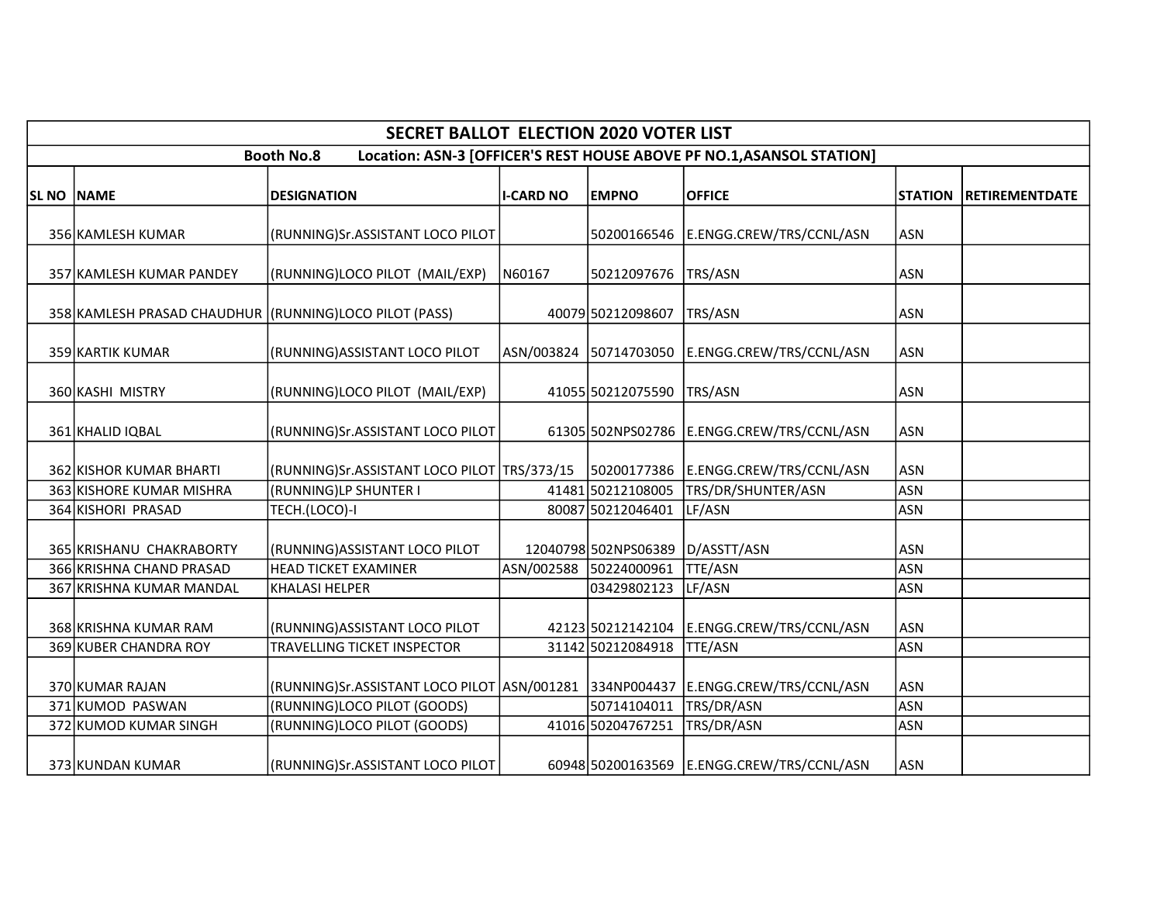|                   |                                                        | <b>SECRET BALLOT ELECTION 2020 VOTER LIST</b>                                    |                  |                           |                                                                       |                |                       |
|-------------------|--------------------------------------------------------|----------------------------------------------------------------------------------|------------------|---------------------------|-----------------------------------------------------------------------|----------------|-----------------------|
|                   |                                                        | <b>Booth No.8</b>                                                                |                  |                           | Location: ASN-3 [OFFICER'S REST HOUSE ABOVE PF NO.1, ASANSOL STATION] |                |                       |
| <b>SL NO NAME</b> |                                                        | <b>DESIGNATION</b>                                                               | <b>I-CARD NO</b> | <b>EMPNO</b>              | <b>OFFICE</b>                                                         | <b>STATION</b> | <b>RETIREMENTDATE</b> |
|                   | 356 KAMLESH KUMAR                                      | (RUNNING)Sr.ASSISTANT LOCO PILOT                                                 |                  |                           | 50200166546 E.ENGG.CREW/TRS/CCNL/ASN                                  | <b>ASN</b>     |                       |
|                   | 357 KAMLESH KUMAR PANDEY                               | (RUNNING)LOCO PILOT (MAIL/EXP)                                                   | N60167           | 50212097676               | TRS/ASN                                                               | <b>ASN</b>     |                       |
|                   | 358 KAMLESH PRASAD CHAUDHUR (RUNNING)LOCO PILOT (PASS) |                                                                                  |                  | 40079 50212098607         | TRS/ASN                                                               | <b>ASN</b>     |                       |
|                   | 359 KARTIK KUMAR                                       | (RUNNING) ASSISTANT LOCO PILOT                                                   |                  | ASN/003824 50714703050    | E.ENGG.CREW/TRS/CCNL/ASN                                              | <b>ASN</b>     |                       |
|                   | 360 KASHI MISTRY                                       | (RUNNING)LOCO PILOT (MAIL/EXP)                                                   |                  | 41055 50212075590 TRS/ASN |                                                                       | <b>ASN</b>     |                       |
|                   | 361 KHALID IQBAL                                       | (RUNNING)Sr.ASSISTANT LOCO PILOT                                                 |                  |                           | 61305 502NPS02786 E.ENGG.CREW/TRS/CCNL/ASN                            | <b>ASN</b>     |                       |
|                   | 362 KISHOR KUMAR BHARTI                                | (RUNNING)Sr.ASSISTANT LOCO PILOT   TRS/373/15                                    |                  |                           | 50200177386 E.ENGG.CREW/TRS/CCNL/ASN                                  | <b>ASN</b>     |                       |
|                   | 363 KISHORE KUMAR MISHRA                               | (RUNNING)LP SHUNTER I                                                            |                  | 41481 50212108005         | TRS/DR/SHUNTER/ASN                                                    | <b>ASN</b>     |                       |
|                   | 364 KISHORI PRASAD                                     | TECH.(LOCO)-I                                                                    |                  | 80087 50212046401         | LF/ASN                                                                | <b>ASN</b>     |                       |
|                   | 365 KRISHANU CHAKRABORTY                               | (RUNNING) ASSISTANT LOCO PILOT                                                   |                  | 12040798 502NPS06389      | D/ASSTT/ASN                                                           | <b>ASN</b>     |                       |
|                   | 366 KRISHNA CHAND PRASAD                               | <b>HEAD TICKET EXAMINER</b>                                                      |                  | ASN/002588 50224000961    | TTE/ASN                                                               | <b>ASN</b>     |                       |
|                   | 367 KRISHNA KUMAR MANDAL                               | <b>KHALASI HELPER</b>                                                            |                  | 03429802123               | LF/ASN                                                                | <b>ASN</b>     |                       |
|                   | 368 KRISHNA KUMAR RAM                                  | (RUNNING) ASSISTANT LOCO PILOT                                                   |                  | 42123 50212142104         | E.ENGG.CREW/TRS/CCNL/ASN                                              | <b>ASN</b>     |                       |
|                   | 369 KUBER CHANDRA ROY                                  | TRAVELLING TICKET INSPECTOR                                                      |                  | 31142 50212084918         | <b>TTE/ASN</b>                                                        | <b>ASN</b>     |                       |
|                   | 370 KUMAR RAJAN                                        | (RUNNING)Sr.ASSISTANT LOCO PILOT ASN/001281 334NP004437 E.ENGG.CREW/TRS/CCNL/ASN |                  |                           |                                                                       | <b>ASN</b>     |                       |
|                   | 371 KUMOD PASWAN                                       | (RUNNING)LOCO PILOT (GOODS)                                                      |                  | 50714104011               | TRS/DR/ASN                                                            | <b>ASN</b>     |                       |
|                   | 372 KUMOD KUMAR SINGH                                  | (RUNNING)LOCO PILOT (GOODS)                                                      |                  | 41016 50204767251         | TRS/DR/ASN                                                            | <b>ASN</b>     |                       |
|                   | 373 KUNDAN KUMAR                                       | (RUNNING)Sr.ASSISTANT LOCO PILOT                                                 |                  |                           | 60948 50200163569 E.ENGG.CREW/TRS/CCNL/ASN                            | <b>ASN</b>     |                       |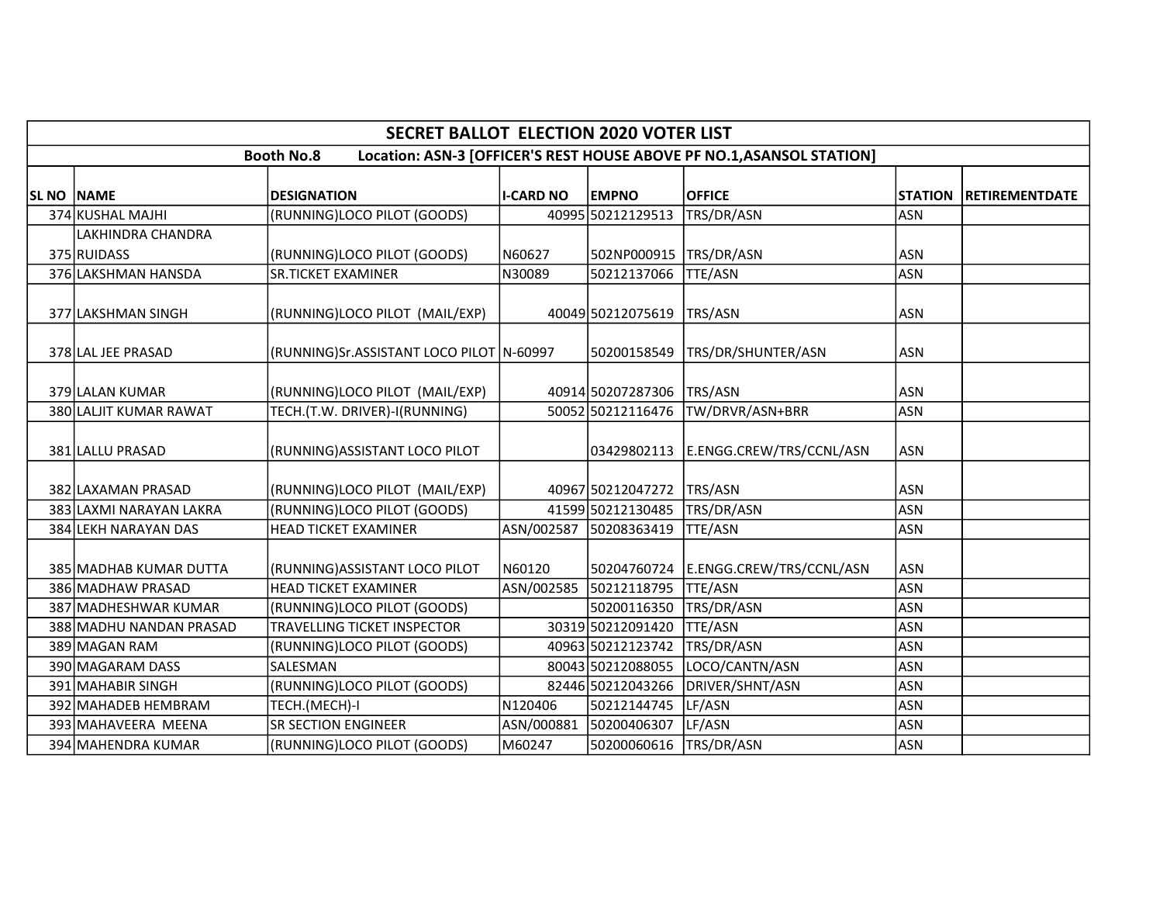|                   |                                  | <b>SECRET BALLOT ELECTION 2020 VOTER LIST</b> |                  |                   |                                                                       |                |                       |
|-------------------|----------------------------------|-----------------------------------------------|------------------|-------------------|-----------------------------------------------------------------------|----------------|-----------------------|
|                   |                                  | <b>Booth No.8</b>                             |                  |                   | Location: ASN-3 [OFFICER'S REST HOUSE ABOVE PF NO.1, ASANSOL STATION] |                |                       |
| <b>SL NO NAME</b> |                                  | <b>DESIGNATION</b>                            | <b>I-CARD NO</b> | <b>EMPNO</b>      | <b>OFFICE</b>                                                         | <b>STATION</b> | <b>RETIREMENTDATE</b> |
|                   | 374 KUSHAL MAJHI                 | (RUNNING)LOCO PILOT (GOODS)                   |                  | 40995 50212129513 | TRS/DR/ASN                                                            | <b>ASN</b>     |                       |
|                   | LAKHINDRA CHANDRA<br>375 RUIDASS | (RUNNING)LOCO PILOT (GOODS)                   | N60627           | 502NP000915       | TRS/DR/ASN                                                            | <b>ASN</b>     |                       |
|                   | 376 LAKSHMAN HANSDA              | <b>SR.TICKET EXAMINER</b>                     | N30089           | 50212137066       | <b>TTE/ASN</b>                                                        | <b>ASN</b>     |                       |
|                   | 377 LAKSHMAN SINGH               | (RUNNING)LOCO PILOT (MAIL/EXP)                |                  | 40049 50212075619 | TRS/ASN                                                               | <b>ASN</b>     |                       |
|                   | 378 LAL JEE PRASAD               | (RUNNING)Sr.ASSISTANT LOCO PILOT   N-60997    |                  | 50200158549       | TRS/DR/SHUNTER/ASN                                                    | <b>ASN</b>     |                       |
|                   | 379 LALAN KUMAR                  | (RUNNING)LOCO PILOT (MAIL/EXP)                |                  | 40914 50207287306 | TRS/ASN                                                               | <b>ASN</b>     |                       |
|                   | 380 LALJIT KUMAR RAWAT           | TECH.(T.W. DRIVER)-I(RUNNING)                 |                  | 50052 50212116476 | TW/DRVR/ASN+BRR                                                       | <b>ASN</b>     |                       |
|                   | 381 LALLU PRASAD                 | (RUNNING) ASSISTANT LOCO PILOT                |                  |                   | 03429802113  E.ENGG.CREW/TRS/CCNL/ASN                                 | <b>ASN</b>     |                       |
|                   | 382 LAXAMAN PRASAD               | (RUNNING)LOCO PILOT (MAIL/EXP)                |                  | 40967 50212047272 | TRS/ASN                                                               | <b>ASN</b>     |                       |
|                   | 383 LAXMI NARAYAN LAKRA          | (RUNNING)LOCO PILOT (GOODS)                   |                  | 41599 50212130485 | TRS/DR/ASN                                                            | <b>ASN</b>     |                       |
|                   | 384 LEKH NARAYAN DAS             | <b>HEAD TICKET EXAMINER</b>                   | ASN/002587       | 50208363419       | <b>TTE/ASN</b>                                                        | <b>ASN</b>     |                       |
|                   | 385 MADHAB KUMAR DUTTA           | (RUNNING)ASSISTANT LOCO PILOT                 | N60120           | 50204760724       | E.ENGG.CREW/TRS/CCNL/ASN                                              | <b>ASN</b>     |                       |
|                   | 386 MADHAW PRASAD                | <b>HEAD TICKET EXAMINER</b>                   | ASN/002585       | 50212118795       | <b>TTE/ASN</b>                                                        | <b>ASN</b>     |                       |
|                   | 387 MADHESHWAR KUMAR             | (RUNNING)LOCO PILOT (GOODS)                   |                  | 50200116350       | TRS/DR/ASN                                                            | <b>ASN</b>     |                       |
|                   | 388 MADHU NANDAN PRASAD          | TRAVELLING TICKET INSPECTOR                   |                  | 30319 50212091420 | <b>TTE/ASN</b>                                                        | <b>ASN</b>     |                       |
|                   | 389 MAGAN RAM                    | (RUNNING)LOCO PILOT (GOODS)                   |                  | 40963 50212123742 | TRS/DR/ASN                                                            | <b>ASN</b>     |                       |
|                   | 390 MAGARAM DASS                 | SALESMAN                                      |                  | 80043 50212088055 | LOCO/CANTN/ASN                                                        | <b>ASN</b>     |                       |
|                   | 391 MAHABIR SINGH                | (RUNNING)LOCO PILOT (GOODS)                   |                  | 82446 50212043266 | DRIVER/SHNT/ASN                                                       | <b>ASN</b>     |                       |
|                   | 392 MAHADEB HEMBRAM              | TECH.(MECH)-I                                 | N120406          | 50212144745       | LF/ASN                                                                | <b>ASN</b>     |                       |
|                   | 393 MAHAVEERA MEENA              | <b>SR SECTION ENGINEER</b>                    | ASN/000881       | 50200406307       | LF/ASN                                                                | <b>ASN</b>     |                       |
|                   | 394 MAHENDRA KUMAR               | (RUNNING)LOCO PILOT (GOODS)                   | M60247           | 50200060616       | TRS/DR/ASN                                                            | <b>ASN</b>     |                       |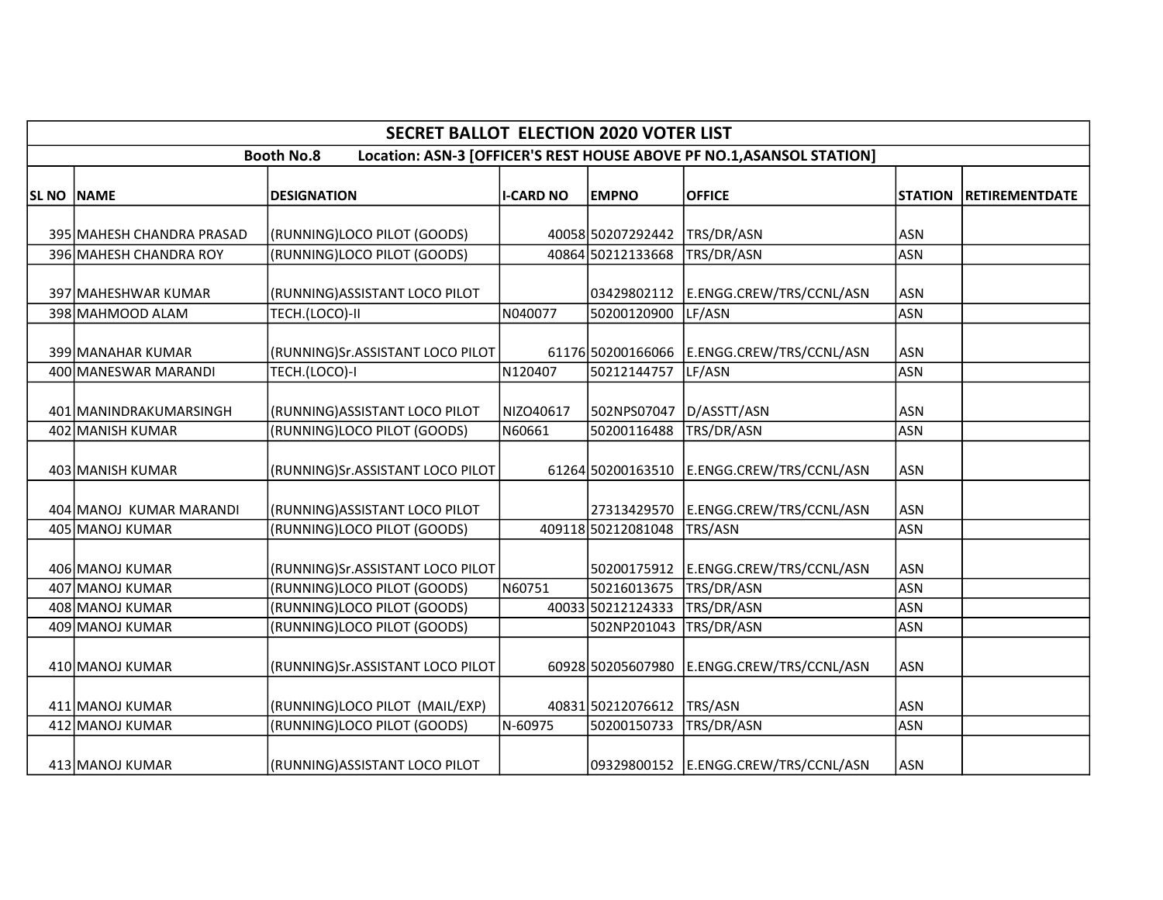|            |                           | <b>SECRET BALLOT ELECTION 2020 VOTER LIST</b> |                  |                    |                                                                       |                |                |
|------------|---------------------------|-----------------------------------------------|------------------|--------------------|-----------------------------------------------------------------------|----------------|----------------|
|            |                           | <b>Booth No.8</b>                             |                  |                    | Location: ASN-3 [OFFICER'S REST HOUSE ABOVE PF NO.1, ASANSOL STATION] |                |                |
| SL NO NAME |                           | <b>DESIGNATION</b>                            | <b>I-CARD NO</b> | <b>EMPNO</b>       | <b>OFFICE</b>                                                         | <b>STATION</b> | RETIREMENTDATE |
|            | 395 MAHESH CHANDRA PRASAD | (RUNNING)LOCO PILOT (GOODS)                   |                  | 40058 50207292442  | TRS/DR/ASN                                                            | <b>ASN</b>     |                |
|            | 396 MAHESH CHANDRA ROY    | (RUNNING)LOCO PILOT (GOODS)                   |                  | 40864 50212133668  | TRS/DR/ASN                                                            | <b>ASN</b>     |                |
|            | 397 MAHESHWAR KUMAR       | (RUNNING) ASSISTANT LOCO PILOT                |                  | 03429802112        | E.ENGG.CREW/TRS/CCNL/ASN                                              | <b>ASN</b>     |                |
|            | 398 MAHMOOD ALAM          | TECH.(LOCO)-II                                | N040077          | 50200120900        | LF/ASN                                                                | <b>ASN</b>     |                |
|            | 399 MANAHAR KUMAR         | (RUNNING)Sr.ASSISTANT LOCO PILOT              |                  | 61176 50200166066  | E.ENGG.CREW/TRS/CCNL/ASN                                              | <b>ASN</b>     |                |
|            | 400 MANESWAR MARANDI      | TECH.(LOCO)-I                                 | N120407          | 50212144757        | LF/ASN                                                                | <b>ASN</b>     |                |
|            | 401 MANINDRAKUMARSINGH    | (RUNNING) ASSISTANT LOCO PILOT                | NIZO40617        | 502NPS07047        | D/ASSTT/ASN                                                           | <b>ASN</b>     |                |
|            | 402 MANISH KUMAR          | (RUNNING)LOCO PILOT (GOODS)                   | N60661           | 50200116488        | TRS/DR/ASN                                                            | <b>ASN</b>     |                |
|            | 403 MANISH KUMAR          | (RUNNING)Sr.ASSISTANT LOCO PILOT              |                  | 61264 50200163510  | E.ENGG.CREW/TRS/CCNL/ASN                                              | <b>ASN</b>     |                |
|            | 404 MANOJ KUMAR MARANDI   | (RUNNING) ASSISTANT LOCO PILOT                |                  | 27313429570        | E.ENGG.CREW/TRS/CCNL/ASN                                              | <b>ASN</b>     |                |
|            | 405 MANOJ KUMAR           | (RUNNING)LOCO PILOT (GOODS)                   |                  | 409118 50212081048 | TRS/ASN                                                               | <b>ASN</b>     |                |
|            | 406 MANOJ KUMAR           | (RUNNING)Sr.ASSISTANT LOCO PILOT              |                  | 50200175912        | E.ENGG.CREW/TRS/CCNL/ASN                                              | <b>ASN</b>     |                |
|            | 407 MANOJ KUMAR           | (RUNNING)LOCO PILOT (GOODS)                   | N60751           | 50216013675        | TRS/DR/ASN                                                            | <b>ASN</b>     |                |
|            | 408 MANOJ KUMAR           | (RUNNING)LOCO PILOT (GOODS)                   |                  | 40033 50212124333  | TRS/DR/ASN                                                            | <b>ASN</b>     |                |
|            | 409 MANOJ KUMAR           | (RUNNING)LOCO PILOT (GOODS)                   |                  | 502NP201043        | TRS/DR/ASN                                                            | <b>ASN</b>     |                |
|            | 410 MANOJ KUMAR           | (RUNNING)Sr.ASSISTANT LOCO PILOT              |                  | 60928 50205607980  | E.ENGG.CREW/TRS/CCNL/ASN                                              | <b>ASN</b>     |                |
|            | 411 MANOJ KUMAR           | (RUNNING)LOCO PILOT (MAIL/EXP)                |                  | 40831 50212076612  | TRS/ASN                                                               | <b>ASN</b>     |                |
|            | 412 MANOJ KUMAR           | (RUNNING)LOCO PILOT (GOODS)                   | N-60975          | 50200150733        | TRS/DR/ASN                                                            | <b>ASN</b>     |                |
|            | 413 MANOJ KUMAR           | (RUNNING) ASSISTANT LOCO PILOT                |                  |                    | 09329800152 E.ENGG.CREW/TRS/CCNL/ASN                                  | ASN            |                |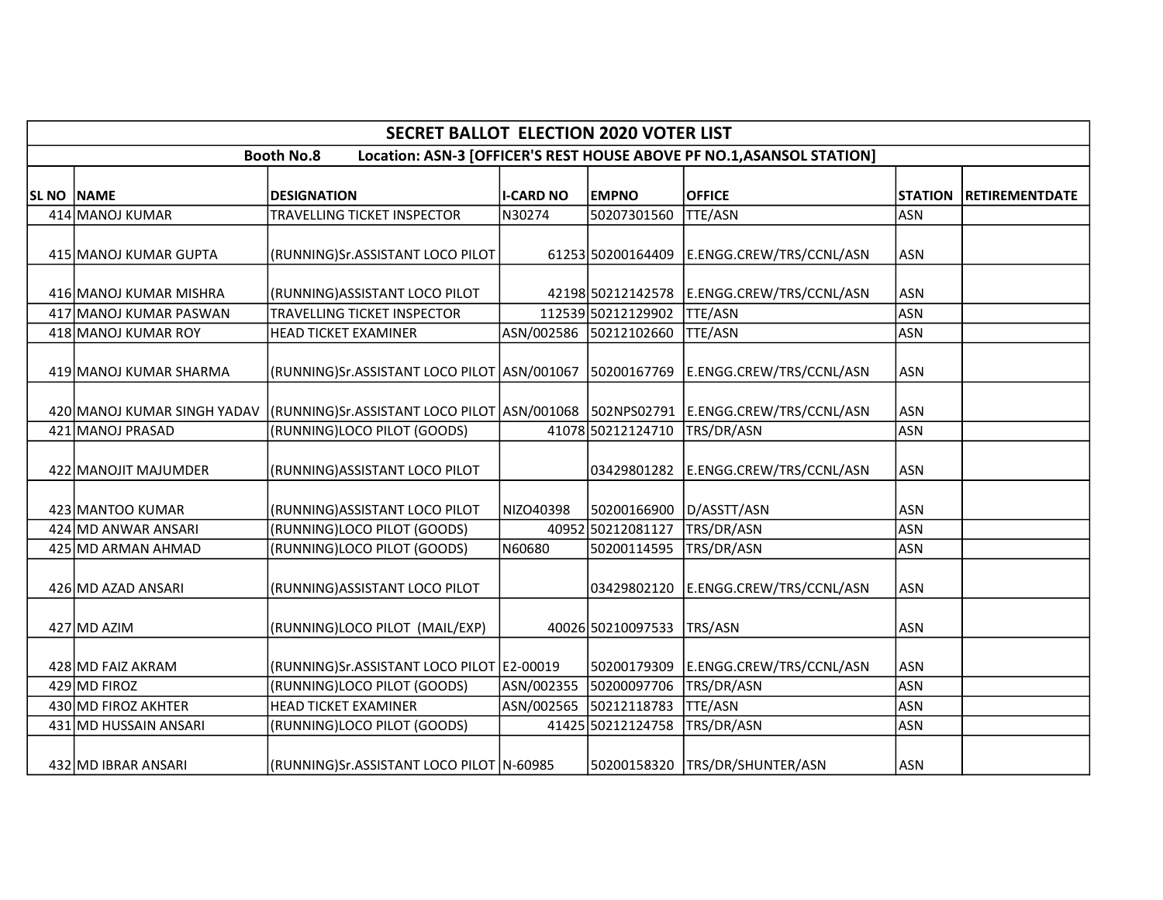|            |                        | <b>SECRET BALLOT ELECTION 2020 VOTER LIST</b>                                                                    |                  |                        |                                                                       |                |                       |
|------------|------------------------|------------------------------------------------------------------------------------------------------------------|------------------|------------------------|-----------------------------------------------------------------------|----------------|-----------------------|
|            |                        | <b>Booth No.8</b>                                                                                                |                  |                        | Location: ASN-3 [OFFICER'S REST HOUSE ABOVE PF NO.1, ASANSOL STATION] |                |                       |
| SL NO NAME |                        | <b>DESIGNATION</b>                                                                                               | <b>I-CARD NO</b> | <b>EMPNO</b>           | <b>OFFICE</b>                                                         | <b>STATION</b> | <b>RETIREMENTDATE</b> |
|            | 414 MANOJ KUMAR        | <b>TRAVELLING TICKET INSPECTOR</b>                                                                               | N30274           | 50207301560            | <b>TTE/ASN</b>                                                        | <b>ASN</b>     |                       |
|            | 415 MANOJ KUMAR GUPTA  | (RUNNING)Sr.ASSISTANT LOCO PILOT                                                                                 |                  | 61253150200164409      | E.ENGG.CREW/TRS/CCNL/ASN                                              | <b>ASN</b>     |                       |
|            | 416 MANOJ KUMAR MISHRA | (RUNNING) ASSISTANT LOCO PILOT                                                                                   |                  |                        | 42198 50212142578 E.ENGG.CREW/TRS/CCNL/ASN                            | <b>ASN</b>     |                       |
|            | 417 MANOJ KUMAR PASWAN | <b>TRAVELLING TICKET INSPECTOR</b>                                                                               |                  | 112539 50212129902     | <b>TTE/ASN</b>                                                        | <b>ASN</b>     |                       |
|            | 418 MANOJ KUMAR ROY    | <b>HEAD TICKET EXAMINER</b>                                                                                      |                  | ASN/002586 50212102660 | <b>TTE/ASN</b>                                                        | <b>ASN</b>     |                       |
|            | 419 MANOJ KUMAR SHARMA | (RUNNING)Sr.ASSISTANT LOCO PILOT  ASN/001067  50200167769                                                        |                  |                        | E.ENGG.CREW/TRS/CCNL/ASN                                              | <b>ASN</b>     |                       |
|            |                        | 420 MANOJ KUMAR SINGH YADAV (RUNNING)Sr.ASSISTANT LOCO PILOT ASN/001068   502NPS02791   E.ENGG.CREW/TRS/CCNL/ASN |                  |                        |                                                                       | <b>ASN</b>     |                       |
|            | 421 MANOJ PRASAD       | (RUNNING)LOCO PILOT (GOODS)                                                                                      |                  | 41078 50212124710      | TRS/DR/ASN                                                            | <b>ASN</b>     |                       |
|            | 422 MANOJIT MAJUMDER   | (RUNNING) ASSISTANT LOCO PILOT                                                                                   |                  | 03429801282            | E.ENGG.CREW/TRS/CCNL/ASN                                              | <b>ASN</b>     |                       |
|            | 423 MANTOO KUMAR       | (RUNNING) ASSISTANT LOCO PILOT                                                                                   | NIZO40398        | 50200166900            | D/ASSTT/ASN                                                           | <b>ASN</b>     |                       |
|            | 424 MD ANWAR ANSARI    | (RUNNING)LOCO PILOT (GOODS)                                                                                      |                  | 40952 50212081127      | TRS/DR/ASN                                                            | <b>ASN</b>     |                       |
|            | 425 MD ARMAN AHMAD     | (RUNNING)LOCO PILOT (GOODS)                                                                                      | N60680           | 50200114595            | TRS/DR/ASN                                                            | <b>ASN</b>     |                       |
|            | 426 MD AZAD ANSARI     | (RUNNING) ASSISTANT LOCO PILOT                                                                                   |                  | 03429802120            | E.ENGG.CREW/TRS/CCNL/ASN                                              | <b>ASN</b>     |                       |
|            | 427 MD AZIM            | (RUNNING)LOCO PILOT (MAIL/EXP)                                                                                   |                  | 40026 50210097533      | TRS/ASN                                                               | <b>ASN</b>     |                       |
|            | 428 MD FAIZ AKRAM      | (RUNNING)Sr.ASSISTANT LOCO PILOT E2-00019                                                                        |                  | 50200179309            | E.ENGG.CREW/TRS/CCNL/ASN                                              | <b>ASN</b>     |                       |
|            | 429 MD FIROZ           | (RUNNING)LOCO PILOT (GOODS)                                                                                      |                  | ASN/002355 50200097706 | TRS/DR/ASN                                                            | <b>ASN</b>     |                       |
|            | 430 MD FIROZ AKHTER    | <b>HEAD TICKET EXAMINER</b>                                                                                      |                  | ASN/002565 50212118783 | <b>TTE/ASN</b>                                                        | <b>ASN</b>     |                       |
|            | 431 MD HUSSAIN ANSARI  | (RUNNING)LOCO PILOT (GOODS)                                                                                      |                  | 41425 50212124758      | TRS/DR/ASN                                                            | <b>ASN</b>     |                       |
|            | 432 MD IBRAR ANSARI    | (RUNNING)Sr.ASSISTANT LOCO PILOT  N-60985                                                                        |                  | 50200158320            | TRS/DR/SHUNTER/ASN                                                    | <b>ASN</b>     |                       |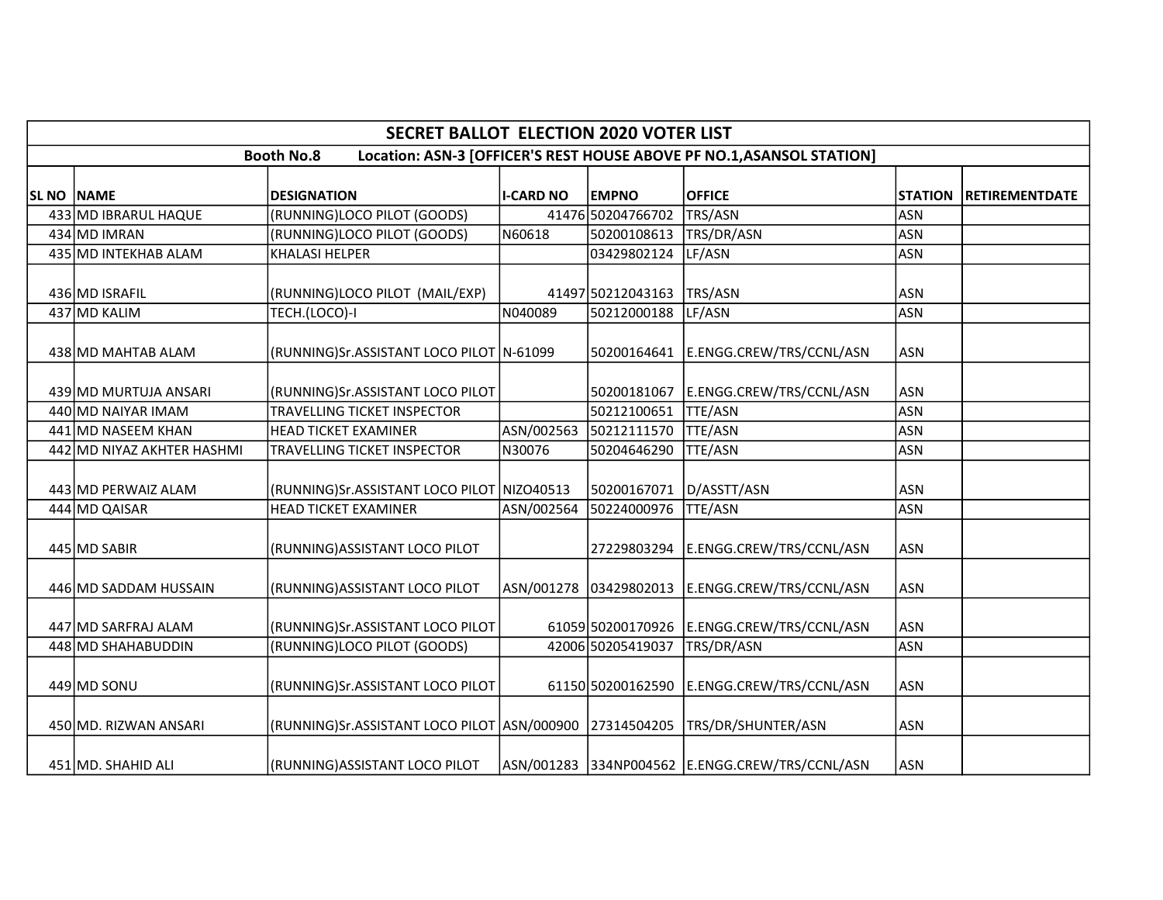|                   |                            | <b>SECRET BALLOT ELECTION 2020 VOTER LIST</b>           |                  |                   |                                                                       |                |                       |
|-------------------|----------------------------|---------------------------------------------------------|------------------|-------------------|-----------------------------------------------------------------------|----------------|-----------------------|
|                   |                            | <b>Booth No.8</b>                                       |                  |                   | Location: ASN-3 [OFFICER'S REST HOUSE ABOVE PF NO.1, ASANSOL STATION] |                |                       |
| <b>SL NO NAME</b> |                            | <b>DESIGNATION</b>                                      | <b>I-CARD NO</b> | <b>EMPNO</b>      | <b>OFFICE</b>                                                         | <b>STATION</b> | <b>RETIREMENTDATE</b> |
|                   | 433 MD IBRARUL HAQUE       | (RUNNING)LOCO PILOT (GOODS)                             |                  | 41476 50204766702 | TRS/ASN                                                               | <b>ASN</b>     |                       |
|                   | 434 MD IMRAN               | (RUNNING)LOCO PILOT (GOODS)                             | N60618           | 50200108613       | TRS/DR/ASN                                                            | <b>ASN</b>     |                       |
|                   | 435 MD INTEKHAB ALAM       | <b>KHALASI HELPER</b>                                   |                  | 03429802124       | LF/ASN                                                                | <b>ASN</b>     |                       |
|                   | 436 MD ISRAFIL             | (RUNNING)LOCO PILOT (MAIL/EXP)                          |                  | 41497 50212043163 | TRS/ASN                                                               | <b>ASN</b>     |                       |
|                   | 437 MD KALIM               | TECH.(LOCO)-I                                           | N040089          | 50212000188       | LF/ASN                                                                | <b>ASN</b>     |                       |
|                   | 438 MD MAHTAB ALAM         | (RUNNING)Sr.ASSISTANT LOCO PILOT N-61099                |                  | 50200164641       | E.ENGG.CREW/TRS/CCNL/ASN                                              | <b>ASN</b>     |                       |
|                   | 439 MD MURTUJA ANSARI      | (RUNNING)Sr.ASSISTANT LOCO PILOT                        |                  | 50200181067       | E.ENGG.CREW/TRS/CCNL/ASN                                              | ASN            |                       |
|                   | 440 MD NAIYAR IMAM         | TRAVELLING TICKET INSPECTOR                             |                  | 50212100651       | <b>TTE/ASN</b>                                                        | <b>ASN</b>     |                       |
|                   | 441 MD NASEEM KHAN         | <b>HEAD TICKET EXAMINER</b>                             | ASN/002563       | 50212111570       | TTE/ASN                                                               | <b>ASN</b>     |                       |
|                   | 442 MD NIYAZ AKHTER HASHMI | TRAVELLING TICKET INSPECTOR                             | N30076           | 50204646290       | <b>TTE/ASN</b>                                                        | <b>ASN</b>     |                       |
|                   | 443 MD PERWAIZ ALAM        | (RUNNING)Sr.ASSISTANT LOCO PILOT NIZO40513              |                  | 50200167071       | D/ASSTT/ASN                                                           | <b>ASN</b>     |                       |
|                   | 444 MD QAISAR              | <b>HEAD TICKET EXAMINER</b>                             | ASN/002564       | 50224000976       | <b>TTE/ASN</b>                                                        | <b>ASN</b>     |                       |
|                   | 445 MD SABIR               | (RUNNING) ASSISTANT LOCO PILOT                          |                  | 27229803294       | E.ENGG.CREW/TRS/CCNL/ASN                                              | <b>ASN</b>     |                       |
|                   | 446 MD SADDAM HUSSAIN      | (RUNNING) ASSISTANT LOCO PILOT                          |                  |                   | ASN/001278 03429802013 E.ENGG.CREW/TRS/CCNL/ASN                       | <b>ASN</b>     |                       |
|                   | 447 MD SARFRAJ ALAM        | (RUNNING)Sr.ASSISTANT LOCO PILOT                        |                  | 61059 50200170926 | E.ENGG.CREW/TRS/CCNL/ASN                                              | <b>ASN</b>     |                       |
|                   | 448 MD SHAHABUDDIN         | (RUNNING)LOCO PILOT (GOODS)                             |                  | 42006 50205419037 | TRS/DR/ASN                                                            | <b>ASN</b>     |                       |
|                   | 449 MD SONU                | (RUNNING)Sr.ASSISTANT LOCO PILOT                        |                  | 61150 50200162590 | E.ENGG.CREW/TRS/CCNL/ASN                                              | <b>ASN</b>     |                       |
|                   | 450 MD. RIZWAN ANSARI      | (RUNNING)Sr.ASSISTANT LOCO PILOT ASN/000900 27314504205 |                  |                   | TRS/DR/SHUNTER/ASN                                                    | <b>ASN</b>     |                       |
|                   | 451 MD. SHAHID ALI         | (RUNNING)ASSISTANT LOCO PILOT                           |                  |                   | ASN/001283 334NP004562 E.ENGG.CREW/TRS/CCNL/ASN                       | <b>ASN</b>     |                       |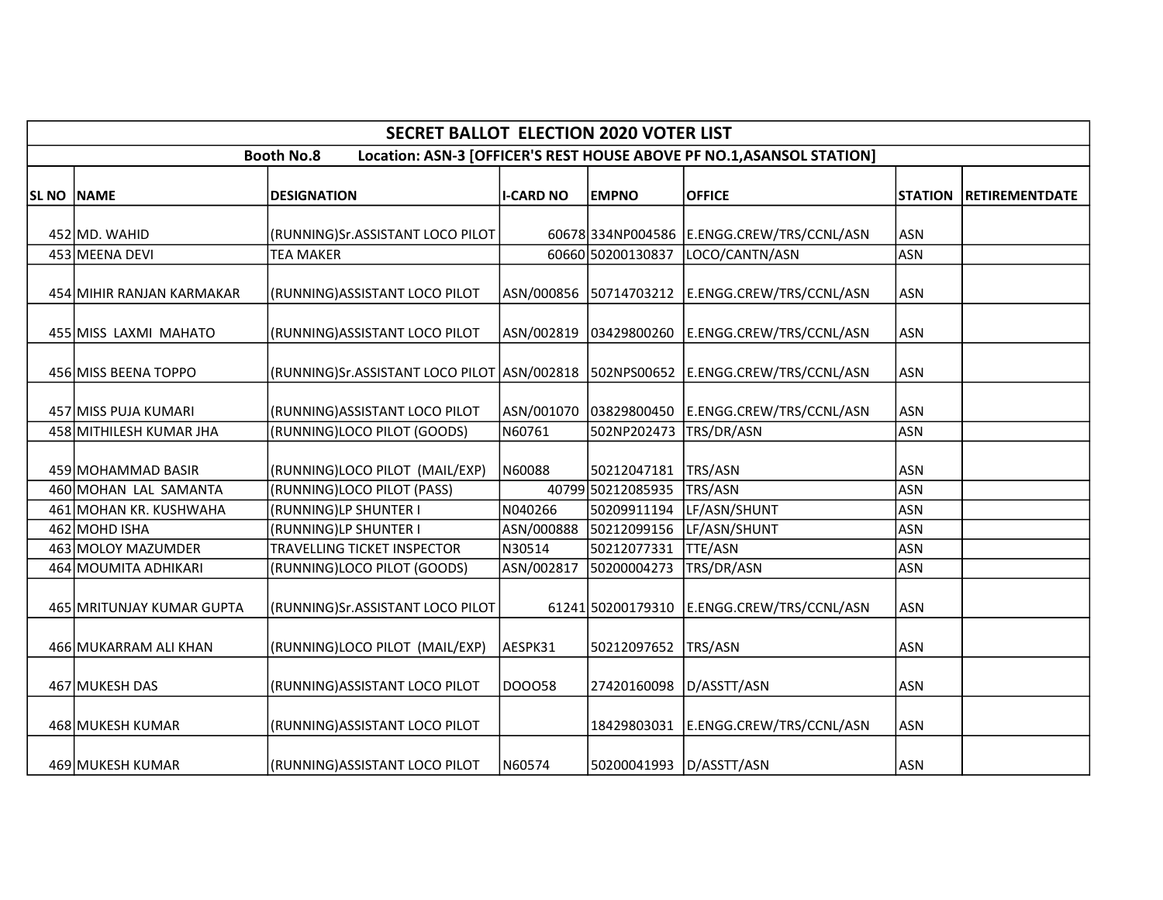|                   |                           | <b>SECRET BALLOT ELECTION 2020 VOTER LIST</b> |                  |                         |                                                                       |                |                       |
|-------------------|---------------------------|-----------------------------------------------|------------------|-------------------------|-----------------------------------------------------------------------|----------------|-----------------------|
|                   |                           | <b>Booth No.8</b>                             |                  |                         | Location: ASN-3 [OFFICER'S REST HOUSE ABOVE PF NO.1, ASANSOL STATION] |                |                       |
| <b>SL NO NAME</b> |                           | <b>DESIGNATION</b>                            | <b>I-CARD NO</b> | <b>EMPNO</b>            | <b>OFFICE</b>                                                         | <b>STATION</b> | <b>RETIREMENTDATE</b> |
|                   | 452 MD. WAHID             | (RUNNING)Sr.ASSISTANT LOCO PILOT              |                  |                         | 60678 334NP004586 E.ENGG.CREW/TRS/CCNL/ASN                            | <b>ASN</b>     |                       |
|                   | 453 MEENA DEVI            | <b>TEA MAKER</b>                              |                  | 60660 50200130837       | LOCO/CANTN/ASN                                                        | <b>ASN</b>     |                       |
|                   | 454 MIHIR RANJAN KARMAKAR | (RUNNING) ASSISTANT LOCO PILOT                | ASN/000856       |                         | 50714703212 E.ENGG.CREW/TRS/CCNL/ASN                                  | <b>ASN</b>     |                       |
|                   | 455 MISS LAXMI MAHATO     | (RUNNING) ASSISTANT LOCO PILOT                |                  |                         | ASN/002819 03429800260 E.ENGG.CREW/TRS/CCNL/ASN                       | <b>ASN</b>     |                       |
|                   | 456 MISS BEENA TOPPO      | (RUNNING)Sr.ASSISTANT LOCO PILOT   ASN/002818 |                  |                         | 502NPS00652 E.ENGG.CREW/TRS/CCNL/ASN                                  | <b>ASN</b>     |                       |
|                   | 457 MISS PUJA KUMARI      | (RUNNING) ASSISTANT LOCO PILOT                |                  |                         |                                                                       | <b>ASN</b>     |                       |
|                   | 458 MITHILESH KUMAR JHA   | (RUNNING)LOCO PILOT (GOODS)                   | N60761           | 502NP202473             | TRS/DR/ASN                                                            | ASN            |                       |
|                   | 459 MOHAMMAD BASIR        | (RUNNING)LOCO PILOT (MAIL/EXP)                | N60088           | 50212047181   TRS/ASN   |                                                                       | <b>ASN</b>     |                       |
|                   | 460 MOHAN LAL SAMANTA     | (RUNNING)LOCO PILOT (PASS)                    |                  | 40799 50212085935       | TRS/ASN                                                               | <b>ASN</b>     |                       |
|                   | 461 MOHAN KR. KUSHWAHA    | (RUNNING)LP SHUNTER I                         | N040266          | 50209911194             | LF/ASN/SHUNT                                                          | <b>ASN</b>     |                       |
|                   | 462 MOHD ISHA             | (RUNNING)LP SHUNTER I                         |                  |                         | ASN/000888 50212099156 LF/ASN/SHUNT                                   | ASN            |                       |
|                   | 463 MOLOY MAZUMDER        | TRAVELLING TICKET INSPECTOR                   | N30514           | 50212077331             | TTE/ASN                                                               | <b>ASN</b>     |                       |
|                   | 464 MOUMITA ADHIKARI      | (RUNNING)LOCO PILOT (GOODS)                   | ASN/002817       | 50200004273             | TRS/DR/ASN                                                            | <b>ASN</b>     |                       |
|                   | 465 MRITUNJAY KUMAR GUPTA | (RUNNING)Sr.ASSISTANT LOCO PILOT              |                  | 61241 50200179310       | E.ENGG.CREW/TRS/CCNL/ASN                                              | <b>ASN</b>     |                       |
|                   | 466 MUKARRAM ALI KHAN     | (RUNNING)LOCO PILOT (MAIL/EXP)                | AESPK31          | 50212097652             | TRS/ASN                                                               | <b>ASN</b>     |                       |
|                   | 467 MUKESH DAS            | (RUNNING) ASSISTANT LOCO PILOT                | DOO058           | 27420160098             | D/ASSTT/ASN                                                           | <b>ASN</b>     |                       |
|                   | 468 MUKESH KUMAR          | (RUNNING) ASSISTANT LOCO PILOT                |                  |                         | 18429803031   E.ENGG.CREW/TRS/CCNL/ASN                                | <b>ASN</b>     |                       |
|                   | 469 MUKESH KUMAR          | (RUNNING)ASSISTANT LOCO PILOT                 | N60574           | 50200041993 D/ASSTT/ASN |                                                                       | ASN            |                       |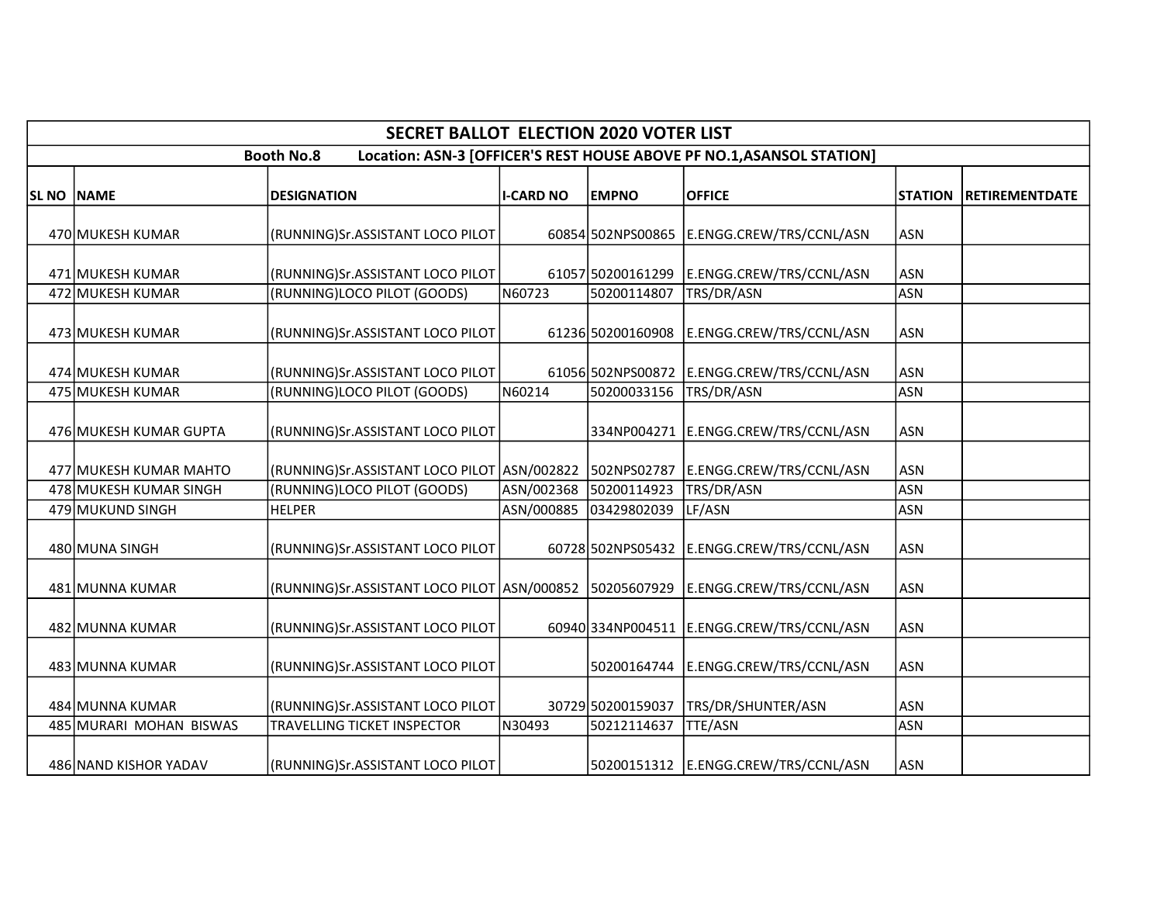|            |                                      | <b>SECRET BALLOT ELECTION 2020 VOTER LIST</b>                                      |                  |                                  |                                                                       |                          |                       |
|------------|--------------------------------------|------------------------------------------------------------------------------------|------------------|----------------------------------|-----------------------------------------------------------------------|--------------------------|-----------------------|
|            |                                      | <b>Booth No.8</b>                                                                  |                  |                                  | Location: ASN-3 [OFFICER'S REST HOUSE ABOVE PF NO.1, ASANSOL STATION] |                          |                       |
| SL NO NAME |                                      | <b>DESIGNATION</b>                                                                 | <b>I-CARD NO</b> | <b>EMPNO</b>                     | <b>OFFICE</b>                                                         | <b>STATION</b>           | <b>RETIREMENTDATE</b> |
|            | 470 MUKESH KUMAR                     | (RUNNING)Sr.ASSISTANT LOCO PILOT                                                   |                  |                                  | 60854 502NPS00865   E.ENGG.CREW/TRS/CCNL/ASN                          | <b>ASN</b>               |                       |
|            | 471 MUKESH KUMAR                     | (RUNNING)Sr.ASSISTANT LOCO PILOT                                                   |                  | 61057 50200161299                | E.ENGG.CREW/TRS/CCNL/ASN                                              | <b>ASN</b>               |                       |
|            | 472 MUKESH KUMAR<br>473 MUKESH KUMAR | (RUNNING)LOCO PILOT (GOODS)<br>(RUNNING)Sr.ASSISTANT LOCO PILOT                    | N60723           | 50200114807<br>61236 50200160908 | TRS/DR/ASN<br>E.ENGG.CREW/TRS/CCNL/ASN                                | <b>ASN</b><br><b>ASN</b> |                       |
|            | 474 MUKESH KUMAR                     | (RUNNING)Sr.ASSISTANT LOCO PILOT                                                   |                  |                                  | 61056 502NPS00872 E.ENGG.CREW/TRS/CCNL/ASN                            | <b>ASN</b>               |                       |
|            | 475 MUKESH KUMAR                     | (RUNNING)LOCO PILOT (GOODS)                                                        | N60214           | 50200033156                      | TRS/DR/ASN                                                            | <b>ASN</b>               |                       |
|            | 476 MUKESH KUMAR GUPTA               | (RUNNING)Sr.ASSISTANT LOCO PILOT                                                   |                  |                                  | 334NP004271   E.ENGG.CREW/TRS/CCNL/ASN                                | <b>ASN</b>               |                       |
|            | 477 MUKESH KUMAR MAHTO               | (RUNNING)Sr.ASSISTANT LOCO PILOT ASN/002822 502NPS02787                            |                  |                                  | E.ENGG.CREW/TRS/CCNL/ASN                                              | <b>ASN</b>               |                       |
|            | 478 MUKESH KUMAR SINGH               | (RUNNING)LOCO PILOT (GOODS)                                                        | ASN/002368       | 50200114923                      | TRS/DR/ASN                                                            | <b>ASN</b>               |                       |
|            | 479 MUKUND SINGH                     | <b>HELPER</b>                                                                      |                  | ASN/000885 03429802039           | LF/ASN                                                                | <b>ASN</b>               |                       |
|            | 480 MUNA SINGH                       | (RUNNING)Sr.ASSISTANT LOCO PILOT                                                   |                  |                                  | 60728 502NPS05432 E.ENGG.CREW/TRS/CCNL/ASN                            | <b>ASN</b>               |                       |
|            | 481 MUNNA KUMAR                      | RUNNING)Sr.ASSISTANT LOCO PILOT  ASN/000852  50205607929  E.ENGG.CREW/TRS/CCNL/ASN |                  |                                  |                                                                       | <b>ASN</b>               |                       |
|            | 482 MUNNA KUMAR                      | (RUNNING)Sr.ASSISTANT LOCO PILOT                                                   |                  |                                  | 60940 334NP004511 E.ENGG.CREW/TRS/CCNL/ASN                            | <b>ASN</b>               |                       |
|            | 483 MUNNA KUMAR                      | (RUNNING)Sr.ASSISTANT LOCO PILOT                                                   |                  | 50200164744                      | E.ENGG.CREW/TRS/CCNL/ASN                                              | <b>ASN</b>               |                       |
|            | 484 MUNNA KUMAR                      | (RUNNING)Sr.ASSISTANT LOCO PILOT                                                   |                  | 30729 50200159037                | TRS/DR/SHUNTER/ASN                                                    | <b>ASN</b>               |                       |
|            | 485 MURARI MOHAN BISWAS              | TRAVELLING TICKET INSPECTOR                                                        | N30493           | 50212114637                      | TTE/ASN                                                               | <b>ASN</b>               |                       |
|            | 486 NAND KISHOR YADAV                | (RUNNING)Sr.ASSISTANT LOCO PILOT                                                   |                  |                                  | 50200151312 E.ENGG.CREW/TRS/CCNL/ASN                                  | <b>ASN</b>               |                       |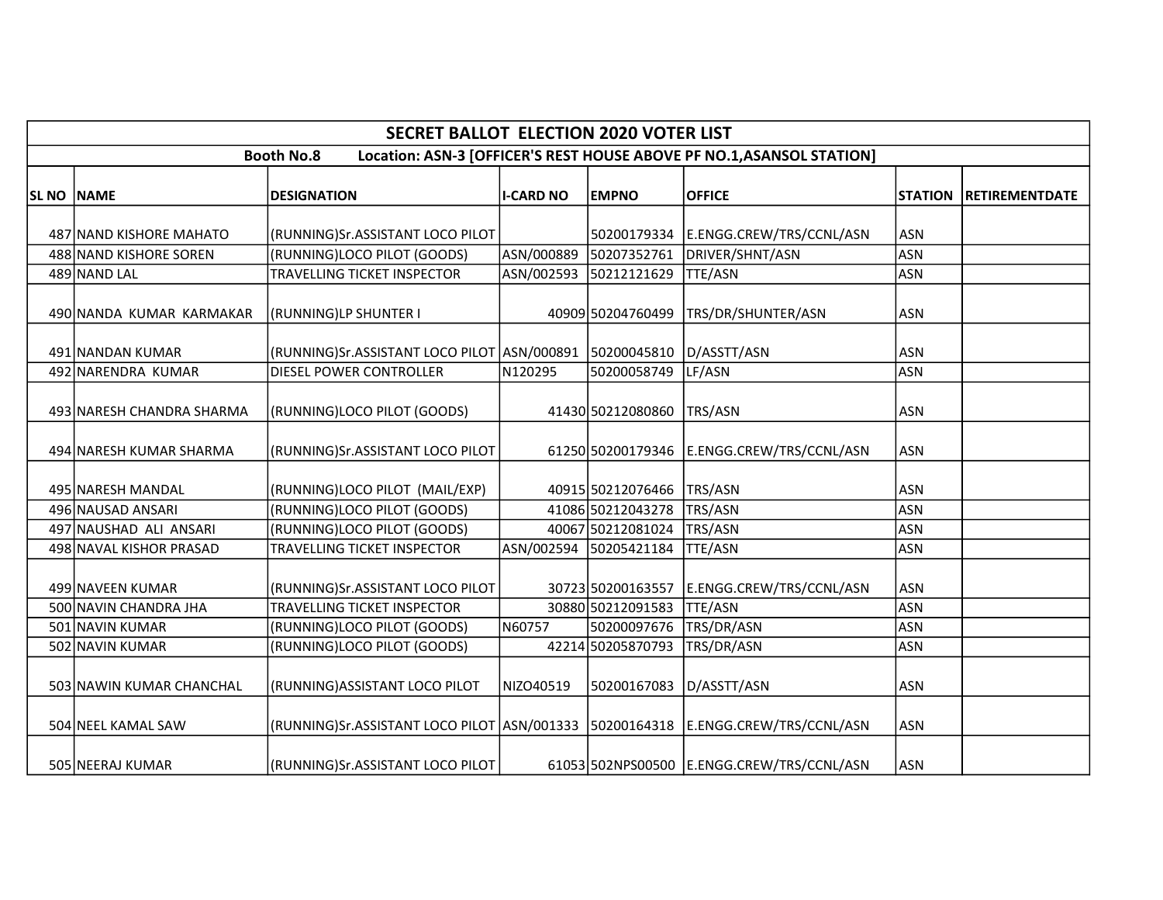|                   |                           | <b>SECRET BALLOT ELECTION 2020 VOTER LIST</b>                                        |                  |                           |                                                                       |                |                       |
|-------------------|---------------------------|--------------------------------------------------------------------------------------|------------------|---------------------------|-----------------------------------------------------------------------|----------------|-----------------------|
|                   |                           | <b>Booth No.8</b>                                                                    |                  |                           | Location: ASN-3 [OFFICER'S REST HOUSE ABOVE PF NO.1, ASANSOL STATION] |                |                       |
| <b>SL NO NAME</b> |                           | <b>DESIGNATION</b>                                                                   | <b>I-CARD NO</b> | <b>EMPNO</b>              | <b>OFFICE</b>                                                         | <b>STATION</b> | <b>RETIREMENTDATE</b> |
|                   |                           |                                                                                      |                  |                           |                                                                       |                |                       |
|                   | 487 NAND KISHORE MAHATO   | (RUNNING)Sr.ASSISTANT LOCO PILOT                                                     |                  | 50200179334               | E.ENGG.CREW/TRS/CCNL/ASN                                              | <b>ASN</b>     |                       |
|                   | 488 NAND KISHORE SOREN    | (RUNNING)LOCO PILOT (GOODS)                                                          | ASN/000889       | 50207352761               | DRIVER/SHNT/ASN                                                       | <b>ASN</b>     |                       |
|                   | 489 NAND LAL              | TRAVELLING TICKET INSPECTOR                                                          | ASN/002593       | 50212121629               | TTE/ASN                                                               | <b>ASN</b>     |                       |
|                   | 490 NANDA KUMAR KARMAKAR  | (RUNNING)LP SHUNTER I                                                                |                  | 40909 50204760499         | TRS/DR/SHUNTER/ASN                                                    | <b>ASN</b>     |                       |
|                   | 491 NANDAN KUMAR          | (RUNNING)Sr.ASSISTANT LOCO PILOT   ASN/000891   50200045810                          |                  |                           | D/ASSTT/ASN                                                           | <b>ASN</b>     |                       |
|                   | 492 NARENDRA KUMAR        | DIESEL POWER CONTROLLER                                                              | N120295          | 50200058749               | LF/ASN                                                                | <b>ASN</b>     |                       |
|                   | 493 NARESH CHANDRA SHARMA | (RUNNING)LOCO PILOT (GOODS)                                                          |                  | 41430 50212080860 TRS/ASN |                                                                       | <b>ASN</b>     |                       |
|                   | 494 NARESH KUMAR SHARMA   | (RUNNING)Sr.ASSISTANT LOCO PILOT                                                     |                  |                           | 61250 50200179346 E.ENGG.CREW/TRS/CCNL/ASN                            | <b>ASN</b>     |                       |
|                   | 495 NARESH MANDAL         | (RUNNING)LOCO PILOT (MAIL/EXP)                                                       |                  | 40915 50212076466         | TRS/ASN                                                               | <b>ASN</b>     |                       |
|                   | 496 NAUSAD ANSARI         | (RUNNING)LOCO PILOT (GOODS)                                                          |                  | 41086 50212043278         | TRS/ASN                                                               | <b>ASN</b>     |                       |
|                   | 497 NAUSHAD ALI ANSARI    | (RUNNING)LOCO PILOT (GOODS)                                                          |                  | 40067 50212081024         | TRS/ASN                                                               | <b>ASN</b>     |                       |
|                   | 498 NAVAL KISHOR PRASAD   | TRAVELLING TICKET INSPECTOR                                                          |                  | ASN/002594 50205421184    | TTE/ASN                                                               | <b>ASN</b>     |                       |
|                   | 499 NAVEEN KUMAR          | (RUNNING)Sr.ASSISTANT LOCO PILOT                                                     |                  | 30723 50200163557         | E.ENGG.CREW/TRS/CCNL/ASN                                              | <b>ASN</b>     |                       |
|                   | 500 NAVIN CHANDRA JHA     | <b>TRAVELLING TICKET INSPECTOR</b>                                                   |                  | 30880 50212091583         | <b>TTE/ASN</b>                                                        | <b>ASN</b>     |                       |
|                   | 501 NAVIN KUMAR           | (RUNNING)LOCO PILOT (GOODS)                                                          | N60757           | 50200097676               | TRS/DR/ASN                                                            | <b>ASN</b>     |                       |
|                   | 502 NAVIN KUMAR           | (RUNNING)LOCO PILOT (GOODS)                                                          |                  | 42214 50205870793         | TRS/DR/ASN                                                            | <b>ASN</b>     |                       |
|                   | 503 NAWIN KUMAR CHANCHAL  | (RUNNING) ASSISTANT LOCO PILOT                                                       | NIZO40519        | 50200167083               | D/ASSTT/ASN                                                           | <b>ASN</b>     |                       |
|                   | 504 NEEL KAMAL SAW        | (RUNNING)Sr.ASSISTANT LOCO PILOT ASN/001333   50200164318   E.ENGG.CREW/TRS/CCNL/ASN |                  |                           |                                                                       | <b>ASN</b>     |                       |
|                   | 505 NEERAJ KUMAR          | (RUNNING)Sr.ASSISTANT LOCO PILOT                                                     |                  |                           | 61053 502NPS00500 E.ENGG.CREW/TRS/CCNL/ASN                            | <b>ASN</b>     |                       |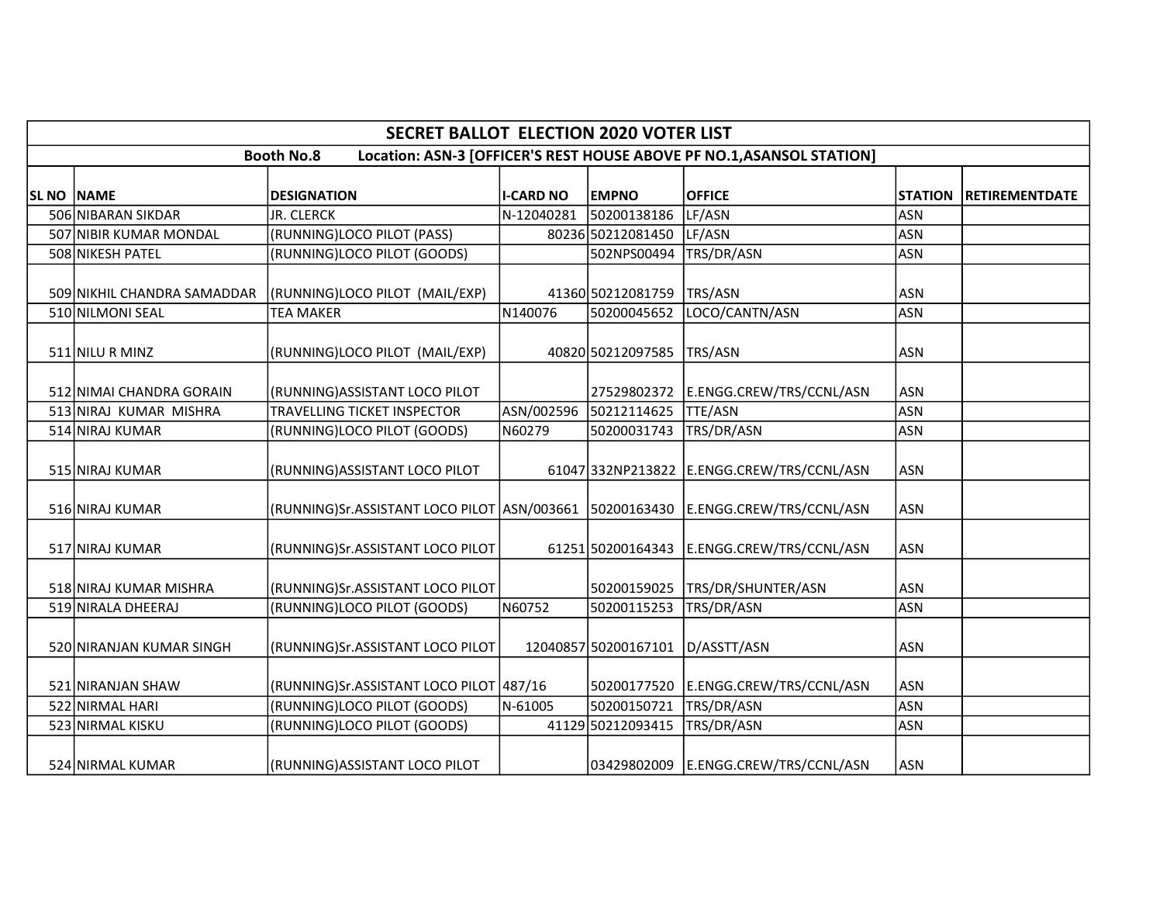|            | <b>SECRET BALLOT ELECTION 2020 VOTER LIST</b> |                                                                                     |                  |                        |                                                                       |                |                       |  |  |
|------------|-----------------------------------------------|-------------------------------------------------------------------------------------|------------------|------------------------|-----------------------------------------------------------------------|----------------|-----------------------|--|--|
|            |                                               | <b>Booth No.8</b>                                                                   |                  |                        | Location: ASN-3 [OFFICER'S REST HOUSE ABOVE PF NO.1, ASANSOL STATION] |                |                       |  |  |
| SL NO NAME |                                               | <b>DESIGNATION</b>                                                                  | <b>I-CARD NO</b> | <b>EMPNO</b>           | <b>OFFICE</b>                                                         | <b>STATION</b> | <b>RETIREMENTDATE</b> |  |  |
|            | 506 NIBARAN SIKDAR                            | JR. CLERCK                                                                          | N-12040281       | 50200138186            | LF/ASN                                                                | <b>ASN</b>     |                       |  |  |
|            | 507 NIBIR KUMAR MONDAL                        | (RUNNING)LOCO PILOT (PASS)                                                          |                  | 80236 50212081450      | LF/ASN                                                                | <b>ASN</b>     |                       |  |  |
|            | 508 NIKESH PATEL                              | (RUNNING)LOCO PILOT (GOODS)                                                         |                  | 502NPS00494            | TRS/DR/ASN                                                            | <b>ASN</b>     |                       |  |  |
|            | 509 NIKHIL CHANDRA SAMADDAR                   | (RUNNING)LOCO PILOT (MAIL/EXP)                                                      |                  | 41360 50212081759      | TRS/ASN                                                               | <b>ASN</b>     |                       |  |  |
|            | 510 NILMONI SEAL                              | <b>TEA MAKER</b>                                                                    | N140076          | 50200045652            | LOCO/CANTN/ASN                                                        | <b>ASN</b>     |                       |  |  |
|            | 511 NILU R MINZ                               | (RUNNING)LOCO PILOT (MAIL/EXP)                                                      |                  | 40820 50212097585      | TRS/ASN                                                               | <b>ASN</b>     |                       |  |  |
|            | 512 NIMAI CHANDRA GORAIN                      | (RUNNING) ASSISTANT LOCO PILOT                                                      |                  |                        | 27529802372 E.ENGG.CREW/TRS/CCNL/ASN                                  | <b>ASN</b>     |                       |  |  |
|            | 513 NIRAJ KUMAR MISHRA                        | <b>TRAVELLING TICKET INSPECTOR</b>                                                  |                  | ASN/002596 50212114625 | <b>TTE/ASN</b>                                                        | <b>ASN</b>     |                       |  |  |
|            | 514 NIRAJ KUMAR                               | (RUNNING)LOCO PILOT (GOODS)                                                         | N60279           | 50200031743            | TRS/DR/ASN                                                            | <b>ASN</b>     |                       |  |  |
|            | 515 NIRAJ KUMAR                               | (RUNNING) ASSISTANT LOCO PILOT                                                      |                  |                        | 61047 332NP213822 E.ENGG.CREW/TRS/CCNL/ASN                            | <b>ASN</b>     |                       |  |  |
|            | 516 NIRAJ KUMAR                               | (RUNNING)Sr.ASSISTANT LOCO PILOT  ASN/003661  50200163430  E.ENGG.CREW/TRS/CCNL/ASN |                  |                        |                                                                       | <b>ASN</b>     |                       |  |  |
|            | 517 NIRAJ KUMAR                               | (RUNNING)Sr.ASSISTANT LOCO PILOT                                                    |                  |                        | 61251 50200164343 E.ENGG.CREW/TRS/CCNL/ASN                            | <b>ASN</b>     |                       |  |  |
|            | 518 NIRAJ KUMAR MISHRA                        | (RUNNING)Sr.ASSISTANT LOCO PILOT                                                    |                  | 50200159025            | TRS/DR/SHUNTER/ASN                                                    | <b>ASN</b>     |                       |  |  |
|            | 519 NIRALA DHEERAJ                            | (RUNNING)LOCO PILOT (GOODS)                                                         | N60752           | 50200115253            | TRS/DR/ASN                                                            | <b>ASN</b>     |                       |  |  |
|            | 520 NIRANJAN KUMAR SINGH                      | (RUNNING)Sr.ASSISTANT LOCO PILOT                                                    |                  | 12040857 50200167101   | D/ASSTT/ASN                                                           | <b>ASN</b>     |                       |  |  |
|            | 521 NIRANJAN SHAW                             | (RUNNING) Sr. ASSISTANT LOCO PILOT 487/16                                           |                  | 50200177520            | E.ENGG.CREW/TRS/CCNL/ASN                                              | <b>ASN</b>     |                       |  |  |
|            | 522 NIRMAL HARI                               | (RUNNING)LOCO PILOT (GOODS)                                                         | N-61005          | 50200150721            | TRS/DR/ASN                                                            | <b>ASN</b>     |                       |  |  |
|            | 523 NIRMAL KISKU                              | (RUNNING)LOCO PILOT (GOODS)                                                         |                  | 41129 50212093415      | TRS/DR/ASN                                                            | <b>ASN</b>     |                       |  |  |
|            | 524 NIRMAL KUMAR                              | (RUNNING)ASSISTANT LOCO PILOT                                                       |                  |                        | 03429802009 E.ENGG.CREW/TRS/CCNL/ASN                                  | <b>ASN</b>     |                       |  |  |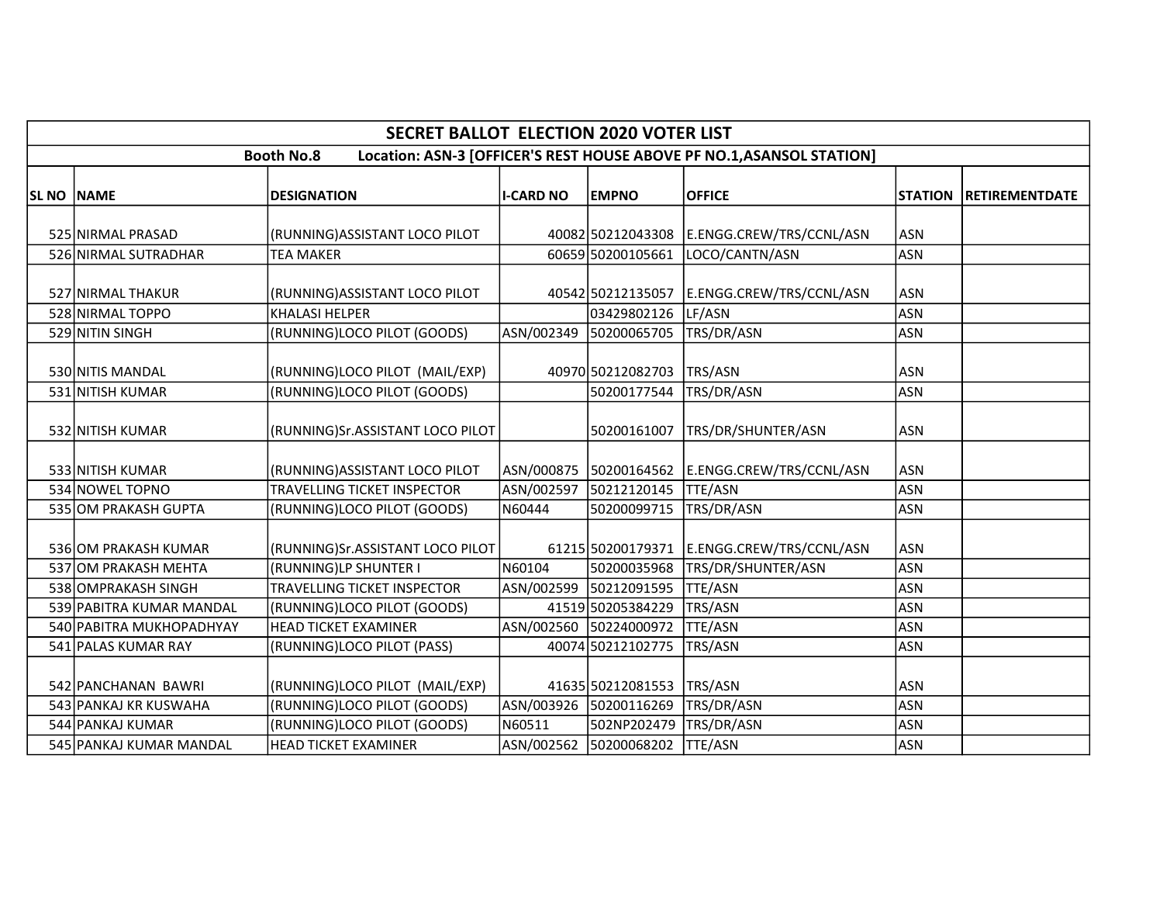|            |                          | SECRET BALLOT ELECTION 2020 VOTER LIST |                  |                        |                                                                       |                |                       |
|------------|--------------------------|----------------------------------------|------------------|------------------------|-----------------------------------------------------------------------|----------------|-----------------------|
|            |                          | <b>Booth No.8</b>                      |                  |                        | Location: ASN-3 [OFFICER'S REST HOUSE ABOVE PF NO.1, ASANSOL STATION] |                |                       |
| SL NO NAME |                          | <b>DESIGNATION</b>                     | <b>I-CARD NO</b> | <b>EMPNO</b>           | <b>OFFICE</b>                                                         | <b>STATION</b> | <b>RETIREMENTDATE</b> |
|            | 525 NIRMAL PRASAD        | (RUNNING) ASSISTANT LOCO PILOT         |                  | 40082 50212043308      | E.ENGG.CREW/TRS/CCNL/ASN                                              | <b>ASN</b>     |                       |
|            | 526 NIRMAL SUTRADHAR     | <b>TEA MAKER</b>                       |                  | 60659 50200105661      | LOCO/CANTN/ASN                                                        | <b>ASN</b>     |                       |
|            | 527 NIRMAL THAKUR        | (RUNNING) ASSISTANT LOCO PILOT         |                  | 40542 50212135057      | E.ENGG.CREW/TRS/CCNL/ASN                                              | <b>ASN</b>     |                       |
|            | 528 NIRMAL TOPPO         | <b>KHALASI HELPER</b>                  |                  | 03429802126            | LF/ASN                                                                | <b>ASN</b>     |                       |
|            | 529 NITIN SINGH          | (RUNNING)LOCO PILOT (GOODS)            |                  | ASN/002349 50200065705 | TRS/DR/ASN                                                            | <b>ASN</b>     |                       |
|            | 530 NITIS MANDAL         | (RUNNING)LOCO PILOT (MAIL/EXP)         |                  | 40970 50212082703      | TRS/ASN                                                               | <b>ASN</b>     |                       |
|            | 531 NITISH KUMAR         | (RUNNING)LOCO PILOT (GOODS)            |                  | 50200177544            | TRS/DR/ASN                                                            | <b>ASN</b>     |                       |
|            | 532 NITISH KUMAR         | (RUNNING)Sr.ASSISTANT LOCO PILOT       |                  | 50200161007            | TRS/DR/SHUNTER/ASN                                                    | <b>ASN</b>     |                       |
|            | 533 NITISH KUMAR         | (RUNNING) ASSISTANT LOCO PILOT         |                  | ASN/000875 50200164562 | E.ENGG.CREW/TRS/CCNL/ASN                                              | <b>ASN</b>     |                       |
|            | 534 NOWEL TOPNO          | <b>TRAVELLING TICKET INSPECTOR</b>     | ASN/002597       | 50212120145            | <b>TTE/ASN</b>                                                        | <b>ASN</b>     |                       |
|            | 535 OM PRAKASH GUPTA     | (RUNNING)LOCO PILOT (GOODS)            | N60444           | 50200099715            | TRS/DR/ASN                                                            | <b>ASN</b>     |                       |
|            | 536 OM PRAKASH KUMAR     | (RUNNING)Sr.ASSISTANT LOCO PILOT       |                  | 61215 50200179371      | E.ENGG.CREW/TRS/CCNL/ASN                                              | <b>ASN</b>     |                       |
|            | 537 OM PRAKASH MEHTA     | (RUNNING)LP SHUNTER I                  | N60104           | 50200035968            | TRS/DR/SHUNTER/ASN                                                    | <b>ASN</b>     |                       |
|            | 538 OMPRAKASH SINGH      | <b>TRAVELLING TICKET INSPECTOR</b>     |                  | ASN/002599 50212091595 | <b>TTE/ASN</b>                                                        | <b>ASN</b>     |                       |
|            | 539 PABITRA KUMAR MANDAL | (RUNNING)LOCO PILOT (GOODS)            |                  | 41519 50205384229      | TRS/ASN                                                               | <b>ASN</b>     |                       |
|            | 540 PABITRA MUKHOPADHYAY | <b>HEAD TICKET EXAMINER</b>            |                  | ASN/002560 50224000972 | TTE/ASN                                                               | <b>ASN</b>     |                       |
|            | 541 PALAS KUMAR RAY      | (RUNNING)LOCO PILOT (PASS)             |                  | 40074 50212102775      | TRS/ASN                                                               | <b>ASN</b>     |                       |
|            | 542 PANCHANAN BAWRI      | (RUNNING)LOCO PILOT (MAIL/EXP)         |                  | 41635 50212081553      | TRS/ASN                                                               | <b>ASN</b>     |                       |
|            | 543 PANKAJ KR KUSWAHA    | (RUNNING)LOCO PILOT (GOODS)            |                  | ASN/003926 50200116269 | TRS/DR/ASN                                                            | <b>ASN</b>     |                       |
|            | 544 PANKAJ KUMAR         | (RUNNING)LOCO PILOT (GOODS)            | N60511           | 502NP202479            | TRS/DR/ASN                                                            | <b>ASN</b>     |                       |
|            | 545 PANKAJ KUMAR MANDAL  | <b>HEAD TICKET EXAMINER</b>            |                  | ASN/002562 50200068202 | TTE/ASN                                                               | <b>ASN</b>     |                       |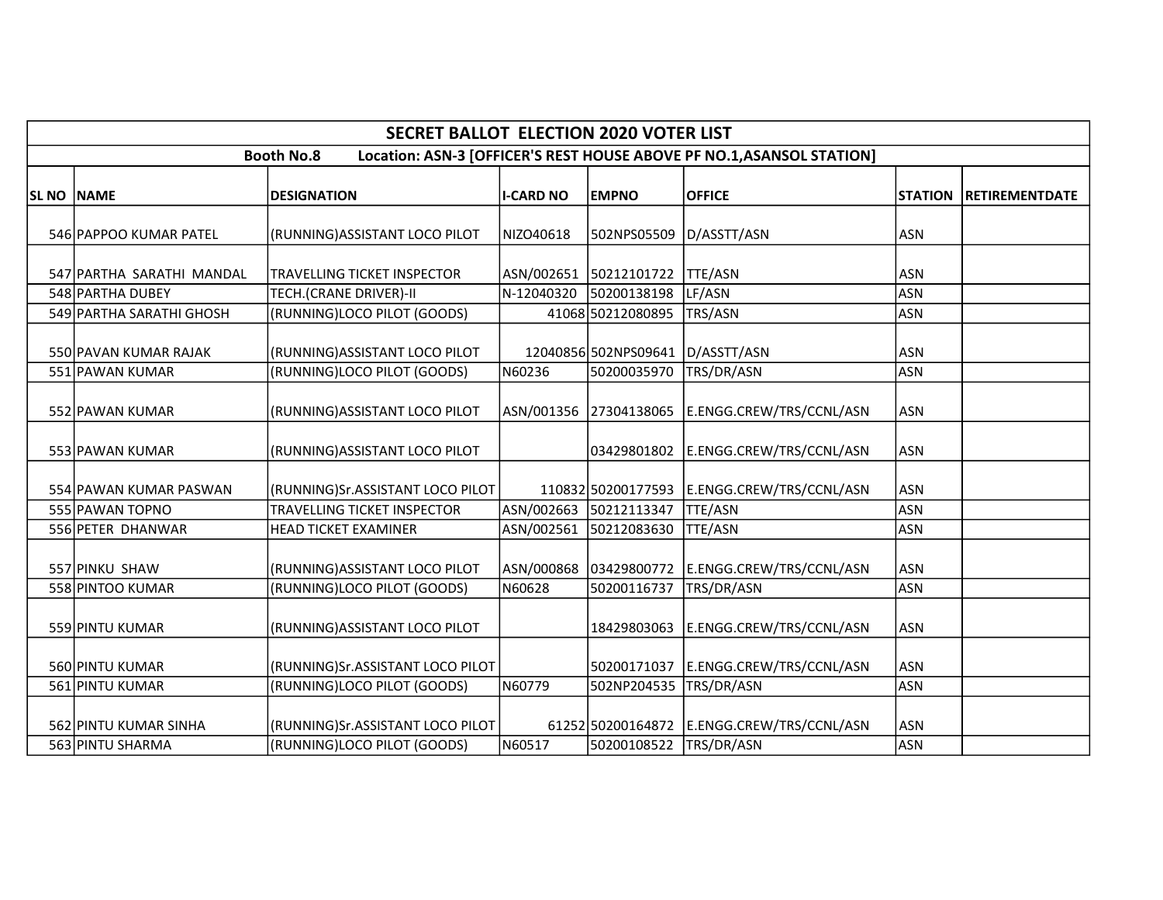|            |                           | <b>SECRET BALLOT ELECTION 2020 VOTER LIST</b> |                  |                        |                                                                       |                |                       |
|------------|---------------------------|-----------------------------------------------|------------------|------------------------|-----------------------------------------------------------------------|----------------|-----------------------|
|            |                           | <b>Booth No.8</b>                             |                  |                        | Location: ASN-3 [OFFICER'S REST HOUSE ABOVE PF NO.1, ASANSOL STATION] |                |                       |
| SL NO NAME |                           | <b>DESIGNATION</b>                            | <b>I-CARD NO</b> | <b>EMPNO</b>           | <b>OFFICE</b>                                                         | <b>STATION</b> | <b>RETIREMENTDATE</b> |
|            | 546 PAPPOO KUMAR PATEL    | (RUNNING) ASSISTANT LOCO PILOT                | NIZO40618        | 502NPS05509            | D/ASSTT/ASN                                                           | <b>ASN</b>     |                       |
|            | 547 PARTHA SARATHI MANDAL | <b>TRAVELLING TICKET INSPECTOR</b>            |                  | ASN/002651 50212101722 | TTE/ASN                                                               | <b>ASN</b>     |                       |
|            | 548 PARTHA DUBEY          | <b>TECH.(CRANE DRIVER)-II</b>                 | N-12040320       | 50200138198            | LF/ASN                                                                | <b>ASN</b>     |                       |
|            | 549 PARTHA SARATHI GHOSH  | (RUNNING)LOCO PILOT (GOODS)                   |                  | 41068 50212080895      | TRS/ASN                                                               | <b>ASN</b>     |                       |
|            | 550 PAVAN KUMAR RAJAK     | (RUNNING) ASSISTANT LOCO PILOT                |                  | 12040856 502NPS09641   | D/ASSTT/ASN                                                           | <b>ASN</b>     |                       |
|            | 551 PAWAN KUMAR           | (RUNNING)LOCO PILOT (GOODS)                   | N60236           | 50200035970            | TRS/DR/ASN                                                            | <b>ASN</b>     |                       |
|            | 552 PAWAN KUMAR           | (RUNNING)ASSISTANT LOCO PILOT                 |                  | ASN/001356 27304138065 | E.ENGG.CREW/TRS/CCNL/ASN                                              | <b>ASN</b>     |                       |
|            | 553 PAWAN KUMAR           | (RUNNING) ASSISTANT LOCO PILOT                |                  | 03429801802            | E.ENGG.CREW/TRS/CCNL/ASN                                              | <b>ASN</b>     |                       |
|            | 554 PAWAN KUMAR PASWAN    | (RUNNING)Sr.ASSISTANT LOCO PILOT              |                  | 110832 50200177593     | E.ENGG.CREW/TRS/CCNL/ASN                                              | <b>ASN</b>     |                       |
|            | 555 PAWAN TOPNO           | TRAVELLING TICKET INSPECTOR                   |                  | ASN/002663 50212113347 | <b>TTE/ASN</b>                                                        | <b>ASN</b>     |                       |
|            | 556 PETER DHANWAR         | <b>HEAD TICKET EXAMINER</b>                   | ASN/002561       | 50212083630            | <b>TTE/ASN</b>                                                        | <b>ASN</b>     |                       |
|            | 557 PINKU SHAW            | (RUNNING) ASSISTANT LOCO PILOT                |                  | ASN/000868 03429800772 | E.ENGG.CREW/TRS/CCNL/ASN                                              | <b>ASN</b>     |                       |
|            | 558 PINTOO KUMAR          | (RUNNING)LOCO PILOT (GOODS)                   | N60628           | 50200116737            | TRS/DR/ASN                                                            | <b>ASN</b>     |                       |
|            | 559 PINTU KUMAR           | (RUNNING) ASSISTANT LOCO PILOT                |                  | 18429803063            | E.ENGG.CREW/TRS/CCNL/ASN                                              | <b>ASN</b>     |                       |
|            | 560 PINTU KUMAR           | (RUNNING)Sr.ASSISTANT LOCO PILOT              |                  | 50200171037            | E.ENGG.CREW/TRS/CCNL/ASN                                              | <b>ASN</b>     |                       |
|            | 561 PINTU KUMAR           | (RUNNING)LOCO PILOT (GOODS)                   | N60779           | 502NP204535            | TRS/DR/ASN                                                            | <b>ASN</b>     |                       |
|            | 562 PINTU KUMAR SINHA     | (RUNNING)Sr.ASSISTANT LOCO PILOT              |                  | 61252 50200164872      | E.ENGG.CREW/TRS/CCNL/ASN                                              | <b>ASN</b>     |                       |
|            | 563 PINTU SHARMA          | (RUNNING)LOCO PILOT (GOODS)                   | N60517           | 50200108522            | TRS/DR/ASN                                                            | <b>ASN</b>     |                       |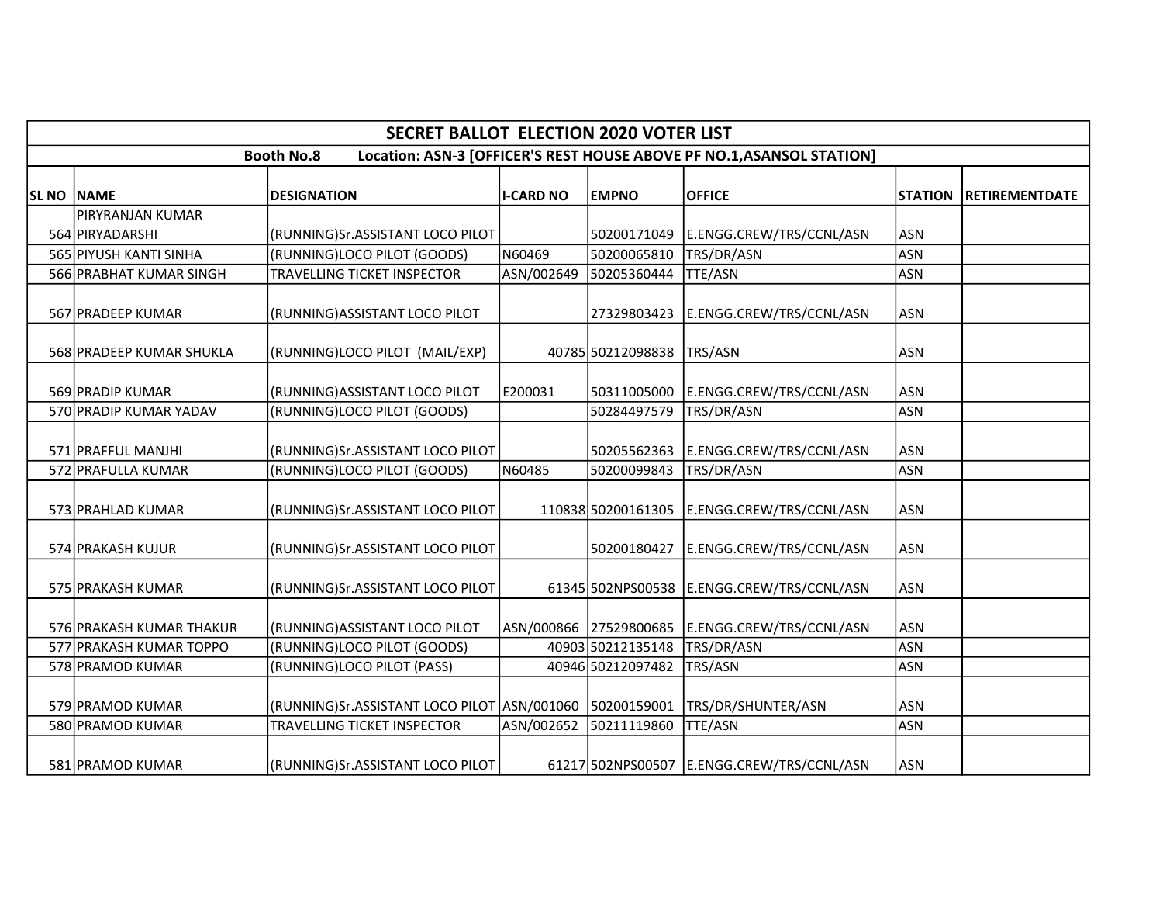|            |                          | <b>SECRET BALLOT ELECTION 2020 VOTER LIST</b>               |                  |                        |                                                                       |                |                       |
|------------|--------------------------|-------------------------------------------------------------|------------------|------------------------|-----------------------------------------------------------------------|----------------|-----------------------|
|            |                          | <b>Booth No.8</b>                                           |                  |                        | Location: ASN-3 [OFFICER'S REST HOUSE ABOVE PF NO.1, ASANSOL STATION] |                |                       |
| SL NO NAME |                          | <b>DESIGNATION</b>                                          | <b>I-CARD NO</b> | <b>EMPNO</b>           | <b>OFFICE</b>                                                         | <b>STATION</b> | <b>RETIREMENTDATE</b> |
|            | PIRYRANJAN KUMAR         |                                                             |                  |                        |                                                                       |                |                       |
|            | 564 PIRYADARSHI          | (RUNNING)Sr.ASSISTANT LOCO PILOT                            |                  | 50200171049            | E.ENGG.CREW/TRS/CCNL/ASN                                              | <b>ASN</b>     |                       |
|            | 565 PIYUSH KANTI SINHA   | (RUNNING)LOCO PILOT (GOODS)                                 | N60469           | 50200065810            | TRS/DR/ASN                                                            | <b>ASN</b>     |                       |
|            | 566 PRABHAT KUMAR SINGH  | TRAVELLING TICKET INSPECTOR                                 | ASN/002649       | 50205360444            | TTE/ASN                                                               | <b>ASN</b>     |                       |
|            | 567 PRADEEP KUMAR        | (RUNNING) ASSISTANT LOCO PILOT                              |                  | 27329803423            | E.ENGG.CREW/TRS/CCNL/ASN                                              | <b>ASN</b>     |                       |
|            | 568 PRADEEP KUMAR SHUKLA | (RUNNING)LOCO PILOT (MAIL/EXP)                              |                  | 40785 50212098838      | TRS/ASN                                                               | <b>ASN</b>     |                       |
|            | 569 PRADIP KUMAR         | (RUNNING) ASSISTANT LOCO PILOT                              | E200031          | 50311005000            | E.ENGG.CREW/TRS/CCNL/ASN                                              | ASN            |                       |
|            | 570 PRADIP KUMAR YADAV   | (RUNNING)LOCO PILOT (GOODS)                                 |                  | 50284497579            | TRS/DR/ASN                                                            | <b>ASN</b>     |                       |
|            | 571 PRAFFUL MANJHI       | (RUNNING)Sr.ASSISTANT LOCO PILOT                            |                  | 50205562363            | E.ENGG.CREW/TRS/CCNL/ASN                                              | <b>ASN</b>     |                       |
|            | 572 PRAFULLA KUMAR       | (RUNNING)LOCO PILOT (GOODS)                                 | N60485           | 50200099843            | TRS/DR/ASN                                                            | <b>ASN</b>     |                       |
|            | 573 PRAHLAD KUMAR        | (RUNNING)Sr.ASSISTANT LOCO PILOT                            |                  | 110838 50200161305     | E.ENGG.CREW/TRS/CCNL/ASN                                              | <b>ASN</b>     |                       |
|            | 574 PRAKASH KUJUR        | (RUNNING)Sr.ASSISTANT LOCO PILOT                            |                  | 50200180427            | E.ENGG.CREW/TRS/CCNL/ASN                                              | ASN            |                       |
|            | 575 PRAKASH KUMAR        | (RUNNING)Sr.ASSISTANT LOCO PILOT                            |                  | 61345 502NPS00538      | E.ENGG.CREW/TRS/CCNL/ASN                                              | <b>ASN</b>     |                       |
|            | 576 PRAKASH KUMAR THAKUR | (RUNNING) ASSISTANT LOCO PILOT                              |                  | ASN/000866 27529800685 | E.ENGG.CREW/TRS/CCNL/ASN                                              | <b>ASN</b>     |                       |
|            | 577 PRAKASH KUMAR TOPPO  | (RUNNING)LOCO PILOT (GOODS)                                 |                  | 40903 50212135148      | TRS/DR/ASN                                                            | <b>ASN</b>     |                       |
|            | 578 PRAMOD KUMAR         | (RUNNING)LOCO PILOT (PASS)                                  |                  | 40946 50212097482      | TRS/ASN                                                               | <b>ASN</b>     |                       |
|            | 579 PRAMOD KUMAR         | (RUNNING)Sr.ASSISTANT LOCO PILOT   ASN/001060   50200159001 |                  |                        | TRS/DR/SHUNTER/ASN                                                    | <b>ASN</b>     |                       |
|            | 580 PRAMOD KUMAR         | TRAVELLING TICKET INSPECTOR                                 | ASN/002652       | 50211119860            | TTE/ASN                                                               | <b>ASN</b>     |                       |
|            | 581 PRAMOD KUMAR         | (RUNNING)Sr.ASSISTANT LOCO PILOT                            |                  |                        | 61217 502NPS00507 E.ENGG.CREW/TRS/CCNL/ASN                            | <b>ASN</b>     |                       |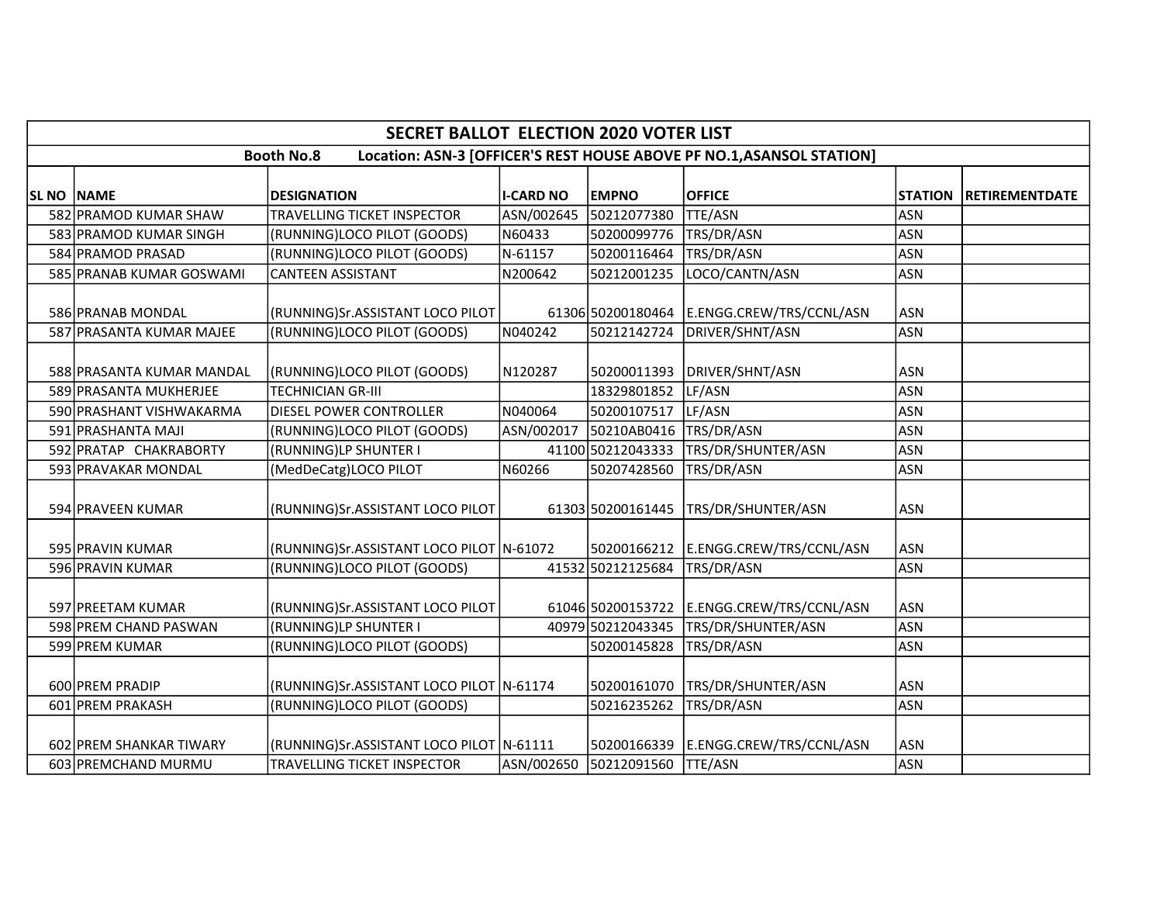|                   | <b>SECRET BALLOT ELECTION 2020 VOTER LIST</b> |                                            |                  |                        |                                                                       |                |                       |  |  |
|-------------------|-----------------------------------------------|--------------------------------------------|------------------|------------------------|-----------------------------------------------------------------------|----------------|-----------------------|--|--|
|                   |                                               | <b>Booth No.8</b>                          |                  |                        | Location: ASN-3 [OFFICER'S REST HOUSE ABOVE PF NO.1, ASANSOL STATION] |                |                       |  |  |
| <b>SL NO NAME</b> |                                               | <b>DESIGNATION</b>                         | <b>I-CARD NO</b> | <b>EMPNO</b>           | <b>OFFICE</b>                                                         | <b>STATION</b> | <b>RETIREMENTDATE</b> |  |  |
|                   | 582 PRAMOD KUMAR SHAW                         | TRAVELLING TICKET INSPECTOR                | ASN/002645       | 50212077380            | <b>TTE/ASN</b>                                                        | <b>ASN</b>     |                       |  |  |
|                   | 583 PRAMOD KUMAR SINGH                        | (RUNNING)LOCO PILOT (GOODS)                | N60433           | 50200099776            | TRS/DR/ASN                                                            | <b>ASN</b>     |                       |  |  |
|                   | 584 PRAMOD PRASAD                             | (RUNNING)LOCO PILOT (GOODS)                | N-61157          | 50200116464            | TRS/DR/ASN                                                            | <b>ASN</b>     |                       |  |  |
|                   | 585 PRANAB KUMAR GOSWAMI                      | <b>CANTEEN ASSISTANT</b>                   | N200642          | 50212001235            | LOCO/CANTN/ASN                                                        | <b>ASN</b>     |                       |  |  |
|                   |                                               |                                            |                  |                        |                                                                       |                |                       |  |  |
|                   | 586 PRANAB MONDAL                             | (RUNNING)Sr.ASSISTANT LOCO PILOT           |                  | 61306 50200180464      | E.ENGG.CREW/TRS/CCNL/ASN                                              | <b>ASN</b>     |                       |  |  |
|                   | 587 PRASANTA KUMAR MAJEE                      | (RUNNING)LOCO PILOT (GOODS)                | N040242          | 50212142724            | DRIVER/SHNT/ASN                                                       | <b>ASN</b>     |                       |  |  |
|                   | 588 PRASANTA KUMAR MANDAL                     | (RUNNING)LOCO PILOT (GOODS)                | N120287          | 50200011393            | DRIVER/SHNT/ASN                                                       | <b>ASN</b>     |                       |  |  |
|                   | 589 PRASANTA MUKHERJEE                        | <b>TECHNICIAN GR-III</b>                   |                  | 18329801852            | LF/ASN                                                                | <b>ASN</b>     |                       |  |  |
|                   | 590 PRASHANT VISHWAKARMA                      | DIESEL POWER CONTROLLER                    | N040064          | 50200107517            | LF/ASN                                                                | <b>ASN</b>     |                       |  |  |
|                   | 591 PRASHANTA MAJI                            | (RUNNING)LOCO PILOT (GOODS)                | ASN/002017       | 50210AB0416            | TRS/DR/ASN                                                            | <b>ASN</b>     |                       |  |  |
|                   | 592 PRATAP CHAKRABORTY                        | (RUNNING)LP SHUNTER I                      |                  | 41100 50212043333      | TRS/DR/SHUNTER/ASN                                                    | <b>ASN</b>     |                       |  |  |
|                   | 593 PRAVAKAR MONDAL                           | (MedDeCatg)LOCO PILOT                      | N60266           | 50207428560            | TRS/DR/ASN                                                            | <b>ASN</b>     |                       |  |  |
|                   | 594 PRAVEEN KUMAR                             | (RUNNING)Sr.ASSISTANT LOCO PILOT           |                  | 61303 50200161445      | TRS/DR/SHUNTER/ASN                                                    | <b>ASN</b>     |                       |  |  |
|                   | 595 PRAVIN KUMAR                              | (RUNNING)Sr.ASSISTANT LOCO PILOT N-61072   |                  | 50200166212            | E.ENGG.CREW/TRS/CCNL/ASN                                              | <b>ASN</b>     |                       |  |  |
|                   | 596 PRAVIN KUMAR                              | (RUNNING)LOCO PILOT (GOODS)                |                  | 41532 50212125684      | TRS/DR/ASN                                                            | <b>ASN</b>     |                       |  |  |
|                   | 597 PREETAM KUMAR                             | (RUNNING)Sr.ASSISTANT LOCO PILOT           |                  | 61046 50200153722      | E.ENGG.CREW/TRS/CCNL/ASN                                              | <b>ASN</b>     |                       |  |  |
|                   | 598 PREM CHAND PASWAN                         | (RUNNING)LP SHUNTER I                      |                  | 40979 50212043345      | TRS/DR/SHUNTER/ASN                                                    | <b>ASN</b>     |                       |  |  |
|                   | 599 PREM KUMAR                                | (RUNNING)LOCO PILOT (GOODS)                |                  | 50200145828            | TRS/DR/ASN                                                            | <b>ASN</b>     |                       |  |  |
|                   | 600 PREM PRADIP                               | (RUNNING)Sr.ASSISTANT LOCO PILOT N-61174   |                  | 50200161070            | TRS/DR/SHUNTER/ASN                                                    | <b>ASN</b>     |                       |  |  |
|                   | 601 PREM PRAKASH                              | (RUNNING)LOCO PILOT (GOODS)                |                  | 50216235262            | TRS/DR/ASN                                                            | <b>ASN</b>     |                       |  |  |
|                   | 602 PREM SHANKAR TIWARY                       | (RUNNING)Sr.ASSISTANT LOCO PILOT   N-61111 |                  | 50200166339            | E.ENGG.CREW/TRS/CCNL/ASN                                              | <b>ASN</b>     |                       |  |  |
|                   | 603 PREMCHAND MURMU                           | TRAVELLING TICKET INSPECTOR                |                  | ASN/002650 50212091560 | TTE/ASN                                                               | <b>ASN</b>     |                       |  |  |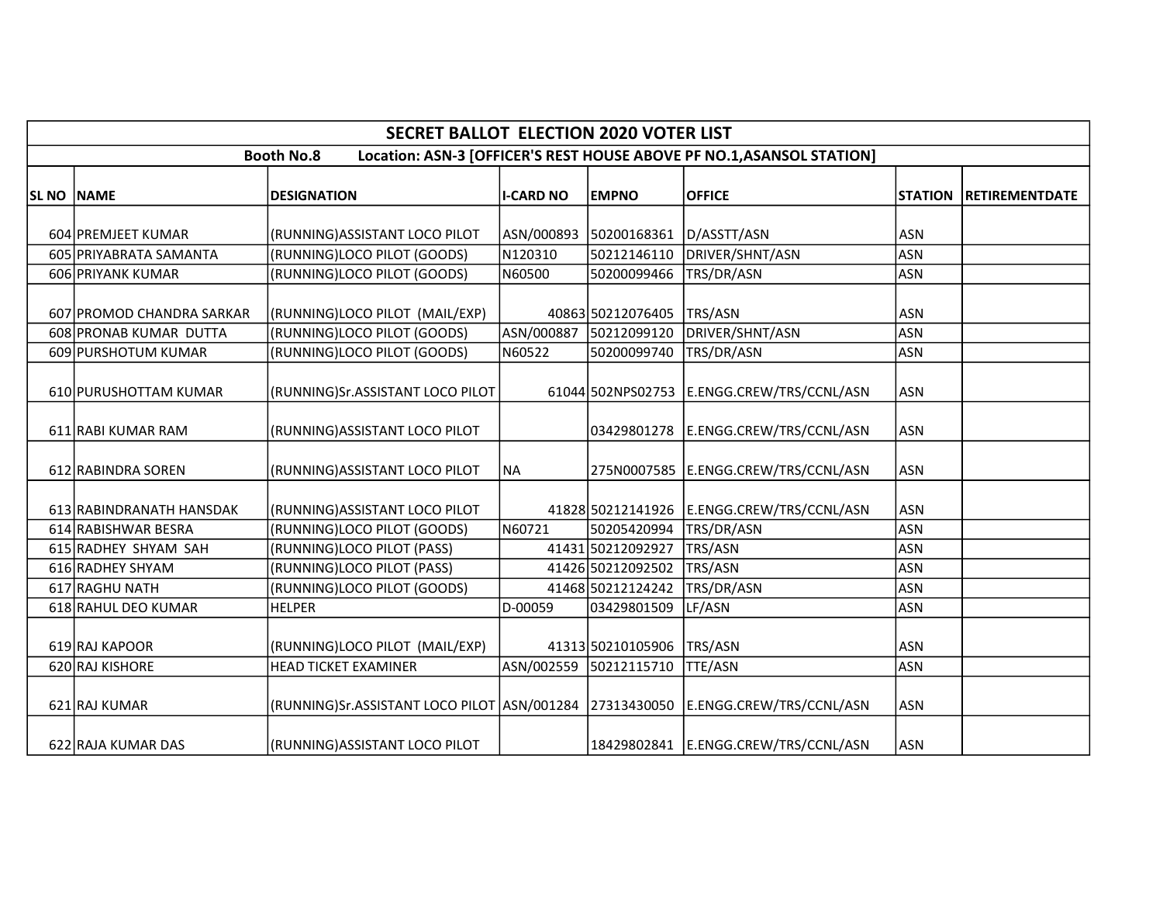|            |                               | <b>SECRET BALLOT ELECTION 2020 VOTER LIST</b>           |                  |                        |                                                                       |                |                       |
|------------|-------------------------------|---------------------------------------------------------|------------------|------------------------|-----------------------------------------------------------------------|----------------|-----------------------|
|            |                               | <b>Booth No.8</b>                                       |                  |                        | Location: ASN-3 [OFFICER'S REST HOUSE ABOVE PF NO.1, ASANSOL STATION] |                |                       |
| SL NO NAME |                               | <b>DESIGNATION</b>                                      | <b>I-CARD NO</b> | <b>EMPNO</b>           | <b>OFFICE</b>                                                         | <b>STATION</b> | <b>RETIREMENTDATE</b> |
|            | 604 PREMJEET KUMAR            | (RUNNING) ASSISTANT LOCO PILOT                          |                  | ASN/000893 50200168361 | D/ASSTT/ASN                                                           | <b>ASN</b>     |                       |
|            | 605 PRIYABRATA SAMANTA        | (RUNNING)LOCO PILOT (GOODS)                             | N120310          | 50212146110            | DRIVER/SHNT/ASN                                                       | <b>ASN</b>     |                       |
|            | 606 PRIYANK KUMAR             | (RUNNING)LOCO PILOT (GOODS)                             | N60500           | 50200099466            | TRS/DR/ASN                                                            | <b>ASN</b>     |                       |
|            | 607 PROMOD CHANDRA SARKAR     | (RUNNING)LOCO PILOT (MAIL/EXP)                          |                  | 40863 50212076405      | TRS/ASN                                                               | <b>ASN</b>     |                       |
|            | <b>608 PRONAB KUMAR DUTTA</b> | (RUNNING)LOCO PILOT (GOODS)                             | ASN/000887       | 50212099120            | DRIVER/SHNT/ASN                                                       | <b>ASN</b>     |                       |
|            | 609 PURSHOTUM KUMAR           | (RUNNING)LOCO PILOT (GOODS)                             | N60522           | 50200099740            | TRS/DR/ASN                                                            | <b>ASN</b>     |                       |
|            | 610 PURUSHOTTAM KUMAR         | (RUNNING)Sr.ASSISTANT LOCO PILOT                        |                  |                        | 61044 502NPS02753 E.ENGG.CREW/TRS/CCNL/ASN                            | <b>ASN</b>     |                       |
|            | 611 RABI KUMAR RAM            | (RUNNING) ASSISTANT LOCO PILOT                          |                  | 03429801278            | E.ENGG.CREW/TRS/CCNL/ASN                                              | <b>ASN</b>     |                       |
|            | 612 RABINDRA SOREN            | (RUNNING) ASSISTANT LOCO PILOT                          | <b>NA</b>        |                        | 275N0007585 E.ENGG.CREW/TRS/CCNL/ASN                                  | <b>ASN</b>     |                       |
|            | 613 RABINDRANATH HANSDAK      | (RUNNING) ASSISTANT LOCO PILOT                          |                  | 41828 50212141926      | E.ENGG.CREW/TRS/CCNL/ASN                                              | <b>ASN</b>     |                       |
|            | 614 RABISHWAR BESRA           | (RUNNING)LOCO PILOT (GOODS)                             | N60721           | 50205420994            | TRS/DR/ASN                                                            | <b>ASN</b>     |                       |
|            | 615 RADHEY SHYAM SAH          | (RUNNING)LOCO PILOT (PASS)                              |                  | 41431 50212092927      | TRS/ASN                                                               | <b>ASN</b>     |                       |
|            | 616 RADHEY SHYAM              | (RUNNING)LOCO PILOT (PASS)                              |                  | 41426 50212092502      | TRS/ASN                                                               | <b>ASN</b>     |                       |
|            | 617 RAGHU NATH                | (RUNNING)LOCO PILOT (GOODS)                             |                  | 41468 50212124242      | TRS/DR/ASN                                                            | <b>ASN</b>     |                       |
|            | 618 RAHUL DEO KUMAR           | <b>HELPER</b>                                           | D-00059          | 03429801509            | LF/ASN                                                                | <b>ASN</b>     |                       |
|            | 619 RAJ KAPOOR                | (RUNNING)LOCO PILOT (MAIL/EXP)                          |                  | 41313 50210105906      | TRS/ASN                                                               | <b>ASN</b>     |                       |
|            | 620 RAJ KISHORE               | <b>HEAD TICKET EXAMINER</b>                             |                  | ASN/002559 50212115710 | <b>TTE/ASN</b>                                                        | <b>ASN</b>     |                       |
|            | 621 RAJ KUMAR                 | (RUNNING)Sr.ASSISTANT LOCO PILOT ASN/001284 27313430050 |                  |                        | E.ENGG.CREW/TRS/CCNL/ASN                                              | <b>ASN</b>     |                       |
|            | 622 RAJA KUMAR DAS            | (RUNNING) ASSISTANT LOCO PILOT                          |                  |                        | 18429802841   E.ENGG.CREW/TRS/CCNL/ASN                                | <b>ASN</b>     |                       |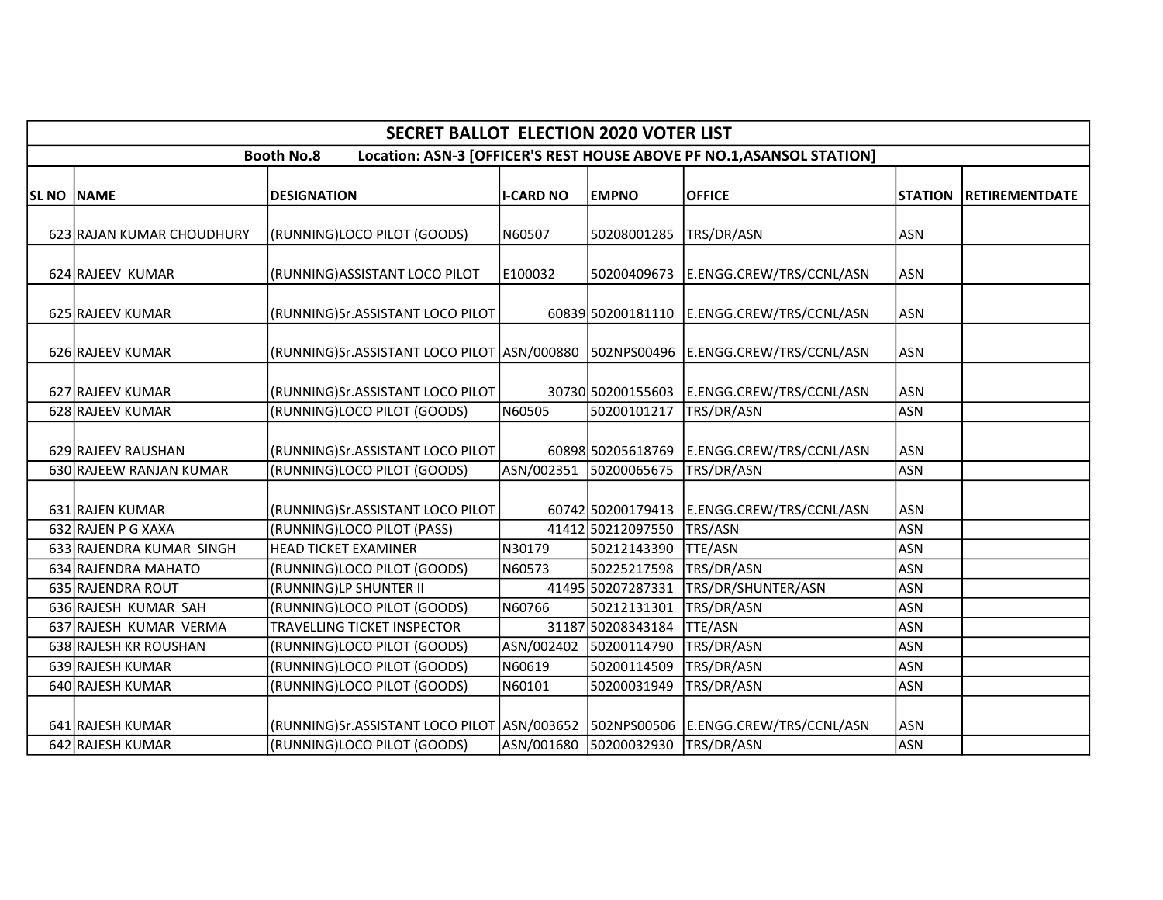|                   |                           | <b>SECRET BALLOT ELECTION 2020 VOTER LIST</b>                                        |                  |                        |                                                                       |            |                               |
|-------------------|---------------------------|--------------------------------------------------------------------------------------|------------------|------------------------|-----------------------------------------------------------------------|------------|-------------------------------|
|                   |                           | <b>Booth No.8</b>                                                                    |                  |                        | Location: ASN-3 [OFFICER'S REST HOUSE ABOVE PF NO.1, ASANSOL STATION] |            |                               |
| <b>SL NO NAME</b> |                           | <b>DESIGNATION</b>                                                                   | <b>I-CARD NO</b> | <b>EMPNO</b>           | <b>OFFICE</b>                                                         |            | <b>STATION RETIREMENTDATE</b> |
|                   | 623 RAJAN KUMAR CHOUDHURY | (RUNNING)LOCO PILOT (GOODS)                                                          | N60507           | 50208001285            | TRS/DR/ASN                                                            | <b>ASN</b> |                               |
|                   | 624 RAJEEV KUMAR          | (RUNNING)ASSISTANT LOCO PILOT                                                        | E100032          | 50200409673            | E.ENGG.CREW/TRS/CCNL/ASN                                              | <b>ASN</b> |                               |
|                   | 625 RAJEEV KUMAR          | (RUNNING)Sr.ASSISTANT LOCO PILOT                                                     |                  |                        | 60839 50200181110 E.ENGG.CREW/TRS/CCNL/ASN                            | <b>ASN</b> |                               |
|                   | 626 RAJEEV KUMAR          | (RUNNING)Sr.ASSISTANT LOCO PILOT ASN/000880   502NPS00496   E.ENGG.CREW/TRS/CCNL/ASN |                  |                        |                                                                       | <b>ASN</b> |                               |
|                   | 627 RAJEEV KUMAR          | (RUNNING)Sr.ASSISTANT LOCO PILOT                                                     |                  | 30730 50200155603      | E.ENGG.CREW/TRS/CCNL/ASN                                              | <b>ASN</b> |                               |
|                   | 628 RAJEEV KUMAR          | (RUNNING)LOCO PILOT (GOODS)                                                          | N60505           | 50200101217            | TRS/DR/ASN                                                            | <b>ASN</b> |                               |
|                   | 629 RAJEEV RAUSHAN        | (RUNNING)Sr.ASSISTANT LOCO PILOT                                                     |                  | 60898 50205618769      | E.ENGG.CREW/TRS/CCNL/ASN                                              | <b>ASN</b> |                               |
|                   | 630 RAJEEW RANJAN KUMAR   | (RUNNING)LOCO PILOT (GOODS)                                                          |                  | ASN/002351 50200065675 | TRS/DR/ASN                                                            | <b>ASN</b> |                               |
|                   | 631 RAJEN KUMAR           | (RUNNING)Sr.ASSISTANT LOCO PILOT                                                     |                  | 60742 50200179413      | E.ENGG.CREW/TRS/CCNL/ASN                                              | <b>ASN</b> |                               |
|                   | 632 RAJEN P G XAXA        | (RUNNING)LOCO PILOT (PASS)                                                           |                  | 41412 50212097550      | TRS/ASN                                                               | <b>ASN</b> |                               |
|                   | 633 RAJENDRA KUMAR SINGH  | <b>HEAD TICKET EXAMINER</b>                                                          | N30179           | 50212143390            | <b>TTE/ASN</b>                                                        | <b>ASN</b> |                               |
|                   | 634 RAJENDRA MAHATO       | (RUNNING)LOCO PILOT (GOODS)                                                          | N60573           | 50225217598            | TRS/DR/ASN                                                            | <b>ASN</b> |                               |
|                   | 635 RAJENDRA ROUT         | (RUNNING)LP SHUNTER II                                                               |                  | 41495 50207287331      | TRS/DR/SHUNTER/ASN                                                    | <b>ASN</b> |                               |
|                   | 636 RAJESH KUMAR SAH      | (RUNNING)LOCO PILOT (GOODS)                                                          | N60766           | 50212131301            | TRS/DR/ASN                                                            | <b>ASN</b> |                               |
|                   | 637 RAJESH KUMAR VERMA    | <b>TRAVELLING TICKET INSPECTOR</b>                                                   |                  | 31187 50208343184      | TTE/ASN                                                               | <b>ASN</b> |                               |
|                   | 638 RAJESH KR ROUSHAN     | (RUNNING)LOCO PILOT (GOODS)                                                          | ASN/002402       | 50200114790            | TRS/DR/ASN                                                            | <b>ASN</b> |                               |
|                   | 639 RAJESH KUMAR          | (RUNNING)LOCO PILOT (GOODS)                                                          | N60619           | 50200114509            | TRS/DR/ASN                                                            | <b>ASN</b> |                               |
|                   | 640 RAJESH KUMAR          | (RUNNING)LOCO PILOT (GOODS)                                                          | N60101           | 50200031949            | TRS/DR/ASN                                                            | <b>ASN</b> |                               |
|                   | 641 RAJESH KUMAR          | (RUNNING)Sr.ASSISTANT LOCO PILOT ASN/003652   502NPS00506   E.ENGG.CREW/TRS/CCNL/ASN |                  |                        |                                                                       | <b>ASN</b> |                               |
|                   | 642 RAJESH KUMAR          | (RUNNING)LOCO PILOT (GOODS)                                                          |                  | ASN/001680 50200032930 | TRS/DR/ASN                                                            | <b>ASN</b> |                               |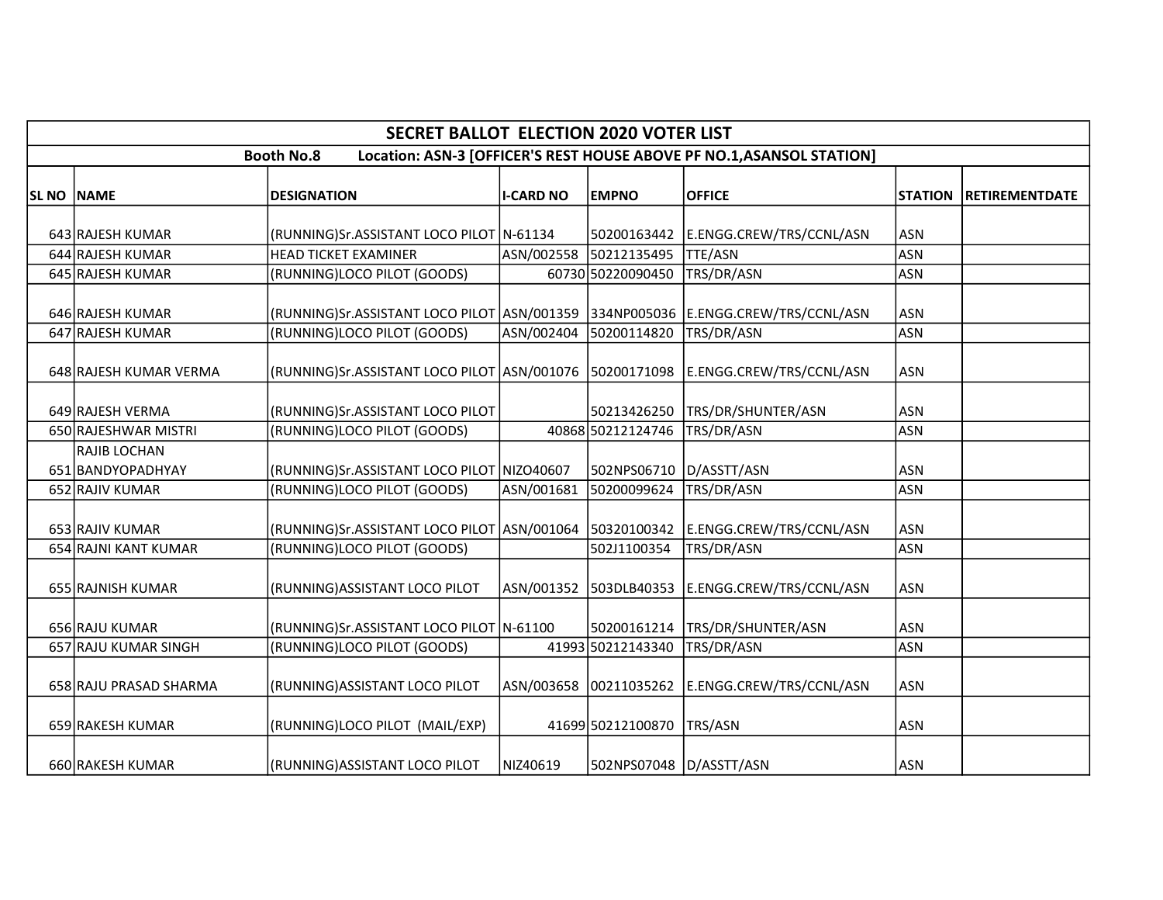|                   |                                   | <b>SECRET BALLOT ELECTION 2020 VOTER LIST</b>                                    |                  |                         |                                                                       |                |                       |
|-------------------|-----------------------------------|----------------------------------------------------------------------------------|------------------|-------------------------|-----------------------------------------------------------------------|----------------|-----------------------|
|                   |                                   | <b>Booth No.8</b>                                                                |                  |                         | Location: ASN-3 [OFFICER'S REST HOUSE ABOVE PF NO.1, ASANSOL STATION] |                |                       |
| <b>SL NO NAME</b> |                                   | <b>DESIGNATION</b>                                                               | <b>I-CARD NO</b> | <b>EMPNO</b>            | <b>OFFICE</b>                                                         | <b>STATION</b> | <b>RETIREMENTDATE</b> |
|                   |                                   |                                                                                  |                  |                         |                                                                       |                |                       |
|                   | 643 RAJESH KUMAR                  | (RUNNING)Sr.ASSISTANT LOCO PILOT N-61134                                         |                  | 50200163442             | E.ENGG.CREW/TRS/CCNL/ASN                                              | <b>ASN</b>     |                       |
|                   | 644 RAJESH KUMAR                  | <b>HEAD TICKET EXAMINER</b>                                                      | ASN/002558       | 50212135495             | <b>TTE/ASN</b>                                                        | <b>ASN</b>     |                       |
|                   | 645 RAJESH KUMAR                  | (RUNNING)LOCO PILOT (GOODS)                                                      |                  | 60730 50220090450       | TRS/DR/ASN                                                            | <b>ASN</b>     |                       |
|                   | 646 RAJESH KUMAR                  | (RUNNING)Sr.ASSISTANT LOCO PILOT ASN/001359 334NP005036 E.ENGG.CREW/TRS/CCNL/ASN |                  |                         |                                                                       | <b>ASN</b>     |                       |
|                   | 647 RAJESH KUMAR                  | (RUNNING)LOCO PILOT (GOODS)                                                      | ASN/002404       | 50200114820             | TRS/DR/ASN                                                            | <b>ASN</b>     |                       |
|                   | 648 RAJESH KUMAR VERMA            | (RUNNING)Sr.ASSISTANT LOCO PILOT ASN/001076 50200171098                          |                  |                         | E.ENGG.CREW/TRS/CCNL/ASN                                              | <b>ASN</b>     |                       |
|                   | 649 RAJESH VERMA                  | (RUNNING)Sr.ASSISTANT LOCO PILOT                                                 |                  | 50213426250             | TRS/DR/SHUNTER/ASN                                                    | <b>ASN</b>     |                       |
|                   | 650 RAJESHWAR MISTRI              | (RUNNING)LOCO PILOT (GOODS)                                                      |                  | 40868 50212124746       | TRS/DR/ASN                                                            | <b>ASN</b>     |                       |
|                   | RAJIB LOCHAN<br>651 BANDYOPADHYAY | (RUNNING)Sr.ASSISTANT LOCO PILOT NIZO40607                                       |                  | 502NPS06710             | D/ASSTT/ASN                                                           | <b>ASN</b>     |                       |
|                   | 652 RAJIV KUMAR                   | (RUNNING)LOCO PILOT (GOODS)                                                      | ASN/001681       | 50200099624             | TRS/DR/ASN                                                            | <b>ASN</b>     |                       |
|                   | 653 RAJIV KUMAR                   | (RUNNING)Sr.ASSISTANT LOCO PILOT ASN/001064 50320100342                          |                  |                         | E.ENGG.CREW/TRS/CCNL/ASN                                              | <b>ASN</b>     |                       |
|                   | 654 RAJNI KANT KUMAR              | (RUNNING)LOCO PILOT (GOODS)                                                      |                  | 502J1100354             | TRS/DR/ASN                                                            | <b>ASN</b>     |                       |
|                   | 655 RAJNISH KUMAR                 | (RUNNING) ASSISTANT LOCO PILOT                                                   |                  |                         | ASN/001352 503DLB40353 E.ENGG.CREW/TRS/CCNL/ASN                       | ASN            |                       |
|                   | 656 RAJU KUMAR                    | (RUNNING)Sr.ASSISTANT LOCO PILOT N-61100                                         |                  | 50200161214             | TRS/DR/SHUNTER/ASN                                                    | <b>ASN</b>     |                       |
|                   | 657 RAJU KUMAR SINGH              | (RUNNING)LOCO PILOT (GOODS)                                                      |                  | 41993 50212143340       | TRS/DR/ASN                                                            | <b>ASN</b>     |                       |
|                   | 658 RAJU PRASAD SHARMA            | (RUNNING) ASSISTANT LOCO PILOT                                                   |                  | ASN/003658 00211035262  | E.ENGG.CREW/TRS/CCNL/ASN                                              | <b>ASN</b>     |                       |
|                   | 659 RAKESH KUMAR                  | (RUNNING)LOCO PILOT (MAIL/EXP)                                                   |                  | 41699 50212100870       | TRS/ASN                                                               | <b>ASN</b>     |                       |
|                   | 660 RAKESH KUMAR                  | (RUNNING) ASSISTANT LOCO PILOT                                                   | NIZ40619         | 502NPS07048 D/ASSTT/ASN |                                                                       | <b>ASN</b>     |                       |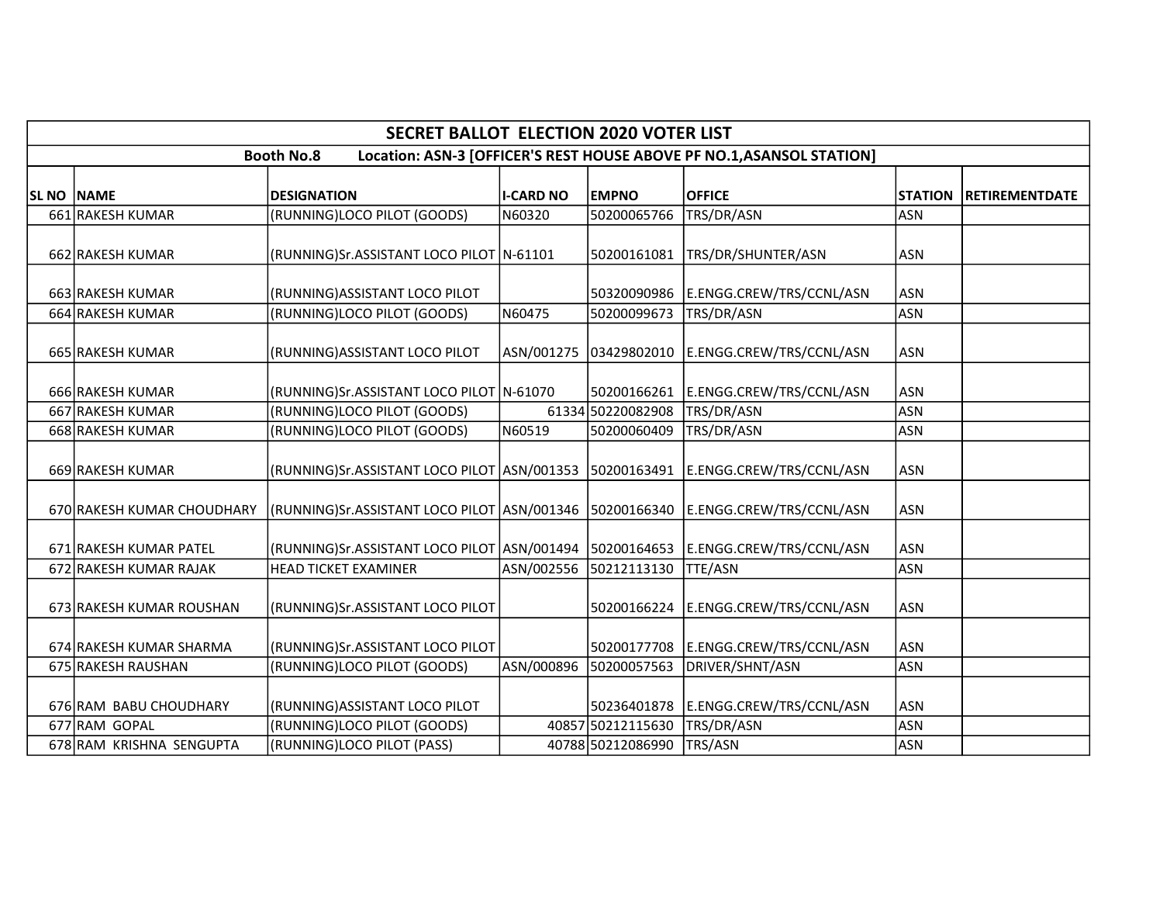|                   |                            | <b>SECRET BALLOT ELECTION 2020 VOTER LIST</b>           |                  |                   |                                                                       |                |                       |
|-------------------|----------------------------|---------------------------------------------------------|------------------|-------------------|-----------------------------------------------------------------------|----------------|-----------------------|
|                   |                            | <b>Booth No.8</b>                                       |                  |                   | Location: ASN-3 [OFFICER'S REST HOUSE ABOVE PF NO.1, ASANSOL STATION] |                |                       |
| <b>SL NO NAME</b> |                            | <b>DESIGNATION</b>                                      | <b>I-CARD NO</b> | <b>EMPNO</b>      | <b>OFFICE</b>                                                         | <b>STATION</b> | <b>RETIREMENTDATE</b> |
|                   | 661 RAKESH KUMAR           | (RUNNING)LOCO PILOT (GOODS)                             | N60320           | 50200065766       | TRS/DR/ASN                                                            | <b>ASN</b>     |                       |
|                   | 662 RAKESH KUMAR           | (RUNNING)Sr.ASSISTANT LOCO PILOT N-61101                |                  | 50200161081       | TRS/DR/SHUNTER/ASN                                                    | <b>ASN</b>     |                       |
|                   | 663 RAKESH KUMAR           | (RUNNING) ASSISTANT LOCO PILOT                          |                  | 50320090986       | E.ENGG.CREW/TRS/CCNL/ASN                                              | <b>ASN</b>     |                       |
|                   | 664 RAKESH KUMAR           | (RUNNING)LOCO PILOT (GOODS)                             | N60475           | 50200099673       | TRS/DR/ASN                                                            | <b>ASN</b>     |                       |
|                   | 665 RAKESH KUMAR           | (RUNNING) ASSISTANT LOCO PILOT                          |                  |                   |                                                                       | <b>ASN</b>     |                       |
|                   | 666 RAKESH KUMAR           | (RUNNING)Sr.ASSISTANT LOCO PILOT   N-61070              |                  | 50200166261       | E.ENGG.CREW/TRS/CCNL/ASN                                              | <b>ASN</b>     |                       |
|                   | 667 RAKESH KUMAR           | (RUNNING)LOCO PILOT (GOODS)                             |                  | 61334 50220082908 | TRS/DR/ASN                                                            | <b>ASN</b>     |                       |
|                   | 668 RAKESH KUMAR           | (RUNNING)LOCO PILOT (GOODS)                             | N60519           | 50200060409       | TRS/DR/ASN                                                            | <b>ASN</b>     |                       |
|                   | 669 RAKESH KUMAR           | (RUNNING)Sr.ASSISTANT LOCO PILOT ASN/001353 50200163491 |                  |                   | E.ENGG.CREW/TRS/CCNL/ASN                                              | <b>ASN</b>     |                       |
|                   | 670 RAKESH KUMAR CHOUDHARY |                                                         |                  |                   | E.ENGG.CREW/TRS/CCNL/ASN                                              | <b>ASN</b>     |                       |
|                   | 671 RAKESH KUMAR PATEL     | (RUNNING)Sr.ASSISTANT LOCO PILOT ASN/001494 50200164653 |                  |                   | E.ENGG.CREW/TRS/CCNL/ASN                                              | <b>ASN</b>     |                       |
|                   | 672 RAKESH KUMAR RAJAK     | <b>HEAD TICKET EXAMINER</b>                             | ASN/002556       | 50212113130       | <b>TTE/ASN</b>                                                        | <b>ASN</b>     |                       |
|                   | 673 RAKESH KUMAR ROUSHAN   | (RUNNING)Sr.ASSISTANT LOCO PILOT                        |                  |                   | 50200166224   E.ENGG.CREW/TRS/CCNL/ASN                                | ASN            |                       |
|                   | 674 RAKESH KUMAR SHARMA    | (RUNNING)Sr.ASSISTANT LOCO PILOT                        |                  | 50200177708       | E.ENGG.CREW/TRS/CCNL/ASN                                              | <b>ASN</b>     |                       |
|                   | 675 RAKESH RAUSHAN         | (RUNNING)LOCO PILOT (GOODS)                             | ASN/000896       | 50200057563       | DRIVER/SHNT/ASN                                                       | <b>ASN</b>     |                       |
|                   | 676 RAM BABU CHOUDHARY     | (RUNNING) ASSISTANT LOCO PILOT                          |                  | 50236401878       | E.ENGG.CREW/TRS/CCNL/ASN                                              | <b>ASN</b>     |                       |
|                   | 677 RAM GOPAL              | (RUNNING)LOCO PILOT (GOODS)                             |                  | 40857 50212115630 | TRS/DR/ASN                                                            | <b>ASN</b>     |                       |
|                   | 678 RAM KRISHNA SENGUPTA   | (RUNNING)LOCO PILOT (PASS)                              |                  | 40788 50212086990 | TRS/ASN                                                               | <b>ASN</b>     |                       |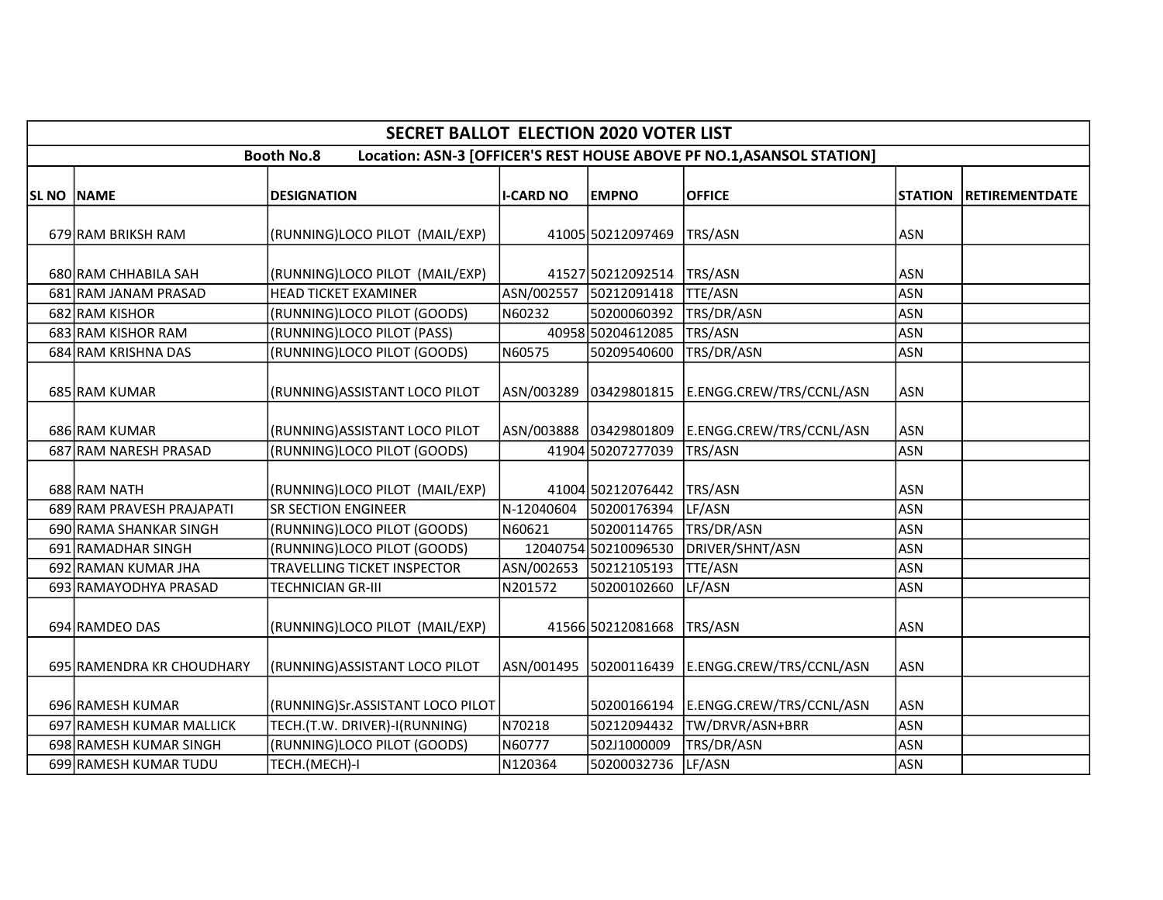|            |                                              | <b>SECRET BALLOT ELECTION 2020 VOTER LIST</b>              |                       |                                       |                                                                       |                          |                       |
|------------|----------------------------------------------|------------------------------------------------------------|-----------------------|---------------------------------------|-----------------------------------------------------------------------|--------------------------|-----------------------|
|            |                                              | <b>Booth No.8</b>                                          |                       |                                       | Location: ASN-3 [OFFICER'S REST HOUSE ABOVE PF NO.1, ASANSOL STATION] |                          |                       |
| SL NO NAME |                                              | <b>DESIGNATION</b>                                         | <b>I-CARD NO</b>      | <b>EMPNO</b>                          | <b>OFFICE</b>                                                         | <b>STATION</b>           | <b>RETIREMENTDATE</b> |
|            | 679 RAM BRIKSH RAM                           | (RUNNING)LOCO PILOT (MAIL/EXP)                             |                       | 41005 50212097469                     | TRS/ASN                                                               | <b>ASN</b>               |                       |
|            | 680 RAM CHHABILA SAH                         | (RUNNING)LOCO PILOT (MAIL/EXP)                             |                       | 41527 50212092514                     | TRS/ASN                                                               | <b>ASN</b>               |                       |
|            | 681 RAM JANAM PRASAD<br>682 RAM KISHOR       | <b>HEAD TICKET EXAMINER</b><br>(RUNNING)LOCO PILOT (GOODS) | N60232                | ASN/002557 50212091418<br>50200060392 | <b>TTE/ASN</b><br>TRS/DR/ASN                                          | <b>ASN</b><br><b>ASN</b> |                       |
|            | 683 RAM KISHOR RAM                           | (RUNNING)LOCO PILOT (PASS)                                 |                       | 40958 50204612085                     | TRS/ASN                                                               | <b>ASN</b>               |                       |
|            | 684 RAM KRISHNA DAS                          | (RUNNING)LOCO PILOT (GOODS)                                | N60575                | 50209540600                           | TRS/DR/ASN                                                            | ASN                      |                       |
|            | 685 RAM KUMAR                                | (RUNNING)ASSISTANT LOCO PILOT                              | ASN/003289            | 03429801815                           | E.ENGG.CREW/TRS/CCNL/ASN                                              | <b>ASN</b>               |                       |
|            | 686 RAM KUMAR                                | (RUNNING)ASSISTANT LOCO PILOT                              |                       | ASN/003888 03429801809                | E.ENGG.CREW/TRS/CCNL/ASN                                              | <b>ASN</b>               |                       |
|            | 687 RAM NARESH PRASAD                        | (RUNNING)LOCO PILOT (GOODS)                                |                       | 41904 50207277039                     | TRS/ASN                                                               | <b>ASN</b>               |                       |
|            | 688 RAM NATH                                 | (RUNNING)LOCO PILOT (MAIL/EXP)                             |                       | 41004 50212076442                     | TRS/ASN                                                               | <b>ASN</b>               |                       |
|            | 689 RAM PRAVESH PRAJAPATI                    | <b>SR SECTION ENGINEER</b>                                 | N-12040604            | 50200176394                           | LF/ASN                                                                | <b>ASN</b>               |                       |
|            | 690 RAMA SHANKAR SINGH                       | (RUNNING)LOCO PILOT (GOODS)                                | N60621                | 50200114765                           | TRS/DR/ASN                                                            | <b>ASN</b>               |                       |
|            | 691 RAMADHAR SINGH                           | (RUNNING)LOCO PILOT (GOODS)                                |                       | 12040754 50210096530                  | DRIVER/SHNT/ASN<br><b>TTE/ASN</b>                                     | <b>ASN</b><br><b>ASN</b> |                       |
|            | 692 RAMAN KUMAR JHA<br>693 RAMAYODHYA PRASAD | TRAVELLING TICKET INSPECTOR<br>TECHNICIAN GR-III           | ASN/002653<br>N201572 | 50212105193<br>50200102660            | LF/ASN                                                                | <b>ASN</b>               |                       |
|            | 694 RAMDEO DAS                               | (RUNNING)LOCO PILOT (MAIL/EXP)                             |                       | 41566 50212081668                     | TRS/ASN                                                               | <b>ASN</b>               |                       |
|            | 695 RAMENDRA KR CHOUDHARY                    | (RUNNING) ASSISTANT LOCO PILOT                             | ASN/001495            | 50200116439                           | E.ENGG.CREW/TRS/CCNL/ASN                                              | <b>ASN</b>               |                       |
|            | 696 RAMESH KUMAR                             | (RUNNING)Sr.ASSISTANT LOCO PILOT                           |                       | 50200166194                           | E.ENGG.CREW/TRS/CCNL/ASN                                              | <b>ASN</b>               |                       |
|            | 697 RAMESH KUMAR MALLICK                     | TECH.(T.W. DRIVER)-I(RUNNING)                              | N70218                | 50212094432                           | TW/DRVR/ASN+BRR                                                       | <b>ASN</b>               |                       |
|            | 698 RAMESH KUMAR SINGH                       | (RUNNING)LOCO PILOT (GOODS)                                | N60777                | 502J1000009                           | TRS/DR/ASN                                                            | <b>ASN</b>               |                       |
|            | 699 RAMESH KUMAR TUDU                        | TECH.(MECH)-I                                              | N120364               | 50200032736                           | LF/ASN                                                                | ASN                      |                       |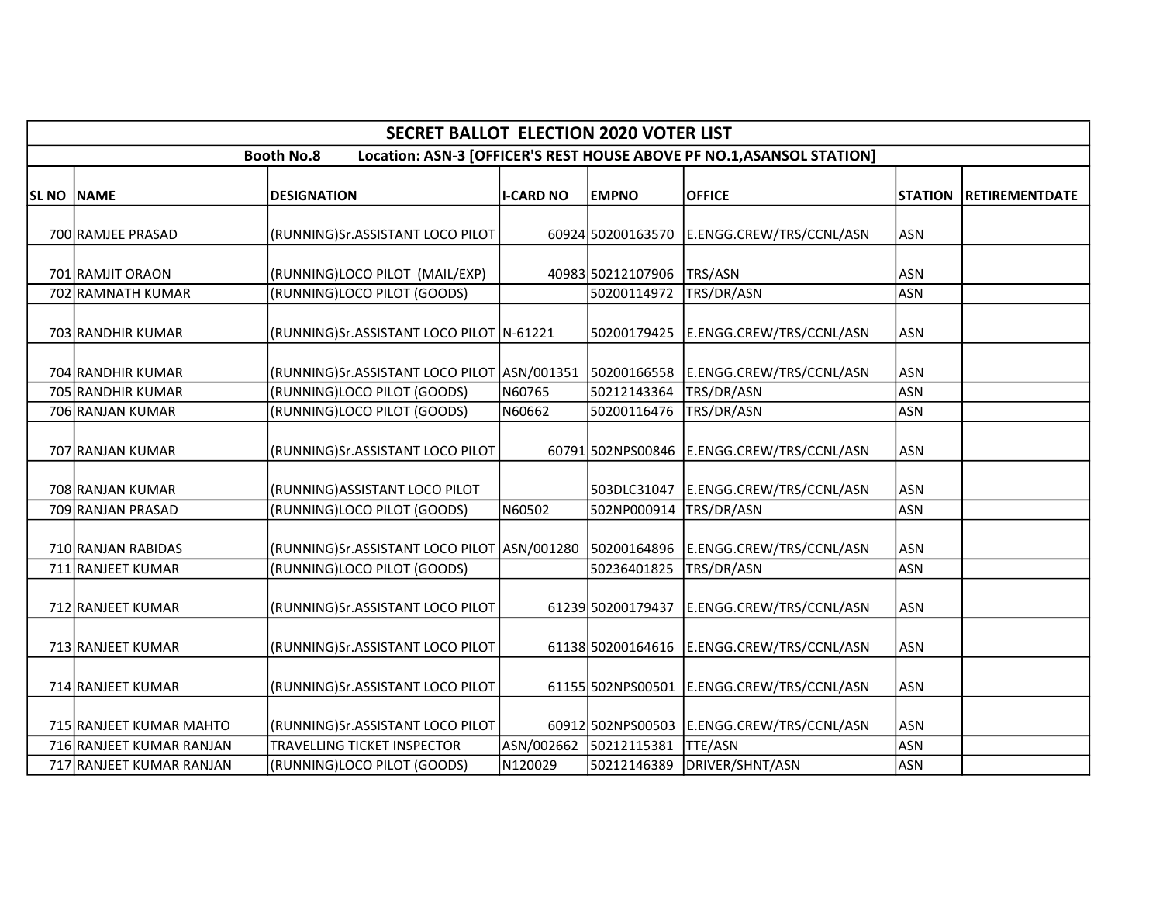|                   | <b>SECRET BALLOT ELECTION 2020 VOTER LIST</b>                                              |                                                                           |                  |                            |                                            |                          |                       |  |  |  |  |
|-------------------|--------------------------------------------------------------------------------------------|---------------------------------------------------------------------------|------------------|----------------------------|--------------------------------------------|--------------------------|-----------------------|--|--|--|--|
|                   | Location: ASN-3 [OFFICER'S REST HOUSE ABOVE PF NO.1, ASANSOL STATION]<br><b>Booth No.8</b> |                                                                           |                  |                            |                                            |                          |                       |  |  |  |  |
| <b>SL NO NAME</b> |                                                                                            | <b>DESIGNATION</b>                                                        | <b>I-CARD NO</b> | <b>EMPNO</b>               | <b>OFFICE</b>                              | <b>STATION</b>           | <b>RETIREMENTDATE</b> |  |  |  |  |
|                   | 700 RAMJEE PRASAD                                                                          | (RUNNING)Sr.ASSISTANT LOCO PILOT                                          |                  | 60924 50200163570          | E.ENGG.CREW/TRS/CCNL/ASN                   | <b>ASN</b>               |                       |  |  |  |  |
|                   | 701 RAMJIT ORAON                                                                           | (RUNNING)LOCO PILOT (MAIL/EXP)                                            |                  | 40983 50212107906          | TRS/ASN                                    | <b>ASN</b>               |                       |  |  |  |  |
|                   | 702 RAMNATH KUMAR<br>703 RANDHIR KUMAR                                                     | (RUNNING)LOCO PILOT (GOODS)<br>(RUNNING)Sr.ASSISTANT LOCO PILOT   N-61221 |                  | 50200114972<br>50200179425 | TRS/DR/ASN<br>E.ENGG.CREW/TRS/CCNL/ASN     | <b>ASN</b><br><b>ASN</b> |                       |  |  |  |  |
|                   | 704 RANDHIR KUMAR                                                                          | (RUNNING)Sr.ASSISTANT LOCO PILOT ASN/001351 50200166558                   |                  |                            | E.ENGG.CREW/TRS/CCNL/ASN                   | <b>ASN</b>               |                       |  |  |  |  |
|                   | 705 RANDHIR KUMAR                                                                          | (RUNNING)LOCO PILOT (GOODS)                                               | N60765           | 50212143364                | TRS/DR/ASN                                 | <b>ASN</b>               |                       |  |  |  |  |
|                   | 706 RANJAN KUMAR                                                                           | (RUNNING)LOCO PILOT (GOODS)                                               | N60662           | 50200116476                | TRS/DR/ASN                                 | <b>ASN</b>               |                       |  |  |  |  |
|                   | 707 RANJAN KUMAR                                                                           | (RUNNING)Sr.ASSISTANT LOCO PILOT                                          |                  | 60791 502NPS00846          | E.ENGG.CREW/TRS/CCNL/ASN                   | <b>ASN</b>               |                       |  |  |  |  |
|                   | 708 RANJAN KUMAR                                                                           | (RUNNING) ASSISTANT LOCO PILOT                                            |                  | 503DLC31047                | E.ENGG.CREW/TRS/CCNL/ASN                   | <b>ASN</b>               |                       |  |  |  |  |
|                   | 709 RANJAN PRASAD                                                                          | (RUNNING)LOCO PILOT (GOODS)                                               | N60502           | 502NP000914                | TRS/DR/ASN                                 | <b>ASN</b>               |                       |  |  |  |  |
|                   | 710 RANJAN RABIDAS                                                                         | (RUNNING)Sr.ASSISTANT LOCO PILOT ASN/001280 50200164896                   |                  |                            | E.ENGG.CREW/TRS/CCNL/ASN                   | <b>ASN</b>               |                       |  |  |  |  |
|                   | 711 RANJEET KUMAR                                                                          | (RUNNING)LOCO PILOT (GOODS)                                               |                  | 50236401825                | TRS/DR/ASN                                 | <b>ASN</b>               |                       |  |  |  |  |
|                   | 712 RANJEET KUMAR                                                                          | (RUNNING)Sr.ASSISTANT LOCO PILOT                                          |                  | 61239 50200179437          | E.ENGG.CREW/TRS/CCNL/ASN                   | <b>ASN</b>               |                       |  |  |  |  |
|                   | 713 RANJEET KUMAR                                                                          | (RUNNING)Sr.ASSISTANT LOCO PILOT                                          |                  | 61138 50200164616          | E.ENGG.CREW/TRS/CCNL/ASN                   | <b>ASN</b>               |                       |  |  |  |  |
|                   | 714 RANJEET KUMAR                                                                          | (RUNNING)Sr.ASSISTANT LOCO PILOT                                          |                  |                            | 61155 502NPS00501 E.ENGG.CREW/TRS/CCNL/ASN | <b>ASN</b>               |                       |  |  |  |  |
|                   | 715 RANJEET KUMAR MAHTO                                                                    | (RUNNING)Sr.ASSISTANT LOCO PILOT                                          |                  |                            | 60912 502NPS00503 E.ENGG.CREW/TRS/CCNL/ASN | <b>ASN</b>               |                       |  |  |  |  |
|                   | 716 RANJEET KUMAR RANJAN                                                                   | TRAVELLING TICKET INSPECTOR                                               | ASN/002662       | 50212115381                | TTE/ASN                                    | <b>ASN</b>               |                       |  |  |  |  |
|                   | 717 RANJEET KUMAR RANJAN                                                                   | (RUNNING)LOCO PILOT (GOODS)                                               | N120029          | 50212146389                | DRIVER/SHNT/ASN                            | <b>ASN</b>               |                       |  |  |  |  |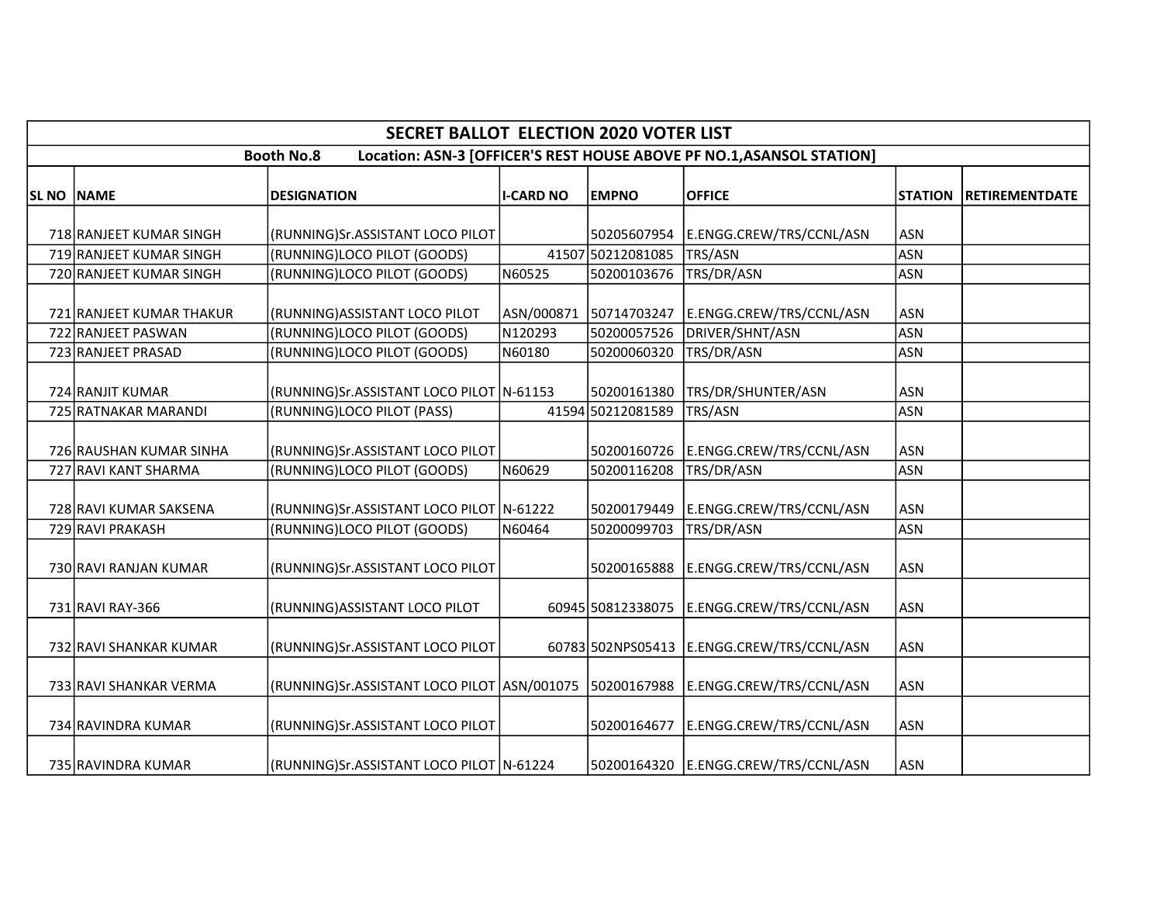|                   | <b>SECRET BALLOT ELECTION 2020 VOTER LIST</b>                                              |                                                                                      |                  |                        |                                            |                |                       |  |  |  |  |
|-------------------|--------------------------------------------------------------------------------------------|--------------------------------------------------------------------------------------|------------------|------------------------|--------------------------------------------|----------------|-----------------------|--|--|--|--|
|                   | Location: ASN-3 [OFFICER'S REST HOUSE ABOVE PF NO.1, ASANSOL STATION]<br><b>Booth No.8</b> |                                                                                      |                  |                        |                                            |                |                       |  |  |  |  |
| <b>SL NO NAME</b> |                                                                                            | <b>DESIGNATION</b>                                                                   | <b>I-CARD NO</b> | <b>EMPNO</b>           | <b>OFFICE</b>                              | <b>STATION</b> | <b>RETIREMENTDATE</b> |  |  |  |  |
|                   |                                                                                            |                                                                                      |                  |                        |                                            |                |                       |  |  |  |  |
|                   | 718 RANJEET KUMAR SINGH                                                                    | (RUNNING)Sr.ASSISTANT LOCO PILOT                                                     |                  | 50205607954            | E.ENGG.CREW/TRS/CCNL/ASN                   | <b>ASN</b>     |                       |  |  |  |  |
|                   | 719 RANJEET KUMAR SINGH                                                                    | (RUNNING)LOCO PILOT (GOODS)                                                          |                  | 41507 50212081085      | TRS/ASN                                    | <b>ASN</b>     |                       |  |  |  |  |
|                   | 720 RANJEET KUMAR SINGH                                                                    | (RUNNING)LOCO PILOT (GOODS)                                                          | N60525           | 50200103676            | TRS/DR/ASN                                 | <b>ASN</b>     |                       |  |  |  |  |
|                   | 721 RANJEET KUMAR THAKUR                                                                   | (RUNNING) ASSISTANT LOCO PILOT                                                       |                  | ASN/000871 50714703247 | E.ENGG.CREW/TRS/CCNL/ASN                   | <b>ASN</b>     |                       |  |  |  |  |
|                   | 722 RANJEET PASWAN                                                                         | (RUNNING)LOCO PILOT (GOODS)                                                          | N120293          | 50200057526            | DRIVER/SHNT/ASN                            | <b>ASN</b>     |                       |  |  |  |  |
|                   | 723 RANJEET PRASAD                                                                         | (RUNNING)LOCO PILOT (GOODS)                                                          | N60180           | 50200060320            | TRS/DR/ASN                                 | <b>ASN</b>     |                       |  |  |  |  |
|                   | 724 RANJIT KUMAR                                                                           | (RUNNING)Sr.ASSISTANT LOCO PILOT N-61153                                             |                  | 50200161380            | TRS/DR/SHUNTER/ASN                         | <b>ASN</b>     |                       |  |  |  |  |
|                   | 725 RATNAKAR MARANDI                                                                       | (RUNNING)LOCO PILOT (PASS)                                                           |                  | 41594 50212081589      | TRS/ASN                                    | <b>ASN</b>     |                       |  |  |  |  |
|                   | 726 RAUSHAN KUMAR SINHA                                                                    | (RUNNING)Sr.ASSISTANT LOCO PILOT                                                     |                  | 50200160726            | E.ENGG.CREW/TRS/CCNL/ASN                   | <b>ASN</b>     |                       |  |  |  |  |
|                   | 727 RAVI KANT SHARMA                                                                       | (RUNNING)LOCO PILOT (GOODS)                                                          | N60629           | 50200116208            | TRS/DR/ASN                                 | <b>ASN</b>     |                       |  |  |  |  |
|                   | 728 RAVI KUMAR SAKSENA                                                                     | (RUNNING)Sr.ASSISTANT LOCO PILOT N-61222                                             |                  | 50200179449            | E.ENGG.CREW/TRS/CCNL/ASN                   | <b>ASN</b>     |                       |  |  |  |  |
|                   | 729 RAVI PRAKASH                                                                           | (RUNNING)LOCO PILOT (GOODS)                                                          | N60464           | 50200099703            | TRS/DR/ASN                                 | <b>ASN</b>     |                       |  |  |  |  |
|                   | 730 RAVI RANJAN KUMAR                                                                      | (RUNNING)Sr.ASSISTANT LOCO PILOT                                                     |                  | 50200165888            | E.ENGG.CREW/TRS/CCNL/ASN                   | <b>ASN</b>     |                       |  |  |  |  |
|                   | 731 RAVI RAY-366                                                                           | (RUNNING) ASSISTANT LOCO PILOT                                                       |                  |                        | 60945 50812338075 E.ENGG.CREW/TRS/CCNL/ASN | <b>ASN</b>     |                       |  |  |  |  |
|                   | 732 RAVI SHANKAR KUMAR                                                                     | (RUNNING)Sr.ASSISTANT LOCO PILOT                                                     |                  |                        | 60783 502NPS05413 E.ENGG.CREW/TRS/CCNL/ASN | <b>ASN</b>     |                       |  |  |  |  |
|                   | 733 RAVI SHANKAR VERMA                                                                     | (RUNNING)Sr.ASSISTANT LOCO PILOT ASN/001075   50200167988   E.ENGG.CREW/TRS/CCNL/ASN |                  |                        |                                            | <b>ASN</b>     |                       |  |  |  |  |
|                   | 734 RAVINDRA KUMAR                                                                         | (RUNNING)Sr.ASSISTANT LOCO PILOT                                                     |                  |                        | 50200164677   E.ENGG.CREW/TRS/CCNL/ASN     | <b>ASN</b>     |                       |  |  |  |  |
|                   | 735 RAVINDRA KUMAR                                                                         | (RUNNING)Sr.ASSISTANT LOCO PILOT   N-61224                                           |                  |                        | 50200164320 E.ENGG.CREW/TRS/CCNL/ASN       | <b>ASN</b>     |                       |  |  |  |  |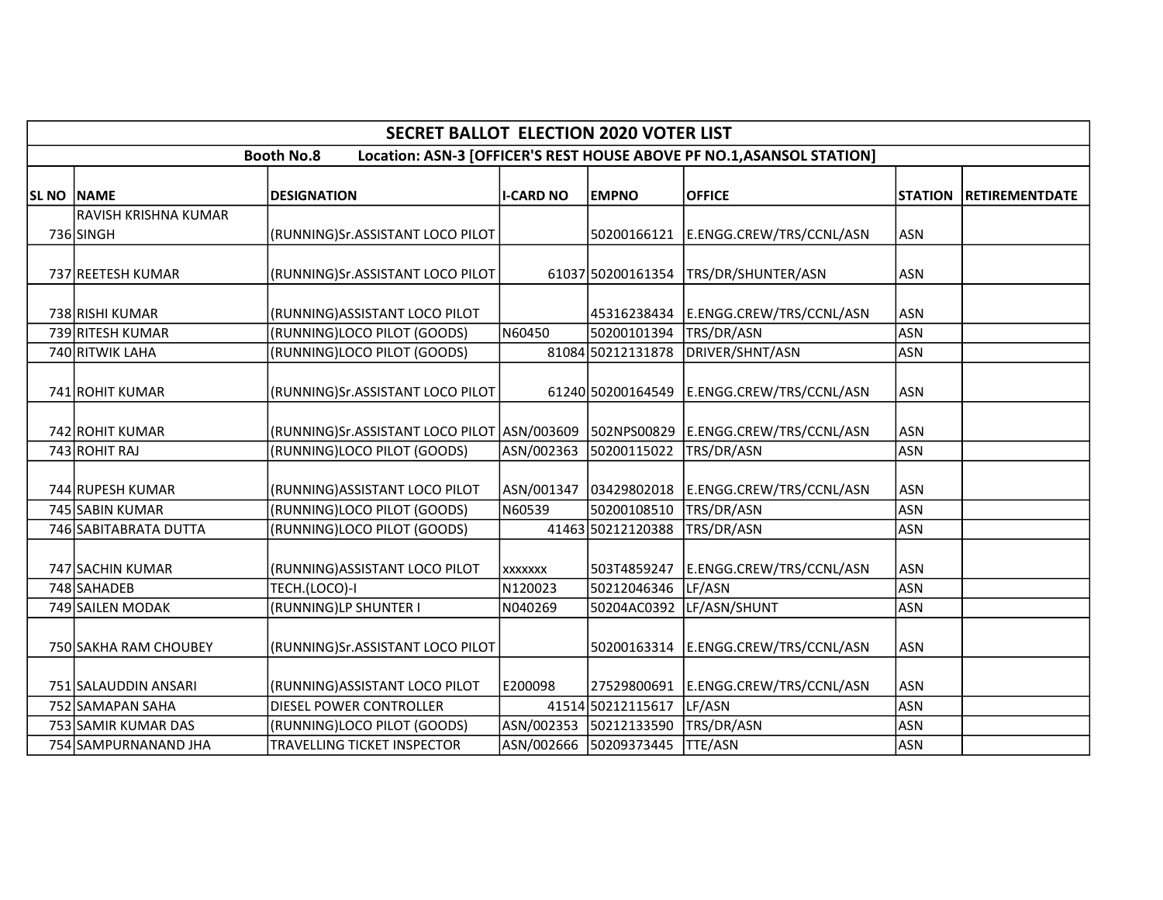|                   | <b>SECRET BALLOT ELECTION 2020 VOTER LIST</b>                                              |                                                         |                  |                        |                          |                |                        |  |  |  |  |
|-------------------|--------------------------------------------------------------------------------------------|---------------------------------------------------------|------------------|------------------------|--------------------------|----------------|------------------------|--|--|--|--|
|                   | Location: ASN-3 [OFFICER'S REST HOUSE ABOVE PF NO.1, ASANSOL STATION]<br><b>Booth No.8</b> |                                                         |                  |                        |                          |                |                        |  |  |  |  |
| <b>SL NO NAME</b> |                                                                                            | <b>DESIGNATION</b>                                      | <b>I-CARD NO</b> | <b>EMPNO</b>           | <b>OFFICE</b>            | <b>STATION</b> | <b>IRETIREMENTDATE</b> |  |  |  |  |
|                   | RAVISH KRISHNA KUMAR                                                                       |                                                         |                  |                        |                          |                |                        |  |  |  |  |
|                   | 736 SINGH                                                                                  | (RUNNING)Sr.ASSISTANT LOCO PILOT                        |                  | 50200166121            | E.ENGG.CREW/TRS/CCNL/ASN | <b>ASN</b>     |                        |  |  |  |  |
|                   | 737 REETESH KUMAR                                                                          | (RUNNING)Sr.ASSISTANT LOCO PILOT                        |                  | 61037 50200161354      | TRS/DR/SHUNTER/ASN       | <b>ASN</b>     |                        |  |  |  |  |
|                   | 738 RISHI KUMAR                                                                            | (RUNNING) ASSISTANT LOCO PILOT                          |                  | 45316238434            | E.ENGG.CREW/TRS/CCNL/ASN | <b>ASN</b>     |                        |  |  |  |  |
|                   | 739 RITESH KUMAR                                                                           | (RUNNING)LOCO PILOT (GOODS)                             | N60450           | 50200101394            | TRS/DR/ASN               | <b>ASN</b>     |                        |  |  |  |  |
|                   | 740 RITWIK LAHA                                                                            | (RUNNING)LOCO PILOT (GOODS)                             |                  | 81084 50212131878      | DRIVER/SHNT/ASN          | <b>ASN</b>     |                        |  |  |  |  |
|                   | 741 ROHIT KUMAR                                                                            | (RUNNING)Sr.ASSISTANT LOCO PILOT                        |                  | 61240 50200164549      | E.ENGG.CREW/TRS/CCNL/ASN | <b>ASN</b>     |                        |  |  |  |  |
|                   | 742 ROHIT KUMAR                                                                            | (RUNNING)Sr.ASSISTANT LOCO PILOT ASN/003609 502NPS00829 |                  |                        | E.ENGG.CREW/TRS/CCNL/ASN | <b>ASN</b>     |                        |  |  |  |  |
|                   | 743 ROHIT RAJ                                                                              | (RUNNING)LOCO PILOT (GOODS)                             |                  | ASN/002363 50200115022 | TRS/DR/ASN               | <b>ASN</b>     |                        |  |  |  |  |
|                   | 744 RUPESH KUMAR                                                                           | (RUNNING) ASSISTANT LOCO PILOT                          |                  | ASN/001347 03429802018 | E.ENGG.CREW/TRS/CCNL/ASN | <b>ASN</b>     |                        |  |  |  |  |
|                   | 745 SABIN KUMAR                                                                            | (RUNNING)LOCO PILOT (GOODS)                             | N60539           | 50200108510            | TRS/DR/ASN               | <b>ASN</b>     |                        |  |  |  |  |
|                   | 746 SABITABRATA DUTTA                                                                      | (RUNNING)LOCO PILOT (GOODS)                             |                  | 41463 50212120388      | TRS/DR/ASN               | <b>ASN</b>     |                        |  |  |  |  |
|                   | 747 SACHIN KUMAR                                                                           | (RUNNING) ASSISTANT LOCO PILOT                          | <b>XXXXXXX</b>   | 503T4859247            | E.ENGG.CREW/TRS/CCNL/ASN | <b>ASN</b>     |                        |  |  |  |  |
|                   | 748 SAHADEB                                                                                | TECH.(LOCO)-I                                           | N120023          | 50212046346            | LF/ASN                   | <b>ASN</b>     |                        |  |  |  |  |
|                   | 749 SAILEN MODAK                                                                           | (RUNNING)LP SHUNTER I                                   | N040269          | 50204AC0392            | LF/ASN/SHUNT             | <b>ASN</b>     |                        |  |  |  |  |
|                   | 750 SAKHA RAM CHOUBEY                                                                      | (RUNNING)Sr.ASSISTANT LOCO PILOT                        |                  | 50200163314            | E.ENGG.CREW/TRS/CCNL/ASN | <b>ASN</b>     |                        |  |  |  |  |
|                   | 751 SALAUDDIN ANSARI                                                                       | (RUNNING) ASSISTANT LOCO PILOT                          | E200098          | 27529800691            | E.ENGG.CREW/TRS/CCNL/ASN | <b>ASN</b>     |                        |  |  |  |  |
|                   | 752 SAMAPAN SAHA                                                                           | DIESEL POWER CONTROLLER                                 |                  | 41514 50212115617      | LF/ASN                   | <b>ASN</b>     |                        |  |  |  |  |
|                   | 753 SAMIR KUMAR DAS                                                                        | (RUNNING)LOCO PILOT (GOODS)                             |                  | ASN/002353 50212133590 | TRS/DR/ASN               | <b>ASN</b>     |                        |  |  |  |  |
|                   | 754 SAMPURNANAND JHA                                                                       | TRAVELLING TICKET INSPECTOR                             |                  | ASN/002666 50209373445 | <b>TTE/ASN</b>           | <b>ASN</b>     |                        |  |  |  |  |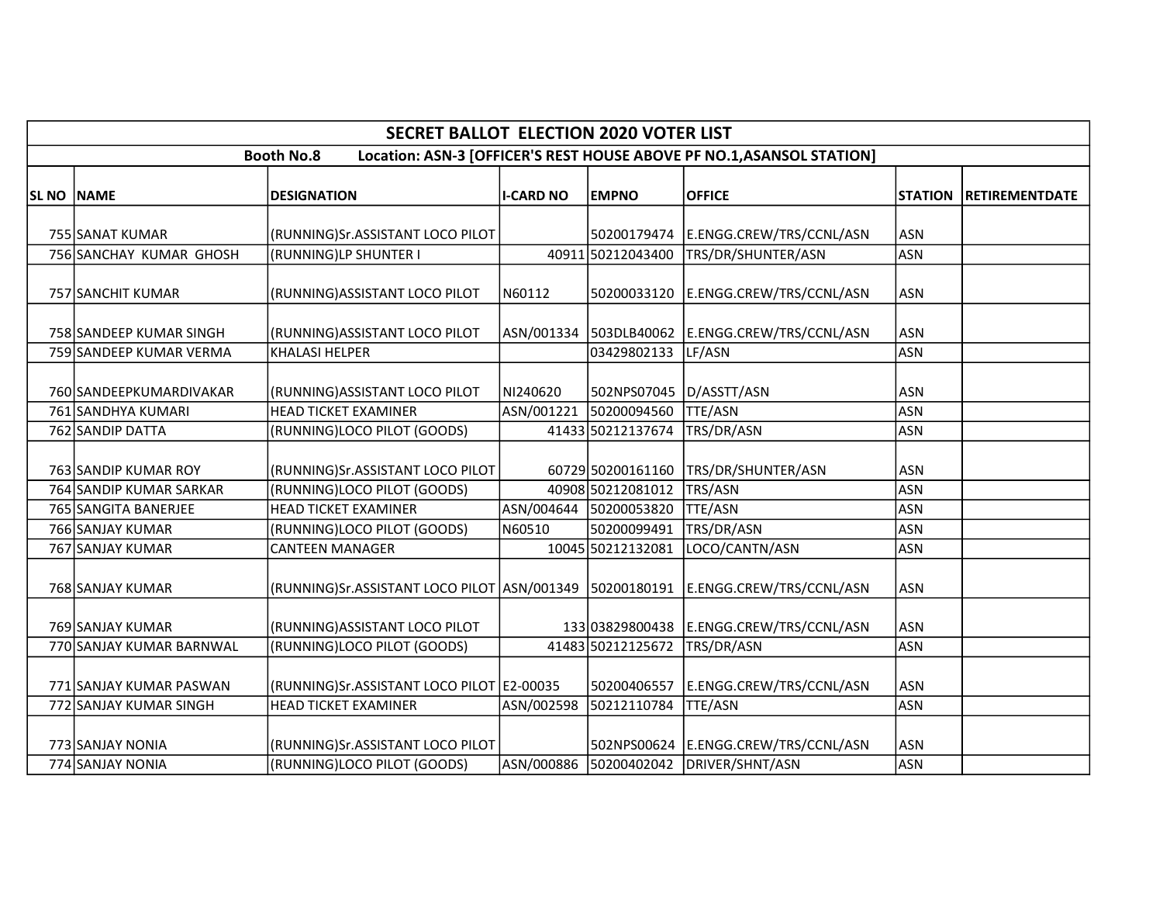|                   | <b>SECRET BALLOT ELECTION 2020 VOTER LIST</b> |                                                         |                  |                          |                                                                       |                |                       |  |  |  |  |  |
|-------------------|-----------------------------------------------|---------------------------------------------------------|------------------|--------------------------|-----------------------------------------------------------------------|----------------|-----------------------|--|--|--|--|--|
|                   |                                               | <b>Booth No.8</b>                                       |                  |                          | Location: ASN-3 [OFFICER'S REST HOUSE ABOVE PF NO.1, ASANSOL STATION] |                |                       |  |  |  |  |  |
| <b>SL NO NAME</b> |                                               | <b>DESIGNATION</b>                                      | <b>I-CARD NO</b> | <b>EMPNO</b>             | <b>OFFICE</b>                                                         | <b>STATION</b> | <b>RETIREMENTDATE</b> |  |  |  |  |  |
|                   | 755 SANAT KUMAR                               | (RUNNING)Sr.ASSISTANT LOCO PILOT                        |                  |                          | 50200179474   E.ENGG.CREW/TRS/CCNL/ASN                                | <b>ASN</b>     |                       |  |  |  |  |  |
|                   | 756 SANCHAY KUMAR GHOSH                       | (RUNNING)LP SHUNTER I                                   |                  | 40911 50212043400        | TRS/DR/SHUNTER/ASN                                                    | <b>ASN</b>     |                       |  |  |  |  |  |
|                   | 757 SANCHIT KUMAR                             | (RUNNING) ASSISTANT LOCO PILOT                          | N60112           | 50200033120              | E.ENGG.CREW/TRS/CCNL/ASN                                              | <b>ASN</b>     |                       |  |  |  |  |  |
|                   | 758 SANDEEP KUMAR SINGH                       | (RUNNING) ASSISTANT LOCO PILOT                          |                  |                          | ASN/001334 503DLB40062 E.ENGG.CREW/TRS/CCNL/ASN                       | <b>ASN</b>     |                       |  |  |  |  |  |
|                   | 759 SANDEEP KUMAR VERMA                       | KHALASI HELPER                                          |                  | 03429802133              | LF/ASN                                                                | <b>ASN</b>     |                       |  |  |  |  |  |
|                   | 760 SANDEEPKUMARDIVAKAR                       | (RUNNING) ASSISTANT LOCO PILOT                          | NI240620         | 502NPS07045  D/ASSTT/ASN |                                                                       | <b>ASN</b>     |                       |  |  |  |  |  |
|                   | 761 SANDHYA KUMARI                            | <b>HEAD TICKET EXAMINER</b>                             | ASN/001221       | 50200094560              | <b>TTE/ASN</b>                                                        | <b>ASN</b>     |                       |  |  |  |  |  |
|                   | 762 SANDIP DATTA                              | (RUNNING)LOCO PILOT (GOODS)                             |                  | 41433 50212137674        | TRS/DR/ASN                                                            | <b>ASN</b>     |                       |  |  |  |  |  |
|                   | 763 SANDIP KUMAR ROY                          | (RUNNING)Sr.ASSISTANT LOCO PILOT                        |                  | 60729 50200161160        | TRS/DR/SHUNTER/ASN                                                    | <b>ASN</b>     |                       |  |  |  |  |  |
|                   | 764 SANDIP KUMAR SARKAR                       | (RUNNING)LOCO PILOT (GOODS)                             |                  | 40908 50212081012        | TRS/ASN                                                               | <b>ASN</b>     |                       |  |  |  |  |  |
|                   | 765 SANGITA BANERJEE                          | <b>HEAD TICKET EXAMINER</b>                             |                  | ASN/004644 50200053820   | TTE/ASN                                                               | <b>ASN</b>     |                       |  |  |  |  |  |
|                   | 766 SANJAY KUMAR                              | (RUNNING)LOCO PILOT (GOODS)                             | N60510           | 50200099491              | TRS/DR/ASN                                                            | <b>ASN</b>     |                       |  |  |  |  |  |
|                   | 767 SANJAY KUMAR                              | <b>CANTEEN MANAGER</b>                                  |                  | 10045 50212132081        | LOCO/CANTN/ASN                                                        | <b>ASN</b>     |                       |  |  |  |  |  |
|                   | 768 SANJAY KUMAR                              | (RUNNING)Sr.ASSISTANT LOCO PILOT ASN/001349 50200180191 |                  |                          | E.ENGG.CREW/TRS/CCNL/ASN                                              | <b>ASN</b>     |                       |  |  |  |  |  |
|                   | 769 SANJAY KUMAR                              | (RUNNING) ASSISTANT LOCO PILOT                          |                  | 13303829800438           | E.ENGG.CREW/TRS/CCNL/ASN                                              | <b>ASN</b>     |                       |  |  |  |  |  |
|                   | 770 SANJAY KUMAR BARNWAL                      | (RUNNING)LOCO PILOT (GOODS)                             |                  | 41483 50212125672        | TRS/DR/ASN                                                            | <b>ASN</b>     |                       |  |  |  |  |  |
|                   | 771 SANJAY KUMAR PASWAN                       | (RUNNING)Sr.ASSISTANT LOCO PILOT   E2-00035             |                  | 50200406557              | E.ENGG.CREW/TRS/CCNL/ASN                                              | <b>ASN</b>     |                       |  |  |  |  |  |
|                   | 772 SANJAY KUMAR SINGH                        | <b>HEAD TICKET EXAMINER</b>                             | ASN/002598       | 50212110784              | <b>TTE/ASN</b>                                                        | <b>ASN</b>     |                       |  |  |  |  |  |
|                   | 773 SANJAY NONIA                              | (RUNNING)Sr.ASSISTANT LOCO PILOT                        |                  |                          | 502NPS00624 E.ENGG.CREW/TRS/CCNL/ASN                                  | <b>ASN</b>     |                       |  |  |  |  |  |
|                   | 774 SANJAY NONIA                              | (RUNNING)LOCO PILOT (GOODS)                             |                  | ASN/000886 50200402042   | DRIVER/SHNT/ASN                                                       | <b>ASN</b>     |                       |  |  |  |  |  |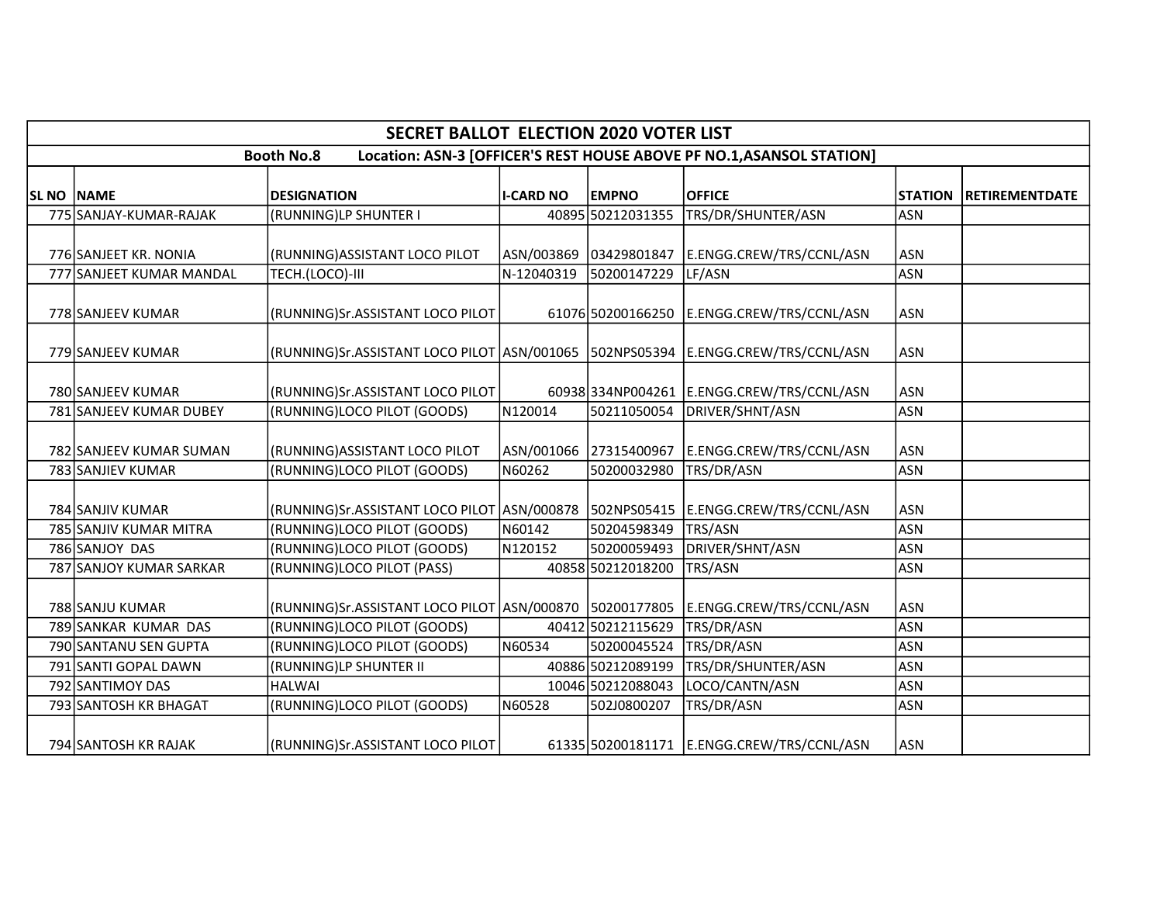|                   | <b>SECRET BALLOT ELECTION 2020 VOTER LIST</b>                                              |                                                                                        |                  |                        |                                            |                |                       |  |  |  |  |
|-------------------|--------------------------------------------------------------------------------------------|----------------------------------------------------------------------------------------|------------------|------------------------|--------------------------------------------|----------------|-----------------------|--|--|--|--|
|                   | Location: ASN-3 [OFFICER'S REST HOUSE ABOVE PF NO.1, ASANSOL STATION]<br><b>Booth No.8</b> |                                                                                        |                  |                        |                                            |                |                       |  |  |  |  |
| <b>SL NO NAME</b> |                                                                                            | <b>DESIGNATION</b>                                                                     | <b>I-CARD NO</b> | <b>EMPNO</b>           | <b>OFFICE</b>                              | <b>STATION</b> | <b>RETIREMENTDATE</b> |  |  |  |  |
|                   | 775 SANJAY-KUMAR-RAJAK                                                                     | (RUNNING)LP SHUNTER I                                                                  |                  | 40895 50212031355      | TRS/DR/SHUNTER/ASN                         | <b>ASN</b>     |                       |  |  |  |  |
|                   | 776 SANJEET KR. NONIA                                                                      | (RUNNING) ASSISTANT LOCO PILOT                                                         |                  | ASN/003869 03429801847 | E.ENGG.CREW/TRS/CCNL/ASN                   | <b>ASN</b>     |                       |  |  |  |  |
|                   | 777 SANJEET KUMAR MANDAL                                                                   | TECH.(LOCO)-III                                                                        | N-12040319       | 50200147229            | LF/ASN                                     | <b>ASN</b>     |                       |  |  |  |  |
|                   | 778 SANJEEV KUMAR                                                                          | (RUNNING)Sr.ASSISTANT LOCO PILOT                                                       |                  |                        | 61076 50200166250 E.ENGG.CREW/TRS/CCNL/ASN | <b>ASN</b>     |                       |  |  |  |  |
|                   | 779 SANJEEV KUMAR                                                                          | (RUNNING)Sr.ASSISTANT LOCO PILOT   ASN/001065   502NPS05394   E.ENGG.CREW/TRS/CCNL/ASN |                  |                        |                                            | <b>ASN</b>     |                       |  |  |  |  |
|                   | 780 SANJEEV KUMAR                                                                          | (RUNNING)Sr.ASSISTANT LOCO PILOT                                                       |                  | 60938 334NP004261      | E.ENGG.CREW/TRS/CCNL/ASN                   | <b>ASN</b>     |                       |  |  |  |  |
|                   | 781 SANJEEV KUMAR DUBEY                                                                    | (RUNNING)LOCO PILOT (GOODS)                                                            | N120014          | 50211050054            | DRIVER/SHNT/ASN                            | <b>ASN</b>     |                       |  |  |  |  |
|                   | 782 SANJEEV KUMAR SUMAN                                                                    | (RUNNING) ASSISTANT LOCO PILOT                                                         |                  | ASN/001066 27315400967 | E.ENGG.CREW/TRS/CCNL/ASN                   | <b>ASN</b>     |                       |  |  |  |  |
|                   | 783 SANJIEV KUMAR                                                                          | (RUNNING)LOCO PILOT (GOODS)                                                            | N60262           | 50200032980            | TRS/DR/ASN                                 | <b>ASN</b>     |                       |  |  |  |  |
|                   | 784 SANJIV KUMAR                                                                           | (RUNNING)Sr.ASSISTANT LOCO PILOT ASN/000878 502NPS05415                                |                  |                        | E.ENGG.CREW/TRS/CCNL/ASN                   | <b>ASN</b>     |                       |  |  |  |  |
|                   | 785 SANJIV KUMAR MITRA                                                                     | (RUNNING)LOCO PILOT (GOODS)                                                            | N60142           | 50204598349            | <b>TRS/ASN</b>                             | <b>ASN</b>     |                       |  |  |  |  |
|                   | 786 SANJOY DAS                                                                             | (RUNNING)LOCO PILOT (GOODS)                                                            | N120152          | 50200059493            | DRIVER/SHNT/ASN                            | <b>ASN</b>     |                       |  |  |  |  |
|                   | 787 SANJOY KUMAR SARKAR                                                                    | (RUNNING)LOCO PILOT (PASS)                                                             |                  | 40858 50212018200      | TRS/ASN                                    | <b>ASN</b>     |                       |  |  |  |  |
|                   | 788 SANJU KUMAR                                                                            | (RUNNING)Sr.ASSISTANT LOCO PILOT ASN/000870 50200177805                                |                  |                        | E.ENGG.CREW/TRS/CCNL/ASN                   | <b>ASN</b>     |                       |  |  |  |  |
|                   | 789 SANKAR KUMAR DAS                                                                       | (RUNNING)LOCO PILOT (GOODS)                                                            |                  | 40412 50212115629      | TRS/DR/ASN                                 | <b>ASN</b>     |                       |  |  |  |  |
|                   | 790 SANTANU SEN GUPTA                                                                      | (RUNNING)LOCO PILOT (GOODS)                                                            | N60534           | 50200045524            | TRS/DR/ASN                                 | <b>ASN</b>     |                       |  |  |  |  |
|                   | 791 SANTI GOPAL DAWN                                                                       | (RUNNING)LP SHUNTER II                                                                 |                  | 40886 50212089199      | TRS/DR/SHUNTER/ASN                         | <b>ASN</b>     |                       |  |  |  |  |
|                   | 792 SANTIMOY DAS                                                                           | <b>HALWAI</b>                                                                          |                  | 10046 50212088043      | LOCO/CANTN/ASN                             | <b>ASN</b>     |                       |  |  |  |  |
|                   | 793 SANTOSH KR BHAGAT                                                                      | (RUNNING)LOCO PILOT (GOODS)                                                            | N60528           | 502J0800207            | TRS/DR/ASN                                 | <b>ASN</b>     |                       |  |  |  |  |
|                   | 794 SANTOSH KR RAJAK                                                                       | (RUNNING)Sr.ASSISTANT LOCO PILOT                                                       |                  |                        | 61335 50200181171 E.ENGG.CREW/TRS/CCNL/ASN | <b>ASN</b>     |                       |  |  |  |  |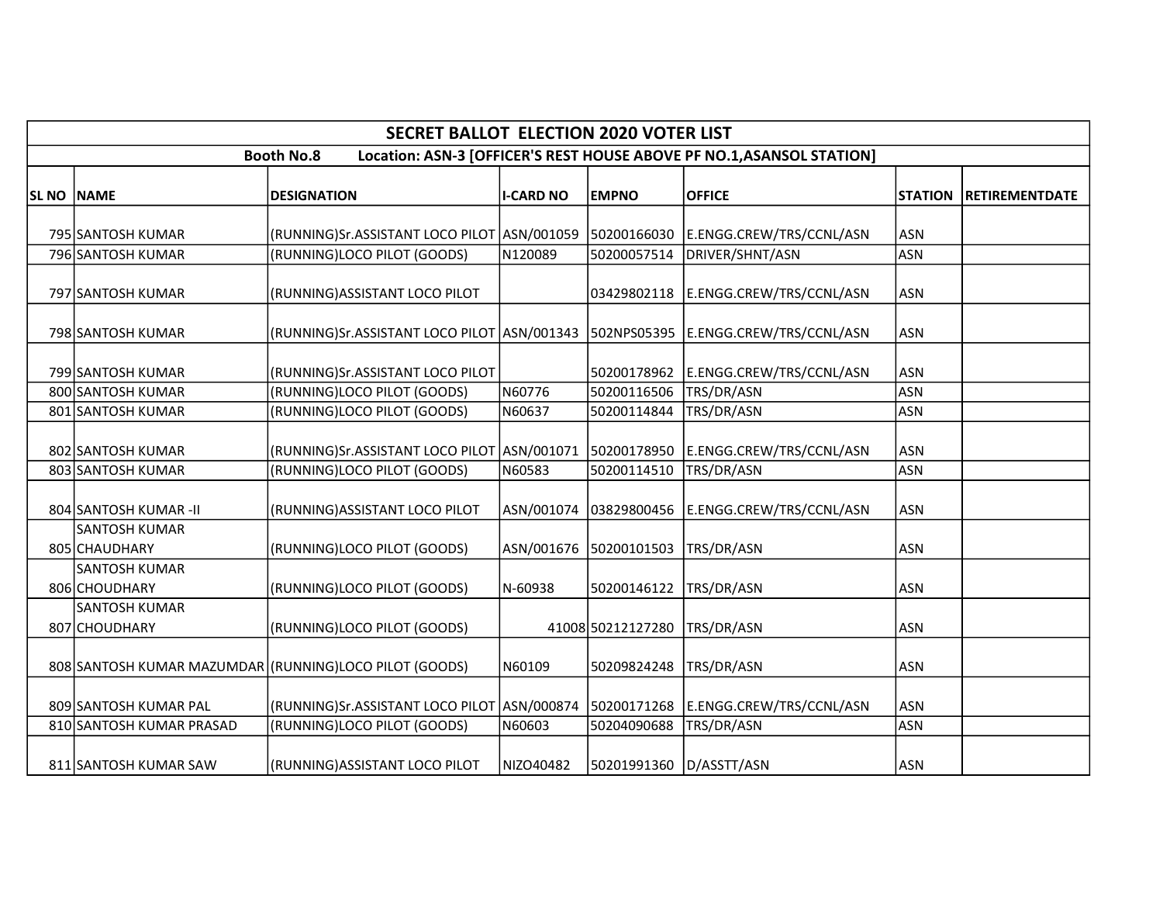|                   |                                                                                            | <b>SECRET BALLOT ELECTION 2020 VOTER LIST</b>                              |                  |                         |                                                         |                          |                        |  |  |  |  |  |
|-------------------|--------------------------------------------------------------------------------------------|----------------------------------------------------------------------------|------------------|-------------------------|---------------------------------------------------------|--------------------------|------------------------|--|--|--|--|--|
|                   | Location: ASN-3 [OFFICER'S REST HOUSE ABOVE PF NO.1, ASANSOL STATION]<br><b>Booth No.8</b> |                                                                            |                  |                         |                                                         |                          |                        |  |  |  |  |  |
| <b>SL NO NAME</b> |                                                                                            | <b>DESIGNATION</b>                                                         | <b>I-CARD NO</b> | <b>EMPNO</b>            | <b>OFFICE</b>                                           | <b>STATION</b>           | <b>IRETIREMENTDATE</b> |  |  |  |  |  |
|                   |                                                                                            |                                                                            |                  |                         |                                                         |                          |                        |  |  |  |  |  |
|                   | 795 SANTOSH KUMAR<br>796 SANTOSH KUMAR                                                     | (RUNNING)Sr.ASSISTANT LOCO PILOT ASN/001059<br>(RUNNING)LOCO PILOT (GOODS) | N120089          | 50200057514             | 50200166030 E.ENGG.CREW/TRS/CCNL/ASN<br>DRIVER/SHNT/ASN | <b>ASN</b><br><b>ASN</b> |                        |  |  |  |  |  |
|                   |                                                                                            |                                                                            |                  |                         |                                                         |                          |                        |  |  |  |  |  |
|                   | 797 SANTOSH KUMAR                                                                          | (RUNNING) ASSISTANT LOCO PILOT                                             |                  | 03429802118             | E.ENGG.CREW/TRS/CCNL/ASN                                | <b>ASN</b>               |                        |  |  |  |  |  |
|                   | 798 SANTOSH KUMAR                                                                          | (RUNNING)Sr.ASSISTANT LOCO PILOT ASN/001343                                |                  |                         | 502NPS05395 E.ENGG.CREW/TRS/CCNL/ASN                    | <b>ASN</b>               |                        |  |  |  |  |  |
|                   | 799 SANTOSH KUMAR                                                                          | (RUNNING)Sr.ASSISTANT LOCO PILOT                                           |                  | 50200178962             | E.ENGG.CREW/TRS/CCNL/ASN                                | <b>ASN</b>               |                        |  |  |  |  |  |
|                   | 800 SANTOSH KUMAR                                                                          | (RUNNING)LOCO PILOT (GOODS)                                                | N60776           | 50200116506             | TRS/DR/ASN                                              | <b>ASN</b>               |                        |  |  |  |  |  |
|                   | 801 SANTOSH KUMAR                                                                          | (RUNNING)LOCO PILOT (GOODS)                                                | N60637           | 50200114844             | TRS/DR/ASN                                              | <b>ASN</b>               |                        |  |  |  |  |  |
|                   | 802 SANTOSH KUMAR                                                                          | (RUNNING)Sr.ASSISTANT LOCO PILOT   ASN/001071                              |                  | 50200178950             | E.ENGG.CREW/TRS/CCNL/ASN                                | <b>ASN</b>               |                        |  |  |  |  |  |
|                   | 803 SANTOSH KUMAR                                                                          | (RUNNING)LOCO PILOT (GOODS)                                                | N60583           | 50200114510             | TRS/DR/ASN                                              | <b>ASN</b>               |                        |  |  |  |  |  |
|                   | 804 SANTOSH KUMAR-II                                                                       | (RUNNING) ASSISTANT LOCO PILOT                                             | ASN/001074       | 03829800456             | E.ENGG.CREW/TRS/CCNL/ASN                                | <b>ASN</b>               |                        |  |  |  |  |  |
|                   | <b>SANTOSH KUMAR</b><br>805 CHAUDHARY                                                      | (RUNNING)LOCO PILOT (GOODS)                                                | ASN/001676       | 50200101503             | TRS/DR/ASN                                              | <b>ASN</b>               |                        |  |  |  |  |  |
|                   | <b>SANTOSH KUMAR</b><br>806 CHOUDHARY                                                      | (RUNNING)LOCO PILOT (GOODS)                                                | N-60938          | 50200146122             | TRS/DR/ASN                                              | <b>ASN</b>               |                        |  |  |  |  |  |
|                   | SANTOSH KUMAR<br>807 CHOUDHARY                                                             | (RUNNING)LOCO PILOT (GOODS)                                                |                  | 41008 50212127280       | TRS/DR/ASN                                              | <b>ASN</b>               |                        |  |  |  |  |  |
|                   |                                                                                            | 808 SANTOSH KUMAR MAZUMDAR (RUNNING) LOCO PILOT (GOODS)                    | N60109           | 50209824248             | TRS/DR/ASN                                              | <b>ASN</b>               |                        |  |  |  |  |  |
|                   | 809 SANTOSH KUMAR PAL                                                                      | (RUNNING)Sr.ASSISTANT LOCO PILOT ASN/000874                                |                  | 50200171268             | E.ENGG.CREW/TRS/CCNL/ASN                                | <b>ASN</b>               |                        |  |  |  |  |  |
|                   | 810 SANTOSH KUMAR PRASAD                                                                   | (RUNNING)LOCO PILOT (GOODS)                                                | N60603           | 50204090688             | TRS/DR/ASN                                              | <b>ASN</b>               |                        |  |  |  |  |  |
|                   | 811 SANTOSH KUMAR SAW                                                                      | (RUNNING)ASSISTANT LOCO PILOT                                              | NIZO40482        | 50201991360 D/ASSTT/ASN |                                                         | <b>ASN</b>               |                        |  |  |  |  |  |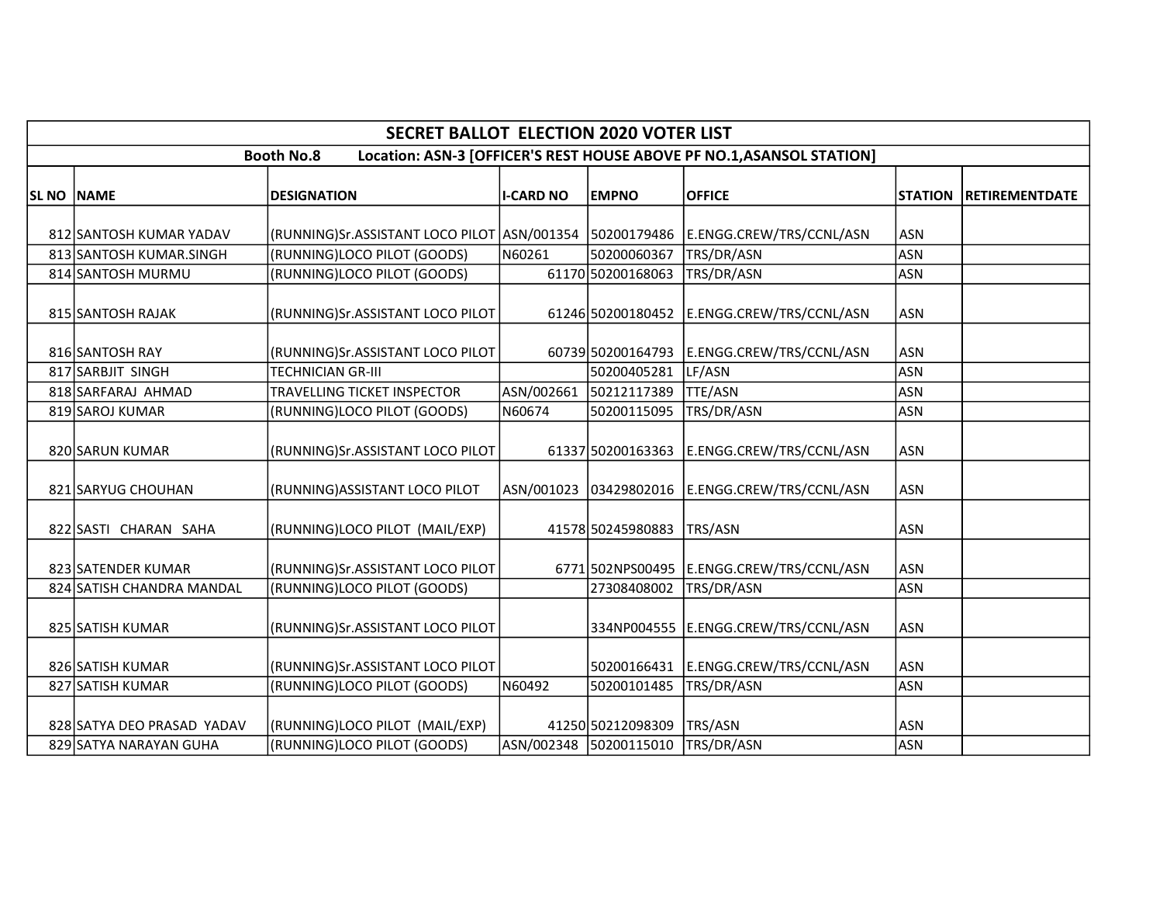|            | <b>SECRET BALLOT ELECTION 2020 VOTER LIST</b>                                              |                                                         |                  |                        |                                             |                |                       |  |  |  |  |
|------------|--------------------------------------------------------------------------------------------|---------------------------------------------------------|------------------|------------------------|---------------------------------------------|----------------|-----------------------|--|--|--|--|
|            | Location: ASN-3 [OFFICER'S REST HOUSE ABOVE PF NO.1, ASANSOL STATION]<br><b>Booth No.8</b> |                                                         |                  |                        |                                             |                |                       |  |  |  |  |
| SL NO NAME |                                                                                            | <b>DESIGNATION</b>                                      | <b>I-CARD NO</b> | <b>EMPNO</b>           | <b>OFFICE</b>                               | <b>STATION</b> | <b>RETIREMENTDATE</b> |  |  |  |  |
|            | 812 SANTOSH KUMAR YADAV                                                                    | (RUNNING)Sr.ASSISTANT LOCO PILOT ASN/001354 50200179486 |                  |                        | E.ENGG.CREW/TRS/CCNL/ASN                    | <b>ASN</b>     |                       |  |  |  |  |
|            | 813 SANTOSH KUMAR.SINGH                                                                    | (RUNNING)LOCO PILOT (GOODS)                             | N60261           | 50200060367            | TRS/DR/ASN                                  | <b>ASN</b>     |                       |  |  |  |  |
|            | 814 SANTOSH MURMU                                                                          | (RUNNING)LOCO PILOT (GOODS)                             |                  | 61170 50200168063      | TRS/DR/ASN                                  | <b>ASN</b>     |                       |  |  |  |  |
|            | 815 SANTOSH RAJAK                                                                          | (RUNNING)Sr.ASSISTANT LOCO PILOT                        |                  | 61246 50200180452      | E.ENGG.CREW/TRS/CCNL/ASN                    | <b>ASN</b>     |                       |  |  |  |  |
|            | 816 SANTOSH RAY                                                                            | (RUNNING)Sr.ASSISTANT LOCO PILOT                        |                  | 60739 50200164793      | E.ENGG.CREW/TRS/CCNL/ASN                    | <b>ASN</b>     |                       |  |  |  |  |
|            | 817 SARBJIT SINGH                                                                          | <b>TECHNICIAN GR-III</b>                                |                  | 50200405281            | LF/ASN                                      | <b>ASN</b>     |                       |  |  |  |  |
|            | 818 SARFARAJ AHMAD                                                                         | TRAVELLING TICKET INSPECTOR                             | ASN/002661       | 50212117389            | <b>TTE/ASN</b>                              | <b>ASN</b>     |                       |  |  |  |  |
|            | 819 SAROJ KUMAR                                                                            | (RUNNING)LOCO PILOT (GOODS)                             | N60674           | 50200115095            | TRS/DR/ASN                                  | <b>ASN</b>     |                       |  |  |  |  |
|            | 820 SARUN KUMAR                                                                            | (RUNNING)Sr.ASSISTANT LOCO PILOT                        |                  | 61337 50200163363      | E.ENGG.CREW/TRS/CCNL/ASN                    | <b>ASN</b>     |                       |  |  |  |  |
|            | 821 SARYUG CHOUHAN                                                                         | (RUNNING) ASSISTANT LOCO PILOT                          |                  | ASN/001023 03429802016 | E.ENGG.CREW/TRS/CCNL/ASN                    | ASN            |                       |  |  |  |  |
|            | 822 SASTI CHARAN SAHA                                                                      | (RUNNING)LOCO PILOT (MAIL/EXP)                          |                  | 41578 50245980883      | TRS/ASN                                     | ASN            |                       |  |  |  |  |
|            | 823 SATENDER KUMAR                                                                         | (RUNNING)Sr.ASSISTANT LOCO PILOT                        |                  |                        | 6771 502NPS00495   E.ENGG.CREW/TRS/CCNL/ASN | <b>ASN</b>     |                       |  |  |  |  |
|            | 824 SATISH CHANDRA MANDAL                                                                  | (RUNNING)LOCO PILOT (GOODS)                             |                  | 27308408002            | TRS/DR/ASN                                  | <b>ASN</b>     |                       |  |  |  |  |
|            | 825 SATISH KUMAR                                                                           | (RUNNING)Sr.ASSISTANT LOCO PILOT                        |                  |                        | 334NP004555 E.ENGG.CREW/TRS/CCNL/ASN        | ASN            |                       |  |  |  |  |
|            | 826 SATISH KUMAR                                                                           | (RUNNING)Sr.ASSISTANT LOCO PILOT                        |                  | 50200166431            | E.ENGG.CREW/TRS/CCNL/ASN                    | <b>ASN</b>     |                       |  |  |  |  |
|            | 827 SATISH KUMAR                                                                           | (RUNNING)LOCO PILOT (GOODS)                             | N60492           | 50200101485            | TRS/DR/ASN                                  | <b>ASN</b>     |                       |  |  |  |  |
|            | 828 SATYA DEO PRASAD YADAV                                                                 | (RUNNING)LOCO PILOT (MAIL/EXP)                          |                  | 41250 50212098309      | TRS/ASN                                     | <b>ASN</b>     |                       |  |  |  |  |
|            | 829 SATYA NARAYAN GUHA                                                                     | (RUNNING)LOCO PILOT (GOODS)                             |                  | ASN/002348 50200115010 | TRS/DR/ASN                                  | <b>ASN</b>     |                       |  |  |  |  |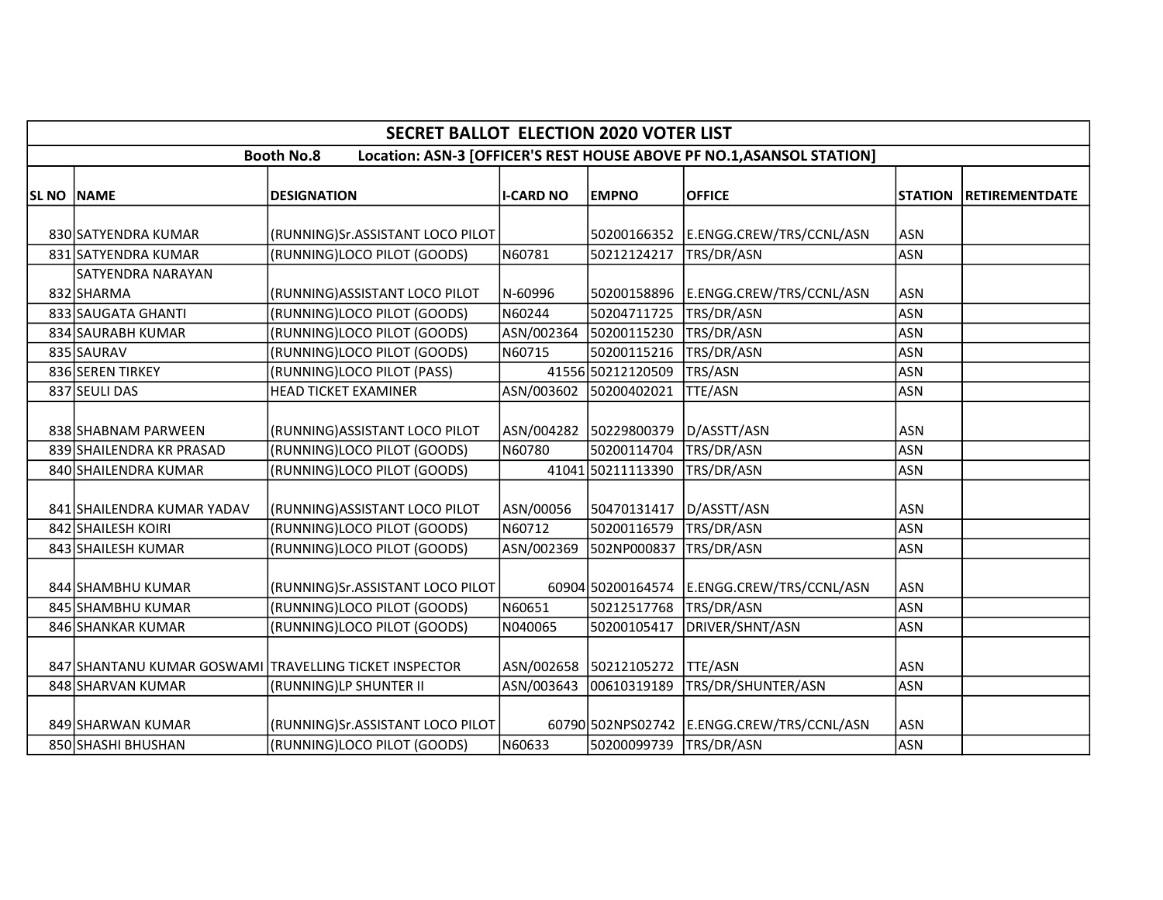|                                                                                            |                            | <b>SECRET BALLOT ELECTION 2020 VOTER LIST</b>                                    |                  |                                       |                                            |                          |                       |  |  |  |
|--------------------------------------------------------------------------------------------|----------------------------|----------------------------------------------------------------------------------|------------------|---------------------------------------|--------------------------------------------|--------------------------|-----------------------|--|--|--|
| <b>Booth No.8</b><br>Location: ASN-3 [OFFICER'S REST HOUSE ABOVE PF NO.1, ASANSOL STATION] |                            |                                                                                  |                  |                                       |                                            |                          |                       |  |  |  |
| SL NO NAME                                                                                 |                            | <b>DESIGNATION</b>                                                               | <b>I-CARD NO</b> | <b>EMPNO</b>                          | <b>OFFICE</b>                              | <b>STATION</b>           | <b>RETIREMENTDATE</b> |  |  |  |
|                                                                                            | 830 SATYENDRA KUMAR        | (RUNNING)Sr.ASSISTANT LOCO PILOT                                                 |                  | 50200166352                           | E.ENGG.CREW/TRS/CCNL/ASN                   | <b>ASN</b>               |                       |  |  |  |
|                                                                                            | 831 SATYENDRA KUMAR        | (RUNNING)LOCO PILOT (GOODS)                                                      | N60781           | 50212124217                           | TRS/DR/ASN                                 | <b>ASN</b>               |                       |  |  |  |
|                                                                                            | <b>SATYENDRA NARAYAN</b>   |                                                                                  |                  |                                       |                                            |                          |                       |  |  |  |
|                                                                                            | 832 SHARMA                 | (RUNNING) ASSISTANT LOCO PILOT                                                   | N-60996          |                                       | 50200158896 E.ENGG.CREW/TRS/CCNL/ASN       | <b>ASN</b>               |                       |  |  |  |
|                                                                                            | 833 SAUGATA GHANTI         | (RUNNING)LOCO PILOT (GOODS)                                                      | N60244           | 50204711725                           | TRS/DR/ASN                                 | ASN                      |                       |  |  |  |
|                                                                                            | 834 SAURABH KUMAR          | (RUNNING)LOCO PILOT (GOODS)                                                      | ASN/002364       | 50200115230                           | TRS/DR/ASN                                 | <b>ASN</b>               |                       |  |  |  |
|                                                                                            | 835 SAURAV                 | (RUNNING)LOCO PILOT (GOODS)                                                      | N60715           | 50200115216                           | TRS/DR/ASN                                 | <b>ASN</b>               |                       |  |  |  |
|                                                                                            | 836 SEREN TIRKEY           | (RUNNING)LOCO PILOT (PASS)                                                       |                  | 41556 50212120509                     | TRS/ASN                                    | <b>ASN</b>               |                       |  |  |  |
|                                                                                            | 837 SEULI DAS              | <b>HEAD TICKET EXAMINER</b>                                                      | ASN/003602       | 50200402021                           | <b>TTE/ASN</b>                             | <b>ASN</b>               |                       |  |  |  |
|                                                                                            | 838 SHABNAM PARWEEN        | (RUNNING) ASSISTANT LOCO PILOT                                                   | ASN/004282       | 50229800379                           | D/ASSTT/ASN                                | <b>ASN</b>               |                       |  |  |  |
|                                                                                            | 839 SHAILENDRA KR PRASAD   | (RUNNING)LOCO PILOT (GOODS)                                                      | N60780           | 50200114704                           | TRS/DR/ASN                                 | <b>ASN</b>               |                       |  |  |  |
|                                                                                            | 840 SHAILENDRA KUMAR       | (RUNNING)LOCO PILOT (GOODS)                                                      |                  | 41041 50211113390                     | TRS/DR/ASN                                 | <b>ASN</b>               |                       |  |  |  |
|                                                                                            | 841 SHAILENDRA KUMAR YADAV | (RUNNING) ASSISTANT LOCO PILOT                                                   | ASN/00056        | 50470131417                           | D/ASSTT/ASN                                | <b>ASN</b>               |                       |  |  |  |
|                                                                                            | 842 SHAILESH KOIRI         | (RUNNING)LOCO PILOT (GOODS)                                                      | N60712           | 50200116579                           | TRS/DR/ASN                                 | <b>ASN</b>               |                       |  |  |  |
|                                                                                            | 843 SHAILESH KUMAR         | (RUNNING)LOCO PILOT (GOODS)                                                      | ASN/002369       | 502NP000837                           | TRS/DR/ASN                                 | <b>ASN</b>               |                       |  |  |  |
|                                                                                            | 844 SHAMBHU KUMAR          | (RUNNING)Sr.ASSISTANT LOCO PILOT                                                 |                  |                                       | 60904 50200164574 E.ENGG.CREW/TRS/CCNL/ASN | <b>ASN</b>               |                       |  |  |  |
|                                                                                            | 845 SHAMBHU KUMAR          | (RUNNING)LOCO PILOT (GOODS)                                                      | N60651           | 50212517768                           | TRS/DR/ASN                                 | ASN                      |                       |  |  |  |
|                                                                                            | 846 SHANKAR KUMAR          | (RUNNING)LOCO PILOT (GOODS)                                                      | N040065          | 50200105417                           | DRIVER/SHNT/ASN                            | <b>ASN</b>               |                       |  |  |  |
|                                                                                            | 848 SHARVAN KUMAR          | 847 SHANTANU KUMAR GOSWAMI TRAVELLING TICKET INSPECTOR<br>(RUNNING)LP SHUNTER II | ASN/003643       | ASN/002658 50212105272<br>00610319189 | <b>TTE/ASN</b><br>TRS/DR/SHUNTER/ASN       | <b>ASN</b><br><b>ASN</b> |                       |  |  |  |
|                                                                                            |                            |                                                                                  |                  |                                       |                                            |                          |                       |  |  |  |
|                                                                                            | 849 SHARWAN KUMAR          | (RUNNING)Sr.ASSISTANT LOCO PILOT                                                 |                  |                                       | 60790 502NPS02742 E.ENGG.CREW/TRS/CCNL/ASN | ASN                      |                       |  |  |  |
|                                                                                            | 850 SHASHI BHUSHAN         | (RUNNING)LOCO PILOT (GOODS)                                                      | N60633           | 50200099739 TRS/DR/ASN                |                                            | ASN                      |                       |  |  |  |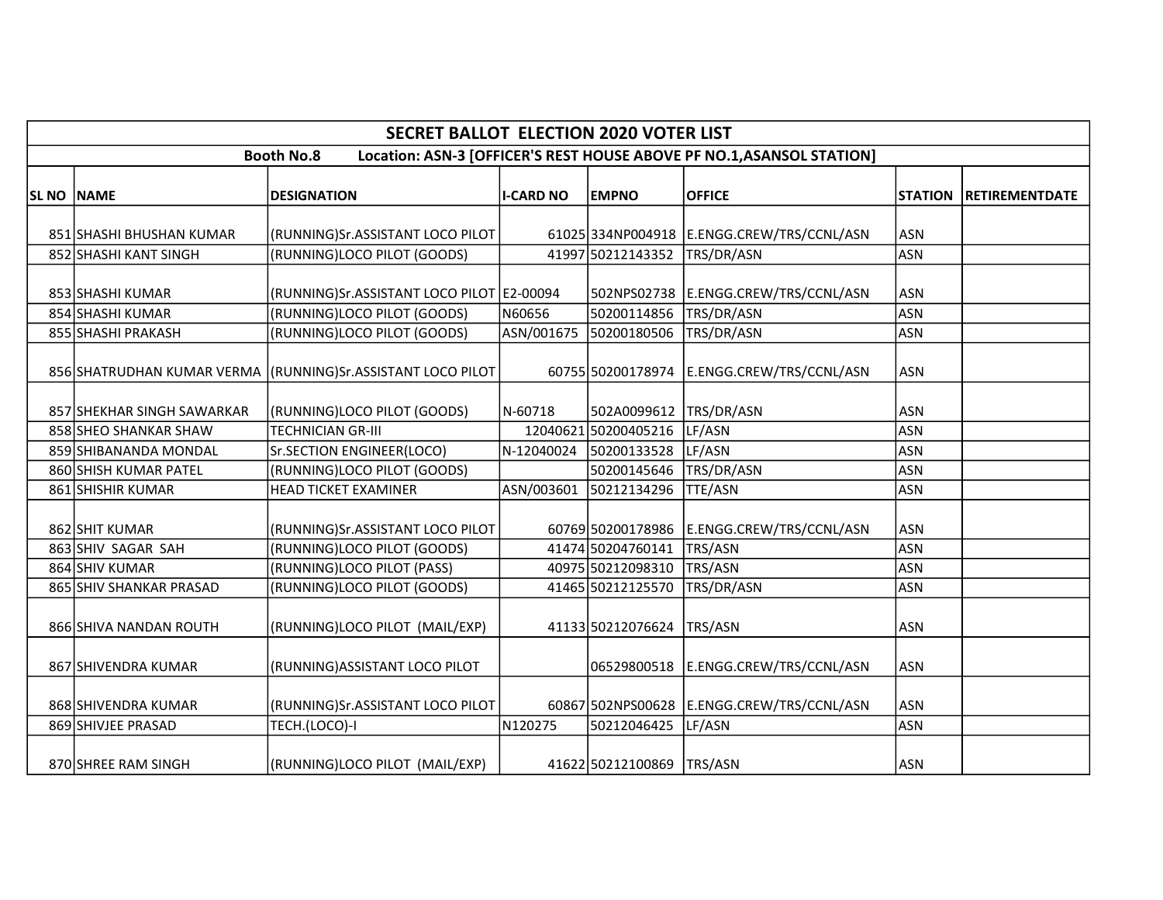|                   | <b>SECRET BALLOT ELECTION 2020 VOTER LIST</b>                                              |                                                                 |                  |                              |                                              |                          |                       |  |  |  |  |  |  |
|-------------------|--------------------------------------------------------------------------------------------|-----------------------------------------------------------------|------------------|------------------------------|----------------------------------------------|--------------------------|-----------------------|--|--|--|--|--|--|
|                   | Location: ASN-3 [OFFICER'S REST HOUSE ABOVE PF NO.1, ASANSOL STATION]<br><b>Booth No.8</b> |                                                                 |                  |                              |                                              |                          |                       |  |  |  |  |  |  |
| <b>SL NO NAME</b> |                                                                                            | <b>DESIGNATION</b>                                              | <b>I-CARD NO</b> | <b>EMPNO</b>                 | <b>OFFICE</b>                                | <b>STATION</b>           | <b>RETIREMENTDATE</b> |  |  |  |  |  |  |
|                   |                                                                                            |                                                                 |                  |                              |                                              |                          |                       |  |  |  |  |  |  |
|                   | 851 SHASHI BHUSHAN KUMAR<br>852 SHASHI KANT SINGH                                          | (RUNNING)Sr.ASSISTANT LOCO PILOT<br>(RUNNING)LOCO PILOT (GOODS) |                  | 41997 50212143352 TRS/DR/ASN | 61025 334NP004918   E.ENGG.CREW/TRS/CCNL/ASN | <b>ASN</b><br><b>ASN</b> |                       |  |  |  |  |  |  |
|                   |                                                                                            |                                                                 |                  |                              |                                              |                          |                       |  |  |  |  |  |  |
|                   | 853 SHASHI KUMAR                                                                           | (RUNNING)Sr.ASSISTANT LOCO PILOT E2-00094                       |                  |                              | 502NPS02738 E.ENGG.CREW/TRS/CCNL/ASN         | <b>ASN</b>               |                       |  |  |  |  |  |  |
|                   | 854 SHASHI KUMAR                                                                           | (RUNNING)LOCO PILOT (GOODS)                                     | N60656           | 50200114856                  | TRS/DR/ASN                                   | ASN                      |                       |  |  |  |  |  |  |
|                   | 855 SHASHI PRAKASH                                                                         | (RUNNING)LOCO PILOT (GOODS)                                     | ASN/001675       | 50200180506                  | TRS/DR/ASN                                   | <b>ASN</b>               |                       |  |  |  |  |  |  |
|                   |                                                                                            | 856 SHATRUDHAN KUMAR VERMA (RUNNING) Sr. ASSISTANT LOCO PILOT   |                  | 60755 50200178974            | E.ENGG.CREW/TRS/CCNL/ASN                     | <b>ASN</b>               |                       |  |  |  |  |  |  |
|                   | 857 SHEKHAR SINGH SAWARKAR                                                                 | (RUNNING)LOCO PILOT (GOODS)                                     | N-60718          | 502A0099612 TRS/DR/ASN       |                                              | <b>ASN</b>               |                       |  |  |  |  |  |  |
|                   | 858 SHEO SHANKAR SHAW                                                                      | <b>TECHNICIAN GR-III</b>                                        |                  | 12040621 50200405216         | LF/ASN                                       | <b>ASN</b>               |                       |  |  |  |  |  |  |
|                   | 859 SHIBANANDA MONDAL                                                                      | Sr.SECTION ENGINEER(LOCO)                                       |                  | N-12040024 50200133528       | LF/ASN                                       | ASN                      |                       |  |  |  |  |  |  |
|                   | 860 SHISH KUMAR PATEL                                                                      | (RUNNING)LOCO PILOT (GOODS)                                     |                  | 50200145646                  | TRS/DR/ASN                                   | <b>ASN</b>               |                       |  |  |  |  |  |  |
|                   | 861 SHISHIR KUMAR                                                                          | <b>HEAD TICKET EXAMINER</b>                                     | ASN/003601       | 50212134296                  | <b>TTE/ASN</b>                               | <b>ASN</b>               |                       |  |  |  |  |  |  |
|                   | 862 SHIT KUMAR                                                                             | (RUNNING)Sr.ASSISTANT LOCO PILOT                                |                  | 60769 50200178986            | E.ENGG.CREW/TRS/CCNL/ASN                     | <b>ASN</b>               |                       |  |  |  |  |  |  |
|                   | 863 SHIV SAGAR SAH                                                                         | (RUNNING)LOCO PILOT (GOODS)                                     |                  | 41474 50204760141            | TRS/ASN                                      | ASN                      |                       |  |  |  |  |  |  |
|                   | 864 SHIV KUMAR                                                                             | (RUNNING)LOCO PILOT (PASS)                                      |                  | 40975 50212098310            | TRS/ASN                                      | <b>ASN</b>               |                       |  |  |  |  |  |  |
|                   | 865 SHIV SHANKAR PRASAD                                                                    | (RUNNING)LOCO PILOT (GOODS)                                     |                  | 41465 50212125570            | TRS/DR/ASN                                   | ASN                      |                       |  |  |  |  |  |  |
|                   | 866 SHIVA NANDAN ROUTH                                                                     | (RUNNING)LOCO PILOT (MAIL/EXP)                                  |                  | 41133 50212076624            | TRS/ASN                                      | <b>ASN</b>               |                       |  |  |  |  |  |  |
|                   | 867 SHIVENDRA KUMAR                                                                        | (RUNNING) ASSISTANT LOCO PILOT                                  |                  |                              | 06529800518 E.ENGG.CREW/TRS/CCNL/ASN         | <b>ASN</b>               |                       |  |  |  |  |  |  |
|                   | 868 SHIVENDRA KUMAR                                                                        | (RUNNING)Sr.ASSISTANT LOCO PILOT                                |                  |                              | 60867 502NPS00628 E.ENGG.CREW/TRS/CCNL/ASN   | <b>ASN</b>               |                       |  |  |  |  |  |  |
|                   | 869 SHIVJEE PRASAD                                                                         | TECH.(LOCO)-I                                                   | N120275          | 50212046425                  | LF/ASN                                       | ASN                      |                       |  |  |  |  |  |  |
|                   | 870 SHREE RAM SINGH                                                                        | (RUNNING)LOCO PILOT (MAIL/EXP)                                  |                  | 41622 50212100869 TRS/ASN    |                                              | <b>ASN</b>               |                       |  |  |  |  |  |  |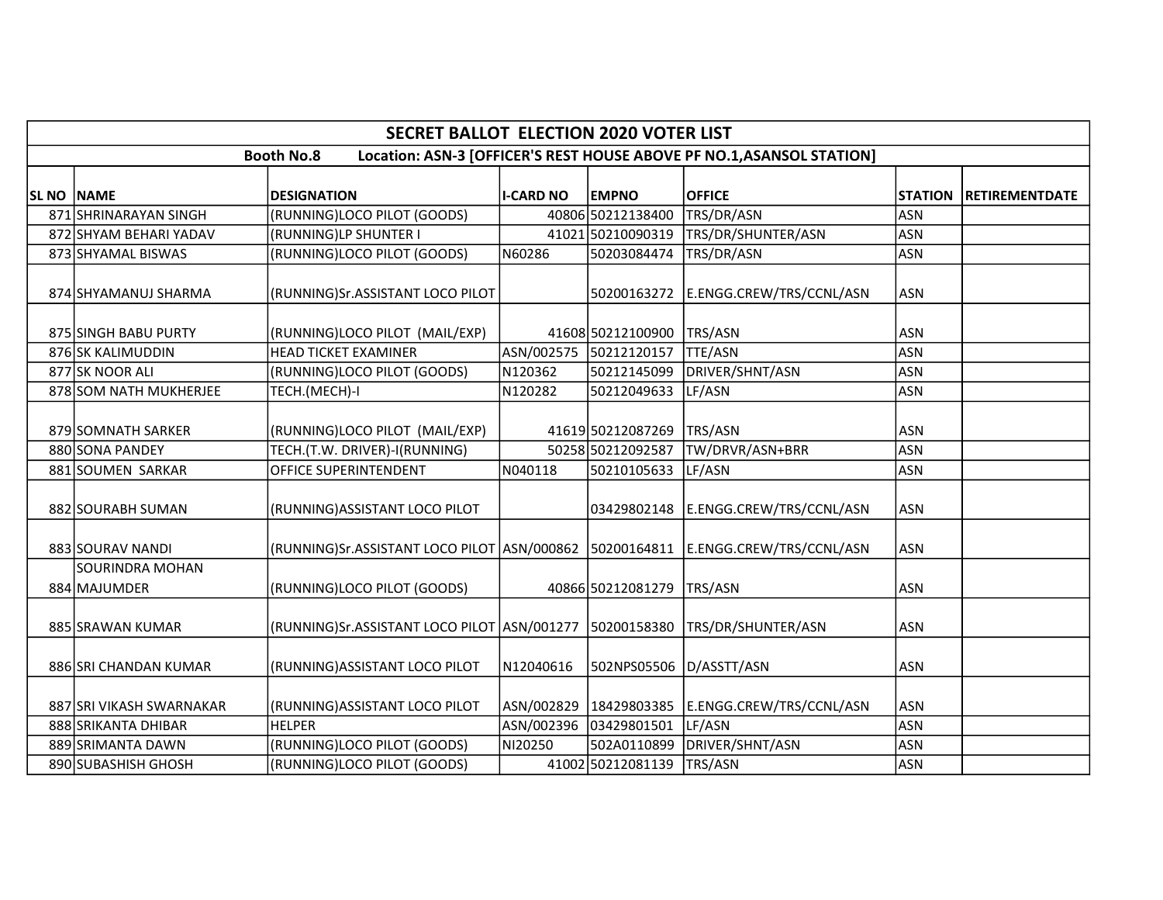|                   | <b>SECRET BALLOT ELECTION 2020 VOTER LIST</b>                                              |                                                           |                  |                        |                          |                |                       |  |  |  |  |  |
|-------------------|--------------------------------------------------------------------------------------------|-----------------------------------------------------------|------------------|------------------------|--------------------------|----------------|-----------------------|--|--|--|--|--|
|                   | Location: ASN-3 [OFFICER'S REST HOUSE ABOVE PF NO.1, ASANSOL STATION]<br><b>Booth No.8</b> |                                                           |                  |                        |                          |                |                       |  |  |  |  |  |
| <b>SL NO NAME</b> |                                                                                            | <b>DESIGNATION</b>                                        | <b>I-CARD NO</b> | <b>EMPNO</b>           | <b>OFFICE</b>            | <b>STATION</b> | <b>RETIREMENTDATE</b> |  |  |  |  |  |
|                   | 871 SHRINARAYAN SINGH                                                                      | (RUNNING)LOCO PILOT (GOODS)                               |                  | 40806 50212138400      | TRS/DR/ASN               | <b>ASN</b>     |                       |  |  |  |  |  |
|                   | 872 SHYAM BEHARI YADAV                                                                     | (RUNNING)LP SHUNTER I                                     |                  | 41021 50210090319      | TRS/DR/SHUNTER/ASN       | <b>ASN</b>     |                       |  |  |  |  |  |
|                   | 873 SHYAMAL BISWAS                                                                         | (RUNNING)LOCO PILOT (GOODS)                               | N60286           | 50203084474            | TRS/DR/ASN               | <b>ASN</b>     |                       |  |  |  |  |  |
|                   | 874 SHYAMANUJ SHARMA                                                                       | (RUNNING)Sr.ASSISTANT LOCO PILOT                          |                  | 50200163272            | E.ENGG.CREW/TRS/CCNL/ASN | <b>ASN</b>     |                       |  |  |  |  |  |
|                   | 875 SINGH BABU PURTY                                                                       | (RUNNING)LOCO PILOT (MAIL/EXP)                            |                  | 41608 50212100900      | TRS/ASN                  | <b>ASN</b>     |                       |  |  |  |  |  |
|                   | 876 SK KALIMUDDIN                                                                          | <b>HEAD TICKET EXAMINER</b>                               |                  | ASN/002575 50212120157 | <b>TTE/ASN</b>           | <b>ASN</b>     |                       |  |  |  |  |  |
|                   | 877 SK NOOR ALI                                                                            | (RUNNING)LOCO PILOT (GOODS)                               | N120362          | 50212145099            | DRIVER/SHNT/ASN          | <b>ASN</b>     |                       |  |  |  |  |  |
|                   | 878 SOM NATH MUKHERJEE                                                                     | TECH.(MECH)-I                                             | N120282          | 50212049633            | LF/ASN                   | <b>ASN</b>     |                       |  |  |  |  |  |
|                   | 879 SOMNATH SARKER                                                                         | (RUNNING)LOCO PILOT (MAIL/EXP)                            |                  | 41619 50212087269      | TRS/ASN                  | <b>ASN</b>     |                       |  |  |  |  |  |
|                   | 880 SONA PANDEY                                                                            | TECH.(T.W. DRIVER)-I(RUNNING)                             |                  | 50258 50212092587      | TW/DRVR/ASN+BRR          | <b>ASN</b>     |                       |  |  |  |  |  |
|                   | 881 SOUMEN SARKAR                                                                          | OFFICE SUPERINTENDENT                                     | N040118          | 50210105633            | LF/ASN                   | <b>ASN</b>     |                       |  |  |  |  |  |
|                   | 882 SOURABH SUMAN                                                                          | (RUNNING) ASSISTANT LOCO PILOT                            |                  | 03429802148            | E.ENGG.CREW/TRS/CCNL/ASN | <b>ASN</b>     |                       |  |  |  |  |  |
|                   | 883 SOURAV NANDI                                                                           | (RUNNING)Sr.ASSISTANT LOCO PILOT  ASN/000862  50200164811 |                  |                        | E.ENGG.CREW/TRS/CCNL/ASN | <b>ASN</b>     |                       |  |  |  |  |  |
|                   | SOURINDRA MOHAN<br>884 MAJUMDER                                                            | (RUNNING)LOCO PILOT (GOODS)                               |                  | 40866 50212081279      | TRS/ASN                  | <b>ASN</b>     |                       |  |  |  |  |  |
|                   | 885 SRAWAN KUMAR                                                                           | (RUNNING)Sr.ASSISTANT LOCO PILOT ASN/001277               |                  | 50200158380            | TRS/DR/SHUNTER/ASN       | <b>ASN</b>     |                       |  |  |  |  |  |
|                   | 886 SRI CHANDAN KUMAR                                                                      | (RUNNING)ASSISTANT LOCO PILOT                             | N12040616        | 502NPS05506            | D/ASSTT/ASN              | <b>ASN</b>     |                       |  |  |  |  |  |
|                   | 887 SRI VIKASH SWARNAKAR                                                                   | (RUNNING)ASSISTANT LOCO PILOT                             |                  | ASN/002829 18429803385 | E.ENGG.CREW/TRS/CCNL/ASN | <b>ASN</b>     |                       |  |  |  |  |  |
|                   | 888 SRIKANTA DHIBAR                                                                        | <b>HELPER</b>                                             | ASN/002396       | 03429801501            | LF/ASN                   | <b>ASN</b>     |                       |  |  |  |  |  |
|                   | 889 SRIMANTA DAWN                                                                          | (RUNNING)LOCO PILOT (GOODS)                               | NI20250          | 502A0110899            | DRIVER/SHNT/ASN          | <b>ASN</b>     |                       |  |  |  |  |  |
|                   | 890 SUBASHISH GHOSH                                                                        | (RUNNING)LOCO PILOT (GOODS)                               |                  | 41002 50212081139      | TRS/ASN                  | <b>ASN</b>     |                       |  |  |  |  |  |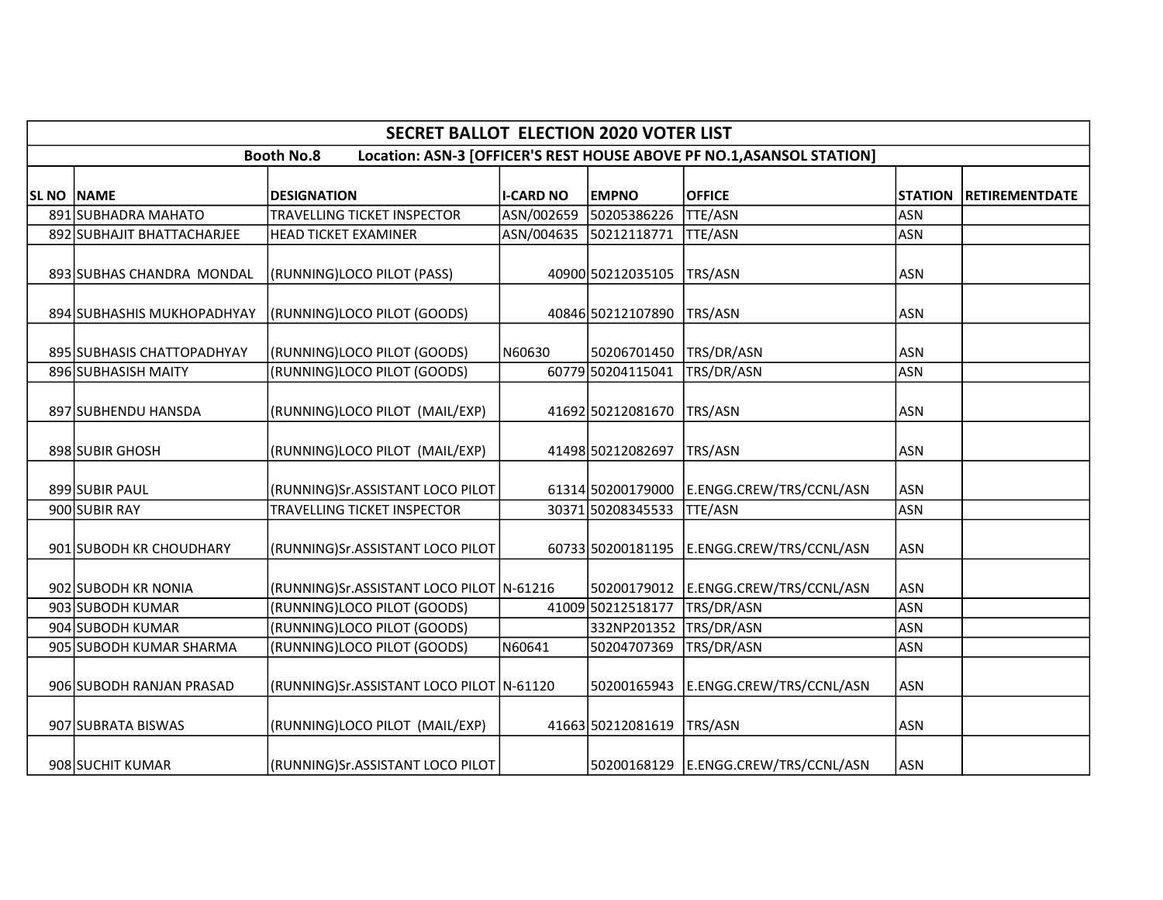|                   | <b>SECRET BALLOT ELECTION 2020 VOTER LIST</b>                                              |                                          |                  |                   |                                              |                |                       |  |  |  |  |
|-------------------|--------------------------------------------------------------------------------------------|------------------------------------------|------------------|-------------------|----------------------------------------------|----------------|-----------------------|--|--|--|--|
|                   | Location: ASN-3 [OFFICER'S REST HOUSE ABOVE PF NO.1, ASANSOL STATION]<br><b>Booth No.8</b> |                                          |                  |                   |                                              |                |                       |  |  |  |  |
| <b>SL NO NAME</b> |                                                                                            | <b>DESIGNATION</b>                       | <b>I-CARD NO</b> | <b>EMPNO</b>      | <b>OFFICE</b>                                | <b>STATION</b> | <b>RETIREMENTDATE</b> |  |  |  |  |
|                   | 891 SUBHADRA MAHATO                                                                        | <b>TRAVELLING TICKET INSPECTOR</b>       | ASN/002659       | 50205386226       | <b>TTE/ASN</b>                               | <b>ASN</b>     |                       |  |  |  |  |
|                   | 892 SUBHAJIT BHATTACHARJEE                                                                 | <b>HEAD TICKET EXAMINER</b>              | ASN/004635       | 50212118771       | <b>TTE/ASN</b>                               | <b>ASN</b>     |                       |  |  |  |  |
|                   | 893 SUBHAS CHANDRA MONDAL                                                                  | (RUNNING)LOCO PILOT (PASS)               |                  | 40900 50212035105 | TRS/ASN                                      | <b>ASN</b>     |                       |  |  |  |  |
|                   | 894 SUBHASHIS MUKHOPADHYAY                                                                 | (RUNNING)LOCO PILOT (GOODS)              |                  | 40846 50212107890 | TRS/ASN                                      | <b>ASN</b>     |                       |  |  |  |  |
|                   | 895 SUBHASIS CHATTOPADHYAY                                                                 | (RUNNING)LOCO PILOT (GOODS)              | N60630           | 50206701450       | TRS/DR/ASN                                   | <b>ASN</b>     |                       |  |  |  |  |
|                   | 896 SUBHASISH MAITY                                                                        | (RUNNING)LOCO PILOT (GOODS)              |                  | 60779 50204115041 | TRS/DR/ASN                                   | <b>ASN</b>     |                       |  |  |  |  |
|                   | 897 SUBHENDU HANSDA                                                                        | (RUNNING)LOCO PILOT (MAIL/EXP)           |                  | 41692 50212081670 | TRS/ASN                                      | <b>ASN</b>     |                       |  |  |  |  |
|                   | 898 SUBIR GHOSH                                                                            | (RUNNING)LOCO PILOT (MAIL/EXP)           |                  | 41498 50212082697 | TRS/ASN                                      | <b>ASN</b>     |                       |  |  |  |  |
|                   | 899 SUBIR PAUL                                                                             | (RUNNING)Sr.ASSISTANT LOCO PILOT         |                  |                   | 61314 50200179000 E.ENGG.CREW/TRS/CCNL/ASN   | <b>ASN</b>     |                       |  |  |  |  |
|                   | 900 SUBIR RAY                                                                              | <b>TRAVELLING TICKET INSPECTOR</b>       |                  | 30371 50208345533 | <b>TTE/ASN</b>                               | <b>ASN</b>     |                       |  |  |  |  |
|                   | 901 SUBODH KR CHOUDHARY                                                                    | (RUNNING)Sr.ASSISTANT LOCO PILOT         |                  |                   | 60733 50200181195   E.ENGG.CREW/TRS/CCNL/ASN | <b>ASN</b>     |                       |  |  |  |  |
|                   | 902 SUBODH KR NONIA                                                                        | (RUNNING)Sr.ASSISTANT LOCO PILOT N-61216 |                  |                   | 50200179012 E.ENGG.CREW/TRS/CCNL/ASN         | <b>ASN</b>     |                       |  |  |  |  |
|                   | 903 SUBODH KUMAR                                                                           | (RUNNING)LOCO PILOT (GOODS)              |                  | 41009 50212518177 | TRS/DR/ASN                                   | <b>ASN</b>     |                       |  |  |  |  |
|                   | 904 SUBODH KUMAR                                                                           | (RUNNING)LOCO PILOT (GOODS)              |                  | 332NP201352       | TRS/DR/ASN                                   | <b>ASN</b>     |                       |  |  |  |  |
|                   | 905 SUBODH KUMAR SHARMA                                                                    | (RUNNING)LOCO PILOT (GOODS)              | N60641           | 50204707369       | TRS/DR/ASN                                   | <b>ASN</b>     |                       |  |  |  |  |
|                   | 906 SUBODH RANJAN PRASAD                                                                   | (RUNNING)Sr.ASSISTANT LOCO PILOT N-61120 |                  | 50200165943       | E.ENGG.CREW/TRS/CCNL/ASN                     | <b>ASN</b>     |                       |  |  |  |  |
|                   | 907 SUBRATA BISWAS                                                                         | (RUNNING)LOCO PILOT (MAIL/EXP)           |                  | 41663 50212081619 | TRS/ASN                                      | <b>ASN</b>     |                       |  |  |  |  |
|                   | 908 SUCHIT KUMAR                                                                           | (RUNNING)Sr.ASSISTANT LOCO PILOT         |                  |                   | 50200168129 E.ENGG.CREW/TRS/CCNL/ASN         | <b>ASN</b>     |                       |  |  |  |  |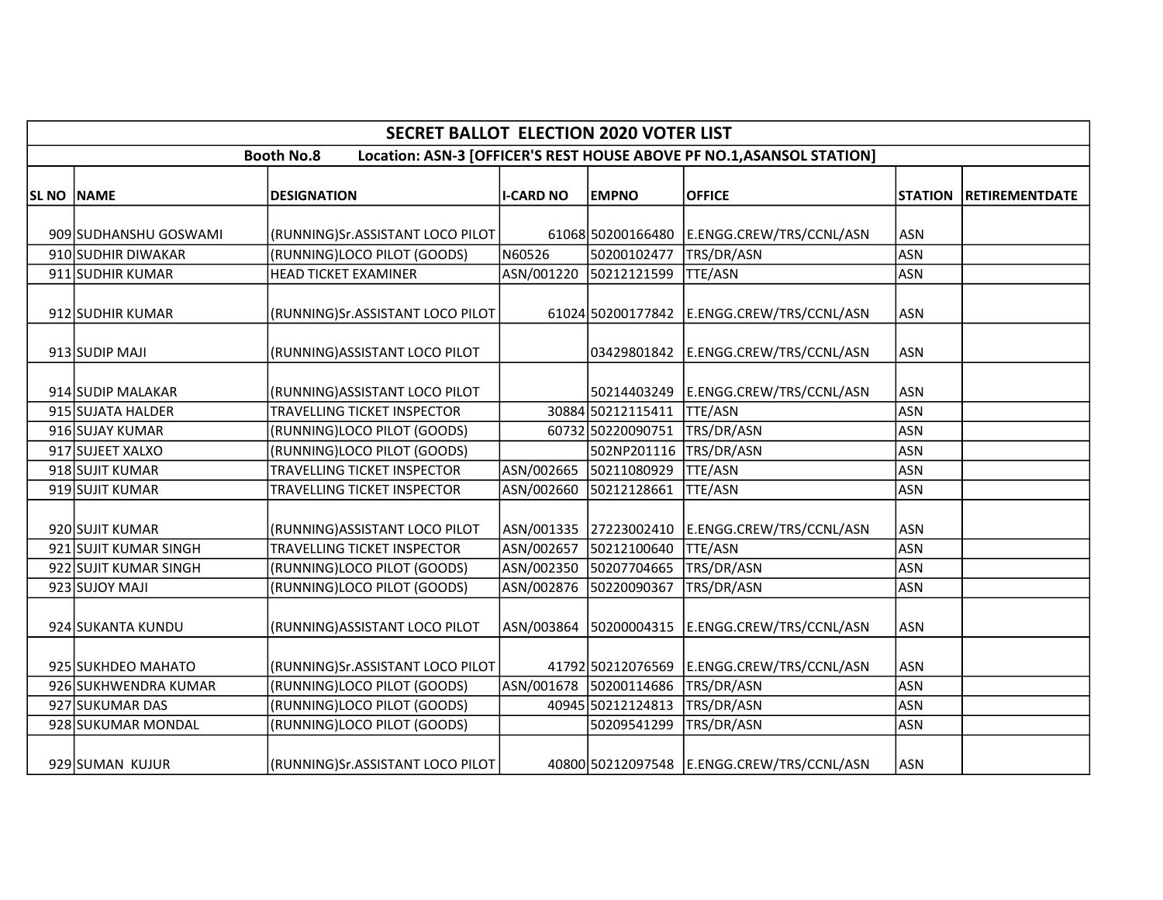|                   | <b>SECRET BALLOT ELECTION 2020 VOTER LIST</b>                                              |                                    |                  |                        |                                              |            |                        |  |  |  |  |
|-------------------|--------------------------------------------------------------------------------------------|------------------------------------|------------------|------------------------|----------------------------------------------|------------|------------------------|--|--|--|--|
|                   | Location: ASN-3 [OFFICER'S REST HOUSE ABOVE PF NO.1, ASANSOL STATION]<br><b>Booth No.8</b> |                                    |                  |                        |                                              |            |                        |  |  |  |  |
| <b>SL NO NAME</b> |                                                                                            | <b>DESIGNATION</b>                 | <b>I-CARD NO</b> | <b>EMPNO</b>           | <b>OFFICE</b>                                |            | STATION RETIREMENTDATE |  |  |  |  |
|                   |                                                                                            |                                    |                  |                        |                                              |            |                        |  |  |  |  |
|                   | 909 SUDHANSHU GOSWAMI                                                                      | (RUNNING)Sr.ASSISTANT LOCO PILOT   |                  | 61068 50200166480      | E.ENGG.CREW/TRS/CCNL/ASN                     | <b>ASN</b> |                        |  |  |  |  |
|                   | 910 SUDHIR DIWAKAR                                                                         | (RUNNING)LOCO PILOT (GOODS)        | N60526           | 50200102477            | TRS/DR/ASN                                   | <b>ASN</b> |                        |  |  |  |  |
|                   | 911 SUDHIR KUMAR                                                                           | <b>HEAD TICKET EXAMINER</b>        | ASN/001220       | 50212121599            | TTE/ASN                                      | <b>ASN</b> |                        |  |  |  |  |
|                   | 912 SUDHIR KUMAR                                                                           | (RUNNING)Sr.ASSISTANT LOCO PILOT   |                  | 61024 50200177842      | E.ENGG.CREW/TRS/CCNL/ASN                     | ASN        |                        |  |  |  |  |
|                   | 913 SUDIP MAJI                                                                             | (RUNNING) ASSISTANT LOCO PILOT     |                  | 03429801842            | E.ENGG.CREW/TRS/CCNL/ASN                     | <b>ASN</b> |                        |  |  |  |  |
|                   | 914 SUDIP MALAKAR                                                                          | (RUNNING) ASSISTANT LOCO PILOT     |                  | 50214403249            | E.ENGG.CREW/TRS/CCNL/ASN                     | ASN        |                        |  |  |  |  |
|                   | 915 SUJATA HALDER                                                                          | <b>TRAVELLING TICKET INSPECTOR</b> |                  | 30884 50212115411      | <b>TTE/ASN</b>                               | <b>ASN</b> |                        |  |  |  |  |
|                   | 916 SUJAY KUMAR                                                                            | (RUNNING)LOCO PILOT (GOODS)        |                  | 60732 50220090751      | TRS/DR/ASN                                   | <b>ASN</b> |                        |  |  |  |  |
|                   | 917 SUJEET XALXO                                                                           | (RUNNING)LOCO PILOT (GOODS)        |                  | 502NP201116            | TRS/DR/ASN                                   | <b>ASN</b> |                        |  |  |  |  |
|                   | 918 SUJIT KUMAR                                                                            | TRAVELLING TICKET INSPECTOR        | ASN/002665       | 50211080929            | TTE/ASN                                      | <b>ASN</b> |                        |  |  |  |  |
|                   | 919 SUJIT KUMAR                                                                            | TRAVELLING TICKET INSPECTOR        | ASN/002660       | 50212128661            | <b>TTE/ASN</b>                               | <b>ASN</b> |                        |  |  |  |  |
|                   | 920 SUJIT KUMAR                                                                            | (RUNNING) ASSISTANT LOCO PILOT     |                  | ASN/001335 27223002410 | E.ENGG.CREW/TRS/CCNL/ASN                     | <b>ASN</b> |                        |  |  |  |  |
|                   | 921 SUJIT KUMAR SINGH                                                                      | TRAVELLING TICKET INSPECTOR        |                  | ASN/002657 50212100640 | TTE/ASN                                      | <b>ASN</b> |                        |  |  |  |  |
|                   | 922 SUJIT KUMAR SINGH                                                                      | (RUNNING)LOCO PILOT (GOODS)        |                  | ASN/002350 50207704665 | TRS/DR/ASN                                   | <b>ASN</b> |                        |  |  |  |  |
|                   | 923 SUJOY MAJI                                                                             | (RUNNING)LOCO PILOT (GOODS)        | ASN/002876       | 50220090367            | TRS/DR/ASN                                   | <b>ASN</b> |                        |  |  |  |  |
|                   | 924 SUKANTA KUNDU                                                                          | (RUNNING) ASSISTANT LOCO PILOT     |                  | ASN/003864 50200004315 | E.ENGG.CREW/TRS/CCNL/ASN                     | ASN        |                        |  |  |  |  |
|                   | 925 SUKHDEO MAHATO                                                                         | (RUNNING)Sr.ASSISTANT LOCO PILOT   |                  | 41792 50212076569      | E.ENGG.CREW/TRS/CCNL/ASN                     | <b>ASN</b> |                        |  |  |  |  |
|                   | 926 SUKHWENDRA KUMAR                                                                       | (RUNNING)LOCO PILOT (GOODS)        |                  | ASN/001678 50200114686 | TRS/DR/ASN                                   | <b>ASN</b> |                        |  |  |  |  |
|                   | 927 SUKUMAR DAS                                                                            | (RUNNING)LOCO PILOT (GOODS)        |                  | 40945 50212124813      | TRS/DR/ASN                                   | <b>ASN</b> |                        |  |  |  |  |
|                   | 928 SUKUMAR MONDAL                                                                         | (RUNNING)LOCO PILOT (GOODS)        |                  | 50209541299            | TRS/DR/ASN                                   | <b>ASN</b> |                        |  |  |  |  |
|                   | 929 SUMAN KUJUR                                                                            | (RUNNING)Sr.ASSISTANT LOCO PILOT   |                  |                        | 40800 50212097548   E.ENGG.CREW/TRS/CCNL/ASN | ASN        |                        |  |  |  |  |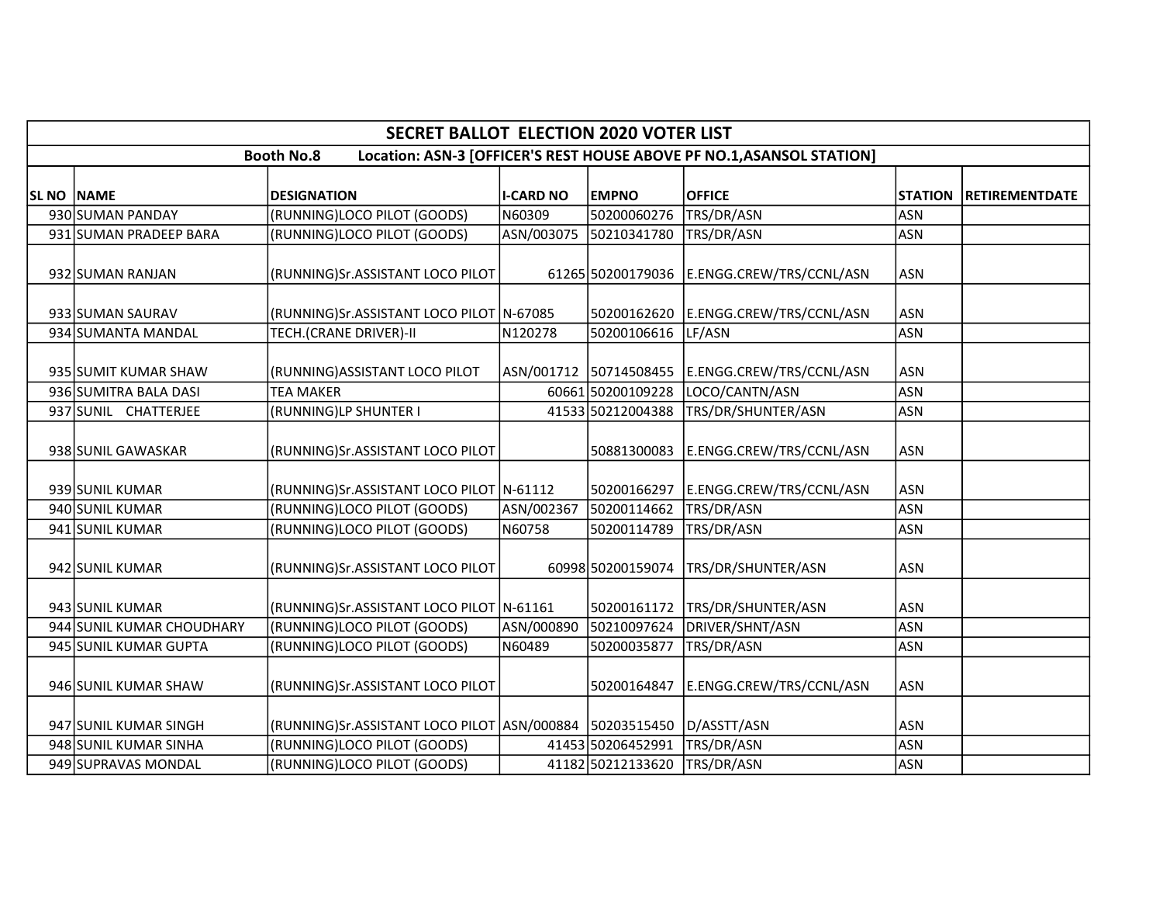| <b>SECRET BALLOT ELECTION 2020 VOTER LIST</b>                                              |                           |                                                         |                  |                        |                                            |                |                       |  |  |  |
|--------------------------------------------------------------------------------------------|---------------------------|---------------------------------------------------------|------------------|------------------------|--------------------------------------------|----------------|-----------------------|--|--|--|
| Location: ASN-3 [OFFICER'S REST HOUSE ABOVE PF NO.1, ASANSOL STATION]<br><b>Booth No.8</b> |                           |                                                         |                  |                        |                                            |                |                       |  |  |  |
| <b>SL NO NAME</b>                                                                          |                           | <b>DESIGNATION</b>                                      | <b>I-CARD NO</b> | <b>EMPNO</b>           | <b>OFFICE</b>                              | <b>STATION</b> | <b>RETIREMENTDATE</b> |  |  |  |
|                                                                                            | 930 SUMAN PANDAY          | (RUNNING)LOCO PILOT (GOODS)                             | N60309           | 50200060276            | TRS/DR/ASN                                 | <b>ASN</b>     |                       |  |  |  |
|                                                                                            | 931 SUMAN PRADEEP BARA    | (RUNNING)LOCO PILOT (GOODS)                             | ASN/003075       | 50210341780            | TRS/DR/ASN                                 | <b>ASN</b>     |                       |  |  |  |
|                                                                                            | 932 SUMAN RANJAN          | (RUNNING)Sr.ASSISTANT LOCO PILOT                        |                  |                        | 61265 50200179036 E.ENGG.CREW/TRS/CCNL/ASN | <b>ASN</b>     |                       |  |  |  |
|                                                                                            | 933 SUMAN SAURAV          | (RUNNING)Sr.ASSISTANT LOCO PILOT N-67085                |                  | 50200162620            | E.ENGG.CREW/TRS/CCNL/ASN                   | <b>ASN</b>     |                       |  |  |  |
|                                                                                            | 934 SUMANTA MANDAL        | <b>TECH.(CRANE DRIVER)-II</b>                           | N120278          | 50200106616            | LF/ASN                                     | <b>ASN</b>     |                       |  |  |  |
|                                                                                            | 935 SUMIT KUMAR SHAW      | (RUNNING) ASSISTANT LOCO PILOT                          |                  | ASN/001712 50714508455 | E.ENGG.CREW/TRS/CCNL/ASN                   | <b>ASN</b>     |                       |  |  |  |
|                                                                                            | 936 SUMITRA BALA DASI     | <b>TEA MAKER</b>                                        |                  | 60661 50200109228      | LOCO/CANTN/ASN                             | <b>ASN</b>     |                       |  |  |  |
|                                                                                            | 937 SUNIL CHATTERJEE      | (RUNNING)LP SHUNTER I                                   |                  | 41533 50212004388      | TRS/DR/SHUNTER/ASN                         | <b>ASN</b>     |                       |  |  |  |
|                                                                                            | 938 SUNIL GAWASKAR        | (RUNNING)Sr.ASSISTANT LOCO PILOT                        |                  | 50881300083            | E.ENGG.CREW/TRS/CCNL/ASN                   | <b>ASN</b>     |                       |  |  |  |
|                                                                                            | 939 SUNIL KUMAR           | (RUNNING)Sr.ASSISTANT LOCO PILOT N-61112                |                  | 50200166297            | E.ENGG.CREW/TRS/CCNL/ASN                   | <b>ASN</b>     |                       |  |  |  |
|                                                                                            | 940 SUNIL KUMAR           | (RUNNING)LOCO PILOT (GOODS)                             | ASN/002367       | 50200114662            | TRS/DR/ASN                                 | <b>ASN</b>     |                       |  |  |  |
|                                                                                            | 941 SUNIL KUMAR           | (RUNNING)LOCO PILOT (GOODS)                             | N60758           | 50200114789            | TRS/DR/ASN                                 | <b>ASN</b>     |                       |  |  |  |
|                                                                                            | 942 SUNIL KUMAR           | (RUNNING)Sr.ASSISTANT LOCO PILOT                        |                  | 60998 50200159074      | TRS/DR/SHUNTER/ASN                         | <b>ASN</b>     |                       |  |  |  |
|                                                                                            | 943 SUNIL KUMAR           | (RUNNING)Sr.ASSISTANT LOCO PILOT N-61161                |                  | 50200161172            | TRS/DR/SHUNTER/ASN                         | <b>ASN</b>     |                       |  |  |  |
|                                                                                            | 944 SUNIL KUMAR CHOUDHARY | (RUNNING)LOCO PILOT (GOODS)                             | ASN/000890       | 50210097624            | DRIVER/SHNT/ASN                            | <b>ASN</b>     |                       |  |  |  |
|                                                                                            | 945 SUNIL KUMAR GUPTA     | (RUNNING)LOCO PILOT (GOODS)                             | N60489           | 50200035877            | TRS/DR/ASN                                 | <b>ASN</b>     |                       |  |  |  |
|                                                                                            | 946 SUNIL KUMAR SHAW      | (RUNNING)Sr.ASSISTANT LOCO PILOT                        |                  | 50200164847            | E.ENGG.CREW/TRS/CCNL/ASN                   | <b>ASN</b>     |                       |  |  |  |
|                                                                                            | 947 SUNIL KUMAR SINGH     | (RUNNING)Sr.ASSISTANT LOCO PILOT ASN/000884 50203515450 |                  |                        | D/ASSTT/ASN                                | <b>ASN</b>     |                       |  |  |  |
|                                                                                            | 948 SUNIL KUMAR SINHA     | (RUNNING)LOCO PILOT (GOODS)                             |                  | 41453 50206452991      | TRS/DR/ASN                                 | <b>ASN</b>     |                       |  |  |  |
|                                                                                            | 949 SUPRAVAS MONDAL       | (RUNNING)LOCO PILOT (GOODS)                             |                  | 41182 50212133620      | TRS/DR/ASN                                 | <b>ASN</b>     |                       |  |  |  |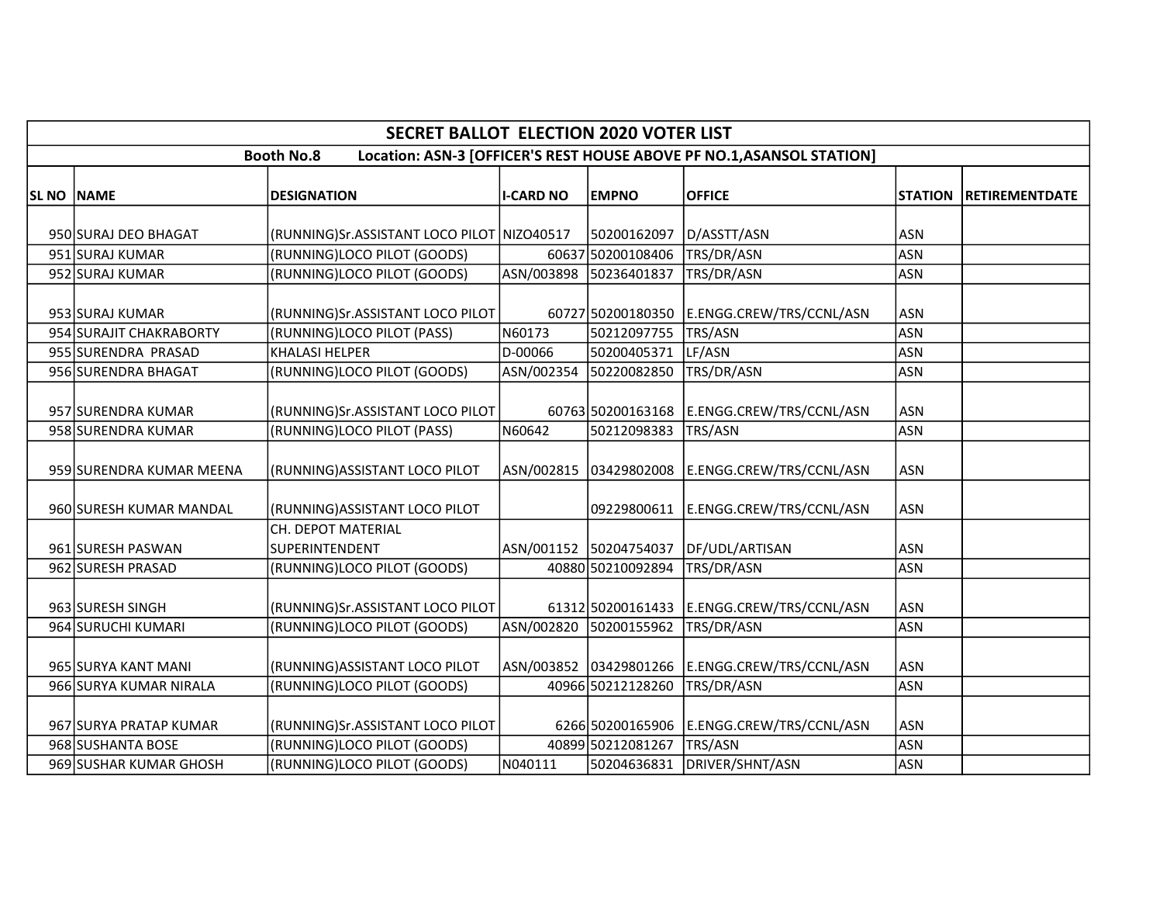| <b>SECRET BALLOT ELECTION 2020 VOTER LIST</b>                                              |                          |                                            |                  |                        |                                              |                |                       |  |  |  |
|--------------------------------------------------------------------------------------------|--------------------------|--------------------------------------------|------------------|------------------------|----------------------------------------------|----------------|-----------------------|--|--|--|
| Location: ASN-3 [OFFICER'S REST HOUSE ABOVE PF NO.1, ASANSOL STATION]<br><b>Booth No.8</b> |                          |                                            |                  |                        |                                              |                |                       |  |  |  |
| <b>SL NO NAME</b>                                                                          |                          | <b>DESIGNATION</b>                         | <b>I-CARD NO</b> | <b>EMPNO</b>           | <b>OFFICE</b>                                | <b>STATION</b> | <b>RETIREMENTDATE</b> |  |  |  |
|                                                                                            | 950 SURAJ DEO BHAGAT     | (RUNNING)Sr.ASSISTANT LOCO PILOT NIZO40517 |                  | 50200162097            | D/ASSTT/ASN                                  | ASN            |                       |  |  |  |
|                                                                                            | 951 SURAJ KUMAR          | (RUNNING)LOCO PILOT (GOODS)                |                  | 60637 50200108406      | TRS/DR/ASN                                   | <b>ASN</b>     |                       |  |  |  |
|                                                                                            | 952 SURAJ KUMAR          | (RUNNING)LOCO PILOT (GOODS)                | ASN/003898       | 50236401837            | TRS/DR/ASN                                   | <b>ASN</b>     |                       |  |  |  |
|                                                                                            | 953 SURAJ KUMAR          | (RUNNING)Sr.ASSISTANT LOCO PILOT           |                  | 60727 50200180350      | E.ENGG.CREW/TRS/CCNL/ASN                     | <b>ASN</b>     |                       |  |  |  |
|                                                                                            | 954 SURAJIT CHAKRABORTY  | (RUNNING)LOCO PILOT (PASS)                 | N60173           | 50212097755            | <b>TRS/ASN</b>                               | <b>ASN</b>     |                       |  |  |  |
|                                                                                            | 955 SURENDRA PRASAD      | <b>KHALASI HELPER</b>                      | D-00066          | 50200405371            | LF/ASN                                       | <b>ASN</b>     |                       |  |  |  |
|                                                                                            | 956 SURENDRA BHAGAT      | (RUNNING)LOCO PILOT (GOODS)                | ASN/002354       | 50220082850            | TRS/DR/ASN                                   | <b>ASN</b>     |                       |  |  |  |
|                                                                                            | 957 SURENDRA KUMAR       | (RUNNING)Sr.ASSISTANT LOCO PILOT           |                  |                        | 60763 50200163168   E.ENGG.CREW/TRS/CCNL/ASN | <b>ASN</b>     |                       |  |  |  |
|                                                                                            | 958 SURENDRA KUMAR       | (RUNNING)LOCO PILOT (PASS)                 | N60642           | 50212098383            | TRS/ASN                                      | <b>ASN</b>     |                       |  |  |  |
|                                                                                            | 959 SURENDRA KUMAR MEENA | (RUNNING) ASSISTANT LOCO PILOT             |                  | ASN/002815 03429802008 | E.ENGG.CREW/TRS/CCNL/ASN                     | <b>ASN</b>     |                       |  |  |  |
|                                                                                            | 960 SURESH KUMAR MANDAL  | (RUNNING) ASSISTANT LOCO PILOT             |                  | 09229800611            | E.ENGG.CREW/TRS/CCNL/ASN                     | ASN            |                       |  |  |  |
|                                                                                            | 961 SURESH PASWAN        | CH. DEPOT MATERIAL<br>SUPERINTENDENT       |                  | ASN/001152 50204754037 | DF/UDL/ARTISAN                               | ASN            |                       |  |  |  |
|                                                                                            | 962 SURESH PRASAD        | (RUNNING)LOCO PILOT (GOODS)                |                  | 40880 50210092894      | TRS/DR/ASN                                   | <b>ASN</b>     |                       |  |  |  |
|                                                                                            | 963 SURESH SINGH         | (RUNNING)Sr.ASSISTANT LOCO PILOT           |                  | 61312 50200161433      | E.ENGG.CREW/TRS/CCNL/ASN                     | <b>ASN</b>     |                       |  |  |  |
|                                                                                            | 964 SURUCHI KUMARI       | (RUNNING)LOCO PILOT (GOODS)                | ASN/002820       | 50200155962            | TRS/DR/ASN                                   | <b>ASN</b>     |                       |  |  |  |
|                                                                                            | 965 SURYA KANT MANI      | (RUNNING) ASSISTANT LOCO PILOT             |                  | ASN/003852 03429801266 | E.ENGG.CREW/TRS/CCNL/ASN                     | <b>ASN</b>     |                       |  |  |  |
|                                                                                            | 966 SURYA KUMAR NIRALA   | (RUNNING)LOCO PILOT (GOODS)                |                  | 40966 50212128260      | TRS/DR/ASN                                   | <b>ASN</b>     |                       |  |  |  |
|                                                                                            | 967 SURYA PRATAP KUMAR   | (RUNNING)Sr.ASSISTANT LOCO PILOT           |                  | 6266 50200165906       | E.ENGG.CREW/TRS/CCNL/ASN                     | <b>ASN</b>     |                       |  |  |  |
|                                                                                            | 968 SUSHANTA BOSE        | (RUNNING)LOCO PILOT (GOODS)                |                  | 40899 50212081267      | TRS/ASN                                      | <b>ASN</b>     |                       |  |  |  |
|                                                                                            | 969 SUSHAR KUMAR GHOSH   | (RUNNING)LOCO PILOT (GOODS)                | N040111          | 50204636831            | DRIVER/SHNT/ASN                              | <b>ASN</b>     |                       |  |  |  |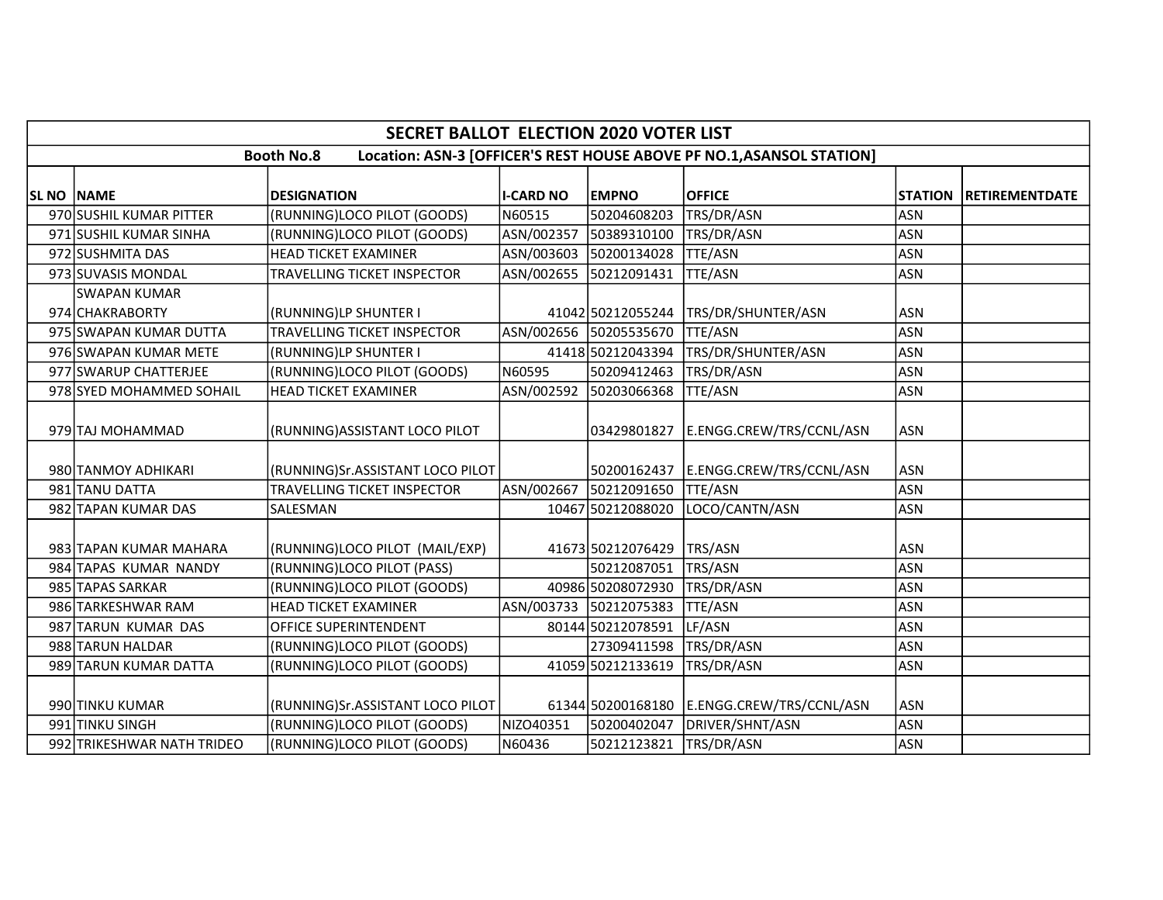| <b>SECRET BALLOT ELECTION 2020 VOTER LIST</b>                                              |                            |                                    |                  |                        |                          |                |                       |  |  |
|--------------------------------------------------------------------------------------------|----------------------------|------------------------------------|------------------|------------------------|--------------------------|----------------|-----------------------|--|--|
| Location: ASN-3 [OFFICER'S REST HOUSE ABOVE PF NO.1, ASANSOL STATION]<br><b>Booth No.8</b> |                            |                                    |                  |                        |                          |                |                       |  |  |
| SL NO NAME                                                                                 |                            | <b>DESIGNATION</b>                 | <b>I-CARD NO</b> | <b>EMPNO</b>           | <b>OFFICE</b>            | <b>STATION</b> | <b>RETIREMENTDATE</b> |  |  |
|                                                                                            | 970 SUSHIL KUMAR PITTER    | (RUNNING)LOCO PILOT (GOODS)        | N60515           | 50204608203            | TRS/DR/ASN               | <b>ASN</b>     |                       |  |  |
|                                                                                            | 971 SUSHIL KUMAR SINHA     | (RUNNING)LOCO PILOT (GOODS)        | ASN/002357       | 50389310100            | TRS/DR/ASN               | <b>ASN</b>     |                       |  |  |
|                                                                                            | 972 SUSHMITA DAS           | <b>HEAD TICKET EXAMINER</b>        | ASN/003603       | 50200134028            | <b>TTE/ASN</b>           | <b>ASN</b>     |                       |  |  |
|                                                                                            | 973 SUVASIS MONDAL         | TRAVELLING TICKET INSPECTOR        | ASN/002655       | 50212091431            | TTE/ASN                  | <b>ASN</b>     |                       |  |  |
|                                                                                            | SWAPAN KUMAR               |                                    |                  |                        |                          |                |                       |  |  |
|                                                                                            | 974 CHAKRABORTY            | (RUNNING)LP SHUNTER I              |                  | 41042 50212055244      | TRS/DR/SHUNTER/ASN       | <b>ASN</b>     |                       |  |  |
|                                                                                            | 975 SWAPAN KUMAR DUTTA     | TRAVELLING TICKET INSPECTOR        |                  | ASN/002656 50205535670 | <b>TTE/ASN</b>           | <b>ASN</b>     |                       |  |  |
|                                                                                            | 976 SWAPAN KUMAR METE      | (RUNNING)LP SHUNTER I              |                  | 41418 50212043394      | TRS/DR/SHUNTER/ASN       | <b>ASN</b>     |                       |  |  |
|                                                                                            | 977 SWARUP CHATTERJEE      | (RUNNING)LOCO PILOT (GOODS)        | N60595           | 50209412463            | TRS/DR/ASN               | <b>ASN</b>     |                       |  |  |
|                                                                                            | 978 SYED MOHAMMED SOHAIL   | <b>HEAD TICKET EXAMINER</b>        | ASN/002592       | 50203066368            | TTE/ASN                  | <b>ASN</b>     |                       |  |  |
|                                                                                            | 979 TAJ MOHAMMAD           | (RUNNING) ASSISTANT LOCO PILOT     |                  | 03429801827            | E.ENGG.CREW/TRS/CCNL/ASN | <b>ASN</b>     |                       |  |  |
|                                                                                            | 980 TANMOY ADHIKARI        | (RUNNING)Sr.ASSISTANT LOCO PILOT   |                  | 50200162437            | E.ENGG.CREW/TRS/CCNL/ASN | <b>ASN</b>     |                       |  |  |
|                                                                                            | 981 TANU DATTA             | <b>TRAVELLING TICKET INSPECTOR</b> |                  | ASN/002667 50212091650 | <b>TTE/ASN</b>           | <b>ASN</b>     |                       |  |  |
|                                                                                            | 982 TAPAN KUMAR DAS        | SALESMAN                           |                  | 10467 50212088020      | LOCO/CANTN/ASN           | <b>ASN</b>     |                       |  |  |
|                                                                                            | 983 TAPAN KUMAR MAHARA     | (RUNNING)LOCO PILOT (MAIL/EXP)     |                  | 41673 50212076429      | TRS/ASN                  | <b>ASN</b>     |                       |  |  |
|                                                                                            | 984 TAPAS KUMAR NANDY      | (RUNNING)LOCO PILOT (PASS)         |                  | 50212087051            | TRS/ASN                  | <b>ASN</b>     |                       |  |  |
|                                                                                            | 985 TAPAS SARKAR           | (RUNNING)LOCO PILOT (GOODS)        |                  | 40986 50208072930      | TRS/DR/ASN               | <b>ASN</b>     |                       |  |  |
|                                                                                            | 986 TARKESHWAR RAM         | <b>HEAD TICKET EXAMINER</b>        |                  | ASN/003733 50212075383 | <b>TTE/ASN</b>           | <b>ASN</b>     |                       |  |  |
|                                                                                            | 987 TARUN KUMAR DAS        | OFFICE SUPERINTENDENT              |                  | 80144 50212078591      | LF/ASN                   | <b>ASN</b>     |                       |  |  |
|                                                                                            | 988 TARUN HALDAR           | (RUNNING)LOCO PILOT (GOODS)        |                  | 27309411598            | TRS/DR/ASN               | <b>ASN</b>     |                       |  |  |
|                                                                                            | 989 TARUN KUMAR DATTA      | (RUNNING)LOCO PILOT (GOODS)        |                  | 41059 50212133619      | TRS/DR/ASN               | <b>ASN</b>     |                       |  |  |
|                                                                                            | 990 TINKU KUMAR            | (RUNNING)Sr.ASSISTANT LOCO PILOT   |                  | 61344 50200168180      | E.ENGG.CREW/TRS/CCNL/ASN | <b>ASN</b>     |                       |  |  |
|                                                                                            | 991 TINKU SINGH            | (RUNNING)LOCO PILOT (GOODS)        | NIZO40351        | 50200402047            | DRIVER/SHNT/ASN          | <b>ASN</b>     |                       |  |  |
|                                                                                            | 992 TRIKESHWAR NATH TRIDEO | (RUNNING)LOCO PILOT (GOODS)        | N60436           | 50212123821            | TRS/DR/ASN               | <b>ASN</b>     |                       |  |  |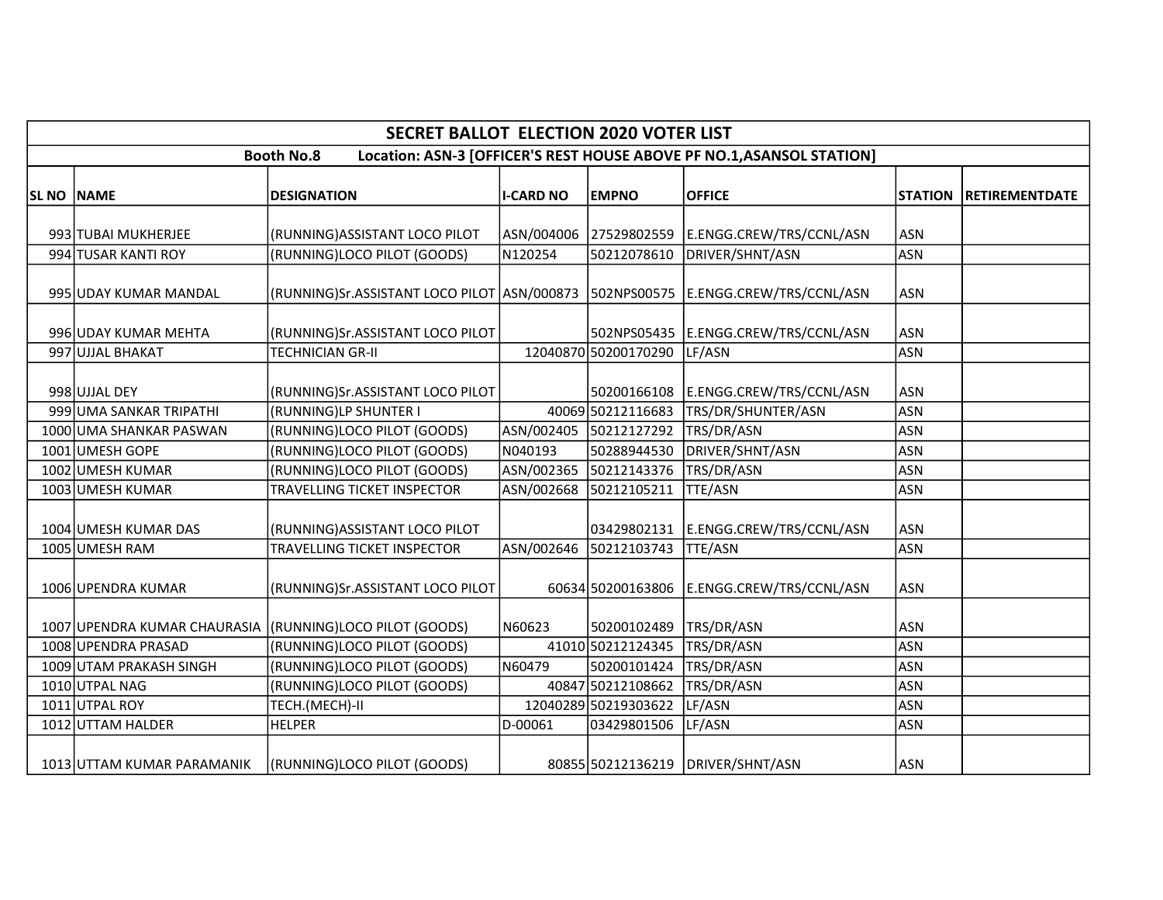|                                                                                            | <b>SECRET BALLOT ELECTION 2020 VOTER LIST</b> |                                                           |                  |                        |                                                 |                |                       |  |  |  |
|--------------------------------------------------------------------------------------------|-----------------------------------------------|-----------------------------------------------------------|------------------|------------------------|-------------------------------------------------|----------------|-----------------------|--|--|--|
| <b>Booth No.8</b><br>Location: ASN-3 [OFFICER'S REST HOUSE ABOVE PF NO.1, ASANSOL STATION] |                                               |                                                           |                  |                        |                                                 |                |                       |  |  |  |
| <b>SL NO NAME</b>                                                                          |                                               | <b>DESIGNATION</b>                                        | <b>I-CARD NO</b> | <b>EMPNO</b>           | <b>OFFICE</b>                                   | <b>STATION</b> | <b>RETIREMENTDATE</b> |  |  |  |
|                                                                                            |                                               |                                                           |                  |                        |                                                 |                |                       |  |  |  |
|                                                                                            | 993 TUBAI MUKHERJEE                           | (RUNNING) ASSISTANT LOCO PILOT                            |                  |                        | ASN/004006 27529802559 E.ENGG.CREW/TRS/CCNL/ASN | ASN            |                       |  |  |  |
|                                                                                            | 994 TUSAR KANTI ROY                           | (RUNNING)LOCO PILOT (GOODS)                               | N120254          | 50212078610            | DRIVER/SHNT/ASN                                 | <b>ASN</b>     |                       |  |  |  |
|                                                                                            | 995 UDAY KUMAR MANDAL                         | (RUNNING)Sr.ASSISTANT LOCO PILOT ASN/000873               |                  |                        | 502NPS00575   E.ENGG.CREW/TRS/CCNL/ASN          | <b>ASN</b>     |                       |  |  |  |
|                                                                                            | 996 UDAY KUMAR MEHTA                          | (RUNNING)Sr.ASSISTANT LOCO PILOT                          |                  |                        | 502NPS05435 E.ENGG.CREW/TRS/CCNL/ASN            | <b>ASN</b>     |                       |  |  |  |
|                                                                                            | 997 UJJAL BHAKAT                              | <b>TECHNICIAN GR-II</b>                                   |                  | 12040870 50200170290   | LF/ASN                                          | <b>ASN</b>     |                       |  |  |  |
|                                                                                            | 998 UJJAL DEY                                 | (RUNNING)Sr.ASSISTANT LOCO PILOT                          |                  |                        | 50200166108 E.ENGG.CREW/TRS/CCNL/ASN            | <b>ASN</b>     |                       |  |  |  |
|                                                                                            | 999 UMA SANKAR TRIPATHI                       | (RUNNING)LP SHUNTER I                                     |                  | 40069 50212116683      | TRS/DR/SHUNTER/ASN                              | <b>ASN</b>     |                       |  |  |  |
|                                                                                            | 1000 UMA SHANKAR PASWAN                       | (RUNNING)LOCO PILOT (GOODS)                               | ASN/002405       | 50212127292            | TRS/DR/ASN                                      | <b>ASN</b>     |                       |  |  |  |
|                                                                                            | 1001 UMESH GOPE                               | (RUNNING)LOCO PILOT (GOODS)                               | N040193          | 50288944530            | DRIVER/SHNT/ASN                                 | <b>ASN</b>     |                       |  |  |  |
|                                                                                            | 1002 UMESH KUMAR                              | (RUNNING)LOCO PILOT (GOODS)                               | ASN/002365       | 50212143376            | TRS/DR/ASN                                      | <b>ASN</b>     |                       |  |  |  |
|                                                                                            | 1003 UMESH KUMAR                              | TRAVELLING TICKET INSPECTOR                               | ASN/002668       | 50212105211            | <b>TTE/ASN</b>                                  | <b>ASN</b>     |                       |  |  |  |
|                                                                                            | 1004 UMESH KUMAR DAS                          | (RUNNING) ASSISTANT LOCO PILOT                            |                  |                        | 03429802131 E.ENGG.CREW/TRS/CCNL/ASN            | <b>ASN</b>     |                       |  |  |  |
|                                                                                            | 1005 UMESH RAM                                | <b>TRAVELLING TICKET INSPECTOR</b>                        |                  | ASN/002646 50212103743 | <b>TTE/ASN</b>                                  | <b>ASN</b>     |                       |  |  |  |
|                                                                                            | 1006 UPENDRA KUMAR                            | (RUNNING)Sr.ASSISTANT LOCO PILOT                          |                  |                        | 60634 50200163806 E.ENGG.CREW/TRS/CCNL/ASN      | <b>ASN</b>     |                       |  |  |  |
|                                                                                            |                                               | 1007 UPENDRA KUMAR CHAURASIA (RUNNING) LOCO PILOT (GOODS) | N60623           | 50200102489            | TRS/DR/ASN                                      | <b>ASN</b>     |                       |  |  |  |
|                                                                                            | 1008 UPENDRA PRASAD                           | (RUNNING)LOCO PILOT (GOODS)                               |                  | 41010 50212124345      | TRS/DR/ASN                                      | <b>ASN</b>     |                       |  |  |  |
|                                                                                            | 1009 UTAM PRAKASH SINGH                       | (RUNNING)LOCO PILOT (GOODS)                               | N60479           | 50200101424            | TRS/DR/ASN                                      | <b>ASN</b>     |                       |  |  |  |
|                                                                                            | 1010 UTPAL NAG                                | (RUNNING)LOCO PILOT (GOODS)                               |                  | 40847 50212108662      | TRS/DR/ASN                                      | <b>ASN</b>     |                       |  |  |  |
|                                                                                            | 1011 UTPAL ROY                                | TECH.(MECH)-II                                            |                  | 12040289 50219303622   | LF/ASN                                          | <b>ASN</b>     |                       |  |  |  |
|                                                                                            | 1012 UTTAM HALDER                             | <b>HELPER</b>                                             | D-00061          | 03429801506            | LF/ASN                                          | <b>ASN</b>     |                       |  |  |  |
|                                                                                            | 1013 UTTAM KUMAR PARAMANIK                    | (RUNNING)LOCO PILOT (GOODS)                               |                  |                        | 80855 50212136219 DRIVER/SHNT/ASN               | <b>ASN</b>     |                       |  |  |  |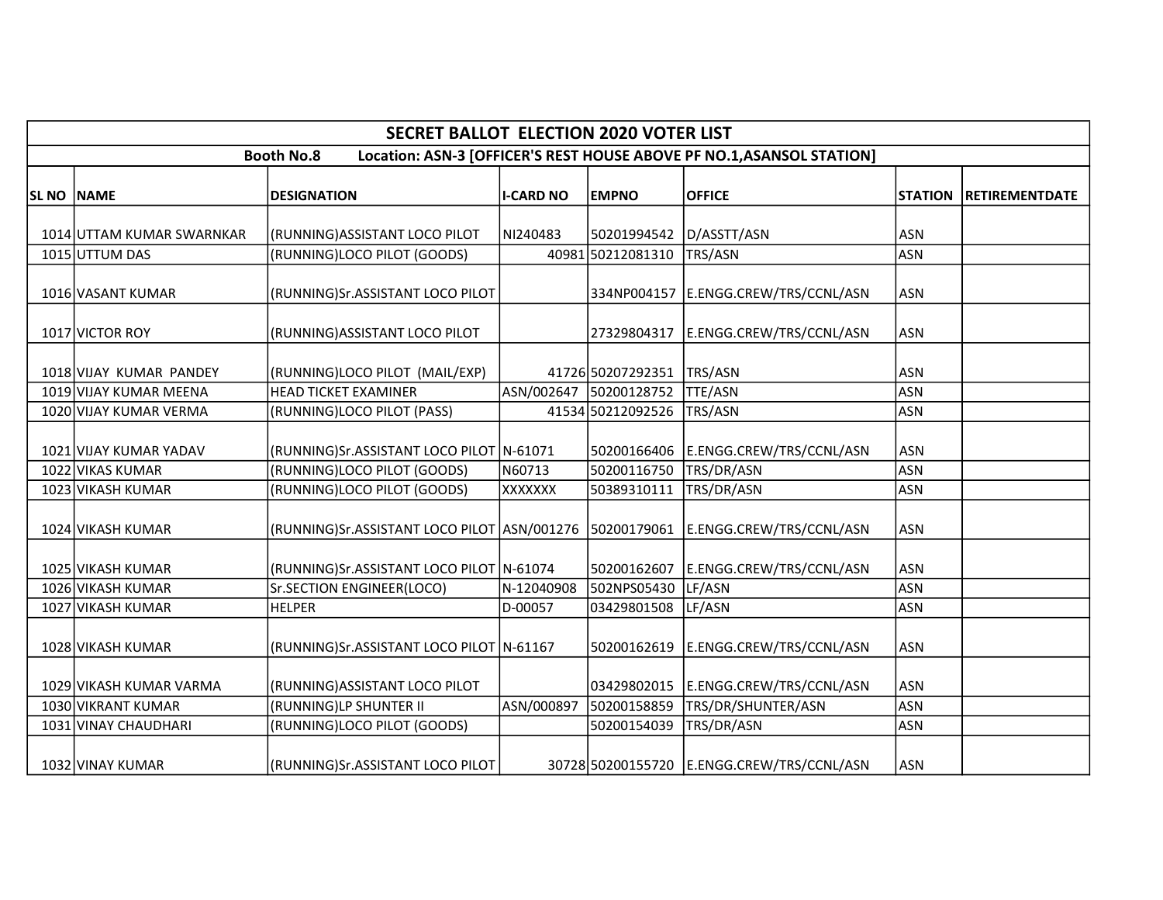| <b>SECRET BALLOT ELECTION 2020 VOTER LIST</b>                                              |                           |                                                         |                  |                   |                                            |            |                               |  |  |  |
|--------------------------------------------------------------------------------------------|---------------------------|---------------------------------------------------------|------------------|-------------------|--------------------------------------------|------------|-------------------------------|--|--|--|
| Location: ASN-3 [OFFICER'S REST HOUSE ABOVE PF NO.1, ASANSOL STATION]<br><b>Booth No.8</b> |                           |                                                         |                  |                   |                                            |            |                               |  |  |  |
| SL NO   NAME                                                                               |                           | <b>DESIGNATION</b>                                      | <b>I-CARD NO</b> | <b>EMPNO</b>      | <b>OFFICE</b>                              |            | <b>STATION RETIREMENTDATE</b> |  |  |  |
|                                                                                            | 1014 UTTAM KUMAR SWARNKAR | (RUNNING)ASSISTANT LOCO PILOT                           | NI240483         | 50201994542       | D/ASSTT/ASN                                | <b>ASN</b> |                               |  |  |  |
|                                                                                            | 1015 UTTUM DAS            | (RUNNING)LOCO PILOT (GOODS)                             |                  | 40981 50212081310 | TRS/ASN                                    | <b>ASN</b> |                               |  |  |  |
|                                                                                            | 1016 VASANT KUMAR         | (RUNNING)Sr.ASSISTANT LOCO PILOT                        |                  | 334NP004157       | E.ENGG.CREW/TRS/CCNL/ASN                   | <b>ASN</b> |                               |  |  |  |
|                                                                                            | 1017 VICTOR ROY           | (RUNNING) ASSISTANT LOCO PILOT                          |                  | 27329804317       | E.ENGG.CREW/TRS/CCNL/ASN                   | <b>ASN</b> |                               |  |  |  |
|                                                                                            | 1018 VIJAY KUMAR PANDEY   | (RUNNING)LOCO PILOT (MAIL/EXP)                          |                  | 41726 50207292351 | TRS/ASN                                    | <b>ASN</b> |                               |  |  |  |
|                                                                                            | 1019 VIJAY KUMAR MEENA    | <b>HEAD TICKET EXAMINER</b>                             | ASN/002647       | 50200128752       | <b>TTE/ASN</b>                             | <b>ASN</b> |                               |  |  |  |
|                                                                                            | 1020 VIJAY KUMAR VERMA    | (RUNNING)LOCO PILOT (PASS)                              |                  | 41534 50212092526 | TRS/ASN                                    | <b>ASN</b> |                               |  |  |  |
|                                                                                            | 1021 VIJAY KUMAR YADAV    | (RUNNING)Sr.ASSISTANT LOCO PILOT N-61071                |                  | 50200166406       | E.ENGG.CREW/TRS/CCNL/ASN                   | <b>ASN</b> |                               |  |  |  |
|                                                                                            | 1022 VIKAS KUMAR          | (RUNNING)LOCO PILOT (GOODS)                             | N60713           | 50200116750       | TRS/DR/ASN                                 | <b>ASN</b> |                               |  |  |  |
|                                                                                            | 1023 VIKASH KUMAR         | (RUNNING)LOCO PILOT (GOODS)                             | XXXXXXX          | 50389310111       | TRS/DR/ASN                                 | <b>ASN</b> |                               |  |  |  |
|                                                                                            | 1024 VIKASH KUMAR         | (RUNNING)Sr.ASSISTANT LOCO PILOT ASN/001276 50200179061 |                  |                   | E.ENGG.CREW/TRS/CCNL/ASN                   | <b>ASN</b> |                               |  |  |  |
|                                                                                            | 1025 VIKASH KUMAR         | (RUNNING)Sr.ASSISTANT LOCO PILOT N-61074                |                  | 50200162607       | E.ENGG.CREW/TRS/CCNL/ASN                   | <b>ASN</b> |                               |  |  |  |
|                                                                                            | 1026 VIKASH KUMAR         | Sr.SECTION ENGINEER(LOCO)                               | N-12040908       | 502NPS05430       | LF/ASN                                     | <b>ASN</b> |                               |  |  |  |
|                                                                                            | 1027 VIKASH KUMAR         | <b>HELPER</b>                                           | D-00057          | 03429801508       | LF/ASN                                     | <b>ASN</b> |                               |  |  |  |
|                                                                                            | 1028 VIKASH KUMAR         | (RUNNING) Sr. ASSISTANT LOCO PILOT   N-61167            |                  | 50200162619       | E.ENGG.CREW/TRS/CCNL/ASN                   | ASN        |                               |  |  |  |
|                                                                                            | 1029 VIKASH KUMAR VARMA   | (RUNNING) ASSISTANT LOCO PILOT                          |                  | 03429802015       | E.ENGG.CREW/TRS/CCNL/ASN                   | <b>ASN</b> |                               |  |  |  |
|                                                                                            | 1030 VIKRANT KUMAR        | (RUNNING)LP SHUNTER II                                  | ASN/000897       | 50200158859       | TRS/DR/SHUNTER/ASN                         | <b>ASN</b> |                               |  |  |  |
|                                                                                            | 1031 VINAY CHAUDHARI      | (RUNNING)LOCO PILOT (GOODS)                             |                  | 50200154039       | TRS/DR/ASN                                 | <b>ASN</b> |                               |  |  |  |
|                                                                                            | 1032 VINAY KUMAR          | (RUNNING)Sr.ASSISTANT LOCO PILOT                        |                  |                   | 30728 50200155720 E.ENGG.CREW/TRS/CCNL/ASN | <b>ASN</b> |                               |  |  |  |